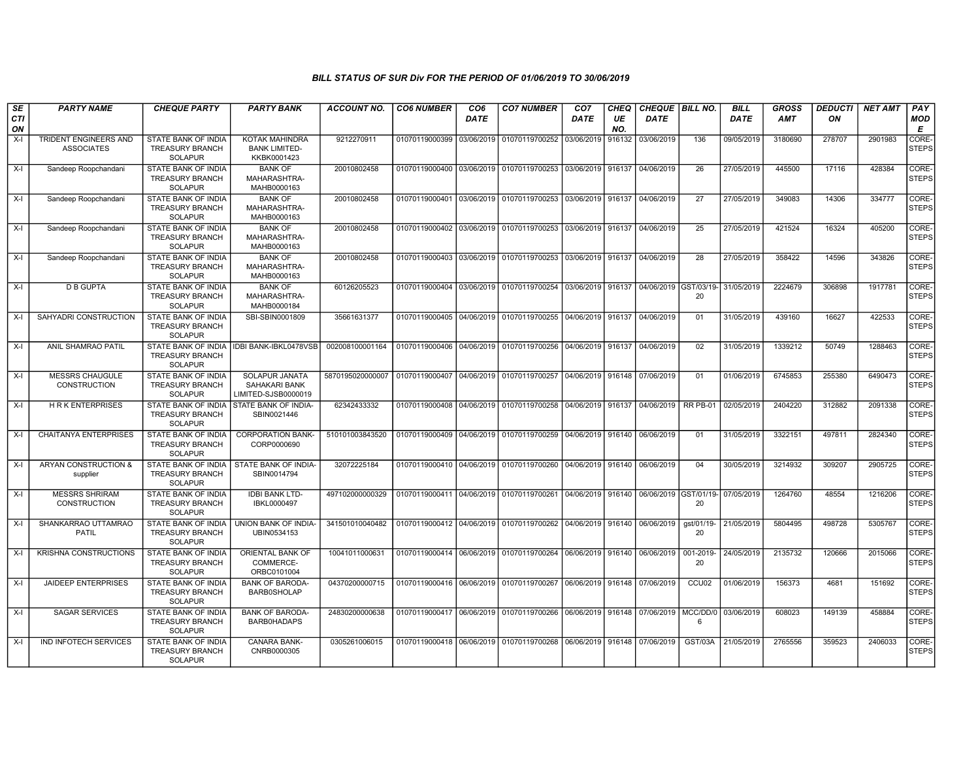| SE               | <b>PARTY NAME</b>                                 | <b>CHEQUE PARTY</b>                                                    | <b>PARTY BANK</b>                                                    | <b>ACCOUNT NO.</b>                                                                                | <b>CO6 NUMBER</b>         | CO <sub>6</sub> | <b>CO7 NUMBER</b>                                                               | CO <sub>7</sub>   | CHEQ      | <b>CHEQUE   BILL NO.</b> |                   | <b>BILL</b> | <b>GROSS</b> | <i><b>DEDUCTI</b></i> | NET AMT | <b>PAY</b>                  |
|------------------|---------------------------------------------------|------------------------------------------------------------------------|----------------------------------------------------------------------|---------------------------------------------------------------------------------------------------|---------------------------|-----------------|---------------------------------------------------------------------------------|-------------------|-----------|--------------------------|-------------------|-------------|--------------|-----------------------|---------|-----------------------------|
| <b>CTI</b><br>ON |                                                   |                                                                        |                                                                      |                                                                                                   |                           | <b>DATE</b>     |                                                                                 | <b>DATE</b>       | UE<br>NO. | <b>DATE</b>              |                   | <b>DATE</b> | AMT          | ON                    |         | <b>MOD</b><br>Е             |
| $X-I$            | <b>TRIDENT ENGINEERS AND</b><br><b>ASSOCIATES</b> | <b>STATE BANK OF INDIA</b><br><b>TREASURY BRANCH</b><br><b>SOLAPUR</b> | <b>KOTAK MAHINDRA</b><br><b>BANK LIMITED-</b><br>KKBK0001423         | 9212270911                                                                                        | 01070119000399            | 03/06/2019      | 01070119700252                                                                  | 03/06/2019        | 916132    | 03/06/2019               | 136               | 09/05/2019  | 3180690      | 278707                | 2901983 | <b>CORE</b><br><b>STEPS</b> |
| $X-I$            | Sandeep Roopchandani                              | STATE BANK OF INDIA<br><b>TREASURY BRANCH</b><br>SOLAPUR               | <b>BANK OF</b><br>MAHARASHTRA-<br>MAHB0000163                        | 20010802458                                                                                       | 01070119000400            | 03/06/2019      | 01070119700253                                                                  | 03/06/2019        | 916137    | 04/06/2019               | 26                | 27/05/2019  | 445500       | 17116                 | 428384  | CORE-<br><b>STEPS</b>       |
| $X-I$            | Sandeep Roopchandani                              | STATE BANK OF INDIA<br><b>TREASURY BRANCH</b><br>SOLAPUR               | <b>BANK OF</b><br>MAHARASHTRA-<br>MAHB0000163                        | 20010802458                                                                                       | 01070119000401            | 03/06/2019      | 01070119700253 03/06/2019 916137                                                |                   |           | 04/06/2019               | 27                | 27/05/2019  | 349083       | 14306                 | 334777  | CORE-<br>STEPS              |
| $X-I$            | Sandeep Roopchandani                              | <b>STATE BANK OF INDIA</b><br><b>TREASURY BRANCH</b><br><b>SOLAPUR</b> | <b>BANK OF</b><br>MAHARASHTRA-<br>MAHB0000163                        | 20010802458                                                                                       | 01070119000402            | 03/06/2019      | 01070119700253                                                                  | 03/06/2019 916137 |           | 04/06/2019               | 25                | 27/05/2019  | 421524       | 16324                 | 405200  | CORE-<br>STEPS              |
| $X-I$            | Sandeep Roopchandani                              | <b>STATE BANK OF INDIA</b><br><b>TREASURY BRANCH</b><br><b>SOLAPUR</b> | <b>BANK OF</b><br>MAHARASHTRA-<br>MAHB0000163                        | 20010802458                                                                                       | 01070119000403            | 03/06/2019      | 01070119700253 03/06/2019 916137                                                |                   |           | 04/06/2019               | $\overline{28}$   | 27/05/2019  | 358422       | 14596                 | 343826  | CORE-<br><b>STEPS</b>       |
| $X-I$            | <b>D B GUPTA</b>                                  | STATE BANK OF INDIA<br><b>TREASURY BRANCH</b><br><b>SOLAPUR</b>        | <b>BANK OF</b><br>MAHARASHTRA-<br>MAHB0000184                        | 60126205523                                                                                       | 01070119000404            | 03/06/2019      | 01070119700254 03/06/2019 916137 04/06/2019 GST/03/19-                          |                   |           |                          | 20                | 31/05/2019  | 2224679      | 306898                | 1917781 | CORE-<br><b>STEPS</b>       |
| $X-I$            | SAHYADRI CONSTRUCTION                             | STATE BANK OF INDIA<br><b>TREASURY BRANCH</b><br><b>SOLAPUR</b>        | SBI-SBIN0001809                                                      | 35661631377                                                                                       | 01070119000405            | 04/06/2019      | 01070119700255 04/06/2019 916137 04/06/2019                                     |                   |           |                          | 01                | 31/05/2019  | 439160       | 16627                 | 422533  | CORE-<br><b>STEPS</b>       |
| $X-I$            | ANIL SHAMRAO PATIL                                | STATE BANK OF INDIA<br><b>TREASURY BRANCH</b><br>SOLAPUR               | IDBI BANK-IBKL0478VSB                                                | 002008100001164                                                                                   |                           |                 | 01070119000406 04/06/2019 01070119700256 04/06/2019 916137 04/06/2019           |                   |           |                          | 02                | 31/05/2019  | 1339212      | 50749                 | 1288463 | CORE-<br><b>STEPS</b>       |
| X-I              | <b>MESSRS CHAUGULE</b><br>CONSTRUCTION            | STATE BANK OF INDIA<br><b>TREASURY BRANCH</b><br><b>SOLAPUR</b>        | <b>SOLAPUR JANATA</b><br><b>SAHAKARI BANK</b><br>LIMITED-SJSB0000019 | 5870195020000007                                                                                  |                           |                 | 01070119000407   04/06/2019   01070119700257   04/06/2019   916148   07/06/2019 |                   |           |                          | 01                | 01/06/2019  | 6745853      | 255380                | 6490473 | CORE-<br><b>STEPS</b>       |
| $X-I$            | <b>HRK ENTERPRISES</b>                            | STATE BANK OF INDIA<br><b>TREASURY BRANCH</b><br><b>SOLAPUR</b>        | STATE BANK OF INDIA-<br>SBIN0021446                                  | 62342433332                                                                                       | 01070119000408            | 04/06/2019      | 01070119700258 04/06/2019 916137                                                |                   |           | 04/06/2019               | RR PB-01          | 02/05/2019  | 2404220      | 312882                | 2091338 | CORE-<br><b>STEPS</b>       |
| X-I              | <b>CHAITANYA ENTERPRISES</b>                      | STATE BANK OF INDIA<br><b>TREASURY BRANCH</b><br><b>SOLAPUR</b>        | <b>CORPORATION BANK-</b><br>CORP0000690                              | 510101003843520                                                                                   |                           |                 | 01070119000409 04/06/2019 01070119700259 04/06/2019 916140 06/06/2019           |                   |           |                          | 01                | 31/05/2019  | 3322151      | 497811                | 2824340 | CORE-<br><b>STEPS</b>       |
| $X-I$            | ARYAN CONSTRUCTION &<br>supplier                  | STATE BANK OF INDIA<br><b>TREASURY BRANCH</b><br>SOLAPUR               | <b>STATE BANK OF INDIA-</b><br>SBIN0014794                           | 32072225184                                                                                       | 01070119000410 04/06/2019 |                 | 01070119700260 04/06/2019 916140 06/06/2019                                     |                   |           |                          | 04                | 30/05/2019  | 3214932      | 309207                | 2905725 | CORE-<br><b>STEPS</b>       |
| $X-I$            | <b>MESSRS SHRIRAM</b><br><b>CONSTRUCTION</b>      | STATE BANK OF INDIA<br><b>TREASURY BRANCH</b><br><b>SOLAPUR</b>        | <b>IDBI BANK LTD-</b><br>IBKL0000497                                 | 497102000000329                                                                                   | 01070119000411 04/06/2019 |                 | 01070119700261                                                                  | 04/06/2019 916140 |           | 06/06/2019 GST/01/19-    | 20                | 07/05/2019  | 1264760      | 48554                 | 1216206 | CORE-<br>STEPS              |
| $X-I$            | SHANKARRAO UTTAMRAO<br>PATIL                      | STATE BANK OF INDIA<br><b>TREASURY BRANCH</b><br>SOLAPUR               | UNION BANK OF INDIA-<br>UBIN0534153                                  | 341501010040482   01070119000412   04/06/2019   01070119700262   04/06/2019   916140   06/06/2019 |                           |                 |                                                                                 |                   |           |                          | gst/01/19-<br>20  | 21/05/2019  | 5804495      | 498728                | 5305767 | CORE-<br>STEPS              |
| $X-I$            | <b>KRISHNA CONSTRUCTIONS</b>                      | STATE BANK OF INDIA<br><b>TREASURY BRANCH</b><br>SOLAPUR               | ORIENTAL BANK OF<br>COMMERCE-<br>ORBC0101004                         | 10041011000631                                                                                    | 01070119000414 06/06/2019 |                 | 01070119700264 06/06/2019 916140                                                |                   |           | 06/06/2019               | 001-2019-<br>20   | 24/05/2019  | 2135732      | 120666                | 2015066 | CORE-<br><b>STEPS</b>       |
| $X-I$            | <b>JAIDEEP ENTERPRISES</b>                        | <b>STATE BANK OF INDIA</b><br><b>TREASURY BRANCH</b><br><b>SOLAPUR</b> | <b>BANK OF BARODA-</b><br><b>BARB0SHOLAP</b>                         | 04370200000715                                                                                    | 01070119000416 06/06/2019 |                 | 01070119700267 06/06/2019 916148                                                |                   |           | 07/06/2019               | CCU <sub>02</sub> | 01/06/2019  | 156373       | 4681                  | 151692  | CORE-<br><b>STEPS</b>       |
| $X-I$            | <b>SAGAR SERVICES</b>                             | STATE BANK OF INDIA<br><b>TREASURY BRANCH</b><br><b>SOLAPUR</b>        | <b>BANK OF BARODA-</b><br><b>BARBOHADAPS</b>                         | 24830200000638                                                                                    | 01070119000417 06/06/2019 |                 | 01070119700266 06/06/2019 916148 07/06/2019 MCC/DD/0 03/06/2019                 |                   |           |                          | 6                 |             | 608023       | 149139                | 458884  | CORE-<br><b>STEPS</b>       |
| $X-I$            | IND INFOTECH SERVICES                             | <b>STATE BANK OF INDIA</b><br><b>TREASURY BRANCH</b><br><b>SOLAPUR</b> | CANARA BANK-<br>CNRB0000305                                          | 0305261006015                                                                                     | 01070119000418 06/06/2019 |                 | 01070119700268 06/06/2019 916148 07/06/2019                                     |                   |           |                          | <b>GST/03A</b>    | 21/05/2019  | 2765556      | 359523                | 2406033 | CORE-<br><b>STEPS</b>       |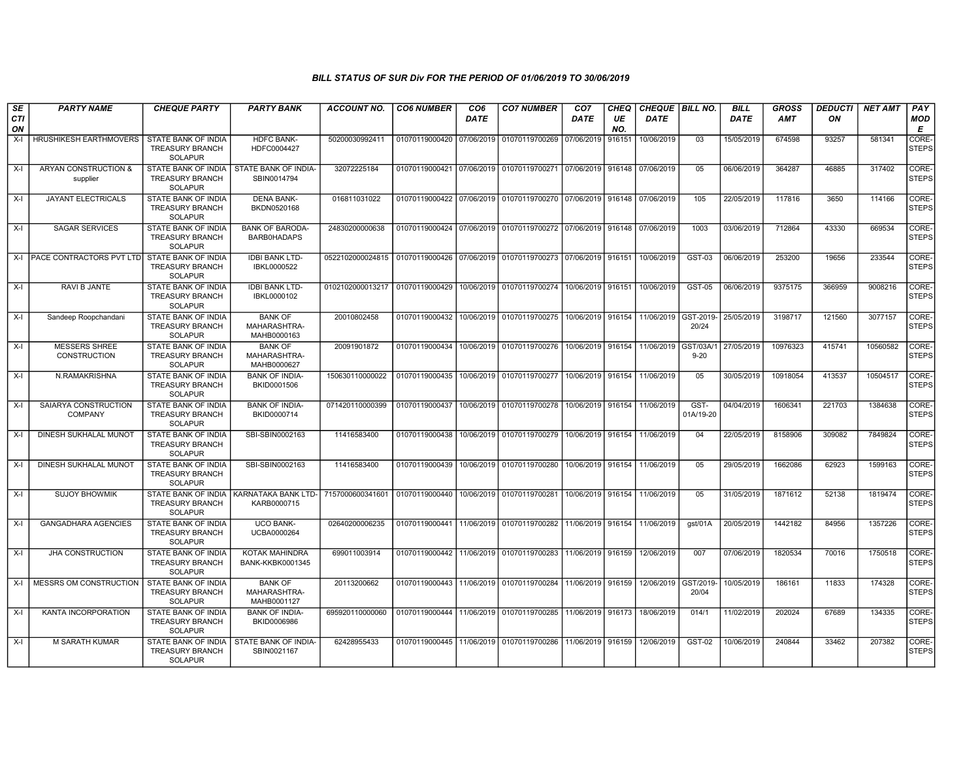| SE               | <b>PARTY NAME</b>                      | <b>CHEQUE PARTY</b>                                                    | <b>PARTY BANK</b>                                   | <b>ACCOUNT NO.</b> | <b>CO6 NUMBER</b>         | CO <sub>6</sub> | <b>CO7 NUMBER</b>                                                     | CO <sub>7</sub>     | CHEQ      | CHEQUE   BILL NO.                |                       | <b>BILL</b> | <b>GROSS</b> | <i><b>DEDUCTI</b></i> | <b>NET AMT</b> | <b>PAY</b>            |
|------------------|----------------------------------------|------------------------------------------------------------------------|-----------------------------------------------------|--------------------|---------------------------|-----------------|-----------------------------------------------------------------------|---------------------|-----------|----------------------------------|-----------------------|-------------|--------------|-----------------------|----------------|-----------------------|
| <b>CTI</b><br>ON |                                        |                                                                        |                                                     |                    |                           | <b>DATE</b>     |                                                                       | <b>DATE</b>         | UE<br>NO. | <b>DATE</b>                      |                       | <b>DATE</b> | <b>AMT</b>   | ON                    |                | <b>MOD</b><br>E       |
| $X-I$            | HRUSHIKESH EARTHMOVERS                 | STATE BANK OF INDIA<br><b>TREASURY BRANCH</b><br><b>SOLAPUR</b>        | <b>HDFC BANK-</b><br>HDFC0004427                    | 50200030992411     | 01070119000420            | 07/06/2019      | 01070119700269 07/06/2019                                             |                     | 916151    | 10/06/2019                       | 03                    | 15/05/2019  | 674598       | 93257                 | 581341         | CORE-<br><b>STEPS</b> |
| $X-I$            | ARYAN CONSTRUCTION &<br>supplier       | STATE BANK OF INDIA<br><b>TREASURY BRANCH</b><br>SOLAPUR               | <b>STATE BANK OF INDIA-</b><br>SBIN0014794          | 32072225184        | 01070119000421 07/06/2019 |                 |                                                                       |                     |           |                                  | 05                    | 06/06/2019  | 364287       | 46885                 | 317402         | CORE-<br><b>STEPS</b> |
| $X-I$            | JAYANT ELECTRICALS                     | STATE BANK OF INDIA<br><b>TREASURY BRANCH</b><br>SOLAPUR               | <b>DENA BANK-</b><br>BKDN0520168                    | 016811031022       | 01070119000422 07/06/2019 |                 | 01070119700270 07/06/2019 916148                                      |                     |           | 07/06/2019                       | 105                   | 22/05/2019  | 117816       | 3650                  | 114166         | CORE-<br>STEPS        |
| $X-I$            | <b>SAGAR SERVICES</b>                  | <b>STATE BANK OF INDIA</b><br><b>TREASURY BRANCH</b><br><b>SOLAPUR</b> | <b>BANK OF BARODA-</b><br><b>BARBOHADAPS</b>        | 24830200000638     |                           |                 | 01070119000424 07/06/2019 01070119700272 07/06/2019 916148 07/06/2019 |                     |           |                                  | 1003                  | 03/06/2019  | 712864       | 43330                 | 669534         | CORE-<br><b>STEPS</b> |
| $X-I$            | <b>PACE CONTRACTORS PVT LTD</b>        | STATE BANK OF INDIA<br><b>TREASURY BRANCH</b><br><b>SOLAPUR</b>        | <b>IDBI BANK LTD-</b><br>IBKL0000522                | 0522102000024815   | 01070119000426 07/06/2019 |                 | 01070119700273 07/06/2019 916151                                      |                     |           | 10/06/2019                       | <b>GST-03</b>         | 06/06/2019  | 253200       | 19656                 | 233544         | CORE-<br><b>STEPS</b> |
| $X-I$            | RAVI B JANTE                           | STATE BANK OF INDIA<br><b>TREASURY BRANCH</b><br><b>SOLAPUR</b>        | <b>IDBI BANK LTD-</b><br>IBKL0000102                | 0102102000013217   | 01070119000429            | 10/06/2019      | 01070119700274                                                        | 10/06/2019          | 916151    | 10/06/2019                       | <b>GST-05</b>         | 06/06/2019  | 9375175      | 366959                | 9008216        | CORE-<br><b>STEPS</b> |
| $X-I$            | Sandeep Roopchandani                   | STATE BANK OF INDIA<br><b>TREASURY BRANCH</b><br><b>SOLAPUR</b>        | <b>BANK OF</b><br>MAHARASHTRA-<br>MAHB0000163       | 20010802458        | 01070119000432            | 10/06/2019      | 01070119700275                                                        | 10/06/2019   916154 |           | 11/06/2019                       | GST-2019-<br>20/24    | 25/05/2019  | 3198717      | 121560                | 3077157        | CORE-<br><b>STEPS</b> |
| $X-I$            | <b>MESSERS SHREE</b><br>CONSTRUCTION   | <b>STATE BANK OF INDIA</b><br><b>TREASURY BRANCH</b><br><b>SOLAPUR</b> | <b>BANK OF</b><br>MAHARASHTRA-<br>MAHB0000627       | 20091901872        | 01070119000434            | 10/06/2019      | 01070119700276 10/06/2019 916154 11/06/2019                           |                     |           |                                  | GST/03A/1<br>$9 - 20$ | 27/05/2019  | 10976323     | 415741                | 10560582       | CORE-<br><b>STEPS</b> |
| $X-I$            | N.RAMAKRISHNA                          | STATE BANK OF INDIA<br><b>TREASURY BRANCH</b><br><b>SOLAPUR</b>        | <b>BANK OF INDIA-</b><br>BKID0001506                | 150630110000022    | 01070119000435            | 10/06/2019      | 01070119700277                                                        | 10/06/2019 916154   |           | 11/06/2019                       | 05                    | 30/05/2019  | 10918054     | 413537                | 10504517       | CORE-<br><b>STEPS</b> |
| X-I              | SAIARYA CONSTRUCTION<br><b>COMPANY</b> | STATE BANK OF INDIA<br><b>TREASURY BRANCH</b><br><b>SOLAPUR</b>        | <b>BANK OF INDIA-</b><br>BKID0000714                | 071420110000399    | 01070119000437            | 10/06/2019      | 01070119700278                                                        |                     |           | 10/06/2019   916154   11/06/2019 | GST-<br>01A/19-20     | 04/04/2019  | 1606341      | 221703                | 1384638        | CORE-<br><b>STEPS</b> |
| $X-I$            | DINESH SUKHALAL MUNOT                  | STATE BANK OF INDIA<br><b>TREASURY BRANCH</b><br><b>SOLAPUR</b>        | SBI-SBIN0002163                                     | 11416583400        | 01070119000438            | 10/06/2019      | 01070119700279                                                        | 10/06/2019 916154   |           | 11/06/2019                       | 04                    | 22/05/2019  | 8158906      | 309082                | 7849824        | CORE-<br><b>STEPS</b> |
| $X-I$            | DINESH SUKHALAL MUNOT                  | <b>STATE BANK OF INDIA</b><br><b>TREASURY BRANCH</b><br>SOLAPUR        | SBI-SBIN0002163                                     | 11416583400        | 01070119000439            | 10/06/2019      | 01070119700280                                                        | 10/06/2019 916154   |           | 11/06/2019                       | 05                    | 29/05/2019  | 1662086      | 62923                 | 1599163        | CORE-<br><b>STEPS</b> |
| $X-I$            | <b>SUJOY BHOWMIK</b>                   | STATE BANK OF INDIA<br><b>TREASURY BRANCH</b><br><b>SOLAPUR</b>        | KARNATAKA BANK LTD- 7157000600341601<br>KARB0000715 |                    | 01070119000440 10/06/2019 |                 | 01070119700281                                                        | 10/06/2019 916154   |           | 11/06/2019                       | 05                    | 31/05/2019  | 1871612      | 52138                 | 1819474        | CORE-<br><b>STEPS</b> |
| $X-I$            | <b>GANGADHARA AGENCIES</b>             | STATE BANK OF INDIA<br><b>TREASURY BRANCH</b><br>SOLAPUR               | <b>UCO BANK-</b><br>UCBA0000264                     | 02640200006235     | 01070119000441 11/06/2019 |                 | 01070119700282                                                        |                     |           | 11/06/2019   916154   11/06/2019 | gst/01A               | 20/05/2019  | 1442182      | 84956                 | 1357226        | CORE-<br>STEPS        |
| $X-I$            | <b>JHA CONSTRUCTION</b>                | STATE BANK OF INDIA<br><b>TREASURY BRANCH</b><br><b>SOLAPUR</b>        | <b>KOTAK MAHINDRA</b><br>BANK-KKBK0001345           | 699011003914       |                           |                 | 01070119000442 11/06/2019 01070119700283 11/06/2019 916159            |                     |           | 12/06/2019                       | 007                   | 07/06/2019  | 1820534      | 70016                 | 1750518        | CORE-<br>STEPS        |
| $X-I$            | MESSRS OM CONSTRUCTION                 | STATE BANK OF INDIA<br><b>TREASURY BRANCH</b><br>SOLAPUR               | <b>BANK OF</b><br>MAHARASHTRA-<br>MAHB0001127       | 20113200662        | 01070119000443 11/06/2019 |                 | 01070119700284 11/06/2019 916159                                      |                     |           | 12/06/2019                       | GST/2019-<br>20/04    | 10/05/2019  | 186161       | 11833                 | 174328         | CORE-<br><b>STEPS</b> |
| $X-I$            | KANTA INCORPORATION                    | <b>STATE BANK OF INDIA</b><br><b>TREASURY BRANCH</b><br><b>SOLAPUR</b> | <b>BANK OF INDIA-</b><br>BKID0006986                | 695920110000060    | 01070119000444 11/06/2019 |                 | 01070119700285 11/06/2019 916173                                      |                     |           | 18/06/2019                       | 014/1                 | 11/02/2019  | 202024       | 67689                 | 134335         | CORE-<br><b>STEPS</b> |
| $X-I$            | <b>M SARATH KUMAR</b>                  | STATE BANK OF INDIA<br><b>TREASURY BRANCH</b><br><b>SOLAPUR</b>        | STATE BANK OF INDIA-<br>SBIN0021167                 | 62428955433        |                           |                 | 01070119000445 11/06/2019 01070119700286 11/06/2019 916159 12/06/2019 |                     |           |                                  | GST-02                | 10/06/2019  | 240844       | 33462                 | 207382         | CORE-<br><b>STEPS</b> |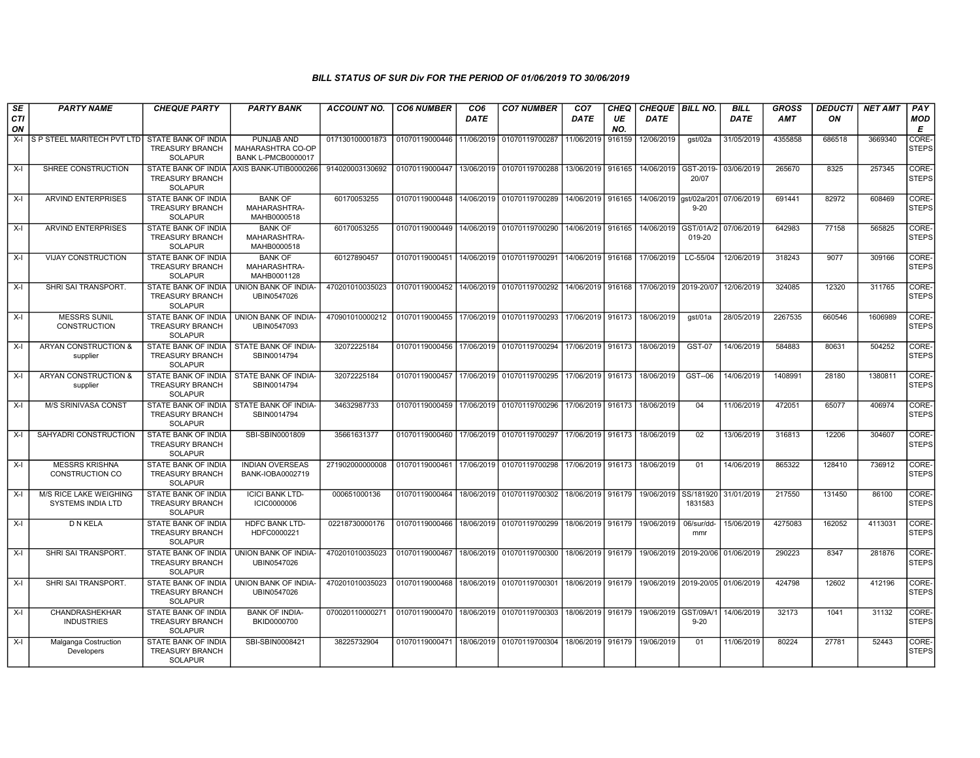| SE               | <b>PARTY NAME</b>                              | <b>CHEQUE PARTY</b>                                                    | <b>PARTY BANK</b>                                            | <b>ACCOUNT NO.</b> | <b>CO6 NUMBER</b>         | CO <sub>6</sub> | <b>CO7 NUMBER</b>                        | CO <sub>7</sub>   | CHEQ      | CHEQUE   BILL NO.                |                                  | <b>BILL</b> | <b>GROSS</b> | <b>DEDUCTI</b> | <b>NET AMT</b> | PAY                   |
|------------------|------------------------------------------------|------------------------------------------------------------------------|--------------------------------------------------------------|--------------------|---------------------------|-----------------|------------------------------------------|-------------------|-----------|----------------------------------|----------------------------------|-------------|--------------|----------------|----------------|-----------------------|
| <b>CTI</b><br>ON |                                                |                                                                        |                                                              |                    |                           | <b>DATE</b>     |                                          | <b>DATE</b>       | UE<br>NO. | <b>DATE</b>                      |                                  | <b>DATE</b> | <b>AMT</b>   | ON             |                | MOD<br>E              |
| $X-I$            | S P STEEL MARITECH PVT LTD STATE BANK OF INDIA | <b>TREASURY BRANCH</b><br><b>SOLAPUR</b>                               | PUNJAB AND<br>MAHARASHTRA CO-OP<br><b>BANK L-PMCB0000017</b> | 017130100001873    | 01070119000446            | 11/06/2019      | 01070119700287                           | 11/06/2019        | 916159    | 12/06/2019                       | gst/02a                          | 31/05/2019  | 4355858      | 686518         | 3669340        | CORE-<br><b>STEPS</b> |
| $X-I$            | SHREE CONSTRUCTION                             | STATE BANK OF INDIA<br><b>TREASURY BRANCH</b><br><b>SOLAPUR</b>        | AXIS BANK-UTIB0000266                                        | 914020003130692    | 01070119000447            |                 | 13/06/2019 01070119700288                | 13/06/2019        | 916165    | 14/06/2019                       | GST-2019-<br>20/07               | 03/06/2019  | 265670       | 8325           | 257345         | CORE-<br><b>STEPS</b> |
| $X-I$            | <b>ARVIND ENTERPRISES</b>                      | STATE BANK OF INDIA<br><b>TREASURY BRANCH</b><br><b>SOLAPUR</b>        | <b>BANK OF</b><br>MAHARASHTRA-<br>MAHB0000518                | 60170053255        | 01070119000448            |                 | 14/06/2019 01070119700289                | 14/06/2019        | 916165    | 14/06/2019                       | qst/02a/201<br>$9 - 20$          | 07/06/2019  | 691441       | 82972          | 608469         | CORE-<br><b>STEPS</b> |
| $X-I$            | <b>ARVIND ENTERPRISES</b>                      | <b>STATE BANK OF INDIA</b><br><b>TREASURY BRANCH</b><br><b>SOLAPUR</b> | <b>BANK OF</b><br>MAHARASHTRA-<br>MAHB0000518                | 60170053255        | 01070119000449            |                 | 14/06/2019 01070119700290                | 14/06/2019        | 916165    | 14/06/2019                       | GST/01A/2<br>019-20              | 07/06/2019  | 642983       | 77158          | 565825         | CORE-<br><b>STEPS</b> |
| X-I              | <b>VIJAY CONSTRUCTION</b>                      | <b>STATE BANK OF INDIA</b><br><b>TREASURY BRANCH</b><br><b>SOLAPUR</b> | <b>BANK OF</b><br>MAHARASHTRA-<br>MAHB0001128                | 60127890457        | 01070119000451            |                 | 14/06/2019 01070119700291                | 14/06/2019        | 916168    | 17/06/2019                       | LC-55/04                         | 12/06/2019  | 318243       | 9077           | 309166         | CORE-<br><b>STEPS</b> |
| $X-I$            | SHRI SAI TRANSPORT.                            | STATE BANK OF INDIA<br><b>TREASURY BRANCH</b><br><b>SOLAPUR</b>        | UNION BANK OF INDIA-<br>UBIN0547026                          | 470201010035023    | 01070119000452            | 14/06/2019      | 01070119700292                           | 14/06/2019        | 916168    | 17/06/2019 2019-20/07            |                                  | 12/06/2019  | 324085       | 12320          | 311765         | CORE-<br><b>STEPS</b> |
| X-I              | <b>MESSRS SUNIL</b><br><b>CONSTRUCTION</b>     | <b>STATE BANK OF INDIA</b><br><b>TREASURY BRANCH</b><br><b>SOLAPUR</b> | UNION BANK OF INDIA-<br>UBIN0547093                          | 470901010000212    | 01070119000455            | 17/06/2019      | 01070119700293                           | 17/06/2019        | 916173    | 18/06/2019                       | gst/01a                          | 28/05/2019  | 2267535      | 660546         | 1606989        | CORE-<br><b>STEPS</b> |
| $X-I$            | <b>ARYAN CONSTRUCTION &amp;</b><br>supplier    | STATE BANK OF INDIA<br><b>TREASURY BRANCH</b><br><b>SOLAPUR</b>        | STATE BANK OF INDIA-<br>SBIN0014794                          | 32072225184        | 01070119000456            |                 | 17/06/2019 01070119700294                | 17/06/2019        | 916173    | 18/06/2019                       | GST-07                           | 14/06/2019  | 584883       | 80631          | 504252         | CORE-<br><b>STEPS</b> |
| $X-I$            | ARYAN CONSTRUCTION &<br>supplier               | STATE BANK OF INDIA<br><b>TREASURY BRANCH</b><br><b>SOLAPUR</b>        | STATE BANK OF INDIA-<br>SBIN0014794                          | 32072225184        | 01070119000457            |                 | 17/06/2019 01070119700295                | 17/06/2019 916173 |           | 18/06/2019                       | GST--06                          | 14/06/2019  | 1408991      | 28180          | 1380811        | CORE-<br><b>STEPS</b> |
| $X-I$            | <b>M/S SRINIVASA CONST</b>                     | <b>STATE BANK OF INDIA</b><br><b>TREASURY BRANCH</b><br><b>SOLAPUR</b> | STATE BANK OF INDIA-<br>SBIN0014794                          | 34632987733        | 01070119000459            |                 | 17/06/2019 01070119700296                | 17/06/2019        | 916173    | 18/06/2019                       | 04                               | 11/06/2019  | 472051       | 65077          | 406974         | CORE-<br><b>STEPS</b> |
| $X-I$            | SAHYADRI CONSTRUCTION                          | <b>STATE BANK OF INDIA</b><br><b>TREASURY BRANCH</b><br><b>SOLAPUR</b> | SBI-SBIN0001809                                              | 35661631377        | 01070119000460            |                 | 17/06/2019 01070119700297                | 17/06/2019        | 916173    | 18/06/2019                       | 02                               | 13/06/2019  | 316813       | 12206          | 304607         | CORE-<br><b>STEPS</b> |
| $X-I$            | <b>MESSRS KRISHNA</b><br>CONSTRUCTION CO       | <b>STATE BANK OF INDIA</b><br><b>TREASURY BRANCH</b><br><b>SOLAPUR</b> | <b>INDIAN OVERSEAS</b><br>BANK-IOBA0002719                   | 271902000000008    |                           |                 | 01070119000461 17/06/2019 01070119700298 | 17/06/2019        | 916173    | 18/06/2019                       | 01                               | 14/06/2019  | 865322       | 128410         | 736912         | CORE-<br><b>STEPS</b> |
| $X-I$            | M/S RICE LAKE WEIGHING<br>SYSTEMS INDIA LTD    | STATE BANK OF INDIA<br><b>TREASURY BRANCH</b><br><b>SOLAPUR</b>        | <b>ICICI BANK LTD-</b><br><b>ICIC0000006</b>                 | 000651000136       | 01070119000464            |                 | 18/06/2019 01070119700302                | 18/06/2019        | 916179    | 19/06/2019                       | SS/181920<br>1831583             | 31/01/2019  | 217550       | 131450         | 86100          | CORE-<br><b>STEPS</b> |
| $X-I$            | <b>D N KELA</b>                                | <b>STATE BANK OF INDIA</b><br><b>TREASURY BRANCH</b><br><b>SOLAPUR</b> | <b>HDFC BANK LTD-</b><br>HDFC0000221                         | 02218730000176     |                           |                 | 01070119000466 18/06/2019 01070119700299 | 18/06/2019        | 916179    | 19/06/2019                       | 06/sur/dd-<br>mmr                | 15/06/2019  | 4275083      | 162052         | 4113031        | CORE-<br><b>STEPS</b> |
| X-I              | SHRI SAI TRANSPORT.                            | STATE BANK OF INDIA<br><b>TREASURY BRANCH</b><br><b>SOLAPUR</b>        | UNION BANK OF INDIA-<br>UBIN0547026                          | 470201010035023    | 01070119000467            |                 | 18/06/2019 01070119700300                | 18/06/2019        | 916179    | 19/06/2019 2019-20/06 01/06/2019 |                                  |             | 290223       | 8347           | 281876         | CORE-<br><b>STEPS</b> |
| X-I              | SHRI SAI TRANSPORT.                            | <b>STATE BANK OF INDIA</b><br><b>TREASURY BRANCH</b><br>SOLAPUR        | UNION BANK OF INDIA-<br>UBIN0547026                          | 470201010035023    | 01070119000468            | 18/06/2019      | 01070119700301                           | 18/06/2019        | 916179    |                                  | 19/06/2019 2019-20/05 01/06/2019 |             | 424798       | 12602          | 412196         | CORE-<br><b>STEPS</b> |
| $X-I$            | <b>CHANDRASHEKHAR</b><br><b>INDUSTRIES</b>     | <b>STATE BANK OF INDIA</b><br><b>TREASURY BRANCH</b><br><b>SOLAPUR</b> | <b>BANK OF INDIA-</b><br>BKID0000700                         | 070020110000271    | 01070119000470 18/06/2019 |                 | 01070119700303                           | 18/06/2019        | 916179    | 19/06/2019 GST/09A/1             | $9 - 20$                         | 14/06/2019  | 32173        | 1041           | 31132          | CORE-<br><b>STEPS</b> |
| $X-I$            | Malganga Costruction<br>Developers             | STATE BANK OF INDIA<br><b>TREASURY BRANCH</b><br><b>SOLAPUR</b>        | SBI-SBIN0008421                                              | 38225732904        |                           |                 | 01070119000471 18/06/2019 01070119700304 | 18/06/2019        | 916179    | 19/06/2019                       | 01                               | 11/06/2019  | 80224        | 27781          | 52443          | CORE-<br><b>STEPS</b> |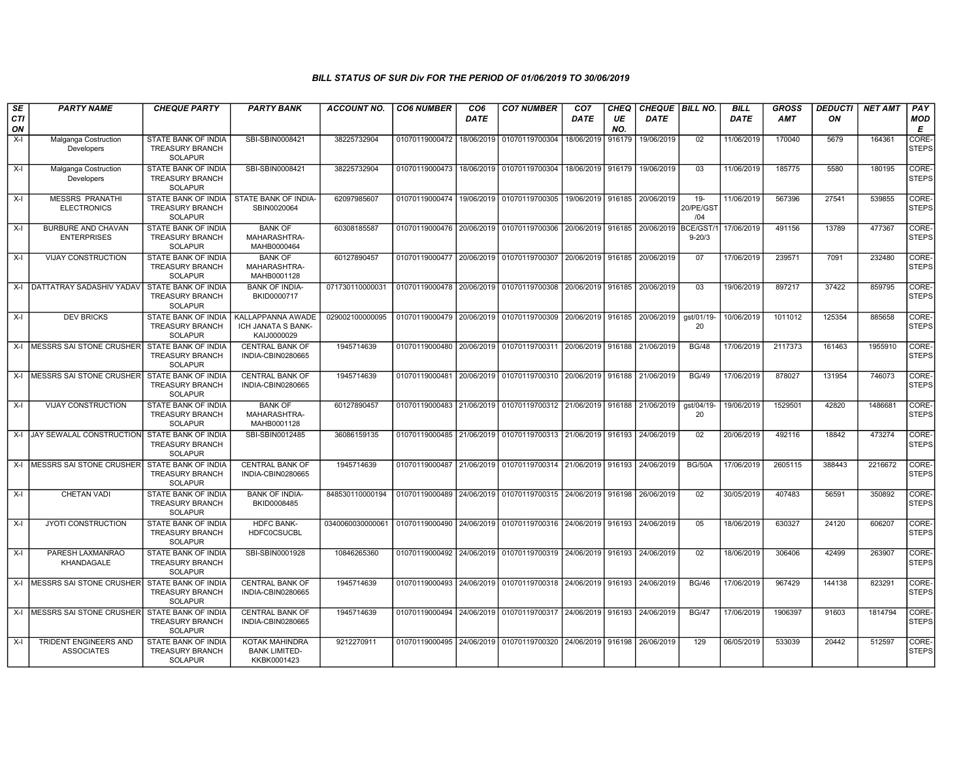| SE<br>CTI<br>ON | <b>PARTY NAME</b>                                | <b>CHEQUE PARTY</b>                                                    | <b>PARTY BANK</b>                                      | ACCOUNT NO.      | <b>CO6 NUMBER</b>         | CO <sub>6</sub><br><b>DATE</b> | <b>CO7 NUMBER</b>                                                     | CO <sub>7</sub><br><b>DATE</b> | CHEQ<br>UE<br>NO. | CHEQUE   BILL NO.<br><b>DATE</b> |                            | <b>BILL</b><br><b>DATE</b> | GROSS<br><b>AMT</b> | <b>DEDUCTI</b><br>ON | <b>NET AMT</b> | <b>PAY</b><br><b>MOD</b><br>E |
|-----------------|--------------------------------------------------|------------------------------------------------------------------------|--------------------------------------------------------|------------------|---------------------------|--------------------------------|-----------------------------------------------------------------------|--------------------------------|-------------------|----------------------------------|----------------------------|----------------------------|---------------------|----------------------|----------------|-------------------------------|
| $X-I$           | Malganga Costruction<br>Developers               | STATE BANK OF INDIA<br><b>TREASURY BRANCH</b><br><b>SOLAPUR</b>        | SBI-SBIN0008421                                        | 38225732904      | 01070119000472            | 18/06/2019                     | 01070119700304                                                        | 18/06/2019                     | 916179            | 19/06/2019                       | 02                         | 11/06/2019                 | 170040              | 5679                 | 164361         | CORE-<br><b>STEPS</b>         |
| $X-I$           | Malganga Costruction<br>Developers               | STATE BANK OF INDIA<br><b>TREASURY BRANCH</b><br><b>SOLAPUR</b>        | SBI-SBIN0008421                                        | 38225732904      | 01070119000473            |                                | 18/06/2019 01070119700304                                             | 18/06/2019                     | 916179            | 19/06/2019                       | 03                         | 11/06/2019                 | 185775              | 5580                 | 180195         | <b>CORE</b><br><b>STEPS</b>   |
| $X-I$           | <b>MESSRS PRANATHI</b><br><b>ELECTRONICS</b>     | STATE BANK OF INDIA<br><b>TREASURY BRANCH</b><br><b>SOLAPUR</b>        | STATE BANK OF INDIA-<br>SBIN0020064                    | 62097985607      | 01070119000474            |                                | 19/06/2019 01070119700305                                             | 19/06/2019                     | 916185            | 20/06/2019                       | $19 -$<br>20/PE/GS1<br>/04 | 11/06/2019                 | 567396              | 27541                | 539855         | CORE-<br><b>STEPS</b>         |
| $X-I$           | <b>BURBURE AND CHAVAN</b><br><b>ENTERPRISES</b>  | STATE BANK OF INDIA<br><b>TREASURY BRANCH</b><br><b>SOLAPUR</b>        | <b>BANK OF</b><br>MAHARASHTRA-<br>MAHB0000464          | 60308185587      |                           |                                | 01070119000476 20/06/2019 01070119700306                              | 20/06/2019 916185              |                   | 20/06/2019                       | BCE/GST/<br>$9 - 20/3$     | 17/06/2019                 | 491156              | 13789                | 477367         | CORE-<br>STEPS                |
| X-I             | <b>VIJAY CONSTRUCTION</b>                        | <b>STATE BANK OF INDIA</b><br><b>TREASURY BRANCH</b><br><b>SOLAPUR</b> | <b>BANK OF</b><br>MAHARASHTRA-<br>MAHB0001128          | 60127890457      |                           |                                | 01070119000477 20/06/2019 01070119700307                              | 20/06/2019                     | 916185            | 20/06/2019                       | 07                         | 17/06/2019                 | 239571              | 7091                 | 232480         | CORE-<br><b>STEPS</b>         |
|                 | X-I   DATTATRAY SADASHIV YADAV                   | STATE BANK OF INDIA<br><b>TREASURY BRANCH</b><br><b>SOLAPUR</b>        | <b>BANK OF INDIA-</b><br>BKID0000717                   | 071730110000031  | 01070119000478 20/06/2019 |                                | 01070119700308                                                        | 20/06/2019                     | 916185            | 20/06/2019                       | 03                         | 19/06/2019                 | 897217              | 37422                | 859795         | CORE-<br><b>STEPS</b>         |
| X-I             | <b>DEV BRICKS</b>                                | STATE BANK OF INDIA<br><b>TREASURY BRANCH</b><br><b>SOLAPUR</b>        | KALLAPPANNA AWADE<br>ICH JANATA S BANK-<br>KAIJ0000029 | 029002100000095  | 01070119000479 20/06/2019 |                                | 01070119700309 20/06/2019                                             |                                |                   | 916185 20/06/2019                | gst/01/19-<br>20           | 10/06/2019                 | 1011012             | 125354               | 885658         | CORE-<br><b>STEPS</b>         |
|                 | X-I MESSRS SAI STONE CRUSHER                     | STATE BANK OF INDIA<br><b>TREASURY BRANCH</b><br><b>SOLAPUR</b>        | <b>CENTRAL BANK OF</b><br>INDIA-CBIN0280665            | 1945714639       | 01070119000480            |                                | 20/06/2019 01070119700311 20/06/2019                                  |                                | 916188            | 21/06/2019                       | <b>BG/48</b>               | 17/06/2019                 | 2117373             | 161463               | 1955910        | CORE-<br><b>STEPS</b>         |
|                 | X-I MESSRS SAI STONE CRUSHER                     | <b>STATE BANK OF INDIA</b><br><b>TREASURY BRANCH</b><br><b>SOLAPUR</b> | <b>CENTRAL BANK OF</b><br>INDIA-CBIN0280665            | 1945714639       | 01070119000481            |                                | 20/06/2019 01070119700310 20/06/2019 916188                           |                                |                   | 21/06/2019                       | <b>BG/49</b>               | 17/06/2019                 | 878027              | 131954               | 746073         | CORE-<br><b>STEPS</b>         |
| $X-I$           | <b>VIJAY CONSTRUCTION</b>                        | <b>STATE BANK OF INDIA</b><br><b>TREASURY BRANCH</b><br><b>SOLAPUR</b> | <b>BANK OF</b><br>MAHARASHTRA-<br>MAHB0001128          | 60127890457      | 01070119000483            |                                | 21/06/2019 01070119700312 21/06/2019                                  |                                | 916188            | 21/06/2019                       | ast/04/19-<br>20           | 19/06/2019                 | 1529501             | 42820                | 1486681        | CORE-<br><b>STEPS</b>         |
|                 | X-I JAY SEWALAL CONSTRUCTION                     | <b>STATE BANK OF INDIA</b><br><b>TREASURY BRANCH</b><br><b>SOLAPUR</b> | SBI-SBIN0012485                                        | 36086159135      |                           |                                | 01070119000485 21/06/2019 01070119700313 21/06/2019 916193            |                                |                   | 24/06/2019                       | 02                         | 20/06/2019                 | 492116              | 18842                | 473274         | CORE-<br><b>STEPS</b>         |
|                 | X-I MESSRS SAI STONE CRUSHER                     | <b>STATE BANK OF INDIA</b><br><b>TREASURY BRANCH</b><br><b>SOLAPUR</b> | <b>CENTRAL BANK OF</b><br>INDIA-CBIN0280665            | 1945714639       |                           |                                | 01070119000487 21/06/2019 01070119700314 21/06/2019 916193            |                                |                   | 24/06/2019                       | <b>BG/50A</b>              | 17/06/2019                 | 2605115             | 388443               | 2216672        | CORE-<br><b>STEPS</b>         |
| $X-I$           | <b>CHETAN VADI</b>                               | STATE BANK OF INDIA<br><b>TREASURY BRANCH</b><br><b>SOLAPUR</b>        | <b>BANK OF INDIA-</b><br>BKID0008485                   | 848530110000194  |                           |                                | 01070119000489 24/06/2019 01070119700315 24/06/2019 916198            |                                |                   | 26/06/2019                       | 02                         | 30/05/2019                 | 407483              | 56591                | 350892         | CORE-<br><b>STEPS</b>         |
| $X-I$           | <b>JYOTI CONSTRUCTION</b>                        | STATE BANK OF INDIA<br><b>TREASURY BRANCH</b><br><b>SOLAPUR</b>        | HDFC BANK-<br><b>HDFC0CSUCBL</b>                       | 0340060030000061 |                           |                                | 01070119000490   24/06/2019   01070119700316   24/06/2019   916193    |                                |                   | 24/06/2019                       | 05                         | 18/06/2019                 | 630327              | 24120                | 606207         | CORE-<br><b>STEPS</b>         |
| $X-I$           | PARESH LAXMANRAO<br>KHANDAGALE                   | STATE BANK OF INDIA<br><b>TREASURY BRANCH</b><br><b>SOLAPUR</b>        | SBI-SBIN0001928                                        | 10846265360      |                           |                                | 01070119000492 24/06/2019 01070119700319 24/06/2019 916193 24/06/2019 |                                |                   |                                  | 02                         | 18/06/2019                 | 306406              | 42499                | 263907         | CORE-<br>STEPS                |
|                 | X-I MESSRS SAI STONE CRUSHER STATE BANK OF INDIA | <b>TREASURY BRANCH</b><br><b>SOLAPUR</b>                               | <b>CENTRAL BANK OF</b><br>INDIA-CBIN0280665            | 1945714639       |                           |                                | 01070119000493 24/06/2019 01070119700318 24/06/2019 916193            |                                |                   | 24/06/2019                       | <b>BG/46</b>               | 17/06/2019                 | 967429              | 144138               | 823291         | CORE-<br><b>STEPS</b>         |
|                 | X-I MESSRS SAI STONE CRUSHER                     | <b>STATE BANK OF INDIA</b><br><b>TREASURY BRANCH</b><br><b>SOLAPUR</b> | <b>CENTRAL BANK OF</b><br>INDIA-CBIN0280665            | 1945714639       |                           |                                | 01070119000494 24/06/2019 01070119700317 24/06/2019 916193            |                                |                   | 24/06/2019                       | <b>BG/47</b>               | 17/06/2019                 | 1906397             | 91603                | 1814794        | CORE-<br><b>STEPS</b>         |
| X-I             | TRIDENT ENGINEERS AND<br><b>ASSOCIATES</b>       | STATE BANK OF INDIA<br><b>TREASURY BRANCH</b><br><b>SOLAPUR</b>        | KOTAK MAHINDRA<br><b>BANK LIMITED-</b><br>KKBK0001423  | 9212270911       | 01070119000495 24/06/2019 |                                | 01070119700320 24/06/2019 916198                                      |                                |                   | 26/06/2019                       | 129                        | 06/05/2019                 | 533039              | 20442                | 512597         | CORE-<br><b>STEPS</b>         |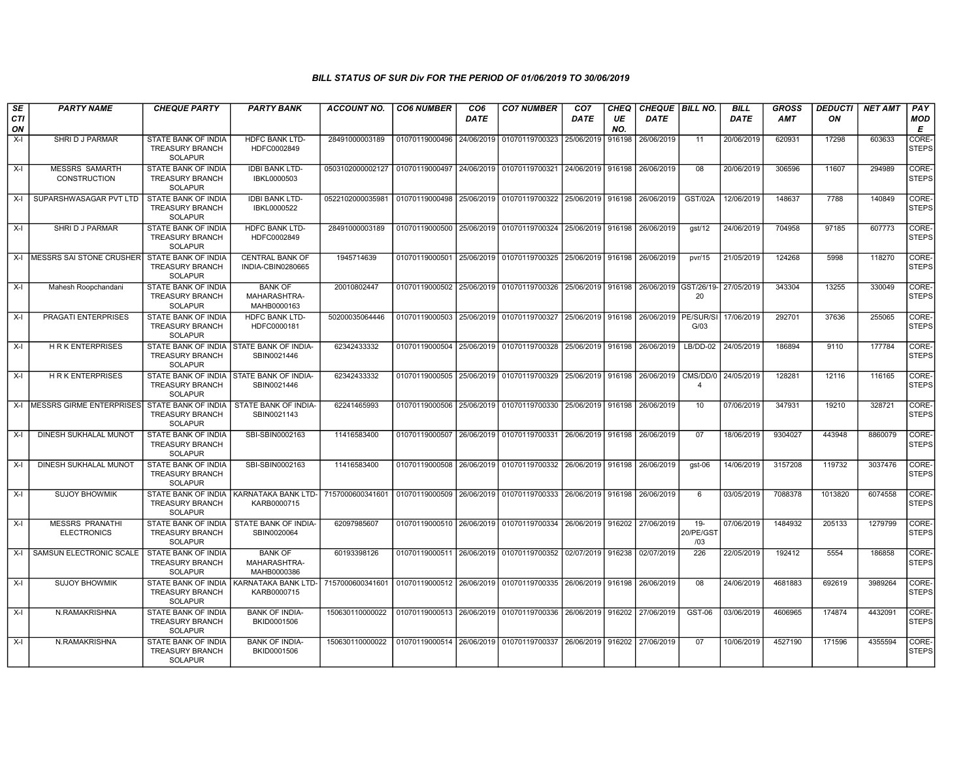| SE               | <b>PARTY NAME</b>                            | <b>CHEQUE PARTY</b>                                                    | <b>PARTY BANK</b>                                         | ACCOUNT NO.      | <b>CO6 NUMBER</b>                        | CO <sub>6</sub> | <b>CO7 NUMBER</b>                                                     | CO <sub>7</sub>   | CHEQ      | <b>CHEQUE   BILL NO.</b> |                            | <b>BILL</b> | <b>GROSS</b> | <b>DEDUCTI</b> | <b>NET AMT</b> | <b>PAY</b>            |
|------------------|----------------------------------------------|------------------------------------------------------------------------|-----------------------------------------------------------|------------------|------------------------------------------|-----------------|-----------------------------------------------------------------------|-------------------|-----------|--------------------------|----------------------------|-------------|--------------|----------------|----------------|-----------------------|
| <b>CTI</b><br>ON |                                              |                                                                        |                                                           |                  |                                          | <b>DATE</b>     |                                                                       | <b>DATE</b>       | UE<br>NO. | <b>DATE</b>              |                            | DATE        | AMT          | ON             |                | MOD<br>Е              |
| $X-I$            | SHRI D J PARMAR                              | <b>STATE BANK OF INDIA</b><br><b>TREASURY BRANCH</b><br><b>SOLAPUR</b> | <b>HDFC BANK LTD-</b><br>HDFC0002849                      | 28491000003189   | 01070119000496                           | 24/06/2019      | 01070119700323                                                        | 25/06/2019        | 916198    | 26/06/2019               | 11                         | 20/06/2019  | 620931       | 17298          | 603633         | CORE-<br><b>STEPS</b> |
| $X-I$            | <b>MESSRS SAMARTH</b><br>CONSTRUCTION        | STATE BANK OF INDIA<br><b>TREASURY BRANCH</b><br><b>SOLAPUR</b>        | <b>IDBI BANK LTD-</b><br>IBKL0000503                      | 0503102000002127 | 01070119000497                           |                 | 24/06/2019 01070119700321                                             | 24/06/2019        | 916198    | 26/06/2019               | 08                         | 20/06/2019  | 306596       | 11607          | 294989         | CORE-<br><b>STEPS</b> |
| $X-I$            | SUPARSHWASAGAR PVT LTD                       | STATE BANK OF INDIA<br><b>TREASURY BRANCH</b><br>SOLAPUR               | <b>IDBI BANK LTD-</b><br>IBKL0000522                      | 052210200003598  | 01070119000498 25/06/2019 01070119700322 |                 |                                                                       | 25/06/2019        | 916198    | 26/06/2019               | <b>GST/02A</b>             | 12/06/2019  | 148637       | 7788           | 140849         | CORE-<br><b>STEPS</b> |
| $X-I$            | SHRI D J PARMAR                              | STATE BANK OF INDIA<br><b>TREASURY BRANCH</b><br><b>SOLAPUR</b>        | <b>HDFC BANK LTD-</b><br>HDFC0002849                      | 28491000003189   |                                          |                 | 01070119000500 25/06/2019 01070119700324                              | 25/06/2019        | 916198    | 26/06/2019               | qst/12                     | 24/06/2019  | 704958       | 97185          | 607773         | CORE-<br><b>STEPS</b> |
|                  | X-I MESSRS SAI STONE CRUSHER                 | <b>STATE BANK OF INDIA</b><br><b>TREASURY BRANCH</b><br><b>SOLAPUR</b> | <b>CENTRAL BANK OF</b><br>INDIA-CBIN0280665               | 1945714639       | 01070119000501                           | 25/06/2019      | 01070119700325                                                        | 25/06/2019        | 916198    | 26/06/2019               | pvr/15                     | 21/05/2019  | 124268       | 5998           | 118270         | CORE-<br><b>STEPS</b> |
| $X-I$            | Mahesh Roopchandani                          | <b>STATE BANK OF INDIA</b><br><b>TREASURY BRANCH</b><br><b>SOLAPUR</b> | <b>BANK OF</b><br>MAHARASHTRA-<br>MAHB0000163             | 20010802447      | 01070119000502 25/06/2019                |                 | 01070119700326                                                        | 25/06/2019        | 916198    | 26/06/2019 GST/26/19-    | 20                         | 27/05/2019  | 343304       | 13255          | 330049         | CORE-<br><b>STEPS</b> |
| $X-I$            | PRAGATI ENTERPRISES                          | STATE BANK OF INDIA<br><b>TREASURY BRANCH</b><br><b>SOLAPUR</b>        | HDFC BANK LTD-<br>HDFC0000181                             | 50200035064446   | 01070119000503                           | 25/06/2019      | 01070119700327                                                        | 25/06/2019        | 916198    | 26/06/2019   PE/SUR/SI   | G/03                       | 17/06/2019  | 292701       | 37636          | 255065         | CORE-<br><b>STEPS</b> |
| $X-I$            | <b>HRKENTERPRISES</b>                        | STATE BANK OF INDIA<br><b>TREASURY BRANCH</b><br><b>SOLAPUR</b>        | <b>STATE BANK OF INDIA-</b><br>SBIN0021446                | 62342433332      | 01070119000504                           |                 | 25/06/2019 01070119700328                                             | 25/06/2019 916198 |           | 26/06/2019               | $LB/DD-02$                 | 24/05/2019  | 186894       | 9110           | 177784         | CORE-<br><b>STEPS</b> |
| X-I              | <b>HRK ENTERPRISES</b>                       | STATE BANK OF INDIA<br><b>TREASURY BRANCH</b><br><b>SOLAPUR</b>        | STATE BANK OF INDIA-<br>SBIN0021446                       | 62342433332      |                                          |                 | 01070119000505 25/06/2019 01070119700329                              | 25/06/2019        | 916198    | 26/06/2019               | CMS/DD/0<br>$\overline{4}$ | 24/05/2019  | 128281       | 12116          | 116165         | CORE-<br><b>STEPS</b> |
| $X-I$            | MESSRS GIRME ENTERPRISES                     | STATE BANK OF INDIA<br><b>TREASURY BRANCH</b><br><b>SOLAPUR</b>        | STATE BANK OF INDIA-<br>SBIN0021143                       | 62241465993      |                                          |                 | 01070119000506 25/06/2019 01070119700330 25/06/2019                   |                   | 916198    | 26/06/2019               | 10                         | 07/06/2019  | 347931       | 19210          | 328721         | CORE-<br><b>STEPS</b> |
| X-I              | DINESH SUKHALAL MUNOT                        | STATE BANK OF INDIA<br><b>TREASURY BRANCH</b><br><b>SOLAPUR</b>        | SBI-SBIN0002163                                           | 11416583400      |                                          |                 | 01070119000507 26/06/2019 01070119700331 26/06/2019 916198            |                   |           | 26/06/2019               | 07                         | 18/06/2019  | 9304027      | 443948         | 8860079        | CORE-<br><b>STEPS</b> |
| $X-I$            | DINESH SUKHALAL MUNOT                        | STATE BANK OF INDIA<br><b>TREASURY BRANCH</b><br><b>SOLAPUR</b>        | SBI-SBIN0002163                                           | 11416583400      |                                          |                 | 01070119000508 26/06/2019 01070119700332 26/06/2019 916198 26/06/2019 |                   |           |                          | gst-06                     | 14/06/2019  | 3157208      | 119732         | 3037476        | CORE-<br><b>STEPS</b> |
| $X-I$            | <b>SUJOY BHOWMIK</b>                         | <b>TREASURY BRANCH</b><br>SOLAPUR                                      | STATE BANK OF INDIA KARNATAKA BANK LTD-<br>KARB0000715    | 7157000600341601 | 01070119000509 26/06/2019 01070119700333 |                 |                                                                       | 26/06/2019        | 916198    | 26/06/2019               | 6                          | 03/05/2019  | 7088378      | 1013820        | 6074558        | CORE-<br><b>STEPS</b> |
| $X-I$            | <b>MESSRS PRANATHI</b><br><b>ELECTRONICS</b> | <b>TREASURY BRANCH</b><br><b>SOLAPUR</b>                               | STATE BANK OF INDIA I STATE BANK OF INDIA-<br>SBIN0020064 | 62097985607      |                                          |                 | 01070119000510 26/06/2019 01070119700334 26/06/2019 916202 27/06/2019 |                   |           |                          | $19 -$<br>20/PE/GST<br>/03 | 07/06/2019  | 1484932      | 205133         | 1279799        | CORE-<br><b>STEPS</b> |
| $X-I$            | SAMSUN ELECTRONIC SCALE                      | STATE BANK OF INDIA<br><b>TREASURY BRANCH</b><br>SOLAPUR               | <b>BANK OF</b><br>MAHARASHTRA-<br>MAHB0000386             | 60193398126      |                                          |                 | 01070119000511 26/06/2019 01070119700352                              | 02/07/2019 916238 |           | 02/07/2019               | 226                        | 22/05/2019  | 192412       | 5554           | 186858         | CORE-<br><b>STEPS</b> |
| $X-I$            | <b>SUJOY BHOWMIK</b>                         | STATE BANK OF INDIA<br><b>TREASURY BRANCH</b><br>SOLAPUR               | KARNATAKA BANK LTD-<br>KARB0000715                        | 7157000600341601 | 01070119000512 26/06/2019                |                 | 01070119700335 26/06/2019                                             |                   | 916198    | 26/06/2019               | 08                         | 24/06/2019  | 4681883      | 692619         | 3989264        | CORE-<br><b>STEPS</b> |
| $X-I$            | N.RAMAKRISHNA                                | STATE BANK OF INDIA<br><b>TREASURY BRANCH</b><br><b>SOLAPUR</b>        | <b>BANK OF INDIA-</b><br>BKID0001506                      | 150630110000022  |                                          |                 | 01070119000513 26/06/2019 01070119700336 26/06/2019 916202 27/06/2019 |                   |           |                          | GST-06                     | 03/06/2019  | 4606965      | 174874         | 4432091        | CORE-<br><b>STEPS</b> |
| $X-I$            | N.RAMAKRISHNA                                | STATE BANK OF INDIA<br><b>TREASURY BRANCH</b><br><b>SOLAPUR</b>        | <b>BANK OF INDIA-</b><br>BKID0001506                      | 150630110000022  | 01070119000514                           |                 | 26/06/2019 01070119700337                                             | 26/06/2019        | 916202    | 27/06/2019               | 07                         | 10/06/2019  | 4527190      | 171596         | 4355594        | CORE-<br><b>STEPS</b> |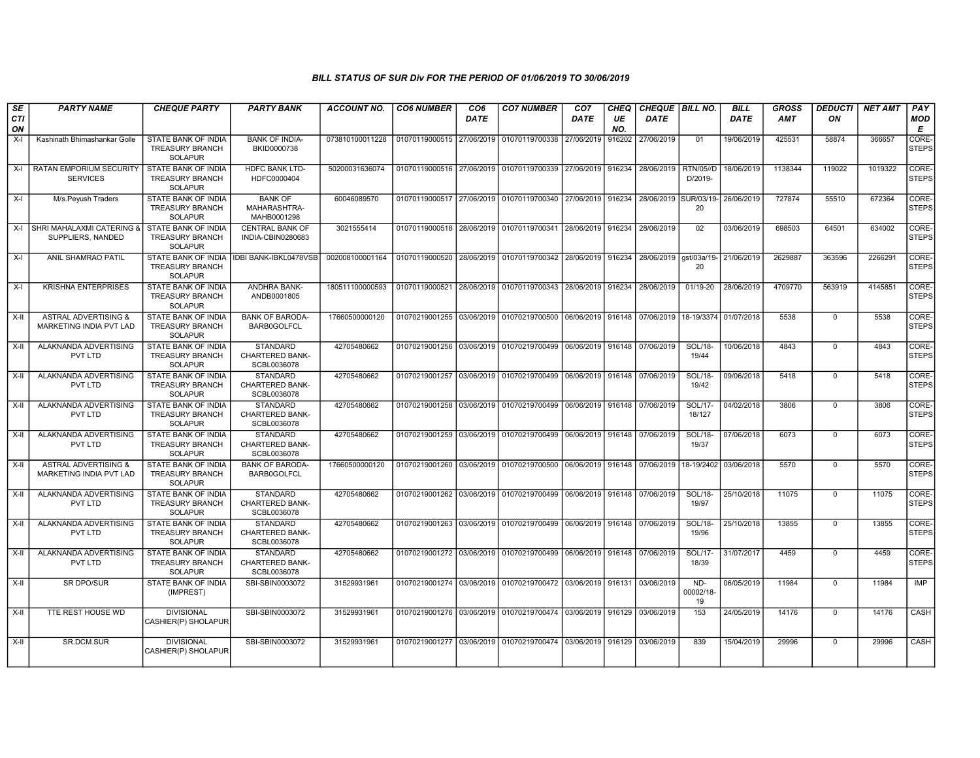| SE<br><b>CTI</b><br>ON | <b>PARTY NAME</b>                                                 | <b>CHEQUE PARTY</b>                                                    | <b>PARTY BANK</b>                                        | <b>ACCOUNT NO.</b> | <b>CO6 NUMBER</b>         | CO <sub>6</sub><br><b>DATE</b> | <b>CO7 NUMBER</b>                                                                | CO <sub>7</sub><br>DATE | CHEQ<br>UE<br>NO. | CHEQUE   BILL NO.<br><b>DATE</b> |                             | <b>BILL</b><br><b>DATE</b> | <b>GROSS</b><br><b>AMT</b> | DEDUCTI<br>ON | NET AMT | PAY<br><b>MOD</b><br>Е |
|------------------------|-------------------------------------------------------------------|------------------------------------------------------------------------|----------------------------------------------------------|--------------------|---------------------------|--------------------------------|----------------------------------------------------------------------------------|-------------------------|-------------------|----------------------------------|-----------------------------|----------------------------|----------------------------|---------------|---------|------------------------|
| $X-I$                  | Kashinath Bhimashankar Golle                                      | STATE BANK OF INDIA<br><b>TREASURY BRANCH</b><br><b>SOLAPUR</b>        | <b>BANK OF INDIA-</b><br>BKID0000738                     | 073810100011228    | 01070119000515 27/06/2019 |                                | 01070119700338                                                                   | 27/06/2019              | 916202            | 27/06/2019                       | 01                          | 19/06/2019                 | 425531                     | 58874         | 366657  | CORE-<br>STEPS         |
| X-I                    | RATAN EMPORIUM SECURITY<br><b>SERVICES</b>                        | <b>STATE BANK OF INDIA</b><br><b>TREASURY BRANCH</b><br><b>SOLAPUR</b> | HDFC BANK LTD-<br>HDFC0000404                            | 50200031636074     |                           |                                | 01070119000516 27/06/2019 01070119700339 27/06/2019 916234                       |                         |                   | 28/06/2019                       | <b>RTN/05//D</b><br>D/2019- | 18/06/2019                 | 1138344                    | 119022        | 1019322 | CORE-<br><b>STEPS</b>  |
| X-I                    | M/s.Peyush Traders                                                | STATE BANK OF INDIA<br><b>TREASURY BRANCH</b><br><b>SOLAPUR</b>        | <b>BANK OF</b><br>MAHARASHTRA-<br>MAHB0001298            | 60046089570        | 01070119000517 27/06/2019 |                                | 01070119700340 27/06/2019 916234                                                 |                         |                   | 28/06/2019                       | SUR/03/19-<br>20            | 26/06/2019                 | 727874                     | 55510         | 672364  | CORE-<br><b>STEPS</b>  |
| $X-I$                  | SHRI MAHALAXMI CATERING<br>SUPPLIERS, NANDED                      | STATE BANK OF INDIA<br><b>TREASURY BRANCH</b><br><b>SOLAPUR</b>        | <b>CENTRAL BANK OF</b><br>INDIA-CBIN0280683              | 3021555414         |                           |                                | 01070119000518 28/06/2019 01070119700341 28/06/2019 916234                       |                         |                   | 28/06/2019                       | 02                          | 03/06/2019                 | 698503                     | 64501         | 634002  | CORE-<br>STEPS         |
| X-I                    | ANIL SHAMRAO PATIL                                                | STATE BANK OF INDIA<br>TREASURY BRANCH<br><b>SOLAPUR</b>               | <b>IDBI BANK-IBKL0478VSB</b>                             | 002008100001164    |                           |                                | 01070119000520 28/06/2019 01070119700342 28/06/2019 916234                       |                         |                   | 28/06/2019 ast/03a/19-           | 20                          | 21/06/2019                 | 2629887                    | 363596        | 2266291 | CORE-<br><b>STEPS</b>  |
| X-I                    | <b>KRISHNA ENTERPRISES</b>                                        | STATE BANK OF INDIA<br><b>TREASURY BRANCH</b><br><b>SOLAPUR</b>        | ANDHRA BANK-<br>ANDB0001805                              | 180511100000593    | 01070119000521 28/06/2019 |                                | 01070119700343 28/06/2019 916234                                                 |                         |                   | 28/06/2019                       | 01/19-20                    | 28/06/2019                 | 4709770                    | 563919        | 4145851 | CORE-<br><b>STEPS</b>  |
| $X-I$                  | <b>ASTRAL ADVERTISING &amp;</b><br><b>MARKETING INDIA PVT LAD</b> | STATE BANK OF INDIA<br><b>TREASURY BRANCH</b><br><b>SOLAPUR</b>        | <b>BANK OF BARODA-</b><br>BARB0GOLFCL                    | 17660500000120     | 01070219001255 03/06/2019 |                                | 01070219700500 06/06/2019 916148 07/06/2019 18-19/3374                           |                         |                   |                                  |                             | 01/07/2018                 | 5538                       | $\mathbf 0$   | 5538    | CORE-<br><b>STEPS</b>  |
| X-II                   | ALAKNANDA ADVERTISING<br>PVT LTD                                  | STATE BANK OF INDIA<br><b>TREASURY BRANCH</b><br><b>SOLAPUR</b>        | STANDARD<br><b>CHARTERED BANK-</b><br>SCBL0036078        | 42705480662        | 01070219001256            | 03/06/2019                     | 01070219700499 06/06/2019 916148 07/06/2019                                      |                         |                   |                                  | SOL/18-<br>19/44            | 10/06/2018                 | 4843                       | $\mathbf 0$   | 4843    | CORE-<br><b>STEPS</b>  |
| X-II                   | ALAKNANDA ADVERTISING<br>PVT LTD                                  | <b>STATE BANK OF INDIA</b><br><b>TREASURY BRANCH</b><br><b>SOLAPUR</b> | <b>STANDARD</b><br><b>CHARTERED BANK-</b><br>SCBL0036078 | 42705480662        |                           |                                | 01070219001257 03/06/2019 01070219700499 06/06/2019 916148 07/06/2019            |                         |                   |                                  | SOL/18-<br>19/42            | 09/06/2018                 | 5418                       | $\mathbf 0$   | 5418    | CORE-<br><b>STEPS</b>  |
| X-II                   | ALAKNANDA ADVERTISING<br>PVT LTD                                  | STATE BANK OF INDIA<br><b>TREASURY BRANCH</b><br><b>SOLAPUR</b>        | <b>STANDARD</b><br><b>CHARTERED BANK-</b><br>SCBL0036078 | 42705480662        |                           |                                | 01070219001258 03/06/2019 01070219700499 06/06/2019 916148 07/06/2019            |                         |                   |                                  | SOL/17-<br>18/127           | 04/02/2018                 | 3806                       | $\mathbf 0$   | 3806    | CORE-<br><b>STEPS</b>  |
| $X-H$                  | ALAKNANDA ADVERTISING<br>PVT LTD                                  | <b>STATE BANK OF INDIA</b><br><b>TREASURY BRANCH</b><br><b>SOLAPUR</b> | <b>STANDARD</b><br>CHARTERED BANK-<br>SCBL0036078        | 42705480662        |                           |                                | 01070219001259 03/06/2019 01070219700499 06/06/2019 916148 07/06/2019            |                         |                   |                                  | SOL/18-<br>19/37            | 07/06/2018                 | 6073                       | 0             | 6073    | CORE-<br><b>STEPS</b>  |
| X-II                   | <b>ASTRAL ADVERTISING &amp;</b><br>MARKETING INDIA PVT LAD        | STATE BANK OF INDIA<br><b>TREASURY BRANCH</b><br><b>SOLAPUR</b>        | <b>BANK OF BARODA-</b><br><b>BARB0GOLFCL</b>             | 17660500000120     |                           |                                | 01070219001260 03/06/2019 01070219700500 06/06/2019 916148 07/06/2019 18-19/2402 |                         |                   |                                  |                             | 03/06/2018                 | 5570                       | $\mathbf{0}$  | 5570    | CORE-<br><b>STEPS</b>  |
| X-II                   | ALAKNANDA ADVERTISING<br>PVT LTD                                  | STATE BANK OF INDIA<br><b>TREASURY BRANCH</b><br><b>SOLAPUR</b>        | <b>STANDARD</b><br>CHARTERED BANK-<br>SCBL0036078        | 42705480662        |                           |                                | 01070219001262 03/06/2019 01070219700499 06/06/2019 916148                       |                         |                   | 07/06/2019                       | SOL/18-<br>19/97            | 25/10/2018                 | 11075                      | $\mathbf 0$   | 11075   | CORE-<br><b>STEPS</b>  |
| X-II                   | ALAKNANDA ADVERTISING<br>PVT LTD                                  | <b>STATE BANK OF INDIA</b><br><b>TREASURY BRANCH</b><br><b>SOLAPUR</b> | <b>STANDARD</b><br><b>CHARTERED BANK-</b><br>SCBL0036078 | 42705480662        |                           |                                | 01070219001263 03/06/2019 01070219700499 06/06/2019 916148 07/06/2019            |                         |                   |                                  | SOL/18-<br>19/96            | 25/10/2018                 | 13855                      | $\mathbf 0$   | 13855   | CORE-<br>STEPS         |
| X-II                   | ALAKNANDA ADVERTISING<br>PVT LTD                                  | <b>STATE BANK OF INDIA</b><br><b>TREASURY BRANCH</b><br><b>SOLAPUR</b> | <b>STANDARD</b><br><b>CHARTERED BANK-</b><br>SCBL0036078 | 42705480662        |                           |                                | 01070219001272 03/06/2019 01070219700499 06/06/2019 916148 07/06/2019            |                         |                   |                                  | SOL/17-<br>18/39            | 31/07/2017                 | 4459                       | $\mathbf{0}$  | 4459    | CORE-<br>STEPS         |
| X-II                   | SR DPO/SUR                                                        | STATE BANK OF INDIA<br>(IMPREST)                                       | SBI-SBIN0003072                                          | 31529931961        |                           |                                | 01070219001274 03/06/2019 01070219700472 03/06/2019 916131 03/06/2019            |                         |                   |                                  | ND-<br>00002/18-<br>19      | 06/05/2019                 | 11984                      | $\mathbf 0$   | 11984   | <b>IMP</b>             |
| $\overline{X}$ -II     | TTE REST HOUSE WD                                                 | <b>DIVISIONAL</b><br>CASHIER(P) SHOLAPUR                               | SBI-SBIN0003072                                          | 31529931961        |                           |                                | 01070219001276 03/06/2019 01070219700474 03/06/2019 916129 03/06/2019            |                         |                   |                                  | 153                         | 24/05/2019                 | 14176                      | $\mathbf 0$   | 14176   | <b>CASH</b>            |
| $X-H$                  | SR.DCM.SUR                                                        | <b>DIVISIONAL</b><br>CASHIER(P) SHOLAPUR                               | SBI-SBIN0003072                                          | 31529931961        |                           |                                | 01070219001277 03/06/2019 01070219700474 03/06/2019 916129 03/06/2019            |                         |                   |                                  | 839                         | 15/04/2019                 | 29996                      | $\Omega$      | 29996   | CASH                   |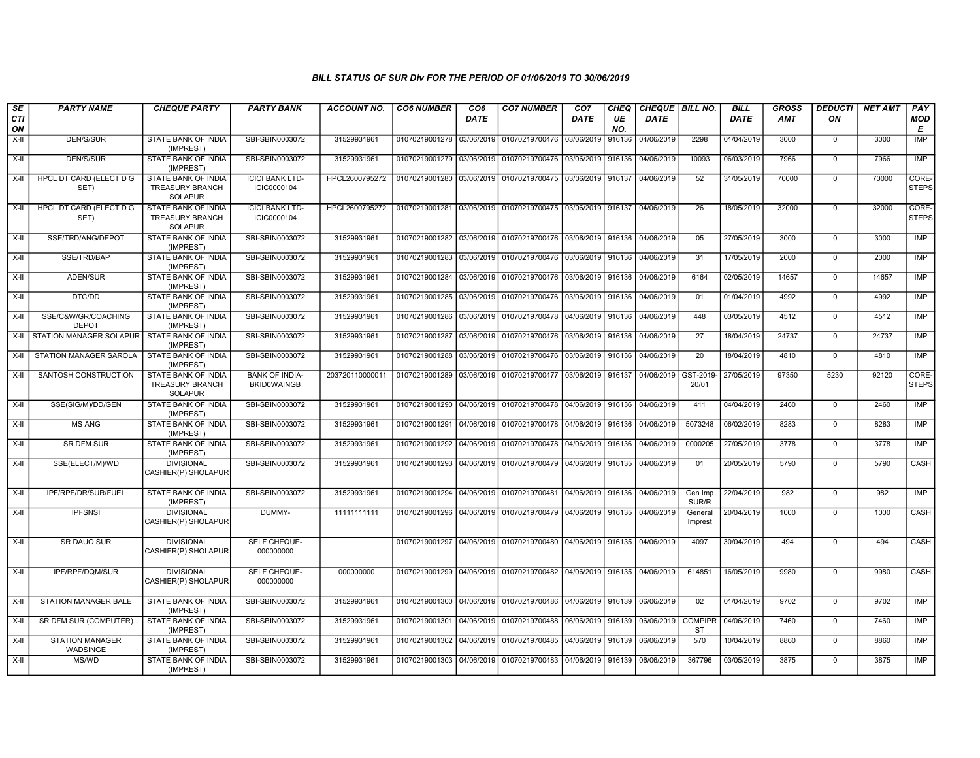| SE        | <b>PARTY NAME</b>                   | <b>CHEQUE PARTY</b>                                             | <b>PARTY BANK</b>                           | <b>ACCOUNT NO.</b> | <b>CO6 NUMBER</b>         | CO <sub>6</sub> | <b>CO7 NUMBER</b>                                                     | CO <sub>7</sub>   | <b>CHEQ</b> | CHEQUE BILL NO. |                             | <b>BILL</b> | <b>GROSS</b> | <b>DEDUCTI</b> | <b>NET AMT</b> | PAY                   |
|-----------|-------------------------------------|-----------------------------------------------------------------|---------------------------------------------|--------------------|---------------------------|-----------------|-----------------------------------------------------------------------|-------------------|-------------|-----------------|-----------------------------|-------------|--------------|----------------|----------------|-----------------------|
| CTI<br>ON |                                     |                                                                 |                                             |                    |                           | <b>DATE</b>     |                                                                       | DATE              | UE<br>NO.   | <b>DATE</b>     |                             | DATE        | AMT          | ON             |                | MOD<br>Е              |
| X-II      | <b>DEN/S/SUR</b>                    | STATE BANK OF INDIA<br>(IMPREST)                                | SBI-SBIN0003072                             | 31529931961        | 01070219001278 03/06/2019 |                 | 01070219700476                                                        | 03/06/2019        | 916136      | 04/06/2019      | 2298                        | 01/04/2019  | 3000         | $\mathbf 0$    | 3000           | <b>IMP</b>            |
| X-II      | DEN/S/SUR                           | STATE BANK OF INDIA<br>(IMPREST)                                | SBI-SBIN0003072                             | 31529931961        | 01070219001279 03/06/2019 |                 | 01070219700476 03/06/2019 916136                                      |                   |             | 04/06/2019      | 10093                       | 06/03/2019  | 7966         | $\mathbf 0$    | 7966           | IMP                   |
| X-II      | HPCL DT CARD (ELECT D G<br>SET)     | STATE BANK OF INDIA<br><b>TREASURY BRANCH</b><br><b>SOLAPUR</b> | <b>ICICI BANK LTD-</b><br>ICIC0000104       | HPCL2600795272     | 01070219001280 03/06/2019 |                 | 01070219700475 03/06/2019 916137                                      |                   |             | 04/06/2019      | 52                          | 31/05/2019  | 70000        | $\mathbf 0$    | 70000          | CORE-<br><b>STEPS</b> |
| X-II      | HPCL DT CARD (ELECT D G<br>SET)     | STATE BANK OF INDIA<br><b>TREASURY BRANCH</b><br><b>SOLAPUR</b> | <b>ICICI BANK LTD-</b><br>ICIC0000104       | HPCL2600795272     |                           |                 | 01070219001281 03/06/2019 01070219700475 03/06/2019 916137            |                   |             | 04/06/2019      | 26                          | 18/05/2019  | 32000        | $\mathbf 0$    | 32000          | CORE-<br><b>STEPS</b> |
| X-II      | SSE/TRD/ANG/DEPOT                   | STATE BANK OF INDIA<br>(IMPREST)                                | SBI-SBIN0003072                             | 31529931961        |                           |                 | 01070219001282 03/06/2019 01070219700476 03/06/2019 916136            |                   |             | 04/06/2019      | 05                          | 27/05/2019  | 3000         | $\mathbf 0$    | 3000           | IMP                   |
| X-II      | SSE/TRD/BAP                         | STATE BANK OF INDIA<br>(IMPREST)                                | SBI-SBIN0003072                             | 31529931961        | 01070219001283            | 03/06/2019      | 01070219700476 03/06/2019 916136                                      |                   |             | 04/06/2019      | 31                          | 17/05/2019  | 2000         | $\Omega$       | 2000           | IMP                   |
| $X-II$    | ADEN/SUR                            | STATE BANK OF INDIA<br>(IMPREST)                                | SBI-SBIN0003072                             | 31529931961        | 01070219001284            | 03/06/2019      | 01070219700476 03/06/2019 916136                                      |                   |             | 04/06/2019      | 6164                        | 02/05/2019  | 14657        | $\mathbf 0$    | 14657          | <b>IMP</b>            |
| X-II      | DTC/DD                              | STATE BANK OF INDIA<br>(IMPREST)                                | SBI-SBIN0003072                             | 31529931961        | 01070219001285            | 03/06/2019      | 01070219700476 03/06/2019 916136                                      |                   |             | 04/06/2019      | 01                          | 01/04/2019  | 4992         | $^{\circ}$     | 4992           | IMP                   |
| X-II      | SSE/C&W/GR/COACHING<br><b>DEPOT</b> | STATE BANK OF INDIA<br>(IMPREST)                                | SBI-SBIN0003072                             | 31529931961        | 01070219001286 03/06/2019 |                 | 01070219700478 04/06/2019 916136                                      |                   |             | 04/06/2019      | 448                         | 03/05/2019  | 4512         | $\Omega$       | 4512           | <b>IMP</b>            |
| X-II      | STATION MANAGER SOLAPUR             | STATE BANK OF INDIA<br>(IMPREST)                                | SBI-SBIN0003072                             | 31529931961        | 01070219001287 03/06/2019 |                 | 01070219700476 03/06/2019                                             |                   | 916136      | 04/06/2019      | 27                          | 18/04/2019  | 24737        | 0              | 24737          | <b>IMP</b>            |
| X-II      | STATION MANAGER SAROLA              | STATE BANK OF INDIA<br>(IMPREST)                                | SBI-SBIN0003072                             | 31529931961        | 01070219001288            | 03/06/2019      | 01070219700476 03/06/2019                                             |                   | 916136      | 04/06/2019      | 20                          | 18/04/2019  | 4810         | $\mathbf 0$    | 4810           | IMP                   |
| X-II      | SANTOSH CONSTRUCTION                | <b>STATE BANK OF INDIA</b><br>TREASURY BRANCH<br>SOLAPUR        | <b>BANK OF INDIA-</b><br><b>BKID0WAINGB</b> | 20372011000001     | 01070219001289            | 03/06/2019      | 01070219700477 03/06/2019 916137                                      |                   |             | 04/06/2019      | GST-2019-<br>20/01          | 27/05/2019  | 97350        | 5230           | 92120          | CORE-<br><b>STEPS</b> |
| X-II      | SSE(SIG/M)/DD/GEN                   | STATE BANK OF INDIA<br>(IMPREST)                                | SBI-SBIN0003072                             | 31529931961        |                           |                 | 01070219001290 04/06/2019 01070219700478 04/06/2019 916136            |                   |             | 04/06/2019      | 411                         | 04/04/2019  | 2460         | $\mathbf 0$    | 2460           | <b>IMP</b>            |
| X-II      | <b>MS ANG</b>                       | STATE BANK OF INDIA<br>(IMPREST)                                | SBI-SBIN0003072                             | 31529931961        | 01070219001291 04/06/2019 |                 | 01070219700478   04/06/2019   916136                                  |                   |             | 04/06/2019      | 5073248                     | 06/02/2019  | 8283         | 0              | 8283           | <b>IMP</b>            |
| X-II      | SR.DFM.SUR                          | STATE BANK OF INDIA<br>(IMPREST)                                | SBI-SBIN0003072                             | 31529931961        | 01070219001292            | 04/06/2019      | 01070219700478 04/06/2019                                             |                   | 916136      | 04/06/2019      | 0000205                     | 27/05/2019  | 3778         | $\mathbf 0$    | 3778           | IMP                   |
| X-II      | SSE(ELECT/M)/WD                     | <b>DIVISIONAL</b><br>CASHIER(P) SHOLAPUR                        | SBI-SBIN0003072                             | 31529931961        | 01070219001293            |                 | 04/06/2019 01070219700479 04/06/2019 916135                           |                   |             | 04/06/2019      | 01                          | 20/05/2019  | 5790         | $\Omega$       | 5790           | CASH                  |
| X-II      | IPF/RPF/DR/SUR/FUEL                 | STATE BANK OF INDIA<br>(IMPREST)                                | SBI-SBIN0003072                             | 31529931961        |                           |                 | 01070219001294 04/06/2019 01070219700481                              | 04/06/2019 916136 |             | 04/06/2019      | Gen Imp<br>SUR/R            | 22/04/2019  | 982          | $\mathbf 0$    | 982            | <b>IMP</b>            |
| X-II      | <b>IPFSNSI</b>                      | <b>DIVISIONAL</b><br>CASHIER(P) SHOLAPUR                        | DUMMY-                                      | 11111111111        | 01070219001296 04/06/2019 |                 | 01070219700479 04/06/2019 916135                                      |                   |             | 04/06/2019      | General<br>Imprest          | 20/04/2019  | 1000         | $\mathbf 0$    | 1000           | CASH                  |
| $X-H$     | <b>SR DAUO SUR</b>                  | <b>DIVISIONAL</b><br>CASHIER(P) SHOLAPUR                        | SELF CHEQUE-<br>000000000                   |                    |                           |                 | 01070219001297 04/06/2019 01070219700480 04/06/2019 916135 04/06/2019 |                   |             |                 | 4097                        | 30/04/2019  | 494          | $\Omega$       | 494            | CASH                  |
| $X-H$     | IPF/RPF/DQM/SUR                     | <b>DIVISIONAL</b><br>CASHIER(P) SHOLAPUR                        | SELF CHEQUE-<br>000000000                   | 000000000          | 01070219001299            | 04/06/2019      | 01070219700482 04/06/2019 916135                                      |                   |             | 04/06/2019      | 614851                      | 16/05/2019  | 9980         | $\Omega$       | 9980           | CASH                  |
| $X-H$     | <b>STATION MANAGER BALE</b>         | <b>STATE BANK OF INDIA</b><br>(IMPREST)                         | SBI-SBIN0003072                             | 31529931961        | 01070219001300            |                 | 04/06/2019   01070219700486   04/06/2019   916139                     |                   |             | 06/06/2019      | 02                          | 01/04/2019  | 9702         | $\mathbf 0$    | 9702           | IMP                   |
| X-II      | SR DFM SUR (COMPUTER)               | STATE BANK OF INDIA<br>(IMPREST)                                | SBI-SBIN0003072                             | 31529931961        | 01070219001301 04/06/2019 |                 | 01070219700488                                                        | 06/06/2019 916139 |             | 06/06/2019      | <b>COMPIPR</b><br><b>ST</b> | 04/06/2019  | 7460         | $\mathbf 0$    | 7460           | IMP                   |
| $X-H$     | <b>STATION MANAGER</b><br>WADSINGE  | STATE BANK OF INDIA<br>(IMPREST)                                | SBI-SBIN0003072                             | 31529931961        | 01070219001302 04/06/2019 |                 | 01070219700485 04/06/2019 916139                                      |                   |             | 06/06/2019      | 570                         | 10/04/2019  | 8860         | $\Omega$       | 8860           | IMP                   |
| X-II      | MS/WD                               | STATE BANK OF INDIA<br>(IMPREST)                                | SBI-SBIN0003072                             | 31529931961        |                           |                 | 01070219001303 04/06/2019 01070219700483                              | 04/06/2019 916139 |             | 06/06/2019      | 367796                      | 03/05/2019  | 3875         | $\Omega$       | 3875           | <b>IMP</b>            |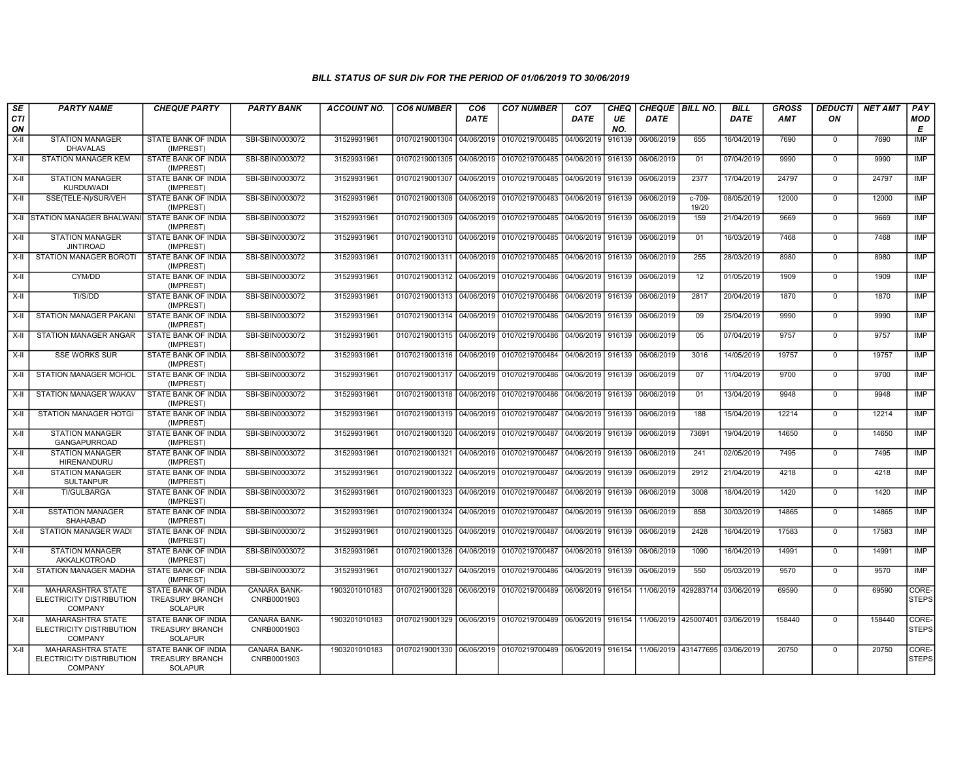| SE        | <b>PARTY NAME</b>                                                      | <b>CHEQUE PARTY</b>                                             | <b>PARTY BANK</b>                  | <b>ACCOUNT NO.</b> | <b>CO6 NUMBER</b>         | CO <sub>6</sub> | <b>CO7 NUMBER</b>                                          | CO <sub>7</sub>   | <b>CHEQ</b> | CHEQUE BILL NO.                 |                                     | <b>BILL</b> | GROSS      | <b>DEDUCTI</b> | <b>NET AMT</b> | PAY                   |
|-----------|------------------------------------------------------------------------|-----------------------------------------------------------------|------------------------------------|--------------------|---------------------------|-----------------|------------------------------------------------------------|-------------------|-------------|---------------------------------|-------------------------------------|-------------|------------|----------------|----------------|-----------------------|
| CTI<br>ON |                                                                        |                                                                 |                                    |                    |                           | <b>DATE</b>     |                                                            | DATE              | UE<br>NO.   | <b>DATE</b>                     |                                     | DATE        | <b>AMT</b> | ON             |                | MOD<br>E              |
| X-II      | <b>STATION MANAGER</b><br><b>DHAVALAS</b>                              | STATE BANK OF INDIA<br>(IMPREST)                                | SBI-SBIN0003072                    | 31529931961        | 01070219001304 04/06/2019 |                 | 01070219700485                                             | 04/06/2019        | 916139      | 06/06/2019                      | 655                                 | 16/04/2019  | 7690       | $\mathbf 0$    | 7690           | <b>IMP</b>            |
| $X-II$    | <b>STATION MANAGER KEM</b>                                             | STATE BANK OF INDIA<br>(IMPREST)                                | SBI-SBIN0003072                    | 31529931961        | 01070219001305 04/06/2019 |                 | 01070219700485                                             | 04/06/2019        | 916139      | 06/06/2019                      | 01                                  | 07/04/2019  | 9990       | $\Omega$       | 9990           | <b>IMP</b>            |
| X-II      | <b>STATION MANAGER</b><br><b>KURDUWADI</b>                             | STATE BANK OF INDIA<br>(IMPREST)                                | SBI-SBIN0003072                    | 31529931961        | 01070219001307 04/06/2019 |                 | 01070219700485   04/06/2019   916139                       |                   |             | 06/06/2019                      | 2377                                | 17/04/2019  | 24797      | 0              | 24797          | <b>IMP</b>            |
| X-II      | SSE(TELE-N)/SUR/VEH                                                    | STATE BANK OF INDIA<br>(IMPREST)                                | SBI-SBIN0003072                    | 31529931961        | 01070219001308            | 04/06/2019      | 01070219700483                                             | 04/06/2019        | 916139      | 06/06/2019                      | $c-709-$<br>19/20                   | 08/05/2019  | 12000      | $\mathbf 0$    | 12000          | <b>IMP</b>            |
|           | X-II STATION MANAGER BHALWANI                                          | STATE BANK OF INDIA<br>(IMPREST)                                | SBI-SBIN0003072                    | 31529931961        | 01070219001309            | 04/06/2019      | 01070219700485                                             | 04/06/2019 916139 |             | 06/06/2019                      | 159                                 | 21/04/2019  | 9669       | $\mathbf 0$    | 9669           | IMP                   |
| $X-H$     | <b>STATION MANAGER</b><br><b>JINTIROAD</b>                             | STATE BANK OF INDIA<br>(IMPREST)                                | SBI-SBIN0003072                    | 31529931961        | 01070219001310 04/06/2019 |                 | 01070219700485                                             | 04/06/2019 916139 |             | 06/06/2019                      | 01                                  | 16/03/2019  | 7468       | $\mathbf 0$    | 7468           | <b>IMP</b>            |
| $X-II$    | STATION MANAGER BOROTI                                                 | STATE BANK OF INDIA<br>(IMPREST)                                | SBI-SBIN0003072                    | 31529931961        | 01070219001311 04/06/2019 |                 | 01070219700485                                             | 04/06/2019 916139 |             | 06/06/2019                      | 255                                 | 28/03/2019  | 8980       | $\Omega$       | 8980           | <b>IMP</b>            |
| $X-H$     | CYM/DD                                                                 | STATE BANK OF INDIA<br>(IMPREST)                                | SBI-SBIN0003072                    | 31529931961        | 01070219001312 04/06/2019 |                 | 01070219700486                                             | 04/06/2019 916139 |             | 06/06/2019                      | 12                                  | 01/05/2019  | 1909       | $\mathbf{0}$   | 1909           | <b>IMP</b>            |
| X-II      | TI/S/DD                                                                | STATE BANK OF INDIA<br>(IMPREST)                                | SBI-SBIN0003072                    | 31529931961        | 01070219001313 04/06/2019 |                 | 01070219700486 04/06/2019 916139                           |                   |             | 06/06/2019                      | 2817                                | 20/04/2019  | 1870       | $\mathbf 0$    | 1870           | <b>IMP</b>            |
| $X-II$    | STATION MANAGER PAKANI                                                 | STATE BANK OF INDIA<br>(IMPREST)                                | SBI-SBIN0003072                    | 31529931961        | 01070219001314 04/06/2019 |                 | 01070219700486                                             | 04/06/2019 916139 |             | 06/06/2019                      | 09                                  | 25/04/2019  | 9990       | $\mathbf 0$    | 9990           | <b>IMP</b>            |
| X-II      | <b>STATION MANAGER ANGAR</b>                                           | STATE BANK OF INDIA<br>(IMPREST)                                | SBI-SBIN0003072                    | 31529931961        | 01070219001315 04/06/2019 |                 | 01070219700486                                             | 04/06/2019        | 916139      | 06/06/2019                      | 05                                  | 07/04/2019  | 9757       | $\mathbf 0$    | 9757           | <b>IMP</b>            |
| X-II      | <b>SSE WORKS SUR</b>                                                   | STATE BANK OF INDIA<br>(IMPREST)                                | SBI-SBIN0003072                    | 31529931961        | 01070219001316 04/06/2019 |                 | 01070219700484                                             | 04/06/2019 916139 |             | 06/06/2019                      | 3016                                | 14/05/2019  | 19757      | $\mathbf 0$    | 19757          | <b>IMP</b>            |
| X-II      | <b>STATION MANAGER MOHOL</b>                                           | STATE BANK OF INDIA<br>(IMPREST)                                | SBI-SBIN0003072                    | 31529931961        | 01070219001317 04/06/2019 |                 | 01070219700486                                             | 04/06/2019 916139 |             | 06/06/2019                      | 07                                  | 11/04/2019  | 9700       | $\mathbf 0$    | 9700           | IMP                   |
| $X-I$     | STATION MANAGER WAKAV                                                  | STATE BANK OF INDIA<br>(IMPREST)                                | SBI-SBIN0003072                    | 31529931961        | 01070219001318 04/06/2019 |                 | 01070219700486                                             | 04/06/2019 916139 |             | 06/06/2019                      | 01                                  | 13/04/2019  | 9948       | $\Omega$       | 9948           | IMP                   |
| X-II      | STATION MANAGER HOTGI                                                  | STATE BANK OF INDIA<br>(IMPREST)                                | SBI-SBIN0003072                    | 31529931961        | 01070219001319 04/06/2019 |                 | 01070219700487                                             | 04/06/2019 916139 |             | 06/06/2019                      | 188                                 | 15/04/2019  | 12214      | $\mathbf 0$    | 12214          | <b>IMP</b>            |
| $X-H$     | <b>STATION MANAGER</b><br><b>GANGAPURROAD</b>                          | STATE BANK OF INDIA<br>(IMPREST)                                | SBI-SBIN0003072                    | 31529931961        | 01070219001320            | 04/06/2019      | 01070219700487 04/06/2019 916139                           |                   |             | 06/06/2019                      | 73691                               | 19/04/2019  | 14650      | $\Omega$       | 14650          | <b>IMP</b>            |
| X-II      | <b>STATION MANAGER</b><br><b>HIRENANDURU</b>                           | STATE BANK OF INDIA<br>(IMPREST)                                | SBI-SBIN0003072                    | 31529931961        | 01070219001321 04/06/2019 |                 | 01070219700487                                             | 04/06/2019 916139 |             | 06/06/2019                      | 241                                 | 02/05/2019  | 7495       | $\Omega$       | 7495           | IMP                   |
| X-II      | <b>STATION MANAGER</b><br><b>SULTANPUR</b>                             | STATE BANK OF INDIA<br>(IMPREST)                                | SBI-SBIN0003072                    | 31529931961        | 01070219001322            | 04/06/2019      | 01070219700487                                             | 04/06/2019 916139 |             | 06/06/2019                      | 2912                                | 21/04/2019  | 4218       | $\mathbf 0$    | 4218           | <b>IMP</b>            |
| X-II      | <b>TI/GULBARGA</b>                                                     | STATE BANK OF INDIA<br>(IMPREST)                                | SBI-SBIN0003072                    | 31529931961        | 01070219001323            | 04/06/2019      | 01070219700487                                             | 04/06/2019        | 916139      | 06/06/2019                      | 3008                                | 18/04/2019  | 1420       | $\mathbf 0$    | 1420           | <b>IMP</b>            |
| X-II      | <b>SSTATION MANAGER</b><br>SHAHABAD                                    | STATE BANK OF INDIA<br>(IMPREST)                                | SBI-SBIN0003072                    | 31529931961        | 01070219001324            | 04/06/2019      | 01070219700487                                             | 04/06/2019        | 916139      | 06/06/2019                      | 858                                 | 30/03/2019  | 14865      | $\mathbf 0$    | 14865          | <b>IMP</b>            |
| $X-H$     | STATION MANAGER WADI                                                   | STATE BANK OF INDIA<br>(IMPREST)                                | SBI-SBIN0003072                    | 31529931961        | 01070219001325 04/06/2019 |                 | 01070219700487                                             | 04/06/2019 916139 |             | 06/06/2019                      | 2428                                | 16/04/2019  | 17583      | $\mathbf 0$    | 17583          | IMP                   |
| $X-H$     | <b>STATION MANAGER</b><br>AKKALKOTROAD                                 | STATE BANK OF INDIA<br>(IMPREST)                                | SBI-SBIN0003072                    | 31529931961        | 01070219001326            | 04/06/2019      | 01070219700487                                             | 04/06/2019 916139 |             | 06/06/2019                      | 1090                                | 16/04/2019  | 14991      | $\mathbf 0$    | 14991          | <b>IMP</b>            |
| X-II      | STATION MANAGER MADHA                                                  | STATE BANK OF INDIA<br>(IMPREST)                                | SBI-SBIN0003072                    | 31529931961        | 01070219001327            | 04/06/2019      | 01070219700486                                             | 04/06/2019 916139 |             | 06/06/2019                      | 550                                 | 05/03/2019  | 9570       | $\mathbf 0$    | 9570           | IMP                   |
| X-II      | <b>MAHARASHTRA STATE</b><br>ELECTRICITY DISTRIBUTION<br><b>COMPANY</b> | STATE BANK OF INDIA<br><b>TREASURY BRANCH</b><br>SOLAPUR        | <b>CANARA BANK-</b><br>CNRB0001903 | 1903201010183      | 01070219001328 06/06/2019 |                 | 01070219700489 06/06/2019 916154                           |                   |             |                                 | 11/06/2019   429283714   03/06/2019 |             | 69590      | $\Omega$       | 69590          | CORE-<br><b>STEPS</b> |
| X-II      | <b>MAHARASHTRA STATE</b><br>ELECTRICITY DISTRIBUTION<br><b>COMPANY</b> | STATE BANK OF INDIA<br><b>TREASURY BRANCH</b><br>SOLAPUR        | CANARA BANK-<br>CNRB0001903        | 1903201010183      |                           |                 | 01070219001329 06/06/2019 01070219700489 06/06/2019 916154 |                   |             | 11/06/2019 425007401 03/06/2019 |                                     |             | 158440     | $\Omega$       | 158440         | CORE-<br><b>STEPS</b> |
| X-II      | <b>MAHARASHTRA STATE</b><br>ELECTRICITY DISTRIBUTION<br><b>COMPANY</b> | STATE BANK OF INDIA<br><b>TREASURY BRANCH</b><br><b>SOLAPUR</b> | CANARA BANK-<br>CNRB0001903        | 1903201010183      |                           |                 | 01070219001330 06/06/2019 01070219700489 06/06/2019 916154 |                   |             | 11/06/2019 431477695 03/06/2019 |                                     |             | 20750      | $\mathbf 0$    | 20750          | CORE-<br><b>STEPS</b> |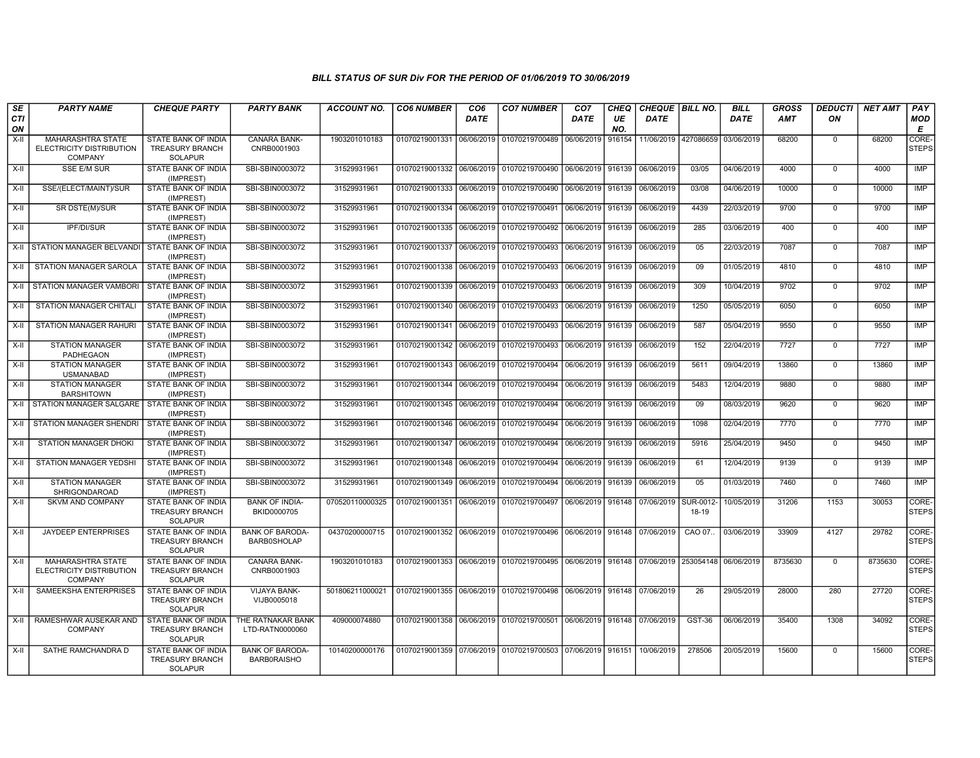| SE<br><b>CTI</b><br>ON | <b>PARTY NAME</b>                                                      | <b>CHEQUE PARTY</b>                                                    | <b>PARTY BANK</b>                            | <b>ACCOUNT NO.</b> | <b>CO6 NUMBER</b>                        | CO <sub>6</sub><br><b>DATE</b> | <b>CO7 NUMBER</b>                                                               | CO <sub>7</sub><br>DATE | CHEQ<br>UE<br>NO. | CHEQUE BILL NO.<br>DATE      |                          | <b>BILL</b><br><b>DATE</b> | <b>GROSS</b><br><b>AMT</b> | <b>DEDUCTI</b><br>ON | <b>NET AMT</b> | PAY<br><b>MOD</b><br>E |
|------------------------|------------------------------------------------------------------------|------------------------------------------------------------------------|----------------------------------------------|--------------------|------------------------------------------|--------------------------------|---------------------------------------------------------------------------------|-------------------------|-------------------|------------------------------|--------------------------|----------------------------|----------------------------|----------------------|----------------|------------------------|
| X-II                   | <b>MAHARASHTRA STATE</b><br>ELECTRICITY DISTRIBUTION<br><b>COMPANY</b> | STATE BANK OF INDIA<br><b>TREASURY BRANCH</b><br><b>SOLAPUR</b>        | <b>CANARA BANK-</b><br>CNRB0001903           | 1903201010183      | 01070219001331                           |                                | 06/06/2019 01070219700489                                                       | 06/06/2019              | 916154            | 11/06/2019 427086659         |                          | 03/06/2019                 | 68200                      | $^{\circ}$           | 68200          | CORE-<br><b>STEPS</b>  |
| X-II                   | <b>SSE E/M SUR</b>                                                     | STATE BANK OF INDIA<br>(IMPREST)                                       | SBI-SBIN0003072                              | 31529931961        |                                          |                                | 01070219001332 06/06/2019 01070219700490                                        | 06/06/2019              | 916139            | 06/06/2019                   | 03/05                    | 04/06/2019                 | 4000                       | $\Omega$             | 4000           | IMP                    |
| $X-II$                 | SSE/(ELECT/MAINT)/SUR                                                  | <b>STATE BANK OF INDIA</b><br>(IMPREST)                                | SBI-SBIN0003072                              | 31529931961        |                                          |                                | 01070219001333 06/06/2019 01070219700490                                        | 06/06/2019              | 916139            | 06/06/2019                   | 03/08                    | 04/06/2019                 | 10000                      | $\Omega$             | 10000          | IMP                    |
| X-II                   | SR DSTE(M)/SUR                                                         | STATE BANK OF INDIA<br>(IMPREST)                                       | SBI-SBIN0003072                              | 31529931961        | 01070219001334 06/06/2019 01070219700491 |                                |                                                                                 | 06/06/2019 916139       |                   | 06/06/2019                   | 4439                     | 22/03/2019                 | 9700                       | $\Omega$             | 9700           | <b>IMP</b>             |
| $X-H$                  | <b>IPF/DI/SUR</b>                                                      | STATE BANK OF INDIA<br>(IMPREST)                                       | SBI-SBIN0003072                              | 31529931961        |                                          |                                | 01070219001335 06/06/2019 01070219700492                                        | 06/06/2019              | 916139            | 06/06/2019                   | 285                      | 03/06/2019                 | 400                        | $\mathbf 0$          | 400            | <b>IMP</b>             |
|                        | X-II STATION MANAGER BELVANDI                                          | STATE BANK OF INDIA<br>(IMPREST)                                       | SBI-SBIN0003072                              | 31529931961        | 01070219001337                           |                                | 06/06/2019 01070219700493                                                       | 06/06/2019 916139       |                   | 06/06/2019                   | 05                       | 22/03/2019                 | 7087                       | $\overline{0}$       | 7087           | IMP                    |
| X-II                   | STATION MANAGER SAROLA                                                 | STATE BANK OF INDIA<br>(IMPREST)                                       | SBI-SBIN0003072                              | 31529931961        |                                          |                                | 01070219001338 06/06/2019 01070219700493                                        | 06/06/2019              | 916139            | 06/06/2019                   | 09                       | 01/05/2019                 | 4810                       | $\mathbf 0$          | 4810           | IMP                    |
| X-II                   | <b>STATION MANAGER VAMBORI</b>                                         | STATE BANK OF INDIA<br>(IMPREST)                                       | SBI-SBIN0003072                              | 31529931961        | 01070219001339                           |                                | 06/06/2019 01070219700493                                                       | 06/06/2019              | 916139            | 06/06/2019                   | 309                      | 10/04/2019                 | 9702                       | $\Omega$             | 9702           | <b>IMP</b>             |
| X-II                   | STATION MANAGER CHITALI                                                | STATE BANK OF INDIA<br>(IMPREST)                                       | SBI-SBIN0003072                              | 31529931961        |                                          |                                | 01070219001340 06/06/2019 01070219700493                                        | 06/06/2019              | 916139            | 06/06/2019                   | 1250                     | 05/05/2019                 | 6050                       | $\mathbf 0$          | 6050           | <b>IMP</b>             |
| $X-H$                  | <b>STATION MANAGER RAHURI</b>                                          | <b>STATE BANK OF INDIA</b><br>(IMPREST)                                | SBI-SBIN0003072                              | 31529931961        | 01070219001341                           | 06/06/2019                     | 01070219700493                                                                  | 06/06/2019              | 916139            | 06/06/2019                   | 587                      | 05/04/2019                 | 9550                       | $\overline{0}$       | 9550           | IMP                    |
| X-II                   | <b>STATION MANAGER</b><br>PADHEGAON                                    | <b>STATE BANK OF INDIA</b><br>(IMPREST)                                | SBI-SBIN0003072                              | 31529931961        | 01070219001342 06/06/2019 01070219700493 |                                |                                                                                 | 06/06/2019 916139       |                   | 06/06/2019                   | 152                      | 22/04/2019                 | 7727                       | $^{\circ}$           | 7727           | IMP                    |
| X-II                   | <b>STATION MANAGER</b><br><b>USMANABAD</b>                             | STATE BANK OF INDIA<br>(IMPREST)                                       | SBI-SBIN0003072                              | 31529931961        |                                          |                                | 01070219001343 06/06/2019 01070219700494                                        | 06/06/2019              | 916139            | 06/06/2019                   | 5611                     | 09/04/2019                 | 13860                      | $\Omega$             | 13860          | <b>IMP</b>             |
| $X-II$                 | <b>STATION MANAGER</b><br><b>BARSHITOWN</b>                            | STATE BANK OF INDIA<br>(IMPREST)                                       | SBI-SBIN0003072                              | 31529931961        | 01070219001344                           |                                | 06/06/2019 01070219700494                                                       | 06/06/2019              | 916139            | 06/06/2019                   | 5483                     | 12/04/2019                 | 9880                       | $\Omega$             | 9880           | <b>IMP</b>             |
| X-II                   | STATION MANAGER SALGARE STATE BANK OF INDIA                            | (IMPREST)                                                              | SBI-SBIN0003072                              | 31529931961        |                                          |                                | 01070219001345 06/06/2019 01070219700494                                        | 06/06/2019              | 916139            | 06/06/2019                   | 09                       | 08/03/2019                 | 9620                       | $\overline{0}$       | 9620           | <b>IMP</b>             |
| X-II                   | STATION MANAGER SHENDRI                                                | <b>STATE BANK OF INDIA</b><br>(IMPREST)                                | SBI-SBIN0003072                              | 31529931961        |                                          |                                | 01070219001346 06/06/2019 01070219700494                                        | 06/06/2019 916139       |                   | 06/06/2019                   | 1098                     | 02/04/2019                 | 7770                       | $^{\circ}$           | 7770           | IMP                    |
| X-II                   | <b>STATION MANAGER DHOKI</b>                                           | STATE BANK OF INDIA<br>(IMPREST)                                       | SBI-SBIN0003072                              | 31529931961        | 01070219001347                           | 06/06/2019                     | 01070219700494                                                                  | 06/06/2019              | 916139            | 06/06/2019                   | 5916                     | 25/04/2019                 | 9450                       | $\Omega$             | 9450           | <b>IMP</b>             |
| X-II                   | <b>STATION MANAGER YEDSHI</b>                                          | STATE BANK OF INDIA<br>(IMPREST)                                       | SBI-SBIN0003072                              | 31529931961        | 01070219001348 06/06/2019                |                                | 01070219700494                                                                  | 06/06/2019              | 916139            | 06/06/2019                   | 61                       | 12/04/2019                 | 9139                       | $\Omega$             | 9139           | <b>IMP</b>             |
| $X-H$                  | <b>STATION MANAGER</b><br>SHRIGONDAROAD                                | <b>STATE BANK OF INDIA</b><br>(IMPREST)                                | SBI-SBIN0003072                              | 31529931961        |                                          |                                | 01070219001349 06/06/2019 01070219700494                                        | 06/06/2019              | 916139            | 06/06/2019                   | 05                       | 01/03/2019                 | 7460                       | $\mathbf 0$          | 7460           | <b>IMP</b>             |
| $X-H$                  | <b>SKVM AND COMPANY</b>                                                | <b>STATE BANK OF INDIA</b><br><b>TREASURY BRANCH</b><br><b>SOLAPUR</b> | <b>BANK OF INDIA-</b><br>BKID0000705         | 070520110000325    | 01070219001351 06/06/2019 01070219700497 |                                |                                                                                 |                         |                   | 06/06/2019 916148 07/06/2019 | <b>SUR-0012</b><br>18-19 | 10/05/2019                 | 31206                      | 1153                 | 30053          | CORE-<br><b>STEPS</b>  |
| $X-II$                 | JAYDEEP ENTERPRISES                                                    | <b>STATE BANK OF INDIA</b><br><b>TREASURY BRANCH</b><br><b>SOLAPUR</b> | <b>BANK OF BARODA-</b><br><b>BARB0SHOLAP</b> | 04370200000715     |                                          |                                | 01070219001352 06/06/2019 01070219700496 06/06/2019 916148 07/06/2019           |                         |                   |                              | CAO 07.                  | 03/06/2019                 | 33909                      | 4127                 | 29782          | CORE-<br><b>STEPS</b>  |
| X-II                   | MAHARASHTRA STATE<br>ELECTRICITY DISTRIBUTION<br><b>COMPANY</b>        | STATE BANK OF INDIA<br><b>TREASURY BRANCH</b><br><b>SOLAPUR</b>        | CANARA BANK-<br>CNRB0001903                  | 1903201010183      |                                          |                                | 01070219001353 66/06/2019 01070219700495 06/06/2019 916148 07/06/2019 253054148 |                         |                   |                              |                          | 06/06/2019                 | 8735630                    | $\mathbf 0$          | 8735630        | CORE-<br><b>STEPS</b>  |
| X-II                   | SAMEEKSHA ENTERPRISES                                                  | <b>STATE BANK OF INDIA</b><br><b>TREASURY BRANCH</b><br><b>SOLAPUR</b> | <b>VIJAYA BANK-</b><br>VIJB0005018           | 501806211000021    |                                          |                                | 01070219001355   06/06/2019   01070219700498   06/06/2019   916148   07/06/2019 |                         |                   |                              | 26                       | 29/05/2019                 | 28000                      | 280                  | 27720          | CORE-<br><b>STEPS</b>  |
| X-II                   | RAMESHWAR AUSEKAR AND<br><b>COMPANY</b>                                | STATE BANK OF INDIA<br><b>TREASURY BRANCH</b><br><b>SOLAPUR</b>        | THE RATNAKAR BANK<br>LTD-RATN0000060         | 409000074880       | 01070219001358                           | 06/06/2019                     | 01070219700501                                                                  | 06/06/2019              | 916148            | 07/06/2019                   | GST-36                   | 06/06/2019                 | 35400                      | 1308                 | 34092          | CORE-<br><b>STEPS</b>  |
| X-II                   | SATHE RAMCHANDRA D                                                     | STATE BANK OF INDIA<br><b>TREASURY BRANCH</b><br><b>SOLAPUR</b>        | <b>BANK OF BARODA-</b><br><b>BARBORAISHO</b> | 10140200000176     |                                          |                                | 01070219001359 07/06/2019 01070219700503 07/06/2019                             |                         | 916151            | 10/06/2019                   | 278506                   | 20/05/2019                 | 15600                      | $\Omega$             | 15600          | CORE-<br><b>STEPS</b>  |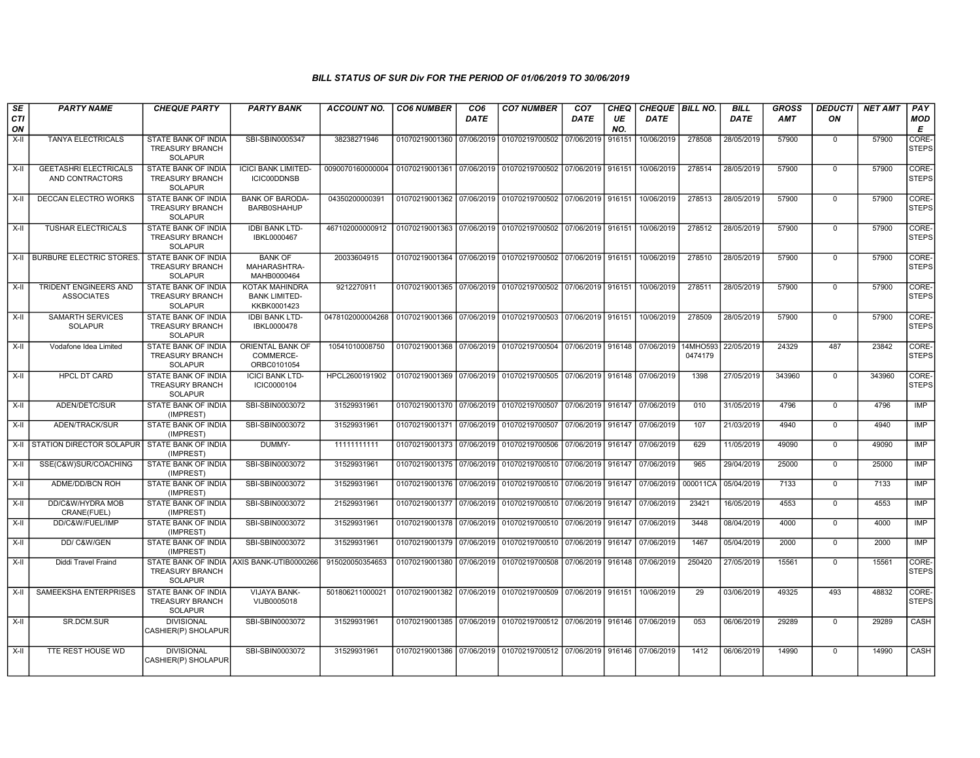| <b>SE</b><br>CTI<br>ON | <b>PARTY NAME</b>                                 | <b>CHEQUE PARTY</b>                                             | <b>PARTY BANK</b>                                            | <b>ACCOUNT NO.</b>                                                                    | <b>CO6 NUMBER</b>         | CO <sub>6</sub><br><b>DATE</b> | <b>CO7 NUMBER</b>                                                     | CO <sub>7</sub><br><b>DATE</b> | CHEQ<br>UE<br>NO. | CHEQUE   BILL NO.<br><b>DATE</b> |                     | <b>BILL</b><br><b>DATE</b> | <b>GROSS</b><br><b>AMT</b> | <b>DEDUCTI</b><br>ON | <b>NET AMT</b> | PAY<br><b>MOD</b><br>Е |
|------------------------|---------------------------------------------------|-----------------------------------------------------------------|--------------------------------------------------------------|---------------------------------------------------------------------------------------|---------------------------|--------------------------------|-----------------------------------------------------------------------|--------------------------------|-------------------|----------------------------------|---------------------|----------------------------|----------------------------|----------------------|----------------|------------------------|
| $X-H$                  | <b>TANYA ELECTRICALS</b>                          | <b>STATE BANK OF INDIA</b><br>TREASURY BRANCH<br><b>SOLAPUR</b> | SBI-SBIN0005347                                              | 38238271946                                                                           | 01070219001360 07/06/2019 |                                | 01070219700502 07/06/2019 916151                                      |                                |                   | 10/06/2019                       | 278508              | 28/05/2019                 | 57900                      | $\mathbf 0$          | 57900          | CORE-<br><b>STEPS</b>  |
| X-II                   | <b>GEETASHRI ELECTRICALS</b><br>AND CONTRACTORS   | STATE BANK OF INDIA<br><b>TREASURY BRANCH</b><br><b>SOLAPUR</b> | <b>ICICI BANK LIMITED-</b><br>ICIC00DDNSB                    | 0090070160000004   01070219001361   07/06/2019   01070219700502   07/06/2019   916151 |                           |                                |                                                                       |                                |                   | 10/06/2019                       | 278514              | 28/05/2019                 | 57900                      | $\mathbf 0$          | 57900          | CORE-<br><b>STEPS</b>  |
| X-II                   | DECCAN ELECTRO WORKS                              | STATE BANK OF INDIA<br><b>TREASURY BRANCH</b><br><b>SOLAPUR</b> | <b>BANK OF BARODA-</b><br><b>BARB0SHAHUP</b>                 | 04350200000391                                                                        | 01070219001362 07/06/2019 |                                | 01070219700502 07/06/2019 916151                                      |                                |                   | 10/06/2019                       | 278513              | 28/05/2019                 | 57900                      | $\overline{0}$       | 57900          | CORE-<br><b>STEPS</b>  |
| X-II                   | <b>TUSHAR ELECTRICALS</b>                         | STATE BANK OF INDIA<br>TREASURY BRANCH<br><b>SOLAPUR</b>        | <b>IDBI BANK LTD-</b><br>IBKL0000467                         | 467102000000912                                                                       | 01070219001363 07/06/2019 |                                | 01070219700502 07/06/2019 916151                                      |                                |                   | 10/06/2019                       | 278512              | 28/05/2019                 | 57900                      | $\mathbf 0$          | 57900          | CORE-<br><b>STEPS</b>  |
|                        | X-II   BURBURE ELECTRIC STORES                    | STATE BANK OF INDIA<br><b>TREASURY BRANCH</b><br><b>SOLAPUR</b> | <b>BANK OF</b><br>MAHARASHTRA-<br>MAHB0000464                | 20033604915                                                                           |                           |                                | 01070219001364 07/06/2019 01070219700502 07/06/2019 916151            |                                |                   | 10/06/2019                       | 278510              | 28/05/2019                 | 57900                      | $\mathbf 0$          | 57900          | CORE-<br><b>STEPS</b>  |
| X-II                   | TRIDENT ENGINEERS AND<br><b>ASSOCIATES</b>        | STATE BANK OF INDIA<br><b>TREASURY BRANCH</b><br><b>SOLAPUR</b> | <b>KOTAK MAHINDRA</b><br><b>BANK LIMITED-</b><br>KKBK0001423 | 9212270911                                                                            |                           |                                | 01070219001365 07/06/2019 01070219700502 07/06/2019 916151            |                                |                   | 10/06/2019                       | 278511              | 28/05/2019                 | 57900                      | $\mathbf 0$          | 57900          | CORE-<br><b>STEPS</b>  |
| X-II                   | <b>SAMARTH SERVICES</b><br><b>SOLAPUR</b>         | STATE BANK OF INDIA<br><b>TREASURY BRANCH</b><br><b>SOLAPUR</b> | <b>IDBI BANK LTD-</b><br>IBKL0000478                         | 0478102000004268                                                                      |                           |                                | 01070219001366 07/06/2019 01070219700503 07/06/2019 916151            |                                |                   | 10/06/2019                       | 278509              | 28/05/2019                 | 57900                      | $\Omega$             | 57900          | CORE-<br><b>STEPS</b>  |
| $X-H$                  | Vodafone Idea Limited                             | <b>STATE BANK OF INDIA</b><br>TREASURY BRANCH<br><b>SOLAPUR</b> | ORIENTAL BANK OF<br>COMMERCE-<br>ORBC0101054                 | 10541010008750                                                                        |                           |                                | 01070219001368 07/06/2019 01070219700504 07/06/2019 916148 07/06/2019 |                                |                   |                                  | 14MHO593<br>0474179 | 22/05/2019                 | 24329                      | 487                  | 23842          | CORE-<br><b>STEPS</b>  |
| $X-II$                 | <b>HPCL DT CARD</b>                               | STATE BANK OF INDIA<br><b>TREASURY BRANCH</b><br><b>SOLAPUR</b> | <b>ICICI BANK LTD-</b><br>ICIC0000104                        | HPCL2600191902                                                                        |                           |                                | 01070219001369 07/06/2019 01070219700505 07/06/2019 916148 07/06/2019 |                                |                   |                                  | 1398                | 27/05/2019                 | 343960                     | $\overline{0}$       | 343960         | CORE-<br><b>STEPS</b>  |
| X-II                   | ADEN/DETC/SUR                                     | STATE BANK OF INDIA<br>(IMPREST)                                | SBI-SBIN0003072                                              | 31529931961                                                                           |                           |                                | 01070219001370 07/06/2019 01070219700507 07/06/2019 916147            |                                |                   | 07/06/2019                       | 010                 | 31/05/2019                 | 4796                       | $\mathbf 0$          | 4796           | IMP                    |
| X-II                   | ADEN/TRACK/SUR                                    | <b>STATE BANK OF INDIA</b><br>(IMPREST)                         | SBI-SBIN0003072                                              | 31529931961                                                                           |                           |                                | 01070219001371 07/06/2019 01070219700507 07/06/2019 916147 07/06/2019 |                                |                   |                                  | 107                 | 21/03/2019                 | 4940                       | $\mathbf 0$          | 4940           | <b>IMP</b>             |
|                        | X-II STATION DIRECTOR SOLAPUR STATE BANK OF INDIA | (IMPREST)                                                       | DUMMY-                                                       | 11111111111                                                                           |                           |                                | 01070219001373 07/06/2019 01070219700506 07/06/2019 916147            |                                |                   | 07/06/2019                       | 629                 | 11/05/2019                 | 49090                      | $\mathbf 0$          | 49090          | <b>IMP</b>             |
| $X-H$                  | SSE(C&W)SUR/COACHING                              | <b>STATE BANK OF INDIA</b><br>(IMPREST)                         | SBI-SBIN0003072                                              | 31529931961                                                                           | 01070219001375 07/06/2019 |                                | 01070219700510 07/06/2019 916147                                      |                                |                   | 07/06/2019                       | 965                 | 29/04/2019                 | 25000                      | $\mathbf 0$          | 25000          | IMP                    |
| X-II                   | ADME/DD/BCN ROH                                   | STATE BANK OF INDIA<br>(IMPREST)                                | SBI-SBIN0003072                                              | 31529931961                                                                           | 01070219001376 07/06/2019 |                                | 01070219700510 07/06/2019 916147                                      |                                |                   | 07/06/2019                       | 000011CA            | 05/04/2019                 | 7133                       | $\mathbf 0$          | 7133           | <b>IMP</b>             |
| $X-H$                  | DD/C&W/HYDRA MOB<br>CRANE(FUEL)                   | STATE BANK OF INDIA<br>(IMPREST)                                | SBI-SBIN0003072                                              | 21529931961                                                                           | 01070219001377 07/06/2019 |                                | 01070219700510 07/06/2019 916147                                      |                                |                   | 07/06/2019                       | 23421               | 16/05/2019                 | 4553                       | $\overline{0}$       | 4553           | <b>IMP</b>             |
| X-II                   | DD/C&W/FUEL/IMP                                   | STATE BANK OF INDIA<br>(IMPREST)                                | SBI-SBIN0003072                                              | 31529931961                                                                           |                           |                                | 01070219001378 07/06/2019 01070219700510 07/06/2019 916147            |                                |                   | 07/06/2019                       | 3448                | 08/04/2019                 | 4000                       | $\mathbf 0$          | 4000           | <b>IMP</b>             |
| $X-H$                  | DD/C&W/GEN                                        | <b>STATE BANK OF INDIA</b><br>(IMPREST)                         | SBI-SBIN0003072                                              | 31529931961                                                                           | 01070219001379 07/06/2019 |                                | 01070219700510 07/06/2019 916147                                      |                                |                   | 07/06/2019                       | 1467                | 05/04/2019                 | 2000                       | $\overline{0}$       | 2000           | IMP                    |
| X-II                   | Diddi Travel Fraind                               | STATE BANK OF INDIA<br><b>TREASURY BRANCH</b><br><b>SOLAPUR</b> | AXIS BANK-UTIB0000266                                        | 915020050354653                                                                       | 01070219001380 07/06/2019 |                                | 01070219700508 07/06/2019 916148                                      |                                |                   | 07/06/2019                       | 250420              | 27/05/2019                 | 15561                      | $\mathbf 0$          | 15561          | CORE-<br><b>STEPS</b>  |
| $X-H$                  | SAMEEKSHA ENTERPRISES                             | STATE BANK OF INDIA<br><b>TREASURY BRANCH</b><br>SOLAPUR        | <b>VIJAYA BANK-</b><br>VIJB0005018                           | 501806211000021                                                                       |                           |                                | 01070219001382 07/06/2019 01070219700509 07/06/2019 916151            |                                |                   | 10/06/2019                       | 29                  | 03/06/2019                 | 49325                      | 493                  | 48832          | CORE-<br><b>STEPS</b>  |
| X-II                   | SR.DCM.SUR                                        | <b>DIVISIONAL</b><br>CASHIER(P) SHOLAPUR                        | SBI-SBIN0003072                                              | 31529931961                                                                           |                           |                                | 01070219001385 07/06/2019 01070219700512 07/06/2019 916146 07/06/2019 |                                |                   |                                  | 053                 | 06/06/2019                 | 29289                      | $\mathbf 0$          | 29289          | CASH                   |
| X-II                   | TTE REST HOUSE WD                                 | <b>DIVISIONAL</b><br>CASHIER(P) SHOLAPUR                        | SBI-SBIN0003072                                              | 31529931961                                                                           |                           |                                | 01070219001386 07/06/2019 01070219700512 07/06/2019 916146 07/06/2019 |                                |                   |                                  | 1412                | 06/06/2019                 | 14990                      | $\mathbf 0$          | 14990          | CASH                   |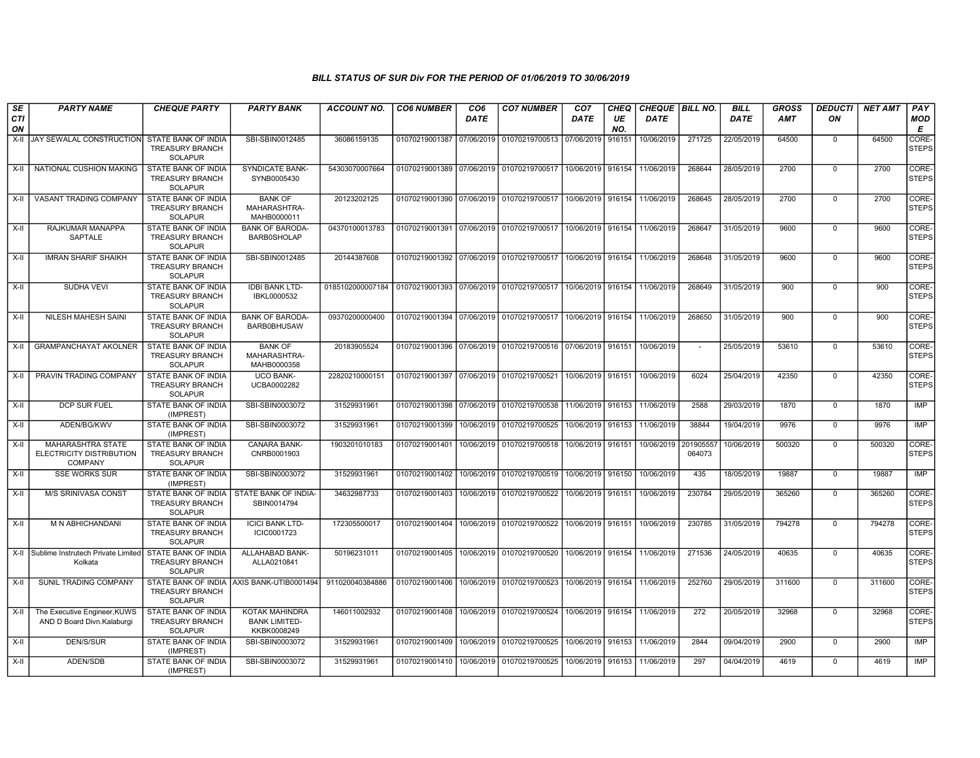| <b>SE</b> | <b>PARTY NAME</b>                                                      | <b>CHEQUE PARTY</b>                                                    | <b>PARTY BANK</b>                                     | ACCOUNT NO.                     | <b>CO6 NUMBER</b>         | CO <sub>6</sub> | <b>CO7 NUMBER</b>                                          | CO <sub>7</sub>     | <b>CHEQ</b> | <b>CHEQUE   BILL NO.</b> |                          | <b>BILL</b> | <b>GROSS</b> | <b>DEDUCTI</b> | <b>NET AMT</b> | <b>PAY</b>            |
|-----------|------------------------------------------------------------------------|------------------------------------------------------------------------|-------------------------------------------------------|---------------------------------|---------------------------|-----------------|------------------------------------------------------------|---------------------|-------------|--------------------------|--------------------------|-------------|--------------|----------------|----------------|-----------------------|
| CTI<br>ON |                                                                        |                                                                        |                                                       |                                 |                           | <b>DATE</b>     |                                                            | <b>DATE</b>         | UE<br>NO.   | <b>DATE</b>              |                          | <b>DATE</b> | AMT          | ON             |                | MOD<br>E              |
| X-II      | JAY SEWALAL CONSTRUCTION                                               | STATE BANK OF INDIA<br><b>TREASURY BRANCH</b><br><b>SOLAPUR</b>        | SBI-SBIN0012485                                       | 36086159135                     | 01070219001387            | 07/06/2019      | 01070219700513                                             | 07/06/2019          | 916151      | 10/06/2019               | 271725                   | 22/05/2019  | 64500        | $\mathbf 0$    | 64500          | CORE-<br><b>STEPS</b> |
| X-II      | NATIONAL CUSHION MAKING                                                | <b>STATE BANK OF INDIA</b><br><b>TREASURY BRANCH</b><br><b>SOLAPUR</b> | <b>SYNDICATE BANK-</b><br>SYNB0005430                 | 54303070007664                  |                           |                 | 01070219001389 07/06/2019 01070219700517 10/06/2019 916154 |                     |             | 11/06/2019               | 268644                   | 28/05/2019  | 2700         | $\mathbf 0$    | 2700           | CORE-<br>STEPS        |
| X-II      | VASANT TRADING COMPANY                                                 | STATE BANK OF INDIA<br>TREASURY BRANCH<br><b>SOLAPUR</b>               | <b>BANK OF</b><br>MAHARASHTRA-<br>MAHB0000011         | 20123202125                     | 01070219001390 07/06/2019 |                 | 01070219700517   10/06/2019   916154                       |                     |             | 11/06/2019               | 268645                   | 28/05/2019  | 2700         | $\overline{0}$ | 2700           | CORE-<br><b>STEPS</b> |
| X-II      | RAJKUMAR MANAPPA<br>SAPTALE                                            | STATE BANK OF INDIA<br><b>TREASURY BRANCH</b><br><b>SOLAPUR</b>        | <b>BANK OF BARODA-</b><br><b>BARB0SHOLAP</b>          | 04370100013783                  | 01070219001391 07/06/2019 |                 | 01070219700517   10/06/2019   916154                       |                     |             | 11/06/2019               | 268647                   | 31/05/2019  | 9600         | $\mathbf 0$    | 9600           | CORE-<br><b>STEPS</b> |
| X-II      | <b>IMRAN SHARIF SHAIKH</b>                                             | STATE BANK OF INDIA<br>TREASURY BRANCH<br><b>SOLAPUR</b>               | SBI-SBIN0012485                                       | 20144387608                     |                           |                 | 01070219001392 07/06/2019 01070219700517 10/06/2019 916154 |                     |             | 11/06/2019               | 268648                   | 31/05/2019  | 9600         | $\Omega$       | 9600           | CORE-<br><b>STEPS</b> |
| X-II      | <b>SUDHA VEVI</b>                                                      | <b>STATE BANK OF INDIA</b><br><b>TREASURY BRANCH</b><br><b>SOLAPUR</b> | <b>IDBI BANK LTD-</b><br>IBKL0000532                  | 0185102000007184 01070219001393 |                           | 07/06/2019      | 01070219700517 10/06/2019 916154                           |                     |             | 11/06/2019               | 268649                   | 31/05/2019  | 900          | $\Omega$       | 900            | CORE-<br><b>STEPS</b> |
| X-II      | NILESH MAHESH SAINI                                                    | STATE BANK OF INDIA<br><b>TREASURY BRANCH</b><br><b>SOLAPUR</b>        | <b>BANK OF BARODA</b><br><b>BARB0BHUSAW</b>           | 09370200000400                  | 01070219001394 07/06/2019 |                 | 01070219700517 10/06/2019 916154                           |                     |             | 11/06/2019               | 268650                   | 31/05/2019  | 900          | $\Omega$       | 900            | CORE-<br><b>STEPS</b> |
| X-II      | <b>GRAMPANCHAYAT AKOLNER</b>                                           | STATE BANK OF INDIA<br>TREASURY BRANCH<br><b>SOLAPUR</b>               | <b>BANK OF</b><br>MAHARASHTRA-<br>MAHB0000358         | 20183905524                     | 01070219001396 07/06/2019 |                 | 01070219700516 07/06/2019 916151                           |                     |             | 10/06/2019               | $\overline{\phantom{a}}$ | 25/05/2019  | 53610        | $\mathbf 0$    | 53610          | CORE-<br><b>STEPS</b> |
| X-II      | PRAVIN TRADING COMPANY                                                 | STATE BANK OF INDIA<br><b>TREASURY BRANCH</b><br><b>SOLAPUR</b>        | <b>UCO BANK-</b><br>UCBA0002282                       | 22820210000151                  | 01070219001397 07/06/2019 |                 | 01070219700521 10/06/2019 916151                           |                     |             | 10/06/2019               | 6024                     | 25/04/2019  | 42350        | $\mathbf 0$    | 42350          | CORE-<br>STEPS        |
| $X-II$    | DCP SUR FUEL                                                           | STATE BANK OF INDIA<br>(IMPREST)                                       | SBI-SBIN0003072                                       | 31529931961                     | 01070219001398 07/06/2019 |                 | 01070219700538                                             | 11/06/2019 916153   |             | 11/06/2019               | 2588                     | 29/03/2019  | 1870         | $\mathbf 0$    | 1870           | <b>IMP</b>            |
| X-II      | ADEN/BG/KWV                                                            | STATE BANK OF INDIA<br>(IMPREST)                                       | SBI-SBIN0003072                                       | 31529931961                     | 01070219001399            | 10/06/2019      | 01070219700525                                             | 10/06/2019   916153 |             | 11/06/2019               | 38844                    | 19/04/2019  | 9976         | $\mathbf 0$    | 9976           | <b>IMP</b>            |
| X-II      | <b>MAHARASHTRA STATE</b><br>ELECTRICITY DISTRIBUTION<br><b>COMPANY</b> | STATE BANK OF INDIA<br><b>TREASURY BRANCH</b><br><b>SOLAPUR</b>        | CANARA BANK-<br>CNRB0001903                           | 1903201010183                   | 01070219001401            | 10/06/2019      | 01070219700518 10/06/2019 916151                           |                     |             | 10/06/2019               | 201905557<br>064073      | 10/06/2019  | 500320       | $\mathbf 0$    | 500320         | CORE-<br><b>STEPS</b> |
| X-II      | <b>SSE WORKS SUR</b>                                                   | STATE BANK OF INDIA<br>(IMPREST)                                       | SBI-SBIN0003072                                       | 31529931961                     | 01070219001402            | 10/06/2019      | 01070219700519                                             | 10/06/2019 916150   |             | 10/06/2019               | 435                      | 18/05/2019  | 19887        | $\mathbf 0$    | 19887          | IMP                   |
| $X-H$     | <b>M/S SRINIVASA CONST</b>                                             | STATE BANK OF INDIA<br><b>TREASURY BRANCH</b><br><b>SOLAPUR</b>        | STATE BANK OF INDIA-<br>SBIN0014794                   | 34632987733                     | 01070219001403            | 10/06/2019      | 01070219700522                                             | 10/06/2019 916151   |             | 10/06/2019               | 230784                   | 29/05/2019  | 365260       | $\Omega$       | 365260         | CORE-<br><b>STEPS</b> |
| X-II      | M N ABHICHANDANI                                                       | STATE BANK OF INDIA<br><b>TREASURY BRANCH</b><br><b>SOLAPUR</b>        | <b>ICICI BANK LTD-</b><br>ICIC0001723                 | 172305500017                    | 01070219001404            | 10/06/2019      | 01070219700522                                             | 10/06/2019 916151   |             | 10/06/2019               | 230785                   | 31/05/2019  | 794278       | $\Omega$       | 794278         | CORE-<br><b>STEPS</b> |
|           | X-II Sublime Instrutech Private Limited<br>Kolkata                     | STATE BANK OF INDIA<br><b>TREASURY BRANCH</b><br><b>SOLAPUR</b>        | <b>ALLAHABAD BANK-</b><br>ALLA0210841                 | 50196231011                     | 01070219001405            | 10/06/2019      | 01070219700520                                             | 10/06/2019 916154   |             | 11/06/2019               | 271536                   | 24/05/2019  | 40635        | $\mathbf 0$    | 40635          | CORE-<br>STEPS        |
| X-II      | SUNIL TRADING COMPANY                                                  | <b>TREASURY BRANCH</b><br><b>SOLAPUR</b>                               | STATE BANK OF INDIA AXIS BANK-UTIB0001494             | 911020040384886                 | 01070219001406            | 10/06/2019      | 01070219700523                                             | 10/06/2019 916154   |             | 11/06/2019               | 252760                   | 29/05/2019  | 311600       | $\overline{0}$ | 311600         | CORE-<br><b>STEPS</b> |
| $X-II$    | The Executive Engineer, KUWS<br>AND D Board Divn.Kalaburgi             | STATE BANK OF INDIA<br><b>TREASURY BRANCH</b><br><b>SOLAPUR</b>        | KOTAK MAHINDRA<br><b>BANK LIMITED-</b><br>KKBK0008249 | 146011002932                    | 01070219001408            | 10/06/2019      | 01070219700524 10/06/2019 916154                           |                     |             | 11/06/2019               | 272                      | 20/05/2019  | 32968        | $\overline{0}$ | 32968          | CORE-<br><b>STEPS</b> |
| X-II      | <b>DEN/S/SUR</b>                                                       | STATE BANK OF INDIA<br>(IMPREST)                                       | SBI-SBIN0003072                                       | 31529931961                     | 01070219001409            |                 | 10/06/2019 01070219700525 10/06/2019 916153                |                     |             | 11/06/2019               | 2844                     | 09/04/2019  | 2900         | $\mathbf 0$    | 2900           | IMP                   |
| X-II      | ADEN/SDB                                                               | STATE BANK OF INDIA<br>(IMPREST)                                       | SBI-SBIN0003072                                       | 31529931961                     | 01070219001410 10/06/2019 |                 | 01070219700525   10/06/2019   916153                       |                     |             | 11/06/2019               | 297                      | 04/04/2019  | 4619         | $\mathbf 0$    | 4619           | IMP                   |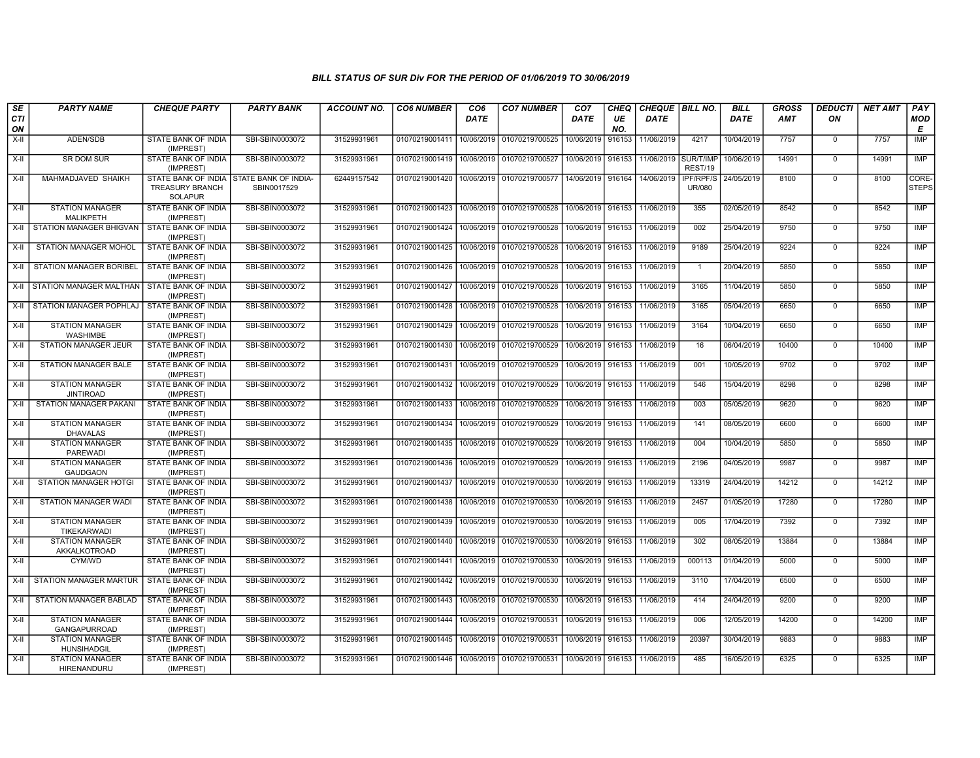| SE        | <b>PARTY NAME</b>                             | <b>CHEQUE PARTY</b>                                             | <b>PARTY BANK</b>                   | <b>ACCOUNT NO.</b> | <b>CO6 NUMBER</b>                            | CO <sub>6</sub> | <b>CO7 NUMBER</b>                        | CO <sub>7</sub>   | <b>CHEQ</b> | CHEQUE   BILL NO. |                      | <b>BILL</b> | <b>GROSS</b> | <b>DEDUCTI</b> | <b>NET AMT</b> | <b>PAY</b>            |
|-----------|-----------------------------------------------|-----------------------------------------------------------------|-------------------------------------|--------------------|----------------------------------------------|-----------------|------------------------------------------|-------------------|-------------|-------------------|----------------------|-------------|--------------|----------------|----------------|-----------------------|
| CTI<br>ON |                                               |                                                                 |                                     |                    |                                              | DATE            |                                          | <b>DATE</b>       | UE<br>NO.   | <b>DATE</b>       |                      | <b>DATE</b> | <b>AMT</b>   | ON             |                | <b>MOD</b><br>Е       |
| X-II      | ADEN/SDB                                      | STATE BANK OF INDIA<br>(IMPREST)                                | SBI-SBIN0003072                     | 31529931961        | 01070219001411                               | 10/06/2019      | 01070219700525                           | 10/06/2019        | 916153      | 11/06/2019        | 4217                 | 10/04/2019  | 7757         | $\mathbf 0$    | 7757           | IMP                   |
| X-II      | <b>SR DOM SUR</b>                             | STATE BANK OF INDIA<br>(IMPREST)                                | SBI-SBIN0003072                     | 31529931961        | 01070219001419                               | 10/06/2019      | 01070219700527                           | 10/06/2019        | 916153      | 11/06/2019        | SUR/T/IMP<br>REST/19 | 10/06/2019  | 14991        | $\mathbf 0$    | 14991          | <b>IMP</b>            |
| X-II      | MAHMADJAVED SHAIKH                            | STATE BANK OF INDIA<br><b>TREASURY BRANCH</b><br><b>SOLAPUR</b> | STATE BANK OF INDIA-<br>SBIN0017529 | 62449157542        | 01070219001420                               |                 | 10/06/2019 01070219700577                | 14/06/2019 916164 |             | 14/06/2019        | IPF/RPF/S<br>UR/080  | 24/05/2019  | 8100         | $\mathbf 0$    | 8100           | CORE-<br><b>STEPS</b> |
| X-II      | <b>STATION MANAGER</b><br>MALIKPETH           | STATE BANK OF INDIA<br>(IMPREST)                                | SBI-SBIN0003072                     | 31529931961        | 01070219001423                               |                 | 10/06/2019 01070219700528                | 10/06/2019        | 916153      | 11/06/2019        | 355                  | 02/05/2019  | 8542         | $\mathbf 0$    | 8542           | <b>IMP</b>            |
| X-II      | <b>STATION MANAGER BHIGVAN</b>                | <b>STATE BANK OF INDIA</b><br>(IMPREST)                         | SBI-SBIN0003072                     | 31529931961        | 01070219001424                               | 10/06/2019      | 01070219700528                           | 10/06/2019 916153 |             | 11/06/2019        | 002                  | 25/04/2019  | 9750         | $\mathbf 0$    | 9750           | <b>IMP</b>            |
| X-II      | <b>STATION MANAGER MOHOL</b>                  | <b>STATE BANK OF INDIA</b><br>(IMPREST)                         | SBI-SBIN0003072                     | 31529931961        |                                              |                 | 01070219001425 10/06/2019 01070219700528 | 10/06/2019 916153 |             | 11/06/2019        | 9189                 | 25/04/2019  | 9224         | $\mathbf 0$    | 9224           | <b>IMP</b>            |
| X-II      | <b>STATION MANAGER BORIBEL</b>                | <b>STATE BANK OF INDIA</b><br>(IMPREST)                         | SBI-SBIN0003072                     | 31529931961        | 01070219001426                               | 10/06/2019      | 01070219700528                           | 10/06/2019        | 916153      | 11/06/2019        | $\overline{1}$       | 20/04/2019  | 5850         | $\mathbf 0$    | 5850           | IMP                   |
| X-II      | <b>STATION MANAGER MALTHAN</b>                | STATE BANK OF INDIA<br>(IMPREST)                                | SBI-SBIN0003072                     | 31529931961        | 01070219001427                               |                 | 10/06/2019 01070219700528                | 10/06/2019 916153 |             | 11/06/2019        | 3165                 | 11/04/2019  | 5850         | $\mathbf 0$    | 5850           | IMP                   |
| X-II      | <b>STATION MANAGER POPHLAJ</b>                | STATE BANK OF INDIA<br>(IMPREST)                                | SBI-SBIN0003072                     | 31529931961        | 01070219001428                               | 10/06/2019      | 01070219700528                           | 10/06/2019        | 916153      | 11/06/2019        | 3165                 | 05/04/2019  | 6650         | $\mathbf 0$    | 6650           | <b>IMP</b>            |
| X-II      | <b>STATION MANAGER</b><br><b>WASHIMBE</b>     | <b>STATE BANK OF INDIA</b><br>(IMPREST)                         | SBI-SBIN0003072                     | 31529931961        | 01070219001429                               |                 | 10/06/2019 01070219700528                | 10/06/2019        | 916153      | 11/06/2019        | 3164                 | 10/04/2019  | 6650         | $\mathbf 0$    | 6650           | IMP                   |
| X-II      | STATION MANAGER JEUR                          | <b>STATE BANK OF INDIA</b><br>(IMPREST)                         | SBI-SBIN0003072                     | 31529931961        | 01070219001430                               | 10/06/2019      | 01070219700529                           | 10/06/2019        | 916153      | 11/06/2019        | 16                   | 06/04/2019  | 10400        | $\mathbf 0$    | 10400          | <b>IMP</b>            |
| X-II      | STATION MANAGER BALE                          | STATE BANK OF INDIA<br>(IMPREST)                                | SBI-SBIN0003072                     | 31529931961        | 01070219001431                               | 10/06/2019      | 01070219700529                           | 10/06/2019        | 916153      | 11/06/2019        | 001                  | 10/05/2019  | 9702         | $\Omega$       | 9702           | IMP                   |
| X-II      | <b>STATION MANAGER</b><br><b>JINTIROAD</b>    | STATE BANK OF INDIA<br>(IMPREST)                                | SBI-SBIN0003072                     | 31529931961        | 01070219001432                               | 10/06/2019      | 01070219700529                           | 10/06/2019 916153 |             | 11/06/2019        | 546                  | 15/04/2019  | 8298         | $\mathbf 0$    | 8298           | <b>IMP</b>            |
| X-II      | STATION MANAGER PAKANI                        | STATE BANK OF INDIA<br>(IMPREST)                                | SBI-SBIN0003072                     | 31529931961        | 01070219001433                               | 10/06/2019      | 01070219700529                           | 10/06/2019        | 916153      | 11/06/2019        | 003                  | 05/05/2019  | 9620         | $\mathbf 0$    | 9620           | IMP                   |
| $X-II$    | <b>STATION MANAGER</b><br><b>DHAVALAS</b>     | <b>STATE BANK OF INDIA</b><br>(IMPREST)                         | SBI-SBIN0003072                     | 31529931961        | 01070219001434                               |                 | 10/06/2019 01070219700529                | 10/06/2019 916153 |             | 11/06/2019        | 141                  | 08/05/2019  | 6600         | $\Omega$       | 6600           | IMP                   |
| X-II      | <b>STATION MANAGER</b><br><b>PAREWADI</b>     | STATE BANK OF INDIA<br>(IMPREST)                                | SBI-SBIN0003072                     | 31529931961        | 01070219001435                               | 10/06/2019      | 01070219700529                           | 10/06/2019        | 916153      | 11/06/2019        | 004                  | 10/04/2019  | 5850         | $\mathbf 0$    | 5850           | IMP                   |
| X-II      | <b>STATION MANAGER</b><br><b>GAUDGAON</b>     | STATE BANK OF INDIA<br>(IMPREST)                                | SBI-SBIN0003072                     | 31529931961        | 01070219001436                               | 10/06/2019      | 01070219700529                           | 10/06/2019        | 916153      | 11/06/2019        | 2196                 | 04/05/2019  | 9987         | $\mathbf 0$    | 9987           | IMP                   |
| $X-II$    | <b>STATION MANAGER HOTGI</b>                  | STATE BANK OF INDIA<br>(IMPREST)                                | SBI-SBIN0003072                     | 31529931961        | 01070219001437                               | 10/06/2019      | 01070219700530                           | 10/06/2019        | 916153      | 11/06/2019        | 13319                | 24/04/2019  | 14212        | $\mathbf 0$    | 14212          | IMP                   |
| $X-I$     | STATION MANAGER WADI                          | STATE BANK OF INDIA<br>(IMPREST)                                | SBI-SBIN0003072                     | 31529931961        | 01070219001438                               | 10/06/2019      | 01070219700530                           | 10/06/2019 916153 |             | 11/06/2019        | 2457                 | 01/05/2019  | 17280        | $\Omega$       | 17280          | IMP                   |
| $X-H$     | <b>STATION MANAGER</b><br>TIKEKARWADI         | STATE BANK OF INDIA<br>(IMPREST)                                | SBI-SBIN0003072                     | 31529931961        | 01070219001439                               | 10/06/2019      | 01070219700530                           | 10/06/2019 916153 |             | 11/06/2019        | 005                  | 17/04/2019  | 7392         | $\mathbf 0$    | 7392           | <b>IMP</b>            |
| X-II      | <b>STATION MANAGER</b><br>AKKALKOTROAD        | STATE BANK OF INDIA<br>(IMPREST)                                | SBI-SBIN0003072                     | 31529931961        | 01070219001440                               | 10/06/2019      | 01070219700530                           | 10/06/2019        | 916153      | 11/06/2019        | 302                  | 08/05/2019  | 13884        | $\mathbf 0$    | 13884          | <b>IMP</b>            |
| X-II      | CYM/WD                                        | STATE BANK OF INDIA<br>(IMPREST)                                | SBI-SBIN0003072                     | 31529931961        | 01070219001441 10/06/2019 01070219700530     |                 |                                          | 10/06/2019 916153 |             | 11/06/2019        | 000113               | 01/04/2019  | 5000         | $\mathbf 0$    | 5000           | <b>IMP</b>            |
| X-II      | STATION MANAGER MARTUR                        | STATE BANK OF INDIA<br>(IMPREST)                                | SBI-SBIN0003072                     | 31529931961        | 01070219001442                               | 10/06/2019      | 01070219700530                           | 10/06/2019 916153 |             | 11/06/2019        | 3110                 | 17/04/2019  | 6500         | $\mathbf 0$    | 6500           | IMP                   |
| $X-H$     | <b>STATION MANAGER BABLAD</b>                 | <b>STATE BANK OF INDIA</b><br>(IMPREST)                         | SBI-SBIN0003072                     | 31529931961        | 01070219001443                               | 10/06/2019      | 01070219700530                           | 10/06/2019        | 916153      | 11/06/2019        | 414                  | 24/04/2019  | 9200         | $\mathbf 0$    | 9200           | <b>IMP</b>            |
| $X-H$     | <b>STATION MANAGER</b><br><b>GANGAPURROAD</b> | STATE BANK OF INDIA<br>(IMPREST)                                | SBI-SBIN0003072                     | 31529931961        | 01070219001444 10/06/2019                    |                 | 01070219700531                           | 10/06/2019        | 916153      | 11/06/2019        | 006                  | 12/05/2019  | 14200        | $\mathbf 0$    | 14200          | <b>IMP</b>            |
| $X-H$     | <b>STATION MANAGER</b><br>HUNSIHADGIL         | STATE BANK OF INDIA<br>(IMPREST)                                | SBI-SBIN0003072                     | 31529931961        | 01070219001445 10/06/2019                    |                 | 01070219700531                           | 10/06/2019 916153 |             | 11/06/2019        | 20397                | 30/04/2019  | 9883         | $\Omega$       | 9883           | <b>IMP</b>            |
| X-II      | <b>STATION MANAGER</b><br>HIRENANDURU         | <b>STATE BANK OF INDIA</b><br>(IMPREST)                         | SBI-SBIN0003072                     | 31529931961        | 01070219001446   10/06/2019   01070219700531 |                 |                                          | 10/06/2019        | 916153      | 11/06/2019        | 485                  | 16/05/2019  | 6325         | $\mathbf 0$    | 6325           | <b>IMP</b>            |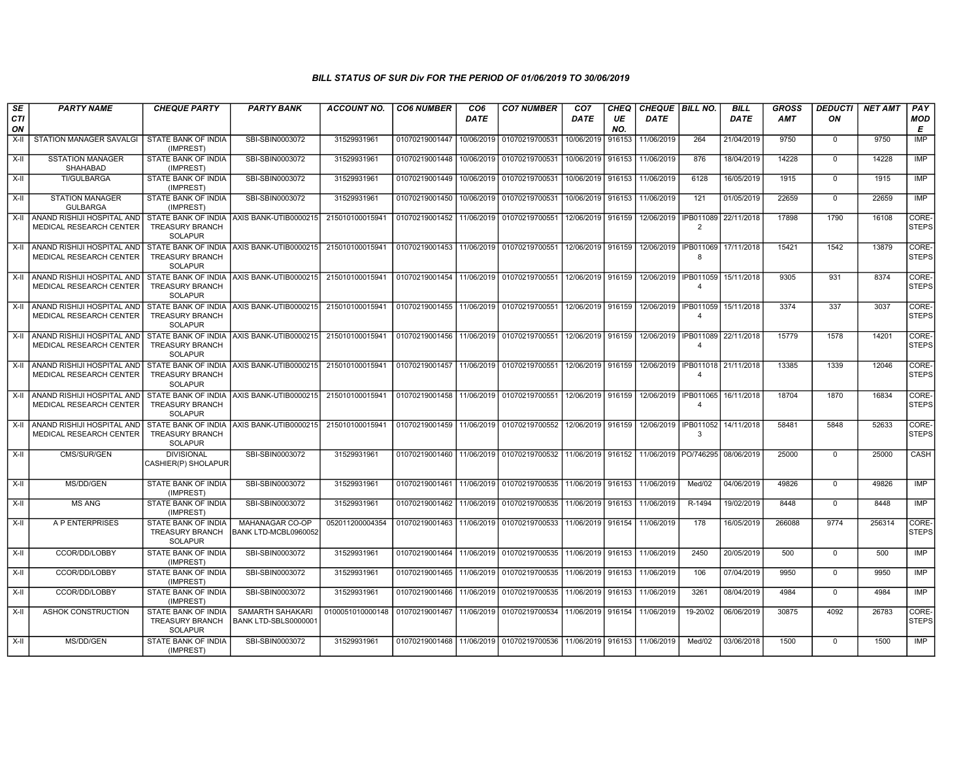| SE<br><b>CTI</b> | <b>PARTY NAME</b>                                     | <b>CHEQUE PARTY</b>                                             | <b>PARTY BANK</b>                         | <b>ACCOUNT NO.</b> | <b>CO6 NUMBER</b>                        | CO <sub>6</sub><br><b>DATE</b> | <b>CO7 NUMBER</b>                                                                          | CO <sub>7</sub><br>DATE | CHEQ<br>UE | CHEQUE BILL NO.<br><b>DATE</b>    |                                       | <b>BILL</b><br><b>DATE</b> | <b>GROSS</b><br><b>AMT</b> | <b>DEDUCTI</b><br>ON | <b>NET AMT</b> | PAY                   |
|------------------|-------------------------------------------------------|-----------------------------------------------------------------|-------------------------------------------|--------------------|------------------------------------------|--------------------------------|--------------------------------------------------------------------------------------------|-------------------------|------------|-----------------------------------|---------------------------------------|----------------------------|----------------------------|----------------------|----------------|-----------------------|
| ON               |                                                       |                                                                 |                                           |                    |                                          |                                |                                                                                            |                         | NO.        |                                   |                                       |                            |                            |                      |                | <b>MOD</b><br>E       |
| $X-II$           | <b>STATION MANAGER SAVALGI</b>                        | STATE BANK OF INDIA<br>(IMPREST)                                | SBI-SBIN0003072                           | 31529931961        | 01070219001447                           | 10/06/2019                     | 01070219700531                                                                             | 10/06/2019              | 916153     | 11/06/2019                        | 264                                   | 21/04/2019                 | 9750                       | $\mathbf 0$          | 9750           | <b>IMP</b>            |
| $X-H$            | <b>SSTATION MANAGER</b><br><b>SHAHABAD</b>            | STATE BANK OF INDIA<br>(IMPREST)                                | SBI-SBIN0003072                           | 31529931961        | 01070219001448                           | 10/06/2019                     | 01070219700531                                                                             | 10/06/2019 916153       |            | 11/06/2019                        | 876                                   | 18/04/2019                 | 14228                      | $\mathbf 0$          | 14228          | IMP                   |
| $X-II$           | <b>TI/GULBARGA</b>                                    | STATE BANK OF INDIA<br>(IMPREST)                                | SBI-SBIN0003072                           | 31529931961        | 01070219001449                           | 10/06/2019                     | 01070219700531                                                                             | 10/06/2019 916153       |            | 11/06/2019                        | 6128                                  | 16/05/2019                 | 1915                       | $\overline{0}$       | 1915           | <b>IMP</b>            |
| $X-H$            | <b>STATION MANAGER</b><br><b>GULBARGA</b>             | <b>STATE BANK OF INDIA</b><br>(IMPREST)                         | SBI-SBIN0003072                           | 31529931961        | 01070219001450                           | 10/06/2019                     | 01070219700531                                                                             | 10/06/2019 916153       |            | 11/06/2019                        | 121                                   | 01/05/2019                 | 22659                      | $\Omega$             | 22659          | IMP                   |
| $X-H$            | ANAND RISHIJI HOSPITAL AND<br>MEDICAL RESEARCH CENTER | <b>TREASURY BRANCH</b><br><b>SOLAPUR</b>                        | STATE BANK OF INDIA AXIS BANK-UTIB0000215 | 215010100015941    | 01070219001452                           | 11/06/2019                     | 01070219700551                                                                             | 12/06/2019 916159       |            | 12/06/2019                        | IPB011089<br>$\overline{2}$           | 22/11/2018                 | 17898                      | 1790                 | 16108          | CORE-<br><b>STEPS</b> |
| X-II             | ANAND RISHIJI HOSPITAL AND<br>MEDICAL RESEARCH CENTER | <b>TREASURY BRANCH</b><br><b>SOLAPUR</b>                        | STATE BANK OF INDIA AXIS BANK-UTIB0000215 | 215010100015941    | 01070219001453 11/06/2019 01070219700551 |                                |                                                                                            | 12/06/2019 916159       |            | 12/06/2019                        | IPB011069 17/11/2018<br>8             |                            | 15421                      | 1542                 | 13879          | CORE-<br><b>STEPS</b> |
| X-II             | ANAND RISHIJI HOSPITAL AND<br>MEDICAL RESEARCH CENTER | TREASURY BRANCH<br><b>SOLAPUR</b>                               | STATE BANK OF INDIA AXIS BANK-UTIB0000215 | 215010100015941    | 01070219001454 11/06/2019                |                                | 01070219700551                                                                             | 12/06/2019 916159       |            | 12/06/2019                        | IPB011059<br>$\overline{4}$           | 15/11/2018                 | 9305                       | 931                  | 8374           | CORE-<br><b>STEPS</b> |
| X-II             | ANAND RISHIJI HOSPITAL AND<br>MEDICAL RESEARCH CENTER | <b>TREASURY BRANCH</b><br><b>SOLAPUR</b>                        | STATE BANK OF INDIA AXIS BANK-UTIB0000215 | 215010100015941    | 01070219001455 11/06/2019                |                                | 01070219700551                                                                             | 12/06/2019 916159       |            | 12/06/2019                        | IPB011059  <br>$\boldsymbol{\Lambda}$ | 15/11/2018                 | 3374                       | 337                  | 3037           | CORE-<br><b>STEPS</b> |
| X-II             | ANAND RISHIJI HOSPITAL AND<br>MEDICAL RESEARCH CENTER | <b>TREASURY BRANCH</b><br><b>SOLAPUR</b>                        | STATE BANK OF INDIA AXIS BANK-UTIB0000215 | 215010100015941    | 01070219001456 11/06/2019 01070219700551 |                                |                                                                                            | 12/06/2019 916159       |            | 12/06/2019   IPB011089 22/11/2018 | $\boldsymbol{\Lambda}$                |                            | 15779                      | 1578                 | 14201          | CORE-<br><b>STEPS</b> |
| X-II             | ANAND RISHIJI HOSPITAL AND<br>MEDICAL RESEARCH CENTER | <b>TREASURY BRANCH</b><br><b>SOLAPUR</b>                        | STATE BANK OF INDIA AXIS BANK-UTIB0000215 | 215010100015941    | 01070219001457 11/06/2019 01070219700551 |                                |                                                                                            | 12/06/2019 916159       |            | 12/06/2019 IPB011018 21/11/2018   | $\boldsymbol{\Lambda}$                |                            | 13385                      | 1339                 | 12046          | CORE-<br><b>STEPS</b> |
| X-II             | ANAND RISHIJI HOSPITAL AND<br>MEDICAL RESEARCH CENTER | <b>TREASURY BRANCH</b><br><b>SOLAPUR</b>                        | STATE BANK OF INDIA AXIS BANK-UTIB0000215 | 215010100015941    | 01070219001458 11/06/2019 01070219700551 |                                |                                                                                            | 12/06/2019 916159       |            | 12/06/2019   IPB011065            | $\boldsymbol{\Lambda}$                | 16/11/2018                 | 18704                      | 1870                 | 16834          | CORE-<br><b>STEPS</b> |
| X-II             | ANAND RISHIJI HOSPITAL AND<br>MEDICAL RESEARCH CENTER | <b>TREASURY BRANCH</b><br>SOLAPUR                               | STATE BANK OF INDIA AXIS BANK-UTIB0000215 | 215010100015941    |                                          |                                | 01070219001459 11/06/2019 01070219700552 12/06/2019 916159 12/06/2019 IPB011052 14/11/2018 |                         |            |                                   | $\mathcal{R}$                         |                            | 58481                      | 5848                 | 52633          | CORE-<br><b>STEPS</b> |
| $X-II$           | CMS/SUR/GEN                                           | <b>DIVISIONAL</b><br>CASHIER(P) SHOLAPUR                        | SBI-SBIN0003072                           | 31529931961        | 01070219001460                           |                                | 11/06/2019 01070219700532 11/06/2019 916152 11/06/2019 PO/746295 08/06/2019                |                         |            |                                   |                                       |                            | 25000                      | $\mathbf 0$          | 25000          | CASH                  |
| X-II             | MS/DD/GEN                                             | STATE BANK OF INDIA<br>(IMPREST)                                | SBI-SBIN0003072                           | 31529931961        | 01070219001461                           | 11/06/2019                     | 01070219700535 11/06/2019 916153                                                           |                         |            | 11/06/2019                        | Med/02                                | 04/06/2019                 | 49826                      | $\mathbf 0$          | 49826          | IMP                   |
| X-II             | <b>MS ANG</b>                                         | STATE BANK OF INDIA<br>(IMPREST)                                | SBI-SBIN0003072                           | 31529931961        | 01070219001462                           | 11/06/2019                     | 01070219700535 11/06/2019 916153                                                           |                         |            | 11/06/2019                        | R-1494                                | 19/02/2019                 | 8448                       | $\mathbf 0$          | 8448           | IMP                   |
| X-II             | A P ENTERPRISES                                       | STATE BANK OF INDIA<br><b>TREASURY BRANCH</b><br><b>SOLAPUR</b> | MAHANAGAR CO-OP<br>BANK LTD-MCBL0960052   | 052011200004354    | 01070219001463                           |                                | 11/06/2019 01070219700533                                                                  | 11/06/2019 916154       |            | 11/06/2019                        | 178                                   | 16/05/2019                 | 266088                     | 9774                 | 256314         | CORE-<br><b>STEPS</b> |
| X-II             | CCOR/DD/LOBBY                                         | STATE BANK OF INDIA<br>(IMPREST)                                | SBI-SBIN0003072                           | 31529931961        | 01070219001464                           |                                | 11/06/2019 01070219700535 11/06/2019 916153                                                |                         |            | 11/06/2019                        | 2450                                  | 20/05/2019                 | 500                        | $\mathbf 0$          | 500            | IMP                   |
| $X-II$           | CCOR/DD/LOBBY                                         | STATE BANK OF INDIA<br>(IMPREST)                                | SBI-SBIN0003072                           | 31529931961        | 01070219001465                           | 11/06/2019                     | 01070219700535                                                                             | 11/06/2019 916153       |            | 11/06/2019                        | 106                                   | 07/04/2019                 | 9950                       | $\mathbf 0$          | 9950           | IMP                   |
| X-II             | CCOR/DD/LOBBY                                         | STATE BANK OF INDIA<br>(IMPREST)                                | SBI-SBIN0003072                           | 31529931961        |                                          |                                | 01070219001466   11/06/2019   01070219700535   11/06/2019   916153                         |                         |            | 11/06/2019                        | 3261                                  | 08/04/2019                 | 4984                       | $\mathbf 0$          | 4984           | <b>IMP</b>            |
| X-II             | ASHOK CONSTRUCTION                                    | STATE BANK OF INDIA<br><b>TREASURY BRANCH</b><br>SOLAPUR        | SAMARTH SAHAKARI<br>BANK LTD-SBLS0000001  | 0100051010000148   | 01070219001467                           | 11/06/2019                     | 01070219700534                                                                             | 11/06/2019 916154       |            | 11/06/2019                        | 19-20/02                              | 06/06/2019                 | 30875                      | 4092                 | 26783          | CORE-<br>STEPS        |
| X-II             | MS/DD/GEN                                             | STATE BANK OF INDIA<br>(IMPREST)                                | SBI-SBIN0003072                           | 31529931961        |                                          |                                | 01070219001468   11/06/2019   01070219700536   11/06/2019   916153                         |                         |            | 11/06/2019                        | Med/02                                | 03/06/2018                 | 1500                       | $\mathbf 0$          | 1500           | IMP                   |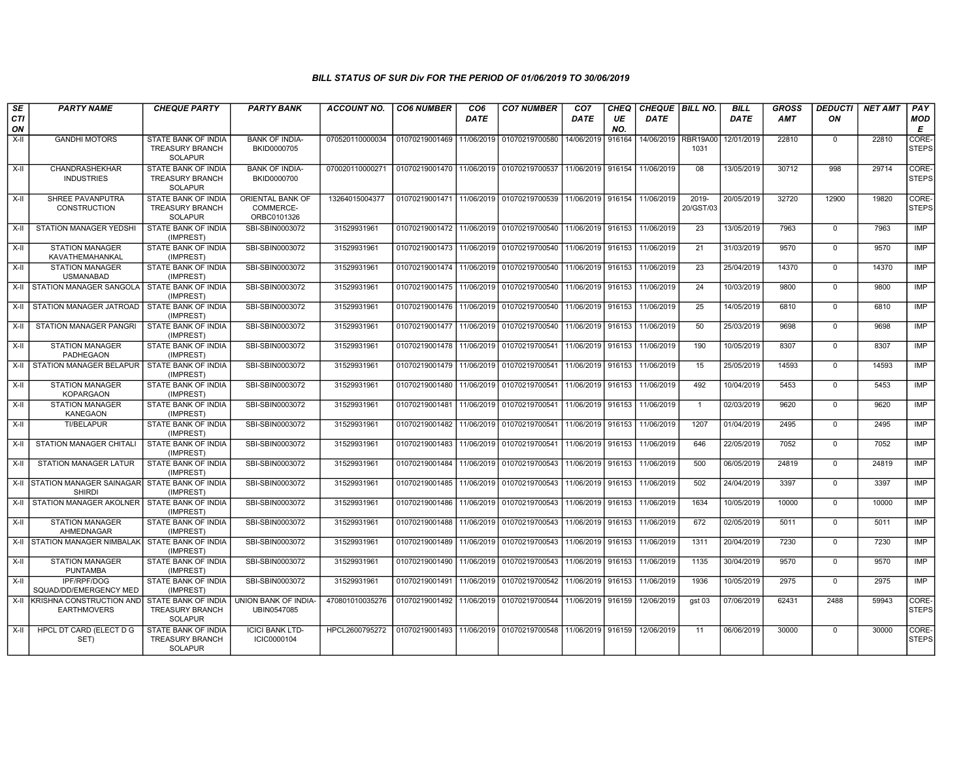| SE<br><b>CTI</b> | <b>PARTY NAME</b>                                                  | <b>CHEQUE PARTY</b>                                                    | <b>PARTY BANK</b>                            | <b>ACCOUNT NO.</b> | <b>CO6 NUMBER</b>         | CO <sub>6</sub><br><b>DATE</b> | <b>CO7 NUMBER</b>                                      | CO <sub>7</sub><br>DATE | CHEQ<br>UE | CHEQUE BILL NO.<br>DATE |                         | <b>BILL</b><br><b>DATE</b> | <b>GROSS</b><br><b>AMT</b> | <b>DEDUCTI</b><br>ON | <b>NET AMT</b> | PAY<br><b>MOD</b>     |
|------------------|--------------------------------------------------------------------|------------------------------------------------------------------------|----------------------------------------------|--------------------|---------------------------|--------------------------------|--------------------------------------------------------|-------------------------|------------|-------------------------|-------------------------|----------------------------|----------------------------|----------------------|----------------|-----------------------|
| ON               |                                                                    |                                                                        |                                              |                    |                           |                                |                                                        |                         | NO.        |                         |                         |                            |                            |                      |                | E                     |
| $X-H$            | <b>GANDHI MOTORS</b>                                               | STATE BANK OF INDIA<br><b>TREASURY BRANCH</b><br><b>SOLAPUR</b>        | <b>BANK OF INDIA-</b><br>BKID0000705         | 070520110000034    | 01070219001469            | 11/06/2019                     | 01070219700580                                         | 14/06/2019              | 916164     | 14/06/2019              | <b>RBR19A00</b><br>1031 | 12/01/2019                 | 22810                      | $\mathbf 0$          | 22810          | CORE-<br><b>STEPS</b> |
| $X-H$            | CHANDRASHEKHAR<br><b>INDUSTRIES</b>                                | <b>STATE BANK OF INDIA</b><br><b>TREASURY BRANCH</b><br><b>SOLAPUR</b> | <b>BANK OF INDIA-</b><br>BKID0000700         | 070020110000271    | 01070219001470            |                                | 11/06/2019 01070219700537                              | 11/06/2019 916154       |            | 11/06/2019              | 08                      | 13/05/2019                 | 30712                      | 998                  | 29714          | CORE-<br><b>STEPS</b> |
| $X-II$           | SHREE PAVANPUTRA<br><b>CONSTRUCTION</b>                            | STATE BANK OF INDIA<br><b>TREASURY BRANCH</b><br><b>SOLAPUR</b>        | ORIENTAL BANK OF<br>COMMERCE-<br>ORBC0101326 | 13264015004377     | 01070219001471            | 11/06/2019                     | 01070219700539                                         | 11/06/2019 916154       |            | 11/06/2019              | 2019-<br>20/GST/03      | 20/05/2019                 | 32720                      | 12900                | 19820          | CORE-<br><b>STEPS</b> |
| X-II             | STATION MANAGER YEDSHI                                             | STATE BANK OF INDIA<br>(IMPREST)                                       | SBI-SBIN0003072                              | 31529931961        | 01070219001472            | 11/06/2019                     | 01070219700540                                         | 11/06/2019              | 916153     | 11/06/2019              | 23                      | 13/05/2019                 | 7963                       | $\mathbf 0$          | 7963           | IMP                   |
| $X-II$           | <b>STATION MANAGER</b><br>KAVATHEMAHANKAL                          | STATE BANK OF INDIA<br>(IMPREST)                                       | SBI-SBIN0003072                              | 31529931961        | 01070219001473 11/06/2019 |                                | 01070219700540 11/06/2019 916153                       |                         |            | 11/06/2019              | 21                      | 31/03/2019                 | 9570                       | $\mathbf 0$          | 9570           | <b>IMP</b>            |
| $X-H$            | <b>STATION MANAGER</b><br><b>USMANABAD</b>                         | STATE BANK OF INDIA<br>(IMPREST)                                       | SBI-SBIN0003072                              | 31529931961        | 01070219001474            | 11/06/2019                     | 01070219700540 11/06/2019 916153                       |                         |            | 11/06/2019              | 23                      | 25/04/2019                 | 14370                      | $\overline{0}$       | 14370          | <b>IMP</b>            |
| $X-H$            | STATION MANAGER SANGOLA                                            | <b>STATE BANK OF INDIA</b><br>(IMPREST)                                | SBI-SBIN0003072                              | 31529931961        | 01070219001475            | 11/06/2019                     | 01070219700540                                         | 11/06/2019 916153       |            | 11/06/2019              | $\overline{24}$         | 10/03/2019                 | 9800                       | $\Omega$             | 9800           | IMP                   |
| $X-H$            | STATION MANAGER JATROAD I STATE BANK OF INDIA                      | (IMPREST)                                                              | SBI-SBIN0003072                              | 31529931961        | 01070219001476            | 11/06/2019                     | 01070219700540                                         | 11/06/2019 916153       |            | 11/06/2019              | 25                      | 14/05/2019                 | 6810                       | $\mathbf 0$          | 6810           | <b>IMP</b>            |
| X-II             | <b>STATION MANAGER PANGRI</b>                                      | STATE BANK OF INDIA<br>(IMPREST)                                       | SBI-SBIN0003072                              | 31529931961        | 01070219001477            | 11/06/2019                     | 01070219700540                                         | 11/06/2019   916153     |            | 11/06/2019              | 50                      | 25/03/2019                 | 9698                       | $\mathbf 0$          | 9698           | IMP                   |
| X-II             | <b>STATION MANAGER</b><br>PADHEGAON                                | STATE BANK OF INDIA<br>(IMPREST)                                       | SBI-SBIN0003072                              | 31529931961        | 01070219001478            | 11/06/2019                     | 01070219700541                                         | 11/06/2019 916153       |            | 11/06/2019              | 190                     | 10/05/2019                 | 8307                       | $\mathbf 0$          | 8307           | <b>IMP</b>            |
| X-II             | STATION MANAGER BELAPUR   STATE BANK OF INDIA                      | (IMPREST)                                                              | SBI-SBIN0003072                              | 31529931961        | 01070219001479            | 11/06/2019                     | 01070219700541                                         | 11/06/2019 916153       |            | 11/06/2019              | 15                      | 25/05/2019                 | 14593                      | $\mathbf 0$          | 14593          | <b>IMP</b>            |
| $X-II$           | <b>STATION MANAGER</b><br><b>KOPARGAON</b>                         | <b>STATE BANK OF INDIA</b><br>(IMPREST)                                | SBI-SBIN0003072                              | 31529931961        | 01070219001480            | 11/06/2019                     | 01070219700541                                         | 11/06/2019 916153       |            | 11/06/2019              | 492                     | 10/04/2019                 | 5453                       | $\Omega$             | 5453           | IMP                   |
| $X-H$            | <b>STATION MANAGER</b><br><b>KANEGAON</b>                          | <b>STATE BANK OF INDIA</b><br>(IMPREST)                                | SBI-SBIN0003072                              | 31529931961        | 01070219001481            | 11/06/2019                     | 01070219700541                                         | 11/06/2019 916153       |            | 11/06/2019              | $\overline{1}$          | 02/03/2019                 | 9620                       | $\Omega$             | 9620           | IMP                   |
| $X-II$           | <b>TI/BELAPUR</b>                                                  | STATE BANK OF INDIA<br>(IMPREST)                                       | SBI-SBIN0003072                              | 31529931961        | 01070219001482            | 11/06/2019                     | 01070219700541                                         | 11/06/2019 916153       |            | 11/06/2019              | 1207                    | 01/04/2019                 | 2495                       | $\overline{0}$       | 2495           | <b>IMP</b>            |
| $X-H$            | <b>STATION MANAGER CHITALI</b>                                     | STATE BANK OF INDIA<br>(IMPREST)                                       | SBI-SBIN0003072                              | 31529931961        | 01070219001483            | 11/06/2019                     | 01070219700541 11/06/2019 916153                       |                         |            | 11/06/2019              | 646                     | 22/05/2019                 | 7052                       | $\mathbf 0$          | 7052           | <b>IMP</b>            |
| X-II             | STATION MANAGER LATUR                                              | <b>STATE BANK OF INDIA</b><br>(IMPREST)                                | SBI-SBIN0003072                              | 31529931961        | 01070219001484            | 11/06/2019                     | 01070219700543                                         | 11/06/2019 916153       |            | 11/06/2019              | 500                     | 06/05/2019                 | 24819                      | $\mathbf 0$          | 24819          | IMP                   |
|                  | X-II STATION MANAGER SAINAGAR STATE BANK OF INDIA<br><b>SHIRDI</b> | (IMPREST)                                                              | SBI-SBIN0003072                              | 31529931961        | 01070219001485            | 11/06/2019                     | 01070219700543                                         | 11/06/2019 916153       |            | 11/06/2019              | 502                     | 24/04/2019                 | 3397                       | $\mathbf 0$          | 3397           | IMP                   |
| $X-H$            | STATION MANAGER AKOLNER                                            | STATE BANK OF INDIA<br>(IMPREST)                                       | SBI-SBIN0003072                              | 31529931961        | 01070219001486            | 11/06/2019                     | 01070219700543                                         | 11/06/2019   916153     |            | 11/06/2019              | 1634                    | 10/05/2019                 | 10000                      | $\mathbf 0$          | 10000          | <b>IMP</b>            |
| $X-H$            | <b>STATION MANAGER</b><br>AHMEDNAGAR                               | STATE BANK OF INDIA<br>(IMPREST)                                       | SBI-SBIN0003072                              | 31529931961        | 01070219001488            | 11/06/2019                     | 01070219700543                                         | 11/06/2019 916153       |            | 11/06/2019              | 672                     | 02/05/2019                 | 5011                       | $\overline{0}$       | 5011           | IMP                   |
|                  | X-II STATION MANAGER NIMBALAK STATE BANK OF INDIA                  | (IMPREST)                                                              | SBI-SBIN0003072                              | 31529931961        | 01070219001489            | 11/06/2019                     | 01070219700543                                         | 11/06/2019 916153       |            | 11/06/2019              | 1311                    | 20/04/2019                 | 7230                       | $\Omega$             | 7230           | IMP                   |
| $X-II$           | <b>STATION MANAGER</b><br><b>PUNTAMBA</b>                          | STATE BANK OF INDIA<br>(IMPREST)                                       | SBI-SBIN0003072                              | 31529931961        | 01070219001490            | 11/06/2019                     | 01070219700543                                         | 11/06/2019 916153       |            | 11/06/2019              | 1135                    | 30/04/2019                 | 9570                       | $\mathbf 0$          | 9570           | <b>IMP</b>            |
| $X-II$           | IPF/RPF/DOG<br>SQUAD/DD/EMERGENCY MED                              | STATE BANK OF INDIA<br>(IMPREST)                                       | SBI-SBIN0003072                              | 31529931961        | 01070219001491            | 11/06/2019                     | 01070219700542                                         | 11/06/2019   916153     |            | 11/06/2019              | 1936                    | 10/05/2019                 | 2975                       | $\mathbf 0$          | 2975           | <b>IMP</b>            |
| $X-H$            | <b>KRISHNA CONSTRUCTION AND</b><br><b>EARTHMOVERS</b>              | STATE BANK OF INDIA<br><b>TREASURY BRANCH</b><br><b>SOLAPUR</b>        | UNION BANK OF INDIA-<br>UBIN0547085          | 470801010035276    | 01070219001492            | 11/06/2019                     | 01070219700544 11/06/2019 916159                       |                         |            | 12/06/2019              | $gst$ 03                | 07/06/2019                 | 62431                      | 2488                 | 59943          | CORE-<br><b>STEPS</b> |
| $X-H$            | HPCL DT CARD (ELECT D G<br>SET)                                    | STATE BANK OF INDIA<br><b>TREASURY BRANCH</b><br>SOLAPUR               | <b>ICICI BANK LTD-</b><br>ICIC0000104        | HPCL2600795272     | 01070219001493            |                                | 11/06/2019 01070219700548 11/06/2019 916159 12/06/2019 |                         |            |                         | 11                      | 06/06/2019                 | 30000                      | $\mathbf 0$          | 30000          | CORE-<br><b>STEPS</b> |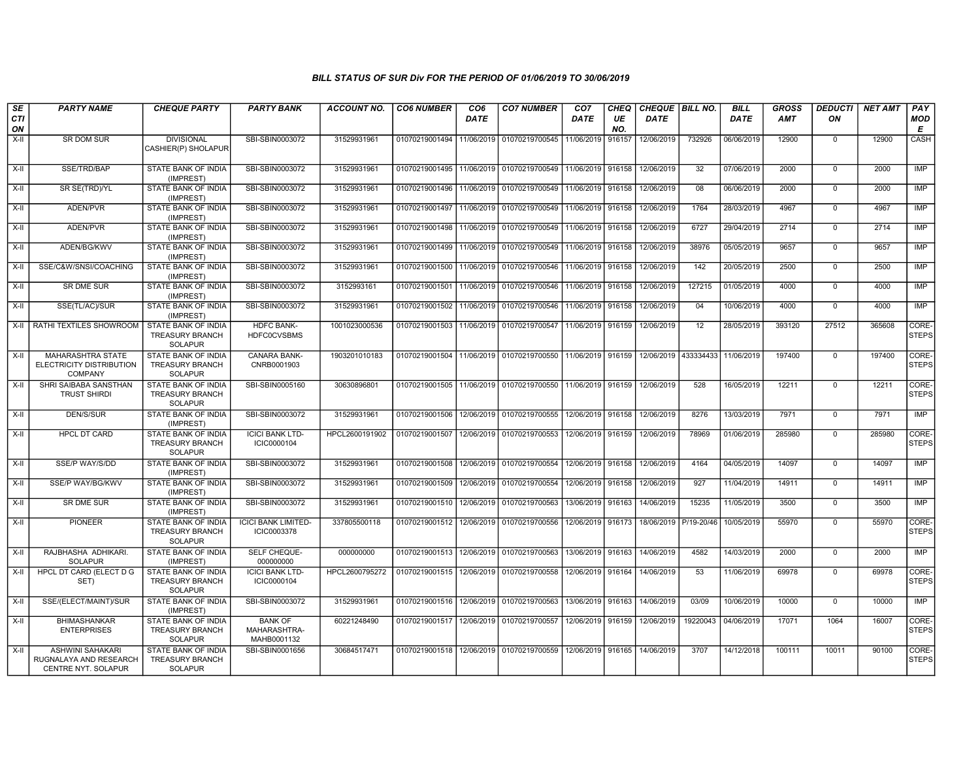| SE<br>CTI<br>ON | <b>PARTY NAME</b>                                                        | <b>CHEQUE PARTY</b>                                                    | <b>PARTY BANK</b>                             | <b>ACCOUNT NO.</b> | <b>CO6 NUMBER</b>                            | CO <sub>6</sub><br><b>DATE</b> | <b>CO7 NUMBER</b>                        | CO <sub>7</sub><br>DATE | <b>CHEQ</b><br>UE<br>NO. | CHEQUE   BILL NO.<br>DATE |            | <b>BILL</b><br><b>DATE</b> | <b>GROSS</b><br><b>AMT</b> | <b>DEDUCTI</b><br>ΟN | <b>NET AMT</b> | PAY<br><b>MOD</b><br>Е |
|-----------------|--------------------------------------------------------------------------|------------------------------------------------------------------------|-----------------------------------------------|--------------------|----------------------------------------------|--------------------------------|------------------------------------------|-------------------------|--------------------------|---------------------------|------------|----------------------------|----------------------------|----------------------|----------------|------------------------|
| $X-H$           | SR DOM SUR                                                               | <b>DIVISIONAL</b><br>CASHIER(P) SHOLAPUR                               | SBI-SBIN0003072                               | 31529931961        | 01070219001494 11/06/2019 01070219700545     |                                |                                          | 11/06/2019              | 916157                   | 12/06/2019                | 732926     | 06/06/2019                 | 12900                      | $\mathbf 0$          | 12900          | CASH                   |
| X-II            | SSE/TRD/BAP                                                              | <b>STATE BANK OF INDIA</b><br>(IMPREST)                                | SBI-SBIN0003072                               | 31529931961        |                                              |                                | 01070219001495 11/06/2019 01070219700549 | 11/06/2019 916158       |                          | 12/06/2019                | 32         | 07/06/2019                 | 2000                       | $\mathbf 0$          | 2000           | IMP                    |
| X-II            | SR SE(TRD)/YL                                                            | STATE BANK OF INDIA<br>(IMPREST)                                       | SBI-SBIN0003072                               | 31529931961        |                                              |                                | 01070219001496 11/06/2019 01070219700549 | 11/06/2019              | 916158                   | 12/06/2019                | 08         | 06/06/2019                 | 2000                       | $\mathbf 0$          | 2000           | IMP                    |
| X-II            | ADEN/PVR                                                                 | STATE BANK OF INDIA<br>(IMPREST)                                       | SBI-SBIN0003072                               | 31529931961        | 01070219001497                               |                                | 11/06/2019 01070219700549                | 11/06/2019              | 916158                   | 12/06/2019                | 1764       | 28/03/2019                 | 4967                       | $\mathbf 0$          | 4967           | IMP                    |
| $X-II$          | ADEN/PVR                                                                 | STATE BANK OF INDIA<br>(IMPREST)                                       | SBI-SBIN0003072                               | 31529931961        |                                              |                                | 01070219001498 11/06/2019 01070219700549 | 11/06/2019 916158       |                          | 12/06/2019                | 6727       | 29/04/2019                 | 2714                       | $\mathbf 0$          | 2714           | IMP                    |
| X-II            | ADEN/BG/KWV                                                              | <b>STATE BANK OF INDIA</b><br>(IMPREST)                                | SBI-SBIN0003072                               | 31529931961        | 01070219001499 11/06/2019 01070219700549     |                                |                                          | 11/06/2019 916158       |                          | 12/06/2019                | 38976      | 05/05/2019                 | 9657                       | $\mathbf 0$          | 9657           | <b>IMP</b>             |
| X-II            | SSE/C&W/SNSI/COACHING                                                    | <b>STATE BANK OF INDIA</b><br>(IMPREST)                                | SBI-SBIN0003072                               | 31529931961        | 01070219001500 11/06/2019                    |                                | 01070219700546                           | 11/06/2019              | 916158                   | 12/06/2019                | 142        | 20/05/2019                 | 2500                       | $\mathbf 0$          | 2500           | IMP                    |
| X-II            | SR DME SUR                                                               | STATE BANK OF INDIA<br>(IMPREST)                                       | SBI-SBIN0003072                               | 3152993161         | 01070219001501                               |                                | 11/06/2019 01070219700546                | 11/06/2019 916158       |                          | 12/06/2019                | 127215     | 01/05/2019                 | 4000                       | $\mathbf 0$          | 4000           | IMP                    |
| X-II            | SSE(TL/AC)/SUR                                                           | STATE BANK OF INDIA<br>(IMPREST)                                       | SBI-SBIN0003072                               | 31529931961        | 01070219001502 11/06/2019 01070219700546     |                                |                                          | 11/06/2019              | 916158                   | 12/06/2019                | 04         | 10/06/2019                 | 4000                       | $\mathbf 0$          | 4000           | IMP                    |
| X-II            | RATHI TEXTILES SHOWROOM                                                  | STATE BANK OF INDIA<br><b>TREASURY BRANCH</b><br><b>SOLAPUR</b>        | <b>HDFC BANK-</b><br><b>HDFC0CVSBMS</b>       | 1001023000536      |                                              |                                | 01070219001503 11/06/2019 01070219700547 | 11/06/2019 916159       |                          | 12/06/2019                | 12         | 28/05/2019                 | 393120                     | 27512                | 365608         | CORE-<br><b>STEPS</b>  |
| $X-II$          | <b>MAHARASHTRA STATE</b><br>ELECTRICITY DISTRIBUTION<br><b>COMPANY</b>   | STATE BANK OF INDIA<br><b>TREASURY BRANCH</b><br><b>SOLAPUR</b>        | CANARA BANK-<br>CNRB0001903                   | 1903201010183      |                                              |                                | 01070219001504 11/06/2019 01070219700550 | 11/06/2019 916159       |                          | 12/06/2019                | 433334433  | 11/06/2019                 | 197400                     | $\mathbf 0$          | 197400         | CORE-<br><b>STEPS</b>  |
| X-II            | SHRI SAIBABA SANSTHAN<br><b>TRUST SHIRDI</b>                             | STATE BANK OF INDIA<br><b>TREASURY BRANCH</b><br><b>SOLAPUR</b>        | SBI-SBIN0005160                               | 30630896801        | 01070219001505 11/06/2019 01070219700550     |                                |                                          | 11/06/2019 916159       |                          | 12/06/2019                | 528        | 16/05/2019                 | 12211                      | $\mathbf 0$          | 12211          | CORE-<br><b>STEPS</b>  |
| $X-H$           | <b>DEN/S/SUR</b>                                                         | <b>STATE BANK OF INDIA</b><br>(IMPREST)                                | SBI-SBIN0003072                               | 31529931961        | 01070219001506 12/06/2019 01070219700555     |                                |                                          | 12/06/2019              | 916158                   | 12/06/2019                | 8276       | 13/03/2019                 | 7971                       | $\overline{0}$       | 7971           | IMP                    |
| $X-H$           | <b>HPCL DT CARD</b>                                                      | <b>STATE BANK OF INDIA</b><br><b>TREASURY BRANCH</b><br><b>SOLAPUR</b> | <b>ICICI BANK LTD-</b><br>ICIC0000104         | HPCL2600191902     | 01070219001507 12/06/2019 01070219700553     |                                |                                          | 12/06/2019 916159       |                          | 12/06/2019                | 78969      | 01/06/2019                 | 285980                     | $\Omega$             | 285980         | CORE-<br><b>STEPS</b>  |
| X-II            | <b>SSE/P WAY/S/DD</b>                                                    | <b>STATE BANK OF INDIA</b><br>(IMPREST)                                | SBI-SBIN0003072                               | 31529931961        | 01070219001508   12/06/2019   01070219700554 |                                |                                          | 12/06/2019 916158       |                          | 12/06/2019                | 4164       | 04/05/2019                 | 14097                      | $\mathbf 0$          | 14097          | <b>IMP</b>             |
| X-II            | SSE/P WAY/BG/KWV                                                         | STATE BANK OF INDIA<br>(IMPREST)                                       | SBI-SBIN0003072                               | 31529931961        | 01070219001509 12/06/2019 01070219700554     |                                |                                          | 12/06/2019 916158       |                          | 12/06/2019                | 927        | 11/04/2019                 | 14911                      | $\mathbf 0$          | 14911          | IMP                    |
| $X-H$           | <b>SR DME SUR</b>                                                        | STATE BANK OF INDIA<br>(IMPREST)                                       | SBI-SBIN0003072                               | 31529931961        | 01070219001510 12/06/2019                    |                                | 01070219700563                           | 13/06/2019              | 916163                   | 14/06/2019                | 15235      | 11/05/2019                 | 3500                       | $\mathbf 0$          | 3500           | IMP                    |
| $X-II$          | <b>PIONEER</b>                                                           | <b>STATE BANK OF INDIA</b><br><b>TREASURY BRANCH</b><br><b>SOLAPUR</b> | <b>ICICI BANK LIMITED-</b><br>ICIC0003378     | 337805500118       | 01070219001512 12/06/2019 01070219700556     |                                |                                          | 12/06/2019 916173       |                          | 18/06/2019                | P/19-20/46 | 10/05/2019                 | 55970                      | $\mathbf 0$          | 55970          | CORE-<br><b>STEPS</b>  |
| $X-II$          | RAJBHASHA ADHIKARI.<br><b>SOLAPUR</b>                                    | STATE BANK OF INDIA<br>(IMPREST)                                       | SELF CHEQUE-<br>000000000                     | 000000000          | 01070219001513 12/06/2019 01070219700563     |                                |                                          | 13/06/2019              | 916163                   | 14/06/2019                | 4582       | 14/03/2019                 | 2000                       | $\mathbf 0$          | 2000           | <b>IMP</b>             |
| X-II            | HPCL DT CARD (ELECT D G<br>SET)                                          | STATE BANK OF INDIA<br><b>TREASURY BRANCH</b><br><b>SOLAPUR</b>        | <b>ICICI BANK LTD-</b><br>ICIC0000104         | HPCL2600795272     | 01070219001515   12/06/2019   01070219700558 |                                |                                          | 12/06/2019 916164       |                          | 14/06/2019                | 53         | 11/06/2019                 | 69978                      | $\mathbf 0$          | 69978          | CORE-<br><b>STEPS</b>  |
| X-II            | SSE/(ELECT/MAINT)/SUR                                                    | <b>STATE BANK OF INDIA</b><br>(IMPREST)                                | SBI-SBIN0003072                               | 31529931961        | 01070219001516   12/06/2019   01070219700563 |                                |                                          | 13/06/2019 916163       |                          | 14/06/2019                | 03/09      | 10/06/2019                 | 10000                      | $\mathbf 0$          | 10000          | <b>IMP</b>             |
| X-II            | <b>BHIMASHANKAR</b><br><b>ENTERPRISES</b>                                | <b>STATE BANK OF INDIA</b><br>TREASURY BRANCH<br><b>SOLAPUR</b>        | <b>BANK OF</b><br>MAHARASHTRA-<br>MAHB0001132 | 60221248490        | 01070219001517   12/06/2019   01070219700557 |                                |                                          | 12/06/2019 916159       |                          | 12/06/2019                | 19220043   | 04/06/2019                 | 17071                      | 1064                 | 16007          | CORE-<br><b>STEPS</b>  |
| $X-H$           | <b>ASHWINI SAHAKARI</b><br>RUGNALAYA AND RESEARCH<br>CENTRE NYT. SOLAPUR | <b>STATE BANK OF INDIA</b><br>TREASURY BRANCH<br><b>SOLAPUR</b>        | SBI-SBIN0001656                               | 30684517471        | 01070219001518 12/06/2019 01070219700559     |                                |                                          | 12/06/2019 916165       |                          | 14/06/2019                | 3707       | 14/12/2018                 | 100111                     | 10011                | 90100          | CORE-<br><b>STEPS</b>  |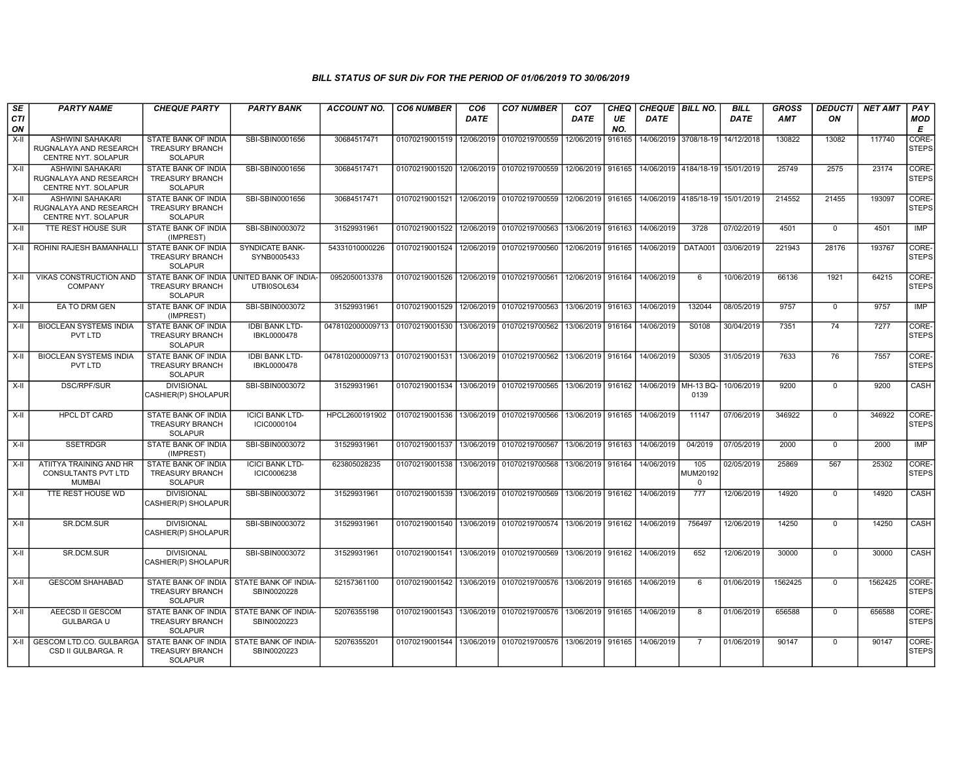| SE<br><b>CTI</b> | <b>PARTY NAME</b>                                                        | <b>CHEQUE PARTY</b>                                                    | <b>PARTY BANK</b>                            | <b>ACCOUNT NO.</b>                                                          | <b>CO6 NUMBER</b>                        | CO <sub>6</sub><br><b>DATE</b> | <b>CO7 NUMBER</b>                                                  | CO <sub>7</sub><br><b>DATE</b> | <b>CHEQ</b><br>UE | <b>DATE</b> | CHEQUE   BILL NO.                | <b>BILL</b><br><b>DATE</b> | <b>GROSS</b><br><b>AMT</b> | <b>DEDUCTI</b><br>ON | <b>NET AMT</b> | PAY<br><b>MOD</b>     |
|------------------|--------------------------------------------------------------------------|------------------------------------------------------------------------|----------------------------------------------|-----------------------------------------------------------------------------|------------------------------------------|--------------------------------|--------------------------------------------------------------------|--------------------------------|-------------------|-------------|----------------------------------|----------------------------|----------------------------|----------------------|----------------|-----------------------|
| ON               |                                                                          |                                                                        |                                              |                                                                             |                                          |                                |                                                                    |                                | NO.               |             |                                  |                            |                            |                      |                | E                     |
| X-II             | <b>ASHWINI SAHAKARI</b><br>RUGNALAYA AND RESEARCH<br>CENTRE NYT. SOLAPUR | STATE BANK OF INDIA<br><b>TREASURY BRANCH</b><br><b>SOLAPUR</b>        | SBI-SBIN0001656                              | 30684517471                                                                 | 01070219001519 12/06/2019                |                                | 01070219700559                                                     | 12/06/2019                     | 916165            |             | 14/06/2019 3708/18-19            | 14/12/2018                 | 130822                     | 13082                | 117740         | CORE-<br><b>STEPS</b> |
| $X-H$            | ASHWINI SAHAKARI<br>RUGNALAYA AND RESEARCH<br>CENTRE NYT. SOLAPUR        | <b>STATE BANK OF INDIA</b><br><b>TREASURY BRANCH</b><br><b>SOLAPUR</b> | SBI-SBIN0001656                              | 30684517471                                                                 | 01070219001520 12/06/2019 01070219700559 |                                |                                                                    | 12/06/2019 916165              |                   |             | 14/06/2019 4184/18-19 15/01/2019 |                            | 25749                      | 2575                 | 23174          | CORE-<br><b>STEPS</b> |
| $X-H$            | <b>ASHWINI SAHAKARI</b><br>RUGNALAYA AND RESEARCH<br>CENTRE NYT. SOLAPUR | STATE BANK OF INDIA<br>TREASURY BRANCH<br><b>SOLAPUR</b>               | SBI-SBIN0001656                              | 30684517471                                                                 | 01070219001521 12/06/2019 01070219700559 |                                |                                                                    | 12/06/2019 916165              |                   |             | 14/06/2019 4185/18-19 15/01/2019 |                            | 214552                     | 21455                | 193097         | CORE-<br><b>STEPS</b> |
| X-II             | TTE REST HOUSE SUR                                                       | <b>STATE BANK OF INDIA</b><br>(IMPREST)                                | SBI-SBIN0003072                              | 31529931961                                                                 | 01070219001522 12/06/2019 01070219700563 |                                |                                                                    | 13/06/2019 916163              |                   | 14/06/2019  | 3728                             | 07/02/2019                 | 4501                       | $\mathbf 0$          | 4501           | <b>IMP</b>            |
| X-II             | ROHINI RAJESH BAMANHALL                                                  | STATE BANK OF INDIA<br><b>TREASURY BRANCH</b><br><b>SOLAPUR</b>        | <b>SYNDICATE BANK-</b><br>SYNB0005433        | 54331010000226                                                              | 01070219001524                           | 12/06/2019                     | 01070219700560                                                     | 12/06/2019 916165              |                   | 14/06/2019  | DATA001                          | 03/06/2019                 | 221943                     | 28176                | 193767         | CORE-<br><b>STEPS</b> |
| X-II             | VIKAS CONSTRUCTION AND<br><b>COMPANY</b>                                 | STATE BANK OF INDIA<br><b>TREASURY BRANCH</b><br><b>SOLAPUR</b>        | UNITED BANK OF INDIA-<br>UTBI0SOL634         | 0952050013378                                                               | 01070219001526                           |                                | 12/06/2019 01070219700561                                          | 12/06/2019 916164              |                   | 14/06/2019  | 6                                | 10/06/2019                 | 66136                      | 1921                 | 64215          | CORE-<br><b>STEPS</b> |
| X-II             | EA TO DRM GEN                                                            | <b>STATE BANK OF INDIA</b><br>(IMPREST)                                | SBI-SBIN0003072                              | 31529931961                                                                 | 01070219001529 12/06/2019 01070219700563 |                                |                                                                    | 13/06/2019 916163              |                   | 14/06/2019  | 132044                           | 08/05/2019                 | 9757                       | $\mathbf 0$          | 9757           | IMP                   |
| X-II             | <b>BIOCLEAN SYSTEMS INDIA</b><br>PVT LTD                                 | STATE BANK OF INDIA<br><b>TREASURY BRANCH</b><br><b>SOLAPUR</b>        | <b>IDBI BANK LTD-</b><br>IBKL0000478         | 0478102000009713 01070219001530 13/06/2019 01070219700562                   |                                          |                                |                                                                    | 13/06/2019 916164              |                   | 14/06/2019  | S0108                            | 30/04/2019                 | 7351                       | 74                   | 7277           | CORE-<br><b>STEPS</b> |
| X-II             | <b>BIOCLEAN SYSTEMS INDIA</b><br>PVT LTD                                 | STATE BANK OF INDIA<br><b>TREASURY BRANCH</b><br>SOLAPUR               | <b>IDBI BANK LTD-</b><br>IBKL0000478         | 0478102000009713 01070219001531 13/06/2019 01070219700562 13/06/2019 916164 |                                          |                                |                                                                    |                                |                   | 14/06/2019  | S0305                            | 31/05/2019                 | 7633                       | 76                   | 7557           | CORE-<br><b>STEPS</b> |
| $X-H$            | DSC/RPF/SUR                                                              | <b>DIVISIONAL</b><br>CASHIER(P) SHOLAPUR                               | SBI-SBIN0003072                              | 31529931961                                                                 |                                          |                                | 01070219001534 13/06/2019 01070219700565                           | 13/06/2019 916162              |                   |             | 14/06/2019 MH-13 BQ-<br>0139     | 10/06/2019                 | 9200                       | $\overline{0}$       | 9200           | CASH                  |
| $X-H$            | <b>HPCL DT CARD</b>                                                      | <b>STATE BANK OF INDIA</b><br>TREASURY BRANCH<br><b>SOLAPUR</b>        | <b>ICICI BANK LTD-</b><br>ICIC0000104        | HPCL2600191902                                                              | 01070219001536 13/06/2019 01070219700566 |                                |                                                                    | 13/06/2019 916165              |                   | 14/06/2019  | 11147                            | 07/06/2019                 | 346922                     | $\Omega$             | 346922         | CORE-<br><b>STEPS</b> |
| $X-H$            | <b>SSETRDGR</b>                                                          | <b>STATE BANK OF INDIA</b><br>(IMPREST)                                | SBI-SBIN0003072                              | 31529931961                                                                 | 01070219001537                           |                                | 13/06/2019 01070219700567                                          | 13/06/2019 916163              |                   | 14/06/2019  | 04/2019                          | 07/05/2019                 | 2000                       | $\overline{0}$       | 2000           | IMP                   |
| X-II             | ATIITYA TRAINING AND HR<br><b>CONSULTANTS PVT LTD</b><br><b>MUMBAI</b>   | <b>STATE BANK OF INDIA</b><br><b>TREASURY BRANCH</b><br><b>SOLAPUR</b> | <b>ICICI BANK LTD-</b><br><b>ICIC0006238</b> | 623805028235                                                                |                                          |                                | 01070219001538 13/06/2019 01070219700568                           | 13/06/2019 916164              |                   | 14/06/2019  | 105<br>MUM20192<br>$^{\circ}$    | 02/05/2019                 | 25869                      | 567                  | 25302          | CORE-<br><b>STEPS</b> |
| $X-H$            | TTE REST HOUSE WD                                                        | <b>DIVISIONAL</b><br>CASHIER(P) SHOLAPUR                               | SBI-SBIN0003072                              | 31529931961                                                                 |                                          |                                | 01070219001539 13/06/2019 01070219700569 13/06/2019 916162         |                                |                   | 14/06/2019  | 777                              | 12/06/2019                 | 14920                      | $\mathbf 0$          | 14920          | CASH                  |
| X-II             | SR.DCM.SUR                                                               | <b>DIVISIONAL</b><br>CASHIER(P) SHOLAPUR                               | SBI-SBIN0003072                              | 31529931961                                                                 | 01070219001540 13/06/2019 01070219700574 |                                |                                                                    | 13/06/2019 916162              |                   | 14/06/2019  | 756497                           | 12/06/2019                 | 14250                      | $\mathbf 0$          | 14250          | CASH                  |
| X-II             | <b>SR.DCM.SUR</b>                                                        | <b>DIVISIONAL</b><br>CASHIER(P) SHOLAPUR                               | SBI-SBIN0003072                              | 31529931961                                                                 |                                          |                                | 01070219001541 13/06/2019 01070219700569 13/06/2019 916162         |                                |                   | 14/06/2019  | 652                              | 12/06/2019                 | 30000                      | $\mathbf 0$          | 30000          | CASH                  |
| $X-H$            | <b>GESCOM SHAHABAD</b>                                                   | STATE BANK OF INDIA<br>TREASURY BRANCH<br><b>SOLAPUR</b>               | STATE BANK OF INDIA-<br>SBIN0020228          | 52157361100                                                                 |                                          |                                | 01070219001542 13/06/2019 01070219700576 13/06/2019 916165         |                                |                   | 14/06/2019  | 6                                | 01/06/2019                 | 1562425                    | $\overline{0}$       | 1562425        | CORE-<br><b>STEPS</b> |
| X-II             | AEECSD II GESCOM<br><b>GULBARGA U</b>                                    | STATE BANK OF INDIA<br>TREASURY BRANCH<br><b>SOLAPUR</b>               | STATE BANK OF INDIA<br>SBIN0020223           | 52076355198                                                                 |                                          |                                | 01070219001543 13/06/2019 01070219700576 13/06/2019 916165         |                                |                   | 14/06/2019  | 8                                | 01/06/2019                 | 656588                     | $\overline{0}$       | 656588         | CORE-<br><b>STEPS</b> |
| $X-II$           | <b>GESCOM LTD.CO. GULBARGA</b><br>CSD II GULBARGA. R                     | <b>STATE BANK OF INDIA</b><br><b>TREASURY BRANCH</b><br><b>SOLAPUR</b> | <b>STATE BANK OF INDIA-</b><br>SBIN0020223   | 52076355201                                                                 |                                          |                                | 01070219001544   13/06/2019   01070219700576   13/06/2019   916165 |                                |                   | 14/06/2019  | 7                                | 01/06/2019                 | 90147                      | $\mathbf 0$          | 90147          | CORE-<br><b>STEPS</b> |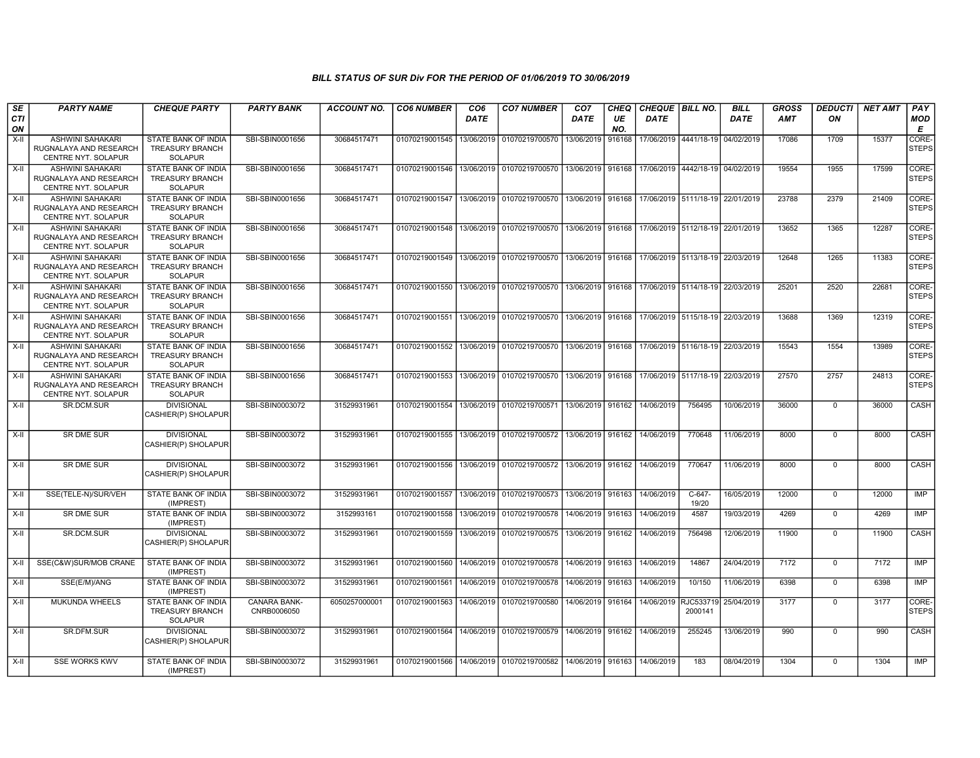| SE        | <b>PARTY NAME</b>                                                               | <b>CHEQUE PARTY</b>                                                    | <b>PARTY BANK</b>           | ACCOUNT NO.   | <b>CO6 NUMBER</b> | CO <sub>6</sub> | <b>CO7 NUMBER</b>                                                                           | CO <sub>7</sub>     | <b>CHEQ</b> | CHEQUE BILL NO.                        |                                  | <b>BILL</b> | <b>GROSS</b> | <b>DEDUCTI</b> | <b>NET AMT</b> | PAY                   |
|-----------|---------------------------------------------------------------------------------|------------------------------------------------------------------------|-----------------------------|---------------|-------------------|-----------------|---------------------------------------------------------------------------------------------|---------------------|-------------|----------------------------------------|----------------------------------|-------------|--------------|----------------|----------------|-----------------------|
| CTI<br>ON |                                                                                 |                                                                        |                             |               |                   | <b>DATE</b>     |                                                                                             | DATE                | UE<br>NO.   | <b>DATE</b>                            |                                  | <b>DATE</b> | AMT          | ON             |                | <b>MOD</b><br>Е       |
| $X-I$     | <b>ASHWINI SAHAKARI</b><br>RUGNALAYA AND RESEARCH<br>CENTRE NYT. SOLAPUR        | STATE BANK OF INDIA<br><b>TREASURY BRANCH</b><br><b>SOLAPUR</b>        | SBI-SBIN0001656             | 30684517471   | 01070219001545    | 13/06/2019      | 01070219700570                                                                              | 13/06/2019          | 916168      |                                        | 17/06/2019 4441/18-19            | 04/02/2019  | 17086        | 1709           | 15377          | CORE-<br><b>STEPS</b> |
| $X-H$     | <b>ASHWINI SAHAKARI</b><br>RUGNALAYA AND RESEARCH<br>CENTRE NYT. SOLAPUR        | <b>STATE BANK OF INDIA</b><br><b>TREASURY BRANCH</b><br><b>SOLAPUR</b> | SBI-SBIN0001656             | 30684517471   | 01070219001546    |                 | 13/06/2019 01070219700570 13/06/2019 916168                                                 |                     |             |                                        | 17/06/2019 4442/18-19 04/02/2019 |             | 19554        | 1955           | 17599          | CORE-<br><b>STEPS</b> |
| $X-H$     | <b>ASHWINI SAHAKARI</b><br>RUGNALAYA AND RESEARCH<br>CENTRE NYT. SOLAPUR        | STATE BANK OF INDIA<br>TREASURY BRANCH<br><b>SOLAPUR</b>               | SBI-SBIN0001656             | 30684517471   | 01070219001547    | 13/06/2019      | 01070219700570 13/06/2019 916168                                                            |                     |             |                                        | 17/06/2019 5111/18-19 22/01/2019 |             | 23788        | 2379           | 21409          | CORE-<br>STEPS        |
| $X-II$    | <b>ASHWINI SAHAKARI</b><br>RUGNALAYA AND RESEARCH<br>CENTRE NYT. SOLAPUR        | <b>STATE BANK OF INDIA</b><br><b>TREASURY BRANCH</b><br><b>SOLAPUR</b> | SBI-SBIN0001656             | 30684517471   | 01070219001548    | 13/06/2019      | 01070219700570 33/06/2019 916168 17/06/2019 5112/18-19 22/01/2019                           |                     |             |                                        |                                  |             | 13652        | 1365           | 12287          | CORE-<br><b>STEPS</b> |
| X-II      | <b>ASHWINI SAHAKARI</b><br>RUGNALAYA AND RESEARCH<br>CENTRE NYT. SOLAPUR        | STATE BANK OF INDIA<br><b>TREASURY BRANCH</b><br><b>SOLAPUR</b>        | SBI-SBIN0001656             | 30684517471   | 01070219001549    |                 | 13/06/2019   01070219700570   13/06/2019   916168                                           |                     |             | l 17/06/2019   5113/18-19   22/03/2019 |                                  |             | 12648        | 1265           | 11383          | CORE-<br><b>STEPS</b> |
| $X-H$     | <b>ASHWINI SAHAKARI</b><br>RUGNALAYA AND RESEARCH<br>CENTRE NYT. SOLAPUR        | STATE BANK OF INDIA<br><b>TREASURY BRANCH</b><br><b>SOLAPUR</b>        | SBI-SBIN0001656             | 30684517471   | 01070219001550    |                 | 13/06/2019 01070219700570 13/06/2019 916168                                                 |                     |             |                                        | 17/06/2019 5114/18-19 22/03/2019 |             | 25201        | 2520           | 22681          | CORE-<br><b>STEPS</b> |
| X-II      | <b>ASHWINI SAHAKARI</b><br>RUGNALAYA AND RESEARCH<br>CENTRE NYT. SOLAPUR        | STATE BANK OF INDIA<br><b>TREASURY BRANCH</b><br><b>SOLAPUR</b>        | SBI-SBIN0001656             | 30684517471   |                   |                 | 01070219001551 13/06/2019 01070219700570 13/06/2019 916168 17/06/2019 5115/18-19 22/03/2019 |                     |             |                                        |                                  |             | 13688        | 1369           | 12319          | CORE-<br><b>STEPS</b> |
| $X-H$     | <b>ASHWINI SAHAKARI</b><br>RUGNALAYA AND RESEARCH<br><b>CENTRE NYT, SOLAPUR</b> | <b>STATE BANK OF INDIA</b><br><b>TREASURY BRANCH</b><br><b>SOLAPUR</b> | SBI-SBIN0001656             | 30684517471   |                   |                 | 01070219001552 13/06/2019 01070219700570 13/06/2019 916168 17/06/2019 5116/18-19 22/03/2019 |                     |             |                                        |                                  |             | 15543        | 1554           | 13989          | CORE-<br><b>STEPS</b> |
| $X-H$     | <b>ASHWINI SAHAKARI</b><br>RUGNALAYA AND RESEARCH<br>CENTRE NYT. SOLAPUR        | STATE BANK OF INDIA<br><b>TREASURY BRANCH</b><br>SOLAPUR               | SBI-SBIN0001656             | 30684517471   |                   |                 | 01070219001553 13/06/2019 01070219700570 13/06/2019 916168 17/06/2019 5117/18-19 22/03/2019 |                     |             |                                        |                                  |             | 27570        | 2757           | 24813          | CORE-<br><b>STEPS</b> |
| X-II      | SR.DCM.SUR                                                                      | <b>DIVISIONAL</b><br>CASHIER(P) SHOLAPUR                               | SBI-SBIN0003072             | 31529931961   | 01070219001554    |                 | 13/06/2019 01070219700571 13/06/2019 916162                                                 |                     |             | 14/06/2019                             | 756495                           | 10/06/2019  | 36000        | $\mathbf 0$    | 36000          | CASH                  |
| $X-H$     | <b>SR DME SUR</b>                                                               | <b>DIVISIONAL</b><br>CASHIER(P) SHOLAPUR                               | SBI-SBIN0003072             | 31529931961   | 01070219001555    |                 | 13/06/2019 01070219700572 13/06/2019 916162 14/06/2019                                      |                     |             |                                        | 770648                           | 11/06/2019  | 8000         | $\mathbf 0$    | 8000           | CASH                  |
| X-II      | <b>SR DME SUR</b>                                                               | <b>DIVISIONAL</b><br>CASHIER(P) SHOLAPUR                               | SBI-SBIN0003072             | 31529931961   | 01070219001556    |                 | 13/06/2019 01070219700572 13/06/2019 916162                                                 |                     |             | 14/06/2019                             | 770647                           | 11/06/2019  | 8000         | $\mathbf 0$    | 8000           | CASH                  |
| X-II      | SSE(TELE-N)/SUR/VEH                                                             | STATE BANK OF INDIA<br>(IMPREST)                                       | SBI-SBIN0003072             | 31529931961   | 01070219001557    | 13/06/2019      | 01070219700573                                                                              | 13/06/2019          | 916163      | 14/06/2019                             | C-647-<br>19/20                  | 16/05/2019  | 12000        | $\mathbf 0$    | 12000          | <b>IMP</b>            |
| $X-H$     | <b>SR DME SUR</b>                                                               | STATE BANK OF INDIA<br>(IMPREST)                                       | SBI-SBIN0003072             | 3152993161    | 01070219001558    | 13/06/2019      | 01070219700578                                                                              | 14/06/2019 916163   |             | 14/06/2019                             | 4587                             | 19/03/2019  | 4269         | $\overline{0}$ | 4269           | <b>IMP</b>            |
| X-II      | SR.DCM.SUR                                                                      | <b>DIVISIONAL</b><br>CASHIER(P) SHOLAPUR                               | SBI-SBIN0003072             | 31529931961   | 01070219001559    | 13/06/2019      | 01070219700575 13/06/2019 916162                                                            |                     |             | 14/06/2019                             | 756498                           | 12/06/2019  | 11900        | $\mathbf 0$    | 11900          | CASH                  |
| X-II      | SSE(C&W)SUR/MOB CRANE                                                           | STATE BANK OF INDIA<br>(IMPREST)                                       | SBI-SBIN0003072             | 31529931961   | 01070219001560    |                 | 14/06/2019 01070219700578 14/06/2019 916163                                                 |                     |             | 14/06/2019                             | 14867                            | 24/04/2019  | 7172         | $\mathbf 0$    | 7172           | <b>IMP</b>            |
| $X-H$     | SSE(E/M)/ANG                                                                    | <b>STATE BANK OF INDIA</b><br>(IMPREST)                                | SBI-SBIN0003072             | 31529931961   | 01070219001561    | 14/06/2019      | 01070219700578 14/06/2019 916163                                                            |                     |             | 14/06/2019                             | 10/150                           | 11/06/2019  | 6398         | $\overline{0}$ | 6398           | <b>IMP</b>            |
| $X-H$     | <b>MUKUNDA WHEELS</b>                                                           | STATE BANK OF INDIA<br><b>TREASURY BRANCH</b><br><b>SOLAPUR</b>        | CANARA BANK-<br>CNRB0006050 | 6050257000001 | 01070219001563    |                 | 14/06/2019 01070219700580                                                                   | 14/06/2019   916164 |             | 14/06/2019 RJC533719                   | 2000141                          | 25/04/2019  | 3177         | $\mathbf 0$    | 3177           | CORE-<br><b>STEPS</b> |
| X-II      | SR.DFM.SUR                                                                      | <b>DIVISIONAL</b><br>CASHIER(P) SHOLAPUR                               | SBI-SBIN0003072             | 31529931961   |                   |                 | 01070219001564   14/06/2019   01070219700579   14/06/2019   916162                          |                     |             | 14/06/2019                             | 255245                           | 13/06/2019  | 990          | $\mathbf 0$    | 990            | CASH                  |
| X-II      | <b>SSE WORKS KWV</b>                                                            | STATE BANK OF INDIA<br>(IMPREST)                                       | SBI-SBIN0003072             | 31529931961   | 01070219001566    |                 | 14/06/2019 01070219700582 14/06/2019 916163                                                 |                     |             | 14/06/2019                             | 183                              | 08/04/2019  | 1304         | $\mathbf 0$    | 1304           | <b>IMP</b>            |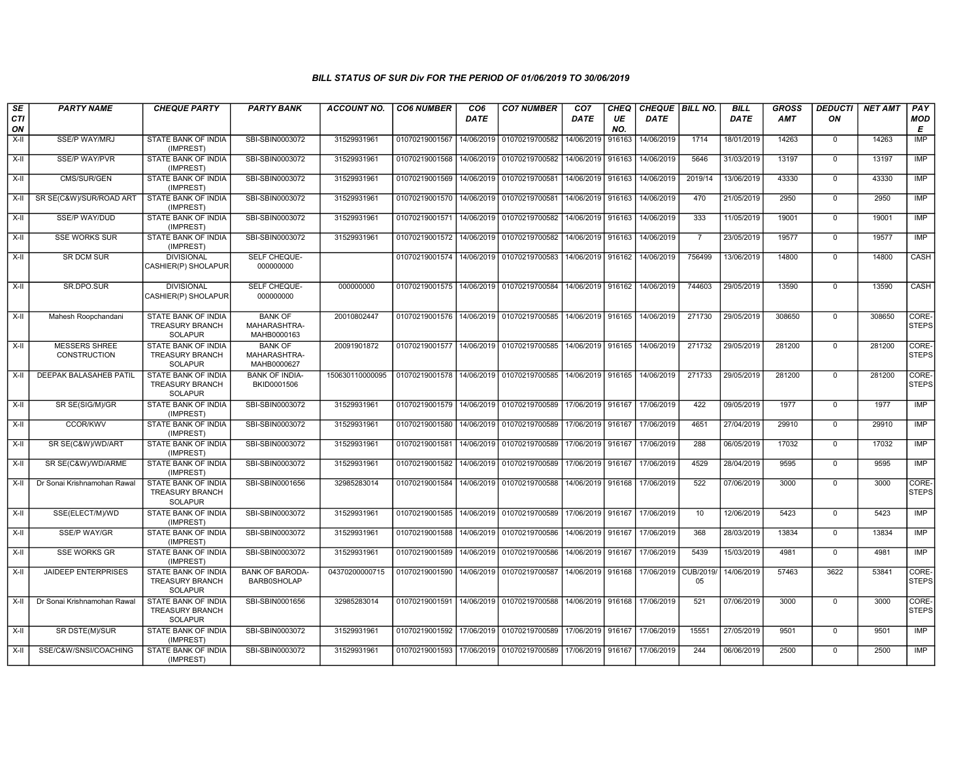| SE        | <b>PARTY NAME</b>                           | <b>CHEQUE PARTY</b>                                                    | <b>PARTY BANK</b>                             | <b>ACCOUNT NO.</b> | <b>CO6 NUMBER</b>                            | CO <sub>6</sub> | <b>CO7 NUMBER</b>                        | CO <sub>7</sub>   | CHEQ      | CHEQUE   BILL NO. |                       | <b>BILL</b> | <b>GROSS</b> | <b>DEDUCTI</b> | <b>NET AMT</b> | <b>PAY</b>            |
|-----------|---------------------------------------------|------------------------------------------------------------------------|-----------------------------------------------|--------------------|----------------------------------------------|-----------------|------------------------------------------|-------------------|-----------|-------------------|-----------------------|-------------|--------------|----------------|----------------|-----------------------|
| CTI<br>ON |                                             |                                                                        |                                               |                    |                                              | <b>DATE</b>     |                                          | <b>DATE</b>       | UE<br>NO. | <b>DATE</b>       |                       | <b>DATE</b> | AMT          | ON             |                | MOD<br>Е              |
| X-II      | <b>SSE/P WAY/MRJ</b>                        | STATE BANK OF INDIA<br>(IMPREST)                                       | SBI-SBIN0003072                               | 31529931961        | 01070219001567                               | 14/06/2019      | 01070219700582                           | 14/06/2019        | 916163    | 14/06/2019        | 1714                  | 18/01/2019  | 14263        | $\mathbf 0$    | 14263          | <b>IMP</b>            |
| $X-II$    | <b>SSE/P WAY/PVR</b>                        | STATE BANK OF INDIA<br>(IMPREST)                                       | SBI-SBIN0003072                               | 31529931961        | 01070219001568 14/06/2019 01070219700582     |                 |                                          | 14/06/2019 916163 |           | 14/06/2019        | 5646                  | 31/03/2019  | 13197        | $\mathbf 0$    | 13197          | IMP                   |
| X-II      | CMS/SUR/GEN                                 | STATE BANK OF INDIA<br>(IMPREST)                                       | SBI-SBIN0003072                               | 31529931961        | 01070219001569   14/06/2019   01070219700581 |                 |                                          | 14/06/2019 916163 |           | 14/06/2019        | 2019/14               | 13/06/2019  | 43330        | $\mathbf 0$    | 43330          | <b>IMP</b>            |
| X-II      | SR SE(C&W)/SUR/ROAD ART                     | STATE BANK OF INDIA<br>(IMPREST)                                       | SBI-SBIN0003072                               | 31529931961        | 01070219001570 14/06/2019                    |                 | 01070219700581                           | 14/06/2019        | 916163    | 14/06/2019        | 470                   | 21/05/2019  | 2950         | $\mathbf 0$    | 2950           | <b>IMP</b>            |
| $X-II$    | SSE/P WAY/DUD                               | <b>STATE BANK OF INDIA</b><br>(IMPREST)                                | SBI-SBIN0003072                               | 31529931961        | 01070219001571 14/06/2019 01070219700582     |                 |                                          | 14/06/2019        | 916163    | 14/06/2019        | 333                   | 11/05/2019  | 19001        | $\Omega$       | 19001          | IMP                   |
| $X-II$    | <b>SSE WORKS SUR</b>                        | STATE BANK OF INDIA<br>(IMPREST)                                       | SBI-SBIN0003072                               | 31529931961        | 01070219001572 14/06/2019 01070219700582     |                 |                                          | 14/06/2019 916163 |           | 14/06/2019        | $\overline{7}$        | 23/05/2019  | 19577        | $\mathbf 0$    | 19577          | IMP                   |
| X-II      | SR DCM SUR                                  | <b>DIVISIONAL</b><br>CASHIER(P) SHOLAPUR                               | SELF CHEQUE-<br>000000000                     |                    |                                              |                 | 01070219001574 14/06/2019 01070219700583 | 14/06/2019 916162 |           | 14/06/2019        | 756499                | 13/06/2019  | 14800        | $\mathbf 0$    | 14800          | CASH                  |
| X-II      | SR.DPO.SUR                                  | <b>DIVISIONAL</b><br>CASHIER(P) SHOLAPUR                               | SELF CHEQUE-<br>000000000                     | 000000000          | 01070219001575 14/06/2019 01070219700584     |                 |                                          | 14/06/2019 916162 |           | 14/06/2019        | 744603                | 29/05/2019  | 13590        | $\mathbf 0$    | 13590          | CASH                  |
| X-II      | Mahesh Roopchandani                         | STATE BANK OF INDIA<br><b>TREASURY BRANCH</b><br><b>SOLAPUR</b>        | <b>BANK OF</b><br>MAHARASHTRA-<br>MAHB0000163 | 20010802447        | 01070219001576 14/06/2019 01070219700585     |                 |                                          | 14/06/2019 916165 |           | 14/06/2019        | 271730                | 29/05/2019  | 308650       | $\Omega$       | 308650         | CORE-<br><b>STEPS</b> |
| X-II      | <b>MESSERS SHREE</b><br><b>CONSTRUCTION</b> | STATE BANK OF INDIA<br><b>TREASURY BRANCH</b><br><b>SOLAPUR</b>        | <b>BANK OF</b><br>MAHARASHTRA-<br>MAHB0000627 | 20091901872        | 01070219001577 14/06/2019 01070219700585     |                 |                                          | 14/06/2019 916165 |           | 14/06/2019        | 271732                | 29/05/2019  | 281200       | $\Omega$       | 281200         | CORE-<br><b>STEPS</b> |
| X-II      | <b>DEEPAK BALASAHEB PATIL</b>               | <b>STATE BANK OF INDIA</b><br><b>TREASURY BRANCH</b><br><b>SOLAPUR</b> | <b>BANK OF INDIA-</b><br>BKID0001506          | 150630110000095    | 01070219001578   14/06/2019   01070219700585 |                 |                                          | 14/06/2019 916165 |           | 14/06/2019        | 271733                | 29/05/2019  | 281200       | $\mathbf 0$    | 281200         | CORE-<br><b>STEPS</b> |
| X-II      | SR SE(SIG/M)/GR                             | STATE BANK OF INDIA<br>(IMPREST)                                       | SBI-SBIN0003072                               | 31529931961        | 01070219001579 14/06/2019 01070219700589     |                 |                                          | 17/06/2019 916167 |           | 17/06/2019        | 422                   | 09/05/2019  | 1977         | $\mathbf 0$    | 1977           | IMP                   |
| $X-H$     | CCOR/KWV                                    | STATE BANK OF INDIA<br>(IMPREST)                                       | SBI-SBIN0003072                               | 31529931961        | 01070219001580                               |                 | 14/06/2019 01070219700589                | 17/06/2019        | 916167    | 17/06/2019        | 4651                  | 27/04/2019  | 29910        | $\Omega$       | 29910          | <b>IMP</b>            |
| $X-II$    | SR SE(C&W)/WD/ART                           | <b>STATE BANK OF INDIA</b><br>(IMPREST)                                | SBI-SBIN0003072                               | 31529931961        | 01070219001581                               |                 | 14/06/2019 01070219700589                | 17/06/2019        | 916167    | 17/06/2019        | 288                   | 06/05/2019  | 17032        | $\Omega$       | 17032          | <b>IMP</b>            |
| X-II      | SR SE(C&W)/WD/ARME                          | STATE BANK OF INDIA<br>(IMPREST)                                       | SBI-SBIN0003072                               | 31529931961        | 01070219001582   14/06/2019   01070219700589 |                 |                                          | 17/06/2019 916167 |           | 17/06/2019        | 4529                  | 28/04/2019  | 9595         | $\mathbf 0$    | 9595           | <b>IMP</b>            |
| $X-H$     | Dr Sonai Krishnamohan Rawal                 | <b>STATE BANK OF INDIA</b><br><b>TREASURY BRANCH</b><br><b>SOLAPUR</b> | SBI-SBIN0001656                               | 32985283014        | 01070219001584 14/06/2019 01070219700588     |                 |                                          | 14/06/2019 916168 |           | 17/06/2019        | 522                   | 07/06/2019  | 3000         | $\mathbf 0$    | 3000           | CORE-<br><b>STEPS</b> |
| $X-II$    | SSE(ELECT/M)/WD                             | STATE BANK OF INDIA<br>(IMPREST)                                       | SBI-SBIN0003072                               | 31529931961        | 01070219001585 14/06/2019 01070219700589     |                 |                                          | 17/06/2019 916167 |           | 17/06/2019        | 10                    | 12/06/2019  | 5423         | $\mathbf 0$    | 5423           | IMP                   |
| X-II      | SSE/P WAY/GR                                | STATE BANK OF INDIA<br>(IMPREST)                                       | SBI-SBIN0003072                               | 31529931961        | 01070219001588 14/06/2019 01070219700586     |                 |                                          | 14/06/2019 916167 |           | 17/06/2019        | 368                   | 28/03/2019  | 13834        | $\mathbf 0$    | 13834          | <b>IMP</b>            |
| X-II      | <b>SSE WORKS GR</b>                         | STATE BANK OF INDIA<br>(IMPREST)                                       | SBI-SBIN0003072                               | 31529931961        | 01070219001589                               | 14/06/2019      | 01070219700586                           | 14/06/2019        | 916167    | 17/06/2019        | 5439                  | 15/03/2019  | 4981         | $\mathbf 0$    | 4981           | IMP                   |
| X-II      | <b>JAIDEEP ENTERPRISES</b>                  | STATE BANK OF INDIA<br><b>TREASURY BRANCH</b><br><b>SOLAPUR</b>        | <b>BANK OF BARODA-</b><br><b>BARB0SHOLAP</b>  | 04370200000715     | 01070219001590                               |                 | 14/06/2019 01070219700587                | 14/06/2019 916168 |           | 17/06/2019        | <b>CUB/2019</b><br>05 | 14/06/2019  | 57463        | 3622           | 53841          | CORE-<br><b>STEPS</b> |
| $X-H$     | Dr Sonai Krishnamohan Rawal                 | <b>STATE BANK OF INDIA</b><br><b>TREASURY BRANCH</b><br><b>SOLAPUR</b> | SBI-SBIN0001656                               | 32985283014        | 01070219001591 14/06/2019 01070219700588     |                 |                                          | 14/06/2019 916168 |           | 17/06/2019        | 521                   | 07/06/2019  | 3000         | $\mathbf 0$    | 3000           | CORE-<br><b>STEPS</b> |
| X-II      | SR DSTE(M)/SUR                              | <b>STATE BANK OF INDIA</b><br>(IMPREST)                                | SBI-SBIN0003072                               | 31529931961        | 01070219001592 17/06/2019 01070219700589     |                 |                                          | 17/06/2019 916167 |           | 17/06/2019        | 15551                 | 27/05/2019  | 9501         | $\mathbf 0$    | 9501           | <b>IMP</b>            |
| X-II      | SSE/C&W/SNSI/COACHING                       | STATE BANK OF INDIA<br>(IMPREST)                                       | SBI-SBIN0003072                               | 31529931961        | 01070219001593 17/06/2019 01070219700589     |                 |                                          | 17/06/2019 916167 |           | 17/06/2019        | 244                   | 06/06/2019  | 2500         | $\mathbf 0$    | 2500           | <b>IMP</b>            |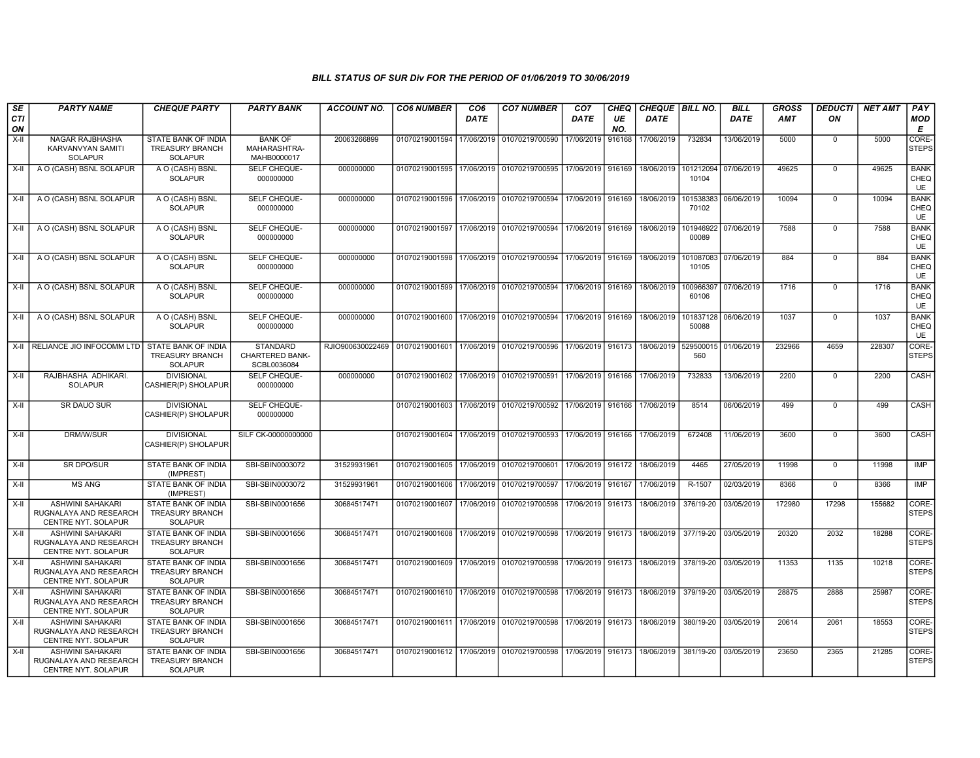| SE        | <b>PARTY NAME</b>                                                        | <b>CHEQUE PARTY</b>                                                    | <b>PARTY BANK</b>                                        | <b>ACCOUNT NO.</b>                                                                               | <b>CO6 NUMBER</b> | CO <sub>6</sub> | <b>CO7 NUMBER</b>                                                               | CO <sub>7</sub>   | CHEQ      | CHEQUE BILL NO.                                           |                      | <b>BILL</b> | <b>GROSS</b> | <b>DEDUCTI</b> | <b>NET AMT</b> | PAY                              |
|-----------|--------------------------------------------------------------------------|------------------------------------------------------------------------|----------------------------------------------------------|--------------------------------------------------------------------------------------------------|-------------------|-----------------|---------------------------------------------------------------------------------|-------------------|-----------|-----------------------------------------------------------|----------------------|-------------|--------------|----------------|----------------|----------------------------------|
| CTI<br>ON |                                                                          |                                                                        |                                                          |                                                                                                  |                   | <b>DATE</b>     |                                                                                 | <b>DATE</b>       | UE<br>NO. | <b>DATE</b>                                               |                      | <b>DATE</b> | AMT          | ON             |                | <b>MOD</b><br>Е                  |
| $X-H$     | NAGAR RAJBHASHA<br>KARVANVYAN SAMITI<br><b>SOLAPUR</b>                   | <b>STATE BANK OF INDIA</b><br><b>TREASURY BRANCH</b><br><b>SOLAPUR</b> | <b>BANK OF</b><br>MAHARASHTRA-<br>MAHB0000017            | 20063266899                                                                                      | 01070219001594    | 17/06/2019      | 01070219700590                                                                  | 17/06/2019        | 916168    | 17/06/2019                                                | 732834               | 13/06/2019  | 5000         | $\mathbf 0$    | 5000           | CORE-<br>STEPS                   |
| $X-H$     | A O (CASH) BSNL SOLAPUR                                                  | A O (CASH) BSNL<br><b>SOLAPUR</b>                                      | <b>SELF CHEQUE-</b><br>000000000                         | 000000000                                                                                        | 01070219001595    |                 | 17/06/2019 01070219700595                                                       | 17/06/2019 916169 |           | 18/06/2019                                                | 101212094<br>10104   | 07/06/2019  | 49625        | $\Omega$       | 49625          | <b>BANK</b><br>CHEQ<br><b>UE</b> |
| X-II      | A O (CASH) BSNL SOLAPUR                                                  | A O (CASH) BSNL<br><b>SOLAPUR</b>                                      | SELF CHEQUE-<br>000000000                                | 000000000                                                                                        | 01070219001596    | 17/06/2019      | 01070219700594                                                                  | 17/06/2019 916169 |           | 18/06/2019                                                | 101538383<br>70102   | 06/06/2019  | 10094        | $\overline{0}$ | 10094          | <b>BANK</b><br>CHEQ<br><b>UE</b> |
| X-II      | A O (CASH) BSNL SOLAPUR                                                  | A O (CASH) BSNL<br><b>SOLAPUR</b>                                      | SELF CHEQUE-<br>000000000                                | 000000000                                                                                        | 01070219001597    |                 | 17/06/2019 01070219700594                                                       | 17/06/2019 916169 |           | 18/06/2019                                                | 101946922<br>00089   | 07/06/2019  | 7588         | $\mathbf 0$    | 7588           | <b>BANK</b><br>CHEQ<br><b>UE</b> |
| X-II      | A O (CASH) BSNL SOLAPUR                                                  | A O (CASH) BSNL<br><b>SOLAPUR</b>                                      | SELF CHEQUE-<br>000000000                                | 000000000                                                                                        | 01070219001598    |                 | 17/06/2019 01070219700594 17/06/2019 916169 18/06/2019                          |                   |           |                                                           | 101087083<br>10105   | 07/06/2019  | 884          | $\mathbf 0$    | 884            | <b>BANK</b><br>CHEQ<br><b>UE</b> |
| X-II      | A O (CASH) BSNL SOLAPUR                                                  | A O (CASH) BSNL<br><b>SOLAPUR</b>                                      | SELF CHEQUE-<br>000000000                                | 000000000                                                                                        | 01070219001599    |                 | 17/06/2019 01070219700594 17/06/2019 916169                                     |                   |           | 18/06/2019                                                | 100966397<br>60106   | 07/06/2019  | 1716         | $\Omega$       | 1716           | <b>BANK</b><br>CHEQ<br><b>UE</b> |
| X-II      | A O (CASH) BSNL SOLAPUR                                                  | A O (CASH) BSNL<br><b>SOLAPUR</b>                                      | SELF CHEQUE-<br>000000000                                | 000000000                                                                                        | 01070219001600    |                 | 17/06/2019 01070219700594                                                       | 17/06/2019 916169 |           | 18/06/2019                                                | 101837128<br>50088   | 06/06/2019  | 1037         | $\Omega$       | 1037           | <b>BANK</b><br>CHEQ<br><b>UE</b> |
|           | X-II RELIANCE JIO INFOCOMM LTD                                           | <b>STATE BANK OF INDIA</b><br><b>TREASURY BRANCH</b><br><b>SOLAPUR</b> | <b>STANDARD</b><br><b>CHARTERED BANK-</b><br>SCBL0036084 | RJIO900630022469 01070219001601 17/06/2019 01070219700596 17/06/2019 916173 18/06/2019 529500015 |                   |                 |                                                                                 |                   |           |                                                           | 560                  | 01/06/2019  | 232966       | 4659           | 228307         | CORE-<br><b>STEPS</b>            |
| $X-II$    | RAJBHASHA ADHIKARI.<br><b>SOLAPUR</b>                                    | <b>DIVISIONAL</b><br>CASHIER(P) SHOLAPUR                               | SELF CHEQUE-<br>000000000                                | 000000000                                                                                        |                   |                 | 01070219001602 17/06/2019 01070219700591 17/06/2019 916166 17/06/2019           |                   |           |                                                           | 732833               | 13/06/2019  | 2200         | $\overline{0}$ | 2200           | CASH                             |
| X-II      | SR DAUO SUR                                                              | <b>DIVISIONAL</b><br>CASHIER(P) SHOLAPUR                               | SELF CHEQUE-<br>000000000                                |                                                                                                  |                   |                 | 01070219001603 17/06/2019 01070219700592                                        | 17/06/2019 916166 |           | 17/06/2019                                                | 8514                 | 06/06/2019  | 499          | $\mathbf 0$    | 499            | CASH                             |
| $X-H$     | <b>DRM/W/SUR</b>                                                         | <b>DIVISIONAL</b><br>CASHIER(P) SHOLAPUR                               | SILF CK-00000000000                                      |                                                                                                  | 01070219001604    |                 | 17/06/2019 01070219700593 17/06/2019 916166 17/06/2019                          |                   |           |                                                           | 672408               | 11/06/2019  | 3600         | $\mathbf 0$    | 3600           | CASH                             |
| X-II      | SR DPO/SUR                                                               | STATE BANK OF INDIA<br>(IMPREST)                                       | SBI-SBIN0003072                                          | 31529931961                                                                                      | 01070219001605    | 17/06/2019      | 01070219700601                                                                  | 17/06/2019 916172 |           | 18/06/2019                                                | 4465                 | 27/05/2019  | 11998        | $\mathbf 0$    | 11998          | IMP                              |
| X-II      | <b>MS ANG</b>                                                            | <b>STATE BANK OF INDIA</b><br>(IMPREST)                                | SBI-SBIN0003072                                          | 31529931961                                                                                      | 01070219001606    | 17/06/2019      | 01070219700597                                                                  | 17/06/2019 916167 |           | 17/06/2019                                                | R-1507               | 02/03/2019  | 8366         | $\mathbf 0$    | 8366           | IMP                              |
| $X-H$     | <b>ASHWINI SAHAKARI</b><br>RUGNALAYA AND RESEARCH<br>CENTRE NYT. SOLAPUR | <b>STATE BANK OF INDIA</b><br><b>TREASURY BRANCH</b><br><b>SOLAPUR</b> | SBI-SBIN0001656                                          | 30684517471                                                                                      | 01070219001607    | 17/06/2019      | 01070219700598                                                                  | 17/06/2019 916173 |           | 18/06/2019                                                | 376/19-20            | 03/05/2019  | 172980       | 17298          | 155682         | CORE-<br><b>STEPS</b>            |
| $X-H$     | <b>ASHWINI SAHAKARI</b><br>RUGNALAYA AND RESEARCH<br>CENTRE NYT. SOLAPUR | <b>STATE BANK OF INDIA</b><br><b>TREASURY BRANCH</b><br><b>SOLAPUR</b> | SBI-SBIN0001656                                          | 30684517471                                                                                      | 01070219001608    |                 | 17/06/2019 01070219700598 17/06/2019 916173 18/06/2019                          |                   |           |                                                           | 377/19-20            | 03/05/2019  | 20320        | 2032           | 18288          | CORE-<br><b>STEPS</b>            |
| $X-II$    | ASHWINI SAHAKARI<br>RUGNALAYA AND RESEARCH<br>CENTRE NYT. SOLAPUR        | STATE BANK OF INDIA<br><b>TREASURY BRANCH</b><br><b>SOLAPUR</b>        | SBI-SBIN0001656                                          | 30684517471                                                                                      | 01070219001609    |                 | 17/06/2019 01070219700598                                                       | 17/06/2019 916173 |           | 18/06/2019                                                | 378/19-20            | 03/05/2019  | 11353        | 1135           | 10218          | CORE-<br><b>STEPS</b>            |
| X-II      | <b>ASHWINI SAHAKARI</b><br>RUGNALAYA AND RESEARCH<br>CENTRE NYT. SOLAPUR | STATE BANK OF INDIA<br><b>TREASURY BRANCH</b><br><b>SOLAPUR</b>        | SBI-SBIN0001656                                          | 30684517471                                                                                      |                   |                 | 01070219001610 17/06/2019 01070219700598                                        |                   |           | 17/06/2019   916173   18/06/2019   379/19-20   03/05/2019 |                      |             | 28875        | 2888           | 25987          | CORE-<br><b>STEPS</b>            |
| $X-H$     | <b>ASHWINI SAHAKARI</b><br>RUGNALAYA AND RESEARCH<br>CENTRE NYT. SOLAPUR | <b>STATE BANK OF INDIA</b><br><b>TREASURY BRANCH</b><br><b>SOLAPUR</b> | SBI-SBIN0001656                                          | 30684517471                                                                                      |                   |                 | 01070219001611 17/06/2019 01070219700598 17/06/2019 916173 18/06/2019           |                   |           |                                                           | 380/19-20 03/05/2019 |             | 20614        | 2061           | 18553          | CORE-<br><b>STEPS</b>            |
| $X-H$     | ASHWINI SAHAKARI<br>RUGNALAYA AND RESEARCH<br>CENTRE NYT. SOLAPUR        | STATE BANK OF INDIA<br>TREASURY BRANCH<br><b>SOLAPUR</b>               | SBI-SBIN0001656                                          | 30684517471                                                                                      |                   |                 | 01070219001612   17/06/2019   01070219700598   17/06/2019   916173   18/06/2019 |                   |           |                                                           | 381/19-20 03/05/2019 |             | 23650        | 2365           | 21285          | CORE-<br><b>STEPS</b>            |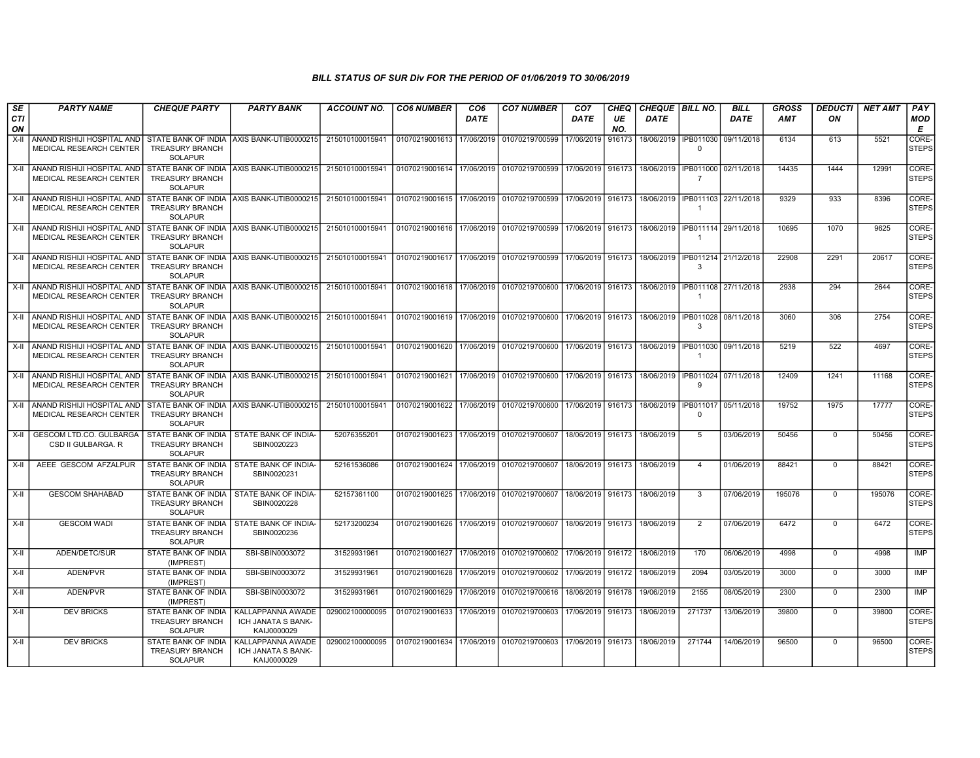| SE               | <b>PARTY NAME</b>                                              | <b>CHEQUE PARTY</b>                                             | <b>PARTY BANK</b>                                         | <b>ACCOUNT NO.</b> | <b>CO6 NUMBER</b>                            | CO <sub>6</sub> | <b>CO7 NUMBER</b>                                                                               | CO <sub>7</sub>     | <b>CHEQ</b> | CHEQUE   BILL NO.                |                             | <b>BILL</b> | <b>GROSS</b> | <b>DEDUCTI</b> | <b>NET AMT</b> | PAY                   |
|------------------|----------------------------------------------------------------|-----------------------------------------------------------------|-----------------------------------------------------------|--------------------|----------------------------------------------|-----------------|-------------------------------------------------------------------------------------------------|---------------------|-------------|----------------------------------|-----------------------------|-------------|--------------|----------------|----------------|-----------------------|
| <b>CTI</b><br>ON |                                                                |                                                                 |                                                           |                    |                                              | <b>DATE</b>     |                                                                                                 | <b>DATE</b>         | UE<br>NO.   | <b>DATE</b>                      |                             | <b>DATE</b> | AMT          | ON             |                | <b>MOD</b><br>Е       |
| X-II             | ANAND RISHIJI HOSPITAL AND<br>MEDICAL RESEARCH CENTER          | <b>TREASURY BRANCH</b><br><b>SOLAPUR</b>                        | STATE BANK OF INDIA AXIS BANK-UTIB0000215                 | 215010100015941    | 01070219001613 17/06/2019                    |                 | 01070219700599                                                                                  | 17/06/2019          | 916173      | 18/06/2019                       | IPB011030<br>$\Omega$       | 09/11/2018  | 6134         | 613            | 5521           | CORE-<br><b>STEPS</b> |
| $X-II$           | ANAND RISHIJI HOSPITAL AND<br>MEDICAL RESEARCH CENTER          | <b>TREASURY BRANCH</b><br><b>SOLAPUR</b>                        | STATE BANK OF INDIA AXIS BANK-UTIB0000215 215010100015941 |                    |                                              |                 | 01070219001614   17/06/2019   01070219700599   17/06/2019   916173                              |                     |             | 18/06/2019   IPB011000           | -7                          | 02/11/2018  | 14435        | 1444           | 12991          | CORE-<br><b>STEPS</b> |
| $X-II$           | ANAND RISHIJI HOSPITAL AND<br>MEDICAL RESEARCH CENTER          | <b>TREASURY BRANCH</b><br>SOLAPUR                               | STATE BANK OF INDIA AXIS BANK-UTIB0000215 215010100015941 |                    |                                              |                 | 01070219001615   17/06/2019   01070219700599   17/06/2019   916173   18/06/2019   IPB011103   1 |                     |             |                                  | $\overline{1}$              | 22/11/2018  | 9329         | 933            | 8396           | CORE-<br><b>STEPS</b> |
| X-II             | I ANAND RISHIJI HOSPITAL AND<br><b>MEDICAL RESEARCH CENTER</b> | <b>TREASURY BRANCH</b><br><b>SOLAPUR</b>                        | STATE BANK OF INDIA AXIS BANK-UTIB0000215 215010100015941 |                    | 01070219001616 17/06/2019 01070219700599     |                 |                                                                                                 |                     |             | 17/06/2019   916173   18/06/2019 | IPB011114 29/11/2018        |             | 10695        | 1070           | 9625           | CORE-<br><b>STEPS</b> |
| X-II             | ANAND RISHIJI HOSPITAL AND<br>MEDICAL RESEARCH CENTER          | <b>TREASURY BRANCH</b><br><b>SOLAPUR</b>                        | STATE BANK OF INDIA AXIS BANK-UTIB0000215 215010100015941 |                    | 01070219001617   17/06/2019   01070219700599 |                 |                                                                                                 | 17/06/2019   916173 |             | 18/06/2019                       | IPB011214 21/12/2018<br>3   |             | 22908        | 2291           | 20617          | CORE-<br><b>STEPS</b> |
| X-II             | ANAND RISHIJI HOSPITAL AND<br>MEDICAL RESEARCH CENTER          | <b>TREASURY BRANCH</b><br><b>SOLAPUR</b>                        | STATE BANK OF INDIA AXIS BANK-UTIB0000215                 | 215010100015941    | 01070219001618 17/06/2019 01070219700600     |                 |                                                                                                 | 17/06/2019   916173 |             | 18/06/2019                       | IPB011108<br>$\overline{1}$ | 27/11/2018  | 2938         | 294            | 2644           | CORE-<br><b>STEPS</b> |
| X-II             | ANAND RISHIJI HOSPITAL AND<br><b>MEDICAL RESEARCH CENTER</b>   | <b>TREASURY BRANCH</b><br><b>SOLAPUR</b>                        | STATE BANK OF INDIA AXIS BANK-UTIB0000215                 | 215010100015941    |                                              |                 | 01070219001619   17/06/2019   01070219700600   17/06/2019   916173   18/06/2019                 |                     |             |                                  | IPB011028 08/11/2018<br>3   |             | 3060         | 306            | 2754           | CORE-<br><b>STEPS</b> |
| X-II             | ANAND RISHIJI HOSPITAL AND<br>MEDICAL RESEARCH CENTER          | <b>TREASURY BRANCH</b><br><b>SOLAPUR</b>                        | STATE BANK OF INDIA AXIS BANK-UTIB0000215 215010100015941 |                    |                                              |                 | 01070219001620   17/06/2019   01070219700600   17/06/2019   916173   18/06/2019                 |                     |             |                                  | IPB011030 09/11/2018<br>-1  |             | 5219         | 522            | 4697           | CORE-<br><b>STEPS</b> |
| X-II             | ANAND RISHIJI HOSPITAL AND<br>MEDICAL RESEARCH CENTER          | <b>TREASURY BRANCH</b><br><b>SOLAPUR</b>                        | STATE BANK OF INDIA AXIS BANK-UTIB0000215 215010100015941 |                    |                                              |                 | 01070219001621 17/06/2019 01070219700600 17/06/2019 916173 18/06/2019                           |                     |             |                                  | IPB011024<br>9              | 07/11/2018  | 12409        | 1241           | 11168          | CORE-<br><b>STEPS</b> |
| X-II             | Í ANAND RISHIJI HOSPITAL AND<br>MEDICAL RESEARCH CENTER        | <b>TREASURY BRANCH</b><br><b>SOLAPUR</b>                        | STATE BANK OF INDIA LAXIS BANK-UTIB0000215                | 215010100015941    |                                              |                 | │01070219001622 │17/06/2019 │ 01070219700600 │17/06/2019 │ 916173 │ 18/06/2019 │IPB011017       |                     |             |                                  | $\Omega$                    | 05/11/2018  | 19752        | 1975           | 17777          | CORE-<br><b>STEPS</b> |
| $X-II$           | <b>GESCOM LTD.CO. GULBARGA</b><br>CSD II GULBARGA. R           | STATE BANK OF INDIA<br><b>TREASURY BRANCH</b><br><b>SOLAPUR</b> | STATE BANK OF INDIA-<br>SBIN0020223                       | 52076355201        | 01070219001623 17/06/2019 01070219700607     |                 |                                                                                                 | 18/06/2019   916173 |             | 18/06/2019                       | 5                           | 03/06/2019  | 50456        | $\mathbf{0}$   | 50456          | CORE-<br><b>STEPS</b> |
| X-II             | AEEE GESCOM AFZALPUR                                           | STATE BANK OF INDIA<br><b>TREASURY BRANCH</b><br><b>SOLAPUR</b> | STATE BANK OF INDIA-<br>SBIN0020231                       | 52161536086        |                                              |                 | 01070219001624 17/06/2019 01070219700607                                                        | 18/06/2019 916173   |             | 18/06/2019                       | $\overline{4}$              | 01/06/2019  | 88421        | $\mathbf 0$    | 88421          | CORE-<br><b>STEPS</b> |
| X-II             | <b>GESCOM SHAHABAD</b>                                         | <b>TREASURY BRANCH</b><br><b>SOLAPUR</b>                        | STATE BANK OF INDIA   STATE BANK OF INDIA-<br>SBIN0020228 | 52157361100        | 01070219001625 17/06/2019 01070219700607     |                 |                                                                                                 |                     |             | 18/06/2019   916173   18/06/2019 | 3                           | 07/06/2019  | 195076       | $\mathbf{0}$   | 195076         | CORE-<br><b>STEPS</b> |
| X-II             | <b>GESCOM WADI</b>                                             | <b>TREASURY BRANCH</b><br><b>SOLAPUR</b>                        | STATE BANK OF INDIA   STATE BANK OF INDIA-<br>SBIN0020236 | 52173200234        | 01070219001626 17/06/2019 01070219700607     |                 |                                                                                                 |                     |             | 18/06/2019   916173   18/06/2019 | $\overline{2}$              | 07/06/2019  | 6472         | $\mathbf{0}$   | 6472           | CORE-<br><b>STEPS</b> |
| X-II             | ADEN/DETC/SUR                                                  | STATE BANK OF INDIA<br>(IMPREST)                                | SBI-SBIN0003072                                           | 31529931961        | 01070219001627 17/06/2019 01070219700602     |                 |                                                                                                 | 17/06/2019 916172   |             | 18/06/2019                       | 170                         | 06/06/2019  | 4998         | $\mathbf 0$    | 4998           | <b>IMP</b>            |
| $X-II$           | ADEN/PVR                                                       | <b>STATE BANK OF INDIA</b><br>(IMPREST)                         | SBI-SBIN0003072                                           | 31529931961        | 01070219001628 17/06/2019                    |                 | 01070219700602 17/06/2019 916172                                                                |                     |             | 18/06/2019                       | 2094                        | 03/05/2019  | 3000         | $\Omega$       | 3000           | IMP                   |
| X-II             | ADEN/PVR                                                       | STATE BANK OF INDIA<br>(IMPREST)                                | SBI-SBIN0003072                                           | 31529931961        | 01070219001629 17/06/2019 01070219700616     |                 |                                                                                                 | 18/06/2019   916178 |             | 19/06/2019                       | 2155                        | 08/05/2019  | 2300         | $\Omega$       | 2300           | <b>IMP</b>            |
| X-II             | <b>DEV BRICKS</b>                                              | STATE BANK OF INDIA<br><b>TREASURY BRANCH</b><br><b>SOLAPUR</b> | KALLAPPANNA AWADE<br>ICH JANATA S BANK-<br>KAIJ0000029    | 029002100000095    | 01070219001633 17/06/2019 01070219700603     |                 |                                                                                                 | 17/06/2019 916173   |             | 18/06/2019                       | 271737                      | 13/06/2019  | 39800        | $\mathbf{0}$   | 39800          | CORE-<br><b>STEPS</b> |
| X-II             | <b>DEV BRICKS</b>                                              | STATE BANK OF INDIA<br><b>TREASURY BRANCH</b><br>SOLAPUR        | KALLAPPANNA AWADE<br>ICH JANATA S BANK-<br>KAIJ0000029    | 029002100000095    |                                              |                 | 01070219001634 17/06/2019 01070219700603 17/06/2019 916173 18/06/2019                           |                     |             |                                  | 271744                      | 14/06/2019  | 96500        | $\mathbf{0}$   | 96500          | CORE-<br><b>STEPS</b> |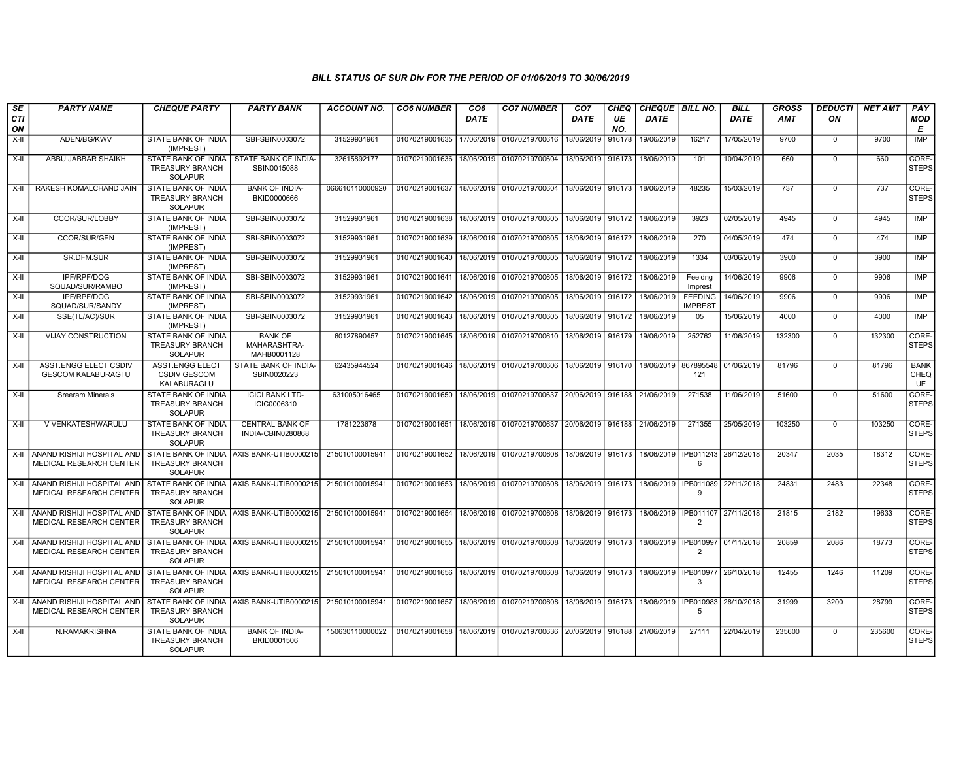| SE<br><b>CTI</b><br>ON | <b>PARTY NAME</b>                                          | <b>CHEQUE PARTY</b>                                             | <b>PARTY BANK</b>                                       | <b>ACCOUNT NO.</b> | <b>CO6 NUMBER</b>                        | CO <sub>6</sub><br>DATE | <b>CO7 NUMBER</b>                                                  | CO <sub>7</sub><br>DATE | CHEQ<br>UE<br>NO. | CHEQUE BILL NO.<br>DATE         |                                                       | <b>BILL</b><br><b>DATE</b> | <b>GROSS</b><br><b>AMT</b> | <b>DEDUCTI</b><br>ON | <b>NET AMT</b> | PAY<br><b>MOD</b><br>E           |
|------------------------|------------------------------------------------------------|-----------------------------------------------------------------|---------------------------------------------------------|--------------------|------------------------------------------|-------------------------|--------------------------------------------------------------------|-------------------------|-------------------|---------------------------------|-------------------------------------------------------|----------------------------|----------------------------|----------------------|----------------|----------------------------------|
| $X-H$                  | ADEN/BG/KWV                                                | STATE BANK OF INDIA<br>(IMPREST)                                | SBI-SBIN0003072                                         | 31529931961        | 01070219001635                           | 17/06/2019              | 01070219700616                                                     | 18/06/2019              | 916178            | 19/06/2019                      | 16217                                                 | 17/05/2019                 | 9700                       | $\mathbf 0$          | 9700           | <b>IMP</b>                       |
| X-II                   | ABBU JABBAR SHAIKH                                         | <b>TREASURY BRANCH</b><br><b>SOLAPUR</b>                        | STATE BANK OF INDIA STATE BANK OF INDIA-<br>SBIN0015088 | 32615892177        | 01070219001636                           |                         | 18/06/2019 01070219700604                                          | 18/06/2019 916173       |                   | 18/06/2019                      | 101                                                   | 10/04/2019                 | 660                        | $\mathbf 0$          | 660            | CORE-<br><b>STEPS</b>            |
| X-II                   | RAKESH KOMALCHAND JAIN                                     | STATE BANK OF INDIA<br><b>TREASURY BRANCH</b><br><b>SOLAPUR</b> | <b>BANK OF INDIA-</b><br>BKID0000666                    | 066610110000920    |                                          |                         | 01070219001637 18/06/2019 01070219700604 18/06/2019 916173         |                         |                   | 18/06/2019                      | 48235                                                 | 15/03/2019                 | 737                        | $\mathbf 0$          | 737            | CORE-<br><b>STEPS</b>            |
| X-II                   | CCOR/SUR/LOBBY                                             | STATE BANK OF INDIA<br>(IMPREST)                                | SBI-SBIN0003072                                         | 31529931961        |                                          |                         | 01070219001638   18/06/2019   01070219700605   18/06/2019   916172 |                         |                   | 18/06/2019                      | 3923                                                  | 02/05/2019                 | 4945                       | $\mathbf 0$          | 4945           | <b>IMP</b>                       |
| $X-H$                  | CCOR/SUR/GEN                                               | <b>STATE BANK OF INDIA</b><br>(IMPREST)                         | SBI-SBIN0003072                                         | 31529931961        | 01070219001639                           |                         | 18/06/2019 01070219700605                                          | 18/06/2019              | 916172            | 18/06/2019                      | 270                                                   | 04/05/2019                 | 474                        | $\mathbf 0$          | 474            | <b>IMP</b>                       |
| X-II                   | SR.DFM.SUR                                                 | STATE BANK OF INDIA<br>(IMPREST)                                | SBI-SBIN0003072                                         | 31529931961        | 01070219001640                           | 18/06/2019              | 01070219700605                                                     | 18/06/2019              | 916172            | 18/06/2019                      | 1334                                                  | 03/06/2019                 | 3900                       | $\mathbf 0$          | 3900           | IMP                              |
| X-II                   | IPF/RPF/DOG<br>SQUAD/SUR/RAMBO                             | STATE BANK OF INDIA<br>(IMPREST)                                | SBI-SBIN0003072                                         | 31529931961        | 01070219001641                           | 18/06/2019              | 01070219700605                                                     | 18/06/2019              | 916172            | 18/06/2019                      | Feeidng<br>Imprest                                    | 14/06/2019                 | 9906                       | $\mathbf{0}$         | 9906           | <b>IMP</b>                       |
| $X-H$                  | <b>IPF/RPF/DOG</b><br>SQUAD/SUR/SANDY                      | STATE BANK OF INDIA<br>(IMPREST)                                | SBI-SBIN0003072                                         | 31529931961        | 01070219001642                           | 18/06/2019              | 01070219700605                                                     | 18/06/2019              | 916172            | 18/06/2019                      | <b>FEEDING</b><br><b>IMPREST</b>                      | 14/06/2019                 | 9906                       | $\overline{0}$       | 9906           | <b>IMP</b>                       |
| $X-H$                  | SSE(TL/AC)/SUR                                             | STATE BANK OF INDIA<br>(IMPREST)                                | SBI-SBIN0003072                                         | 31529931961        | 01070219001643                           |                         | 18/06/2019 01070219700605                                          | 18/06/2019              | 916172            | 18/06/2019                      | 05                                                    | 15/06/2019                 | 4000                       | $\Omega$             | 4000           | <b>IMP</b>                       |
| X-II                   | <b>VIJAY CONSTRUCTION</b>                                  | STATE BANK OF INDIA<br><b>TREASURY BRANCH</b><br><b>SOLAPUR</b> | <b>BANK OF</b><br>MAHARASHTRA-<br>MAHB0001128           | 60127890457        | 01070219001645                           |                         | 18/06/2019 01070219700610                                          | 18/06/2019              | 916179            | 19/06/2019                      | 252762                                                | 11/06/2019                 | 132300                     | $\Omega$             | 132300         | CORE-<br><b>STEPS</b>            |
| $X-H$                  | <b>ASST.ENGG ELECT CSDIV</b><br><b>GESCOM KALABURAGI U</b> | <b>ASST.ENGG ELECT</b><br><b>CSDIV GESCOM</b><br>KALABURAGI U   | STATE BANK OF INDIA-<br>SBIN0020223                     | 62435944524        |                                          |                         | 01070219001646 18/06/2019 01070219700606                           | 18/06/2019 916170       |                   | 18/06/2019 867895548 01/06/2019 | 121                                                   |                            | 81796                      | $\mathbf 0$          | 81796          | <b>BANK</b><br><b>CHEQ</b><br>UE |
| $X-II$                 | <b>Sreeram Minerals</b>                                    | STATE BANK OF INDIA<br><b>TREASURY BRANCH</b><br>SOLAPUR        | <b>ICICI BANK LTD-</b><br>ICIC0006310                   | 631005016465       |                                          |                         | 01070219001650 18/06/2019 01070219700637 20/06/2019                |                         | 916188            | 21/06/2019                      | 271538                                                | 11/06/2019                 | 51600                      | $\mathbf 0$          | 51600          | CORE-<br><b>STEPS</b>            |
| X-II                   | V VENKATESHWARULU                                          | STATE BANK OF INDIA<br><b>TREASURY BRANCH</b><br><b>SOLAPUR</b> | <b>CENTRAL BANK OF</b><br>INDIA-CBIN0280868             | 1781223678         | 01070219001651                           |                         | 18/06/2019 01070219700637 20/06/2019                               |                         | 916188            | 21/06/2019                      | 271355                                                | 25/05/2019                 | 103250                     | $\mathbf 0$          | 103250         | CORE-<br><b>STEPS</b>            |
| X-II                   | ANAND RISHIJI HOSPITAL AND<br>MEDICAL RESEARCH CENTER      | <b>TREASURY BRANCH</b><br>SOLAPUR                               | STATE BANK OF INDIA AXIS BANK-UTIB0000215               | 215010100015941    | 01070219001652                           |                         | 18/06/2019 01070219700608                                          | 18/06/2019 916173       |                   |                                 | 18/06/2019   IPB011243   26/12/2018<br>6              |                            | 20347                      | 2035                 | 18312          | CORE-<br><b>STEPS</b>            |
| $X-II$                 | ANAND RISHIJI HOSPITAL AND<br>MEDICAL RESEARCH CENTER      | <b>TREASURY BRANCH</b><br><b>SOLAPUR</b>                        | STATE BANK OF INDIA AXIS BANK-UTIB0000215               | 215010100015941    | 01070219001653                           |                         | 18/06/2019 01070219700608                                          | 18/06/2019              | 916173            |                                 | 18/06/2019   IPB011089   22/11/2018<br>q              |                            | 24831                      | 2483                 | 22348          | CORE-<br><b>STEPS</b>            |
| $X-II$                 | ANAND RISHIJI HOSPITAL AND<br>MEDICAL RESEARCH CENTER      | <b>TREASURY BRANCH</b><br><b>SOLAPUR</b>                        | STATE BANK OF INDIA AXIS BANK-UTIB0000215               | 215010100015941    | 01070219001654                           |                         | 18/06/2019 01070219700608                                          | 18/06/2019              | 916173            | 18/06/2019 I IPB011107          | 2                                                     | 27/11/2018                 | 21815                      | 2182                 | 19633          | CORE-<br><b>STEPS</b>            |
| X-II                   | ANAND RISHIJI HOSPITAL AND<br>MEDICAL RESEARCH CENTER      | <b>TREASURY BRANCH</b><br><b>SOLAPUR</b>                        | STATE BANK OF INDIA AXIS BANK-UTIB0000215               | 215010100015941    | 01070219001655 18/06/2019 01070219700608 |                         |                                                                    | 18/06/2019 916173       |                   |                                 | 18/06/2019   IPB010997   01/11/2018<br>$\overline{2}$ |                            | 20859                      | 2086                 | 18773          | CORE-<br><b>STEPS</b>            |
| X-II                   | ANAND RISHIJI HOSPITAL AND<br>MEDICAL RESEARCH CENTER      | <b>TREASURY BRANCH</b><br><b>SOLAPUR</b>                        | STATE BANK OF INDIA AXIS BANK-UTIB0000215               | 215010100015941    | 01070219001656 18/06/2019 01070219700608 |                         |                                                                    | 18/06/2019 916173       |                   |                                 | 18/06/2019   IPB010977   26/10/2018<br>$\mathcal{R}$  |                            | 12455                      | 1246                 | 11209          | CORE-<br><b>STEPS</b>            |
| X-II                   | ANAND RISHIJI HOSPITAL AND<br>MEDICAL RESEARCH CENTER      | <b>TREASURY BRANCH</b><br>SOLAPUR                               | STATE BANK OF INDIA AXIS BANK-UTIB0000215               | 215010100015941    | 01070219001657                           |                         | 18/06/2019 01070219700608                                          | 18/06/2019 916173       |                   |                                 | 18/06/2019   IPB010983   28/10/2018<br>-5             |                            | 31999                      | 3200                 | 28799          | CORE-<br><b>STEPS</b>            |
| X-II                   | N.RAMAKRISHNA                                              | STATE BANK OF INDIA<br><b>TREASURY BRANCH</b><br>SOLAPUR        | <b>BANK OF INDIA-</b><br>BKID0001506                    | 150630110000022    | 01070219001658                           |                         | 18/06/2019   01070219700636   20/06/2019   916188                  |                         |                   | 21/06/2019                      | 27111                                                 | 22/04/2019                 | 235600                     | $\mathbf{0}$         | 235600         | CORE-<br><b>STEPS</b>            |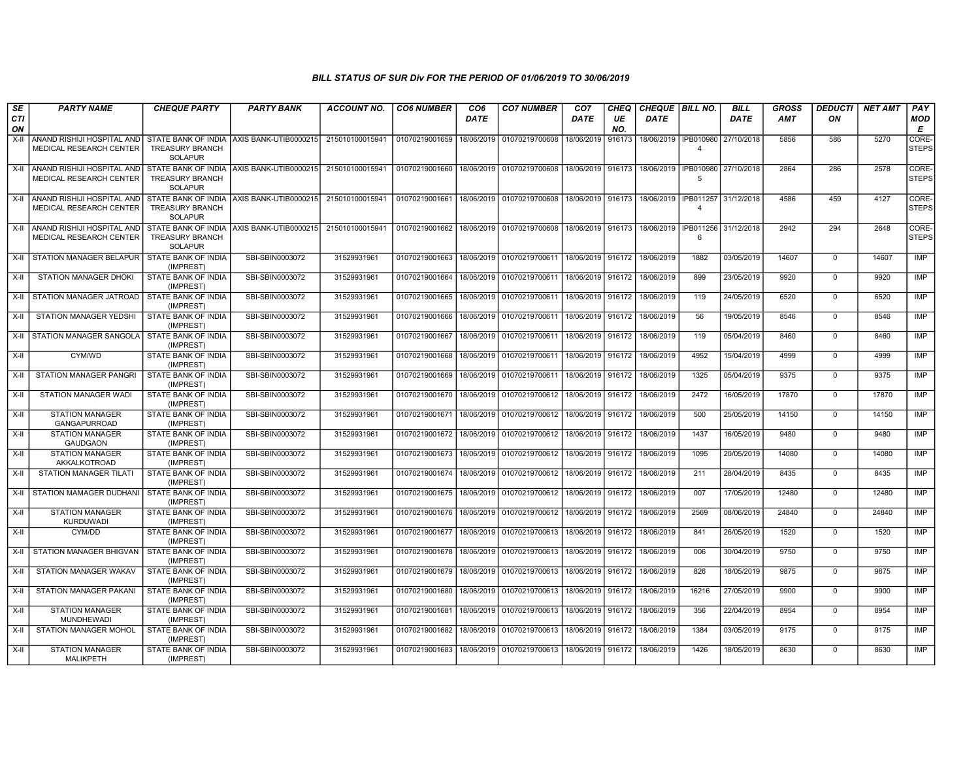| SE<br>CTI<br>ON | <b>PARTY NAME</b>                                                                               | <b>CHEQUE PARTY</b>                                             | <b>PARTY BANK</b>                         | <b>ACCOUNT NO.</b> | <b>CO6 NUMBER</b> | CO <sub>6</sub><br><b>DATE</b> | <b>CO7 NUMBER</b>         | CO <sub>7</sub><br>DATE | CHEQ<br>UE<br>NO. | CHEQUE   BILL NO.<br><b>DATE</b> |                | <b>BILL</b><br><b>DATE</b> | <b>GROSS</b><br><b>AMT</b> | <b>DEDUCTI</b><br>ON | <b>NET AMT</b> | PAY<br><b>MOD</b><br>E |
|-----------------|-------------------------------------------------------------------------------------------------|-----------------------------------------------------------------|-------------------------------------------|--------------------|-------------------|--------------------------------|---------------------------|-------------------------|-------------------|----------------------------------|----------------|----------------------------|----------------------------|----------------------|----------------|------------------------|
| X-II            | ANAND RISHIJI HOSPITAL AND STATE BANK OF INDIA AXIS BANK-UTIB0000215<br>MEDICAL RESEARCH CENTER | <b>TREASURY BRANCH</b><br><b>SOLAPUR</b>                        |                                           | 215010100015941    | 01070219001659    | 18/06/2019                     | 01070219700608            | 18/06/2019              | 916173            | 18/06/2019   IPB010980           | $\Delta$       | 27/10/2018                 | 5856                       | 586                  | 5270           | CORE-<br><b>STEPS</b>  |
| X-II            | ANAND RISHIJI HOSPITAL AND<br>MEDICAL RESEARCH CENTER                                           | <b>TREASURY BRANCH</b><br><b>SOLAPUR</b>                        | STATE BANK OF INDIA AXIS BANK-UTIB0000215 | 215010100015941    | 01070219001660    |                                | 18/06/2019 01070219700608 | 18/06/2019              | 916173            | 18/06/2019   IPB010980           | -5             | 27/10/2018                 | 2864                       | 286                  | 2578           | CORE-<br><b>STEPS</b>  |
|                 | X-II ANAND RISHIJI HOSPITAL AND<br>MEDICAL RESEARCH CENTER                                      | <b>TREASURY BRANCH</b><br><b>SOLAPUR</b>                        | STATE BANK OF INDIA AXIS BANK-UTIB0000215 | 215010100015941    | 01070219001661    |                                | 18/06/2019 01070219700608 | 18/06/2019 916173       |                   | 18/06/2019   IPB011257           | $\overline{4}$ | 31/12/2018                 | 4586                       | 459                  | 4127           | CORE-<br><b>STEPS</b>  |
|                 | X-II ANAND RISHIJI HOSPITAL AND<br>MEDICAL RESEARCH CENTER                                      | STATE BANK OF INDIA<br><b>TREASURY BRANCH</b><br><b>SOLAPUR</b> | AXIS BANK-UTIB0000215                     | 215010100015941    | 01070219001662    |                                | 18/06/2019 01070219700608 | 18/06/2019 916173       |                   | 18/06/2019   IPB011256           | 6              | 31/12/2018                 | 2942                       | 294                  | 2648           | CORE-<br><b>STEPS</b>  |
|                 | X-II STATION MANAGER BELAPUR                                                                    | <b>STATE BANK OF INDIA</b><br>(IMPREST)                         | SBI-SBIN0003072                           | 31529931961        | 01070219001663    |                                | 18/06/2019 01070219700611 | 18/06/2019 916172       |                   | 18/06/2019                       | 1882           | 03/05/2019                 | 14607                      | $\mathbf 0$          | 14607          | <b>IMP</b>             |
| X-II            | <b>STATION MANAGER DHOKI</b>                                                                    | <b>STATE BANK OF INDIA</b><br>(IMPREST)                         | SBI-SBIN0003072                           | 31529931961        | 01070219001664    | 18/06/2019                     | 01070219700611            | 18/06/2019              | 916172            | 18/06/2019                       | 899            | 23/05/2019                 | 9920                       | $\Omega$             | 9920           | <b>IMP</b>             |
| X-II            | STATION MANAGER JATROAD                                                                         | STATE BANK OF INDIA<br>(IMPREST)                                | SBI-SBIN0003072                           | 31529931961        | 01070219001665    | 18/06/2019                     | 01070219700611            | 18/06/2019              | 916172            | 18/06/2019                       | 119            | 24/05/2019                 | 6520                       | $\Omega$             | 6520           | IMP                    |
| X-II            | <b>STATION MANAGER YEDSHI</b>                                                                   | <b>STATE BANK OF INDIA</b><br>(IMPREST)                         | SBI-SBIN0003072                           | 31529931961        | 01070219001666    | 18/06/2019                     | 01070219700611            | 18/06/2019              | 916172            | 18/06/2019                       | 56             | 19/05/2019                 | 8546                       | $\Omega$             | 8546           | <b>IMP</b>             |
|                 | X-II STATION MANAGER SANGOLA                                                                    | STATE BANK OF INDIA<br>(IMPREST)                                | SBI-SBIN0003072                           | 31529931961        | 01070219001667    | 18/06/2019                     | 01070219700611            | 18/06/2019 916172       |                   | 18/06/2019                       | 119            | 05/04/2019                 | 8460                       | $\Omega$             | 8460           | <b>IMP</b>             |
| $X-H$           | CYM/WD                                                                                          | <b>STATE BANK OF INDIA</b><br>(IMPREST)                         | SBI-SBIN0003072                           | 31529931961        | 01070219001668    | 18/06/2019                     | 01070219700611            | 18/06/2019              | 916172            | 18/06/2019                       | 4952           | 15/04/2019                 | 4999                       | $\mathbf 0$          | 4999           | IMP                    |
| X-II            | <b>STATION MANAGER PANGRI</b>                                                                   | <b>STATE BANK OF INDIA</b><br>(IMPREST)                         | SBI-SBIN0003072                           | 31529931961        | 01070219001669    | 18/06/2019                     | 01070219700611            | 18/06/2019              | 916172            | 18/06/2019                       | 1325           | 05/04/2019                 | 9375                       | $\Omega$             | 9375           | <b>IMP</b>             |
| X-II            | STATION MANAGER WADI                                                                            | STATE BANK OF INDIA<br>(IMPREST)                                | SBI-SBIN0003072                           | 31529931961        | 01070219001670    | 18/06/2019                     | 01070219700612            | 18/06/2019              | 916172            | 18/06/2019                       | 2472           | 16/05/2019                 | 17870                      | $\mathbf 0$          | 17870          | <b>IMP</b>             |
| X-II            | STATION MANAGER<br><b>GANGAPURROAD</b>                                                          | <b>STATE BANK OF INDIA</b><br>(IMPREST)                         | SBI-SBIN0003072                           | 31529931961        | 01070219001671    | 18/06/2019                     | 01070219700612            | 18/06/2019              | 916172            | 18/06/2019                       | 500            | 25/05/2019                 | 14150                      | $\Omega$             | 14150          | <b>IMP</b>             |
| X-II            | <b>STATION MANAGER</b><br><b>GAUDGAON</b>                                                       | <b>STATE BANK OF INDIA</b><br>(IMPREST)                         | SBI-SBIN0003072                           | 31529931961        | 01070219001672    | 18/06/2019                     | 01070219700612            | 18/06/2019 916172       |                   | 18/06/2019                       | 1437           | 16/05/2019                 | 9480                       | $\Omega$             | 9480           | IMP                    |
| X-II            | <b>STATION MANAGER</b><br>AKKALKOTROAD                                                          | STATE BANK OF INDIA<br>(IMPREST)                                | SBI-SBIN0003072                           | 31529931961        | 01070219001673    | 18/06/2019                     | 01070219700612            | 18/06/2019              | 916172            | 18/06/2019                       | 1095           | 20/05/2019                 | 14080                      | $\mathbf 0$          | 14080          | IMP                    |
| X-II            | <b>STATION MANAGER TILATI</b>                                                                   | <b>STATE BANK OF INDIA</b><br>(IMPREST)                         | SBI-SBIN0003072                           | 31529931961        | 01070219001674    | 18/06/2019                     | 01070219700612            | 18/06/2019              | 916172            | 18/06/2019                       | 211            | 28/04/2019                 | 8435                       | $\Omega$             | 8435           | <b>IMP</b>             |
| X-II            | STATION MAMAGER DUDHANI                                                                         | STATE BANK OF INDIA<br>(IMPREST)                                | SBI-SBIN0003072                           | 31529931961        | 01070219001675    | 18/06/2019                     | 01070219700612            | 18/06/2019              | 916172            | 18/06/2019                       | 007            | 17/05/2019                 | 12480                      | $\mathbf 0$          | 12480          | <b>IMP</b>             |
| X-II            | <b>STATION MANAGER</b><br><b>KURDUWADI</b>                                                      | <b>STATE BANK OF INDIA</b><br>(IMPREST)                         | SBI-SBIN0003072                           | 31529931961        | 01070219001676    | 18/06/2019                     | 01070219700612            | 18/06/2019              | 916172            | 18/06/2019                       | 2569           | 08/06/2019                 | 24840                      | $\Omega$             | 24840          | <b>IMP</b>             |
| X-II            | CYM/DD                                                                                          | STATE BANK OF INDIA<br>(IMPREST)                                | SBI-SBIN0003072                           | 31529931961        | 01070219001677    | 18/06/2019                     | 01070219700613            | 18/06/2019              | 916172            | 18/06/2019                       | 841            | 26/05/2019                 | 1520                       | $\Omega$             | 1520           | <b>IMP</b>             |
| X-II            | STATION MANAGER BHIGVAN                                                                         | STATE BANK OF INDIA<br>(IMPREST)                                | SBI-SBIN0003072                           | 31529931961        | 01070219001678    | 18/06/2019                     | 01070219700613            | 18/06/2019              | 916172            | 18/06/2019                       | 006            | 30/04/2019                 | 9750                       | $\mathbf 0$          | 9750           | IMP                    |
| X-II            | STATION MANAGER WAKAV                                                                           | <b>STATE BANK OF INDIA</b><br>(IMPREST)                         | SBI-SBIN0003072                           | 31529931961        | 01070219001679    | 18/06/2019                     | 01070219700613            | 18/06/2019              | 916172            | 18/06/2019                       | 826            | 18/05/2019                 | 9875                       | $\Omega$             | 9875           | <b>IMP</b>             |
| X-II            | STATION MANAGER PAKANI                                                                          | <b>STATE BANK OF INDIA</b><br>(IMPREST)                         | SBI-SBIN0003072                           | 31529931961        | 01070219001680    | 18/06/2019                     | 01070219700613            | 18/06/2019              | 916172            | 18/06/2019                       | 16216          | 27/05/2019                 | 9900                       | $\mathbf 0$          | 9900           | IMP                    |
| X-II            | <b>STATION MANAGER</b><br><b>MUNDHEWADI</b>                                                     | <b>STATE BANK OF INDIA</b><br>(IMPREST)                         | SBI-SBIN0003072                           | 31529931961        | 01070219001681    | 18/06/2019                     | 01070219700613            | 18/06/2019              | 916172            | 18/06/2019                       | 356            | 22/04/2019                 | 8954                       | $\mathbf 0$          | 8954           | <b>IMP</b>             |
| $X-H$           | <b>STATION MANAGER MOHOL</b>                                                                    | STATE BANK OF INDIA<br>(IMPREST)                                | SBI-SBIN0003072                           | 31529931961        | 01070219001682    | 18/06/2019                     | 01070219700613            | 18/06/2019 916172       |                   | 18/06/2019                       | 1384           | 03/05/2019                 | 9175                       | $\Omega$             | 9175           | <b>IMP</b>             |
| X-II            | <b>STATION MANAGER</b><br>MALIKPETH                                                             | STATE BANK OF INDIA<br>(IMPREST)                                | SBI-SBIN0003072                           | 31529931961        | 01070219001683    | 18/06/2019                     | 01070219700613            | 18/06/2019              | 916172            | 18/06/2019                       | 1426           | 18/05/2019                 | 8630                       | $\mathbf 0$          | 8630           | IMP                    |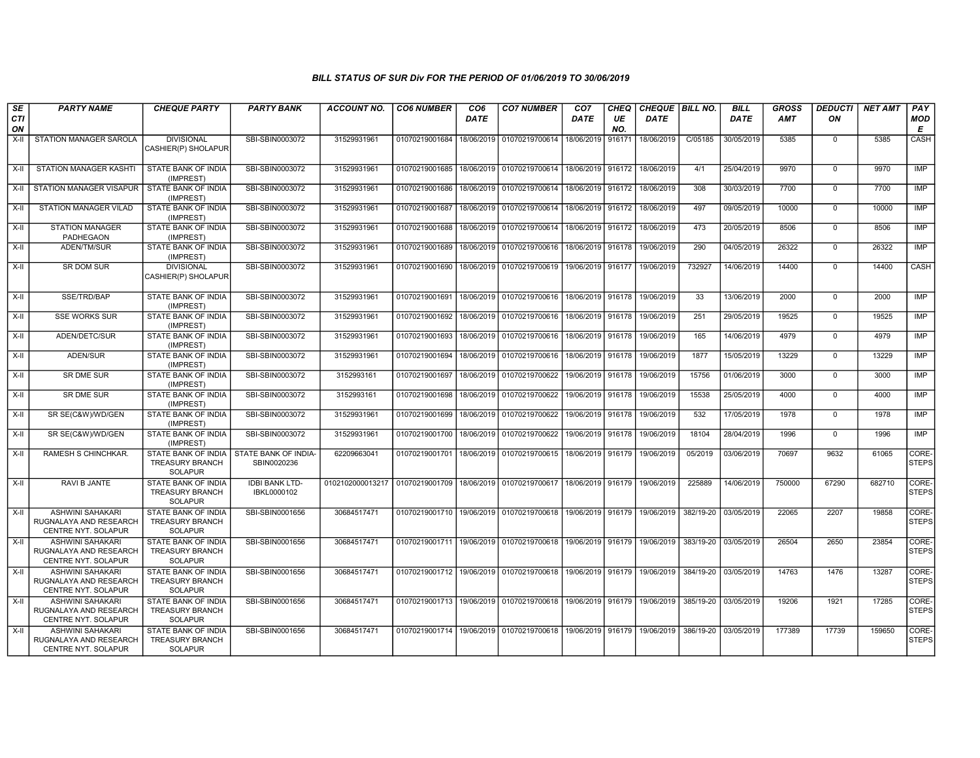| SE<br><b>CTI</b><br>ON | <b>PARTY NAME</b>                                                        | <b>CHEQUE PARTY</b>                                                    | <b>PARTY BANK</b>                    | <b>ACCOUNT NO.</b>                                        | <b>CO6 NUMBER</b> | CO <sub>6</sub><br>DATE | <b>CO7 NUMBER</b>                                                               | CO <sub>7</sub><br><b>DATE</b> | <b>CHEQ</b><br>UE<br>NO. | CHEQUE BILL NO.<br><b>DATE</b> |           | <b>BILL</b><br>DATE  | <b>GROSS</b><br><b>AMT</b> | <b>DEDUCTI</b><br>ON | <b>NET AMT</b> | PAY<br>MOD<br>E       |
|------------------------|--------------------------------------------------------------------------|------------------------------------------------------------------------|--------------------------------------|-----------------------------------------------------------|-------------------|-------------------------|---------------------------------------------------------------------------------|--------------------------------|--------------------------|--------------------------------|-----------|----------------------|----------------------------|----------------------|----------------|-----------------------|
| X-II                   | STATION MANAGER SAROLA                                                   | <b>DIVISIONAL</b><br>CASHIER(P) SHOLAPUR                               | SBI-SBIN0003072                      | 31529931961                                               | 01070219001684    | 18/06/2019              | 01070219700614                                                                  | 18/06/2019                     | 916171                   | 18/06/2019                     | C/05185   | 30/05/2019           | 5385                       | $\Omega$             | 5385           | CASH                  |
| X-II                   | STATION MANAGER KASHTI                                                   | <b>STATE BANK OF INDIA</b><br>(IMPREST)                                | SBI-SBIN0003072                      | 31529931961                                               |                   |                         | 01070219001685   18/06/2019   01070219700614   18/06/2019   916172              |                                |                          | 18/06/2019                     | 4/1       | 25/04/2019           | 9970                       | $\mathbf 0$          | 9970           | IMP                   |
| X-II                   | <b>STATION MANAGER VISAPUR</b>                                           | STATE BANK OF INDIA<br>(IMPREST)                                       | SBI-SBIN0003072                      | 31529931961                                               | 01070219001686    |                         | 18/06/2019 01070219700614                                                       | 18/06/2019                     | 916172                   | 18/06/2019                     | 308       | 30/03/2019           | 7700                       | $\mathbf 0$          | 7700           | IMP                   |
| X-II                   | <b>STATION MANAGER VILAD</b>                                             | STATE BANK OF INDIA<br>(IMPREST)                                       | SBI-SBIN0003072                      | 31529931961                                               | 01070219001687    | 18/06/2019              | 01070219700614                                                                  | 18/06/2019 916172              |                          | 18/06/2019                     | 497       | 09/05/2019           | 10000                      | $\mathbf 0$          | 10000          | IMP                   |
| $X-II$                 | <b>STATION MANAGER</b><br>PADHEGAON                                      | STATE BANK OF INDIA<br>(IMPREST)                                       | SBI-SBIN0003072                      | 31529931961                                               | 01070219001688    |                         | 18/06/2019 01070219700614                                                       | 18/06/2019 916172              |                          | 18/06/2019                     | 473       | 20/05/2019           | 8506                       | $\mathbf 0$          | 8506           | <b>IMP</b>            |
| X-II                   | ADEN/TM/SUR                                                              | STATE BANK OF INDIA<br>(IMPREST)                                       | SBI-SBIN0003072                      | 31529931961                                               | 01070219001689    |                         | 18/06/2019 01070219700616 18/06/2019 916178                                     |                                |                          | 19/06/2019                     | 290       | 04/05/2019           | 26322                      | $\mathbf 0$          | 26322          | IMP                   |
| X-II                   | SR DOM SUR                                                               | <b>DIVISIONAL</b><br>CASHIER(P) SHOLAPUR                               | SBI-SBIN0003072                      | 31529931961                                               |                   |                         | 01070219001690   18/06/2019   01070219700619   19/06/2019   916177              |                                |                          | 19/06/2019                     | 732927    | 14/06/2019           | 14400                      | 0                    | 14400          | CASH                  |
| $X-H$                  | SSE/TRD/BAP                                                              | <b>STATE BANK OF INDIA</b><br>(IMPREST)                                | SBI-SBIN0003072                      | 31529931961                                               | 01070219001691    |                         | 18/06/2019 01070219700616 18/06/2019 916178                                     |                                |                          | 19/06/2019                     | 33        | 13/06/2019           | 2000                       | $\mathbf 0$          | 2000           | IMP                   |
| $X-H$                  | <b>SSE WORKS SUR</b>                                                     | <b>STATE BANK OF INDIA</b><br>(IMPREST)                                | SBI-SBIN0003072                      | 31529931961                                               | 01070219001692    |                         | 18/06/2019 01070219700616                                                       | 18/06/2019 916178              |                          | 19/06/2019                     | 251       | 29/05/2019           | 19525                      | $\mathbf 0$          | 19525          | IMP                   |
| X-II                   | ADEN/DETC/SUR                                                            | <b>STATE BANK OF INDIA</b><br>(IMPREST)                                | SBI-SBIN0003072                      | 31529931961                                               | 01070219001693    | 18/06/2019              | 01070219700616                                                                  | 18/06/2019                     | 916178                   | 19/06/2019                     | 165       | 14/06/2019           | 4979                       | $\mathbf 0$          | 4979           | <b>IMP</b>            |
| X-II                   | ADEN/SUR                                                                 | <b>STATE BANK OF INDIA</b><br>(IMPREST)                                | SBI-SBIN0003072                      | 31529931961                                               | 01070219001694    |                         | 18/06/2019   01070219700616   18/06/2019   916178                               |                                |                          | 19/06/2019                     | 1877      | 15/05/2019           | 13229                      | $\mathbf 0$          | 13229          | IMP                   |
| X-II                   | SR DME SUR                                                               | <b>STATE BANK OF INDIA</b><br>(IMPREST)                                | SBI-SBIN0003072                      | 3152993161                                                | 01070219001697    |                         | 18/06/2019 01070219700622                                                       | 19/06/2019 916178              |                          | 19/06/2019                     | 15756     | 01/06/2019           | 3000                       | $\mathbf 0$          | 3000           | IMP                   |
| X-II                   | <b>SR DME SUR</b>                                                        | STATE BANK OF INDIA<br>(IMPREST)                                       | SBI-SBIN0003072                      | 3152993161                                                | 01070219001698    | 18/06/2019              | 01070219700622                                                                  | 19/06/2019 916178              |                          | 19/06/2019                     | 15538     | 25/05/2019           | 4000                       | $\mathbf 0$          | 4000           | IMP                   |
| X-II                   | SR SE(C&W)/WD/GEN                                                        | STATE BANK OF INDIA<br>(IMPREST)                                       | SBI-SBIN0003072                      | 31529931961                                               | 01070219001699    |                         | 18/06/2019 01070219700622                                                       | 19/06/2019 916178              |                          | 19/06/2019                     | 532       | 17/05/2019           | 1978                       | $\mathbf 0$          | 1978           | IMP                   |
| X-II                   | SR SE(C&W)/WD/GEN                                                        | STATE BANK OF INDIA<br>(IMPREST)                                       | SBI-SBIN0003072                      | 31529931961                                               |                   |                         | 01070219001700   18/06/2019   01070219700622                                    | 19/06/2019 916178              |                          | 19/06/2019                     | 18104     | 28/04/2019           | 1996                       | $\mathbf 0$          | 1996           | IMP                   |
| $X-H$                  | RAMESH S CHINCHKAR.                                                      | STATE BANK OF INDIA<br><b>TREASURY BRANCH</b><br><b>SOLAPUR</b>        | STATE BANK OF INDIA-<br>SBIN0020236  | 62209663041                                               |                   |                         | 01070219001701   18/06/2019   01070219700615   18/06/2019   916179              |                                |                          | 19/06/2019                     | 05/2019   | 03/06/2019           | 70697                      | 9632                 | 61065          | CORE-<br><b>STEPS</b> |
| $X-I$                  | <b>RAVI B JANTE</b>                                                      | <b>STATE BANK OF INDIA</b><br><b>TREASURY BRANCH</b><br><b>SOLAPUR</b> | <b>IDBI BANK LTD-</b><br>IBKL0000102 | 0102102000013217 01070219001709 18/06/2019 01070219700617 |                   |                         |                                                                                 | 18/06/2019 916179              |                          | 19/06/2019                     | 225889    | 14/06/2019           | 750000                     | 67290                | 682710         | CORE-<br><b>STEPS</b> |
| $X-H$                  | <b>ASHWINI SAHAKARI</b><br>RUGNALAYA AND RESEARCH<br>CENTRE NYT. SOLAPUR | <b>STATE BANK OF INDIA</b><br><b>TREASURY BRANCH</b><br><b>SOLAPUR</b> | SBI-SBIN0001656                      | 30684517471                                               |                   |                         | 01070219001710 19/06/2019 01070219700618 19/06/2019 916179 19/06/2019           |                                |                          |                                |           | 382/19-20 03/05/2019 | 22065                      | 2207                 | 19858          | CORE-<br><b>STEPS</b> |
| $X-H$                  | <b>ASHWINI SAHAKARI</b><br>RUGNALAYA AND RESEARCH<br>CENTRE NYT. SOLAPUR | STATE BANK OF INDIA<br><b>TREASURY BRANCH</b><br><b>SOLAPUR</b>        | SBI-SBIN0001656                      | 30684517471                                               |                   |                         | 01070219001711 19/06/2019 01070219700618 19/06/2019 916179 19/06/2019           |                                |                          |                                |           | 383/19-20 03/05/2019 | 26504                      | 2650                 | 23854          | CORE-<br><b>STEPS</b> |
| $X-I$                  | <b>ASHWINI SAHAKARI</b><br>RUGNALAYA AND RESEARCH<br>CENTRE NYT. SOLAPUR | STATE BANK OF INDIA<br><b>TREASURY BRANCH</b><br><b>SOLAPUR</b>        | SBI-SBIN0001656                      | 30684517471                                               |                   |                         | 01070219001712   19/06/2019   01070219700618   19/06/2019   916179   19/06/2019 |                                |                          |                                |           | 384/19-20 03/05/2019 | 14763                      | 1476                 | 13287          | CORE-<br><b>STEPS</b> |
| $X-H$                  | <b>ASHWINI SAHAKARI</b><br>RUGNALAYA AND RESEARCH<br>CENTRE NYT. SOLAPUR | STATE BANK OF INDIA<br><b>TREASURY BRANCH</b><br><b>SOLAPUR</b>        | SBI-SBIN0001656                      | 30684517471                                               |                   |                         | 01070219001713   19/06/2019   01070219700618   19/06/2019   916179   19/06/2019 |                                |                          |                                |           | 385/19-20 03/05/2019 | 19206                      | 1921                 | 17285          | CORE-<br><b>STEPS</b> |
| $X-H$                  | ASHWINI SAHAKARI<br>RUGNALAYA AND RESEARCH<br>CENTRE NYT. SOLAPUR        | STATE BANK OF INDIA<br><b>TREASURY BRANCH</b><br><b>SOLAPUR</b>        | SBI-SBIN0001656                      | 30684517471                                               | 01070219001714    |                         | 19/06/2019   01070219700618   19/06/2019   916179                               |                                |                          | 19/06/2019                     | 386/19-20 | 03/05/2019           | 177389                     | 17739                | 159650         | CORE-<br><b>STEPS</b> |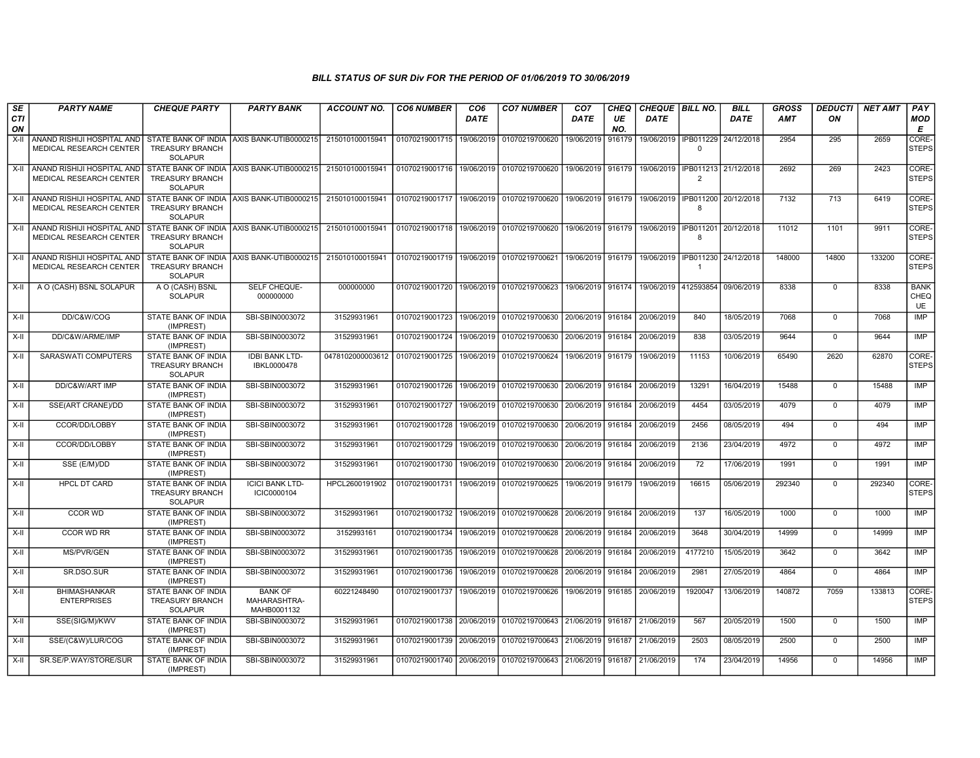| SE<br><b>CTI</b> | <b>PARTY NAME</b>                                          | <b>CHEQUE PARTY</b>                                                    | <b>PARTY BANK</b>                             | <b>ACCOUNT NO.</b> | <b>CO6 NUMBER</b>                            | CO <sub>6</sub><br><b>DATE</b> | <b>CO7 NUMBER</b>                                          | CO <sub>7</sub><br><b>DATE</b> | <b>CHEQ</b><br>UE | CHEQUE BILL NO.<br>DATE                                   |                                               | <b>BILL</b><br><b>DATE</b> | GROSS<br>AMT | <b>DEDUCTI</b><br>ON | <b>NET AMT</b> | PAY<br>MOD                       |
|------------------|------------------------------------------------------------|------------------------------------------------------------------------|-----------------------------------------------|--------------------|----------------------------------------------|--------------------------------|------------------------------------------------------------|--------------------------------|-------------------|-----------------------------------------------------------|-----------------------------------------------|----------------------------|--------------|----------------------|----------------|----------------------------------|
| ON<br>$X-II$     | ANAND RISHIJI HOSPITAL AND<br>MEDICAL RESEARCH CENTER      | <b>TREASURY BRANCH</b><br><b>SOLAPUR</b>                               | STATE BANK OF INDIA AXIS BANK-UTIB0000215     | 215010100015941    | 01070219001715   19/06/2019   01070219700620 |                                |                                                            | 19/06/2019                     | NO.<br>916179     |                                                           | 19/06/2019   IPB011229 24/12/2018<br>$\Omega$ |                            | 2954         | 295                  | 2659           | Е<br>CORE-<br>STEPS              |
|                  | X-II ANAND RISHIJI HOSPITAL AND<br>MEDICAL RESEARCH CENTER | <b>TREASURY BRANCH</b><br><b>SOLAPUR</b>                               | STATE BANK OF INDIA AXIS BANK-UTIB0000215     | 215010100015941    | 01070219001716 19/06/2019 01070219700620     |                                |                                                            |                                |                   | 19/06/2019 916179 19/06/2019 IPB011213 21/12/2018         | $\mathcal{P}$                                 |                            | 2692         | 269                  | 2423           | CORE-<br><b>STEPS</b>            |
| X-II             | ANAND RISHIJI HOSPITAL AND<br>MEDICAL RESEARCH CENTER      | <b>TREASURY BRANCH</b><br><b>SOLAPUR</b>                               | STATE BANK OF INDIA AXIS BANK-UTIB0000215     | 215010100015941    |                                              |                                | 01070219001717   19/06/2019   01070219700620               | 19/06/2019 916179              |                   | 19/06/2019   IPB011200   20/12/2018                       | -8                                            |                            | 7132         | 713                  | 6419           | CORE-<br><b>STEPS</b>            |
| X-II             | ANAND RISHIJI HOSPITAL AND<br>MEDICAL RESEARCH CENTER      | <b>TREASURY BRANCH</b><br><b>SOLAPUR</b>                               | STATE BANK OF INDIA AXIS BANK-UTIB0000215     | 215010100015941    |                                              |                                | 01070219001718 19/06/2019 01070219700620                   |                                |                   | 19/06/2019   916179   19/06/2019   IPB011201   20/12/2018 | -8                                            |                            | 11012        | 1101                 | 9911           | CORE-<br><b>STEPS</b>            |
|                  | X-II ANAND RISHIJI HOSPITAL AND<br>MEDICAL RESEARCH CENTER | <b>TREASURY BRANCH</b><br><b>SOLAPUR</b>                               | STATE BANK OF INDIA AXIS BANK-UTIB0000215     | 215010100015941    | 01070219001719 19/06/2019 01070219700621     |                                |                                                            |                                |                   | 19/06/2019 916179 19/06/2019 IPB011230 24/12/2018         | $\overline{1}$                                |                            | 148000       | 14800                | 133200         | CORE-<br><b>STEPS</b>            |
| $X-H$            | A O (CASH) BSNL SOLAPUR                                    | A O (CASH) BSNL<br><b>SOLAPUR</b>                                      | SELF CHEQUE-<br>000000000                     | 000000000          |                                              |                                | 01070219001720 19/06/2019 01070219700623                   | 19/06/2019 916174              |                   | 19/06/2019 412593854 09/06/2019                           |                                               |                            | 8338         | $^{\circ}$           | 8338           | <b>BANK</b><br>CHEQ<br><b>UE</b> |
| X-II             | DD/C&W/COG                                                 | STATE BANK OF INDIA<br>(IMPREST)                                       | SBI-SBIN0003072                               | 31529931961        |                                              |                                | 01070219001723 19/06/2019 01070219700630                   | 20/06/2019 916184              |                   | 20/06/2019                                                | 840                                           | 18/05/2019                 | 7068         | $^{\circ}$           | 7068           | <b>IMP</b>                       |
| X-II             | DD/C&W/ARME/IMP                                            | STATE BANK OF INDIA<br>(IMPREST)                                       | SBI-SBIN0003072                               | 31529931961        |                                              |                                | 01070219001724 19/06/2019 01070219700630                   | 20/06/2019 916184              |                   | 20/06/2019                                                | 838                                           | 03/05/2019                 | 9644         | $\Omega$             | 9644           | <b>IMP</b>                       |
| X-II             | SARASWATI COMPUTERS                                        | <b>STATE BANK OF INDIA</b><br><b>TREASURY BRANCH</b><br><b>SOLAPUR</b> | <b>IDBI BANK LTD-</b><br>IBKL0000478          | 0478102000003612   | 01070219001725 19/06/2019 01070219700624     |                                |                                                            | 19/06/2019 916179              |                   | 19/06/2019                                                | 11153                                         | 10/06/2019                 | 65490        | 2620                 | 62870          | CORE-<br><b>STEPS</b>            |
| $X-II$           | DD/C&W/ART IMP                                             | STATE BANK OF INDIA<br>(IMPREST)                                       | SBI-SBIN0003072                               | 31529931961        |                                              |                                | 01070219001726 19/06/2019 01070219700630                   | 20/06/2019 916184              |                   | 20/06/2019                                                | 13291                                         | 16/04/2019                 | 15488        | $\overline{0}$       | 15488          | IMP                              |
| X-II             | SSE(ART CRANE)/DD                                          | <b>STATE BANK OF INDIA</b><br>(IMPREST)                                | SBI-SBIN0003072                               | 31529931961        | 01070219001727                               |                                | 19/06/2019 01070219700630                                  | 20/06/2019 916184              |                   | 20/06/2019                                                | 4454                                          | 03/05/2019                 | 4079         | $\mathbf 0$          | 4079           | <b>IMP</b>                       |
| X-II             | CCOR/DD/LOBBY                                              | STATE BANK OF INDIA<br>(IMPREST)                                       | SBI-SBIN0003072                               | 31529931961        |                                              |                                | 01070219001728 19/06/2019 01070219700630                   | 20/06/2019 916184              |                   | 20/06/2019                                                | 2456                                          | 08/05/2019                 | 494          | $\Omega$             | 494            | <b>IMP</b>                       |
| X-II             | CCOR/DD/LOBBY                                              | STATE BANK OF INDIA<br>(IMPREST)                                       | SBI-SBIN0003072                               | 31529931961        | 01070219001729                               | 19/06/2019                     | 01070219700630                                             | 20/06/2019                     | 916184            | 20/06/2019                                                | 2136                                          | 23/04/2019                 | 4972         | $\mathbf{0}$         | 4972           | IMP                              |
| X-II             | SSE (E/M)/DD                                               | STATE BANK OF INDIA<br>(IMPREST)                                       | SBI-SBIN0003072                               | 31529931961        |                                              |                                | 01070219001730 19/06/2019 01070219700630                   | 20/06/2019                     | 916184            | 20/06/2019                                                | 72                                            | 17/06/2019                 | 1991         | $\mathbf{0}$         | 1991           | IMP                              |
| X-II             | <b>HPCL DT CARD</b>                                        | <b>STATE BANK OF INDIA</b><br><b>TREASURY BRANCH</b><br><b>SOLAPUR</b> | <b>ICICI BANK LTD-</b><br>ICIC0000104         | HPCL2600191902     | 01070219001731                               |                                | 19/06/2019 01070219700625                                  | 19/06/2019                     | 916179            | 19/06/2019                                                | 16615                                         | 05/06/2019                 | 292340       | $\overline{0}$       | 292340         | CORE-<br><b>STEPS</b>            |
| X-II             | CCOR WD                                                    | STATE BANK OF INDIA<br>(IMPREST)                                       | SBI-SBIN0003072                               | 31529931961        |                                              |                                | 01070219001732 19/06/2019 01070219700628                   | 20/06/2019 916184              |                   | 20/06/2019                                                | 137                                           | 16/05/2019                 | 1000         | $\Omega$             | 1000           | <b>IMP</b>                       |
| X-II             | CCOR WD RR                                                 | STATE BANK OF INDIA<br>(IMPREST)                                       | SBI-SBIN0003072                               | 3152993161         |                                              |                                | 01070219001734 19/06/2019 01070219700628                   | 20/06/2019 916184              |                   | 20/06/2019                                                | 3648                                          | 30/04/2019                 | 14999        | $\mathbf{0}$         | 14999          | <b>IMP</b>                       |
| X-II             | MS/PVR/GEN                                                 | <b>STATE BANK OF INDIA</b><br>(IMPREST)                                | SBI-SBIN0003072                               | 31529931961        |                                              |                                | 01070219001735   19/06/2019   01070219700628               | 20/06/2019                     | 916184            | 20/06/2019                                                | 4177210                                       | 15/05/2019                 | 3642         | $\overline{0}$       | 3642           | <b>IMP</b>                       |
| X-II             | SR.DSO.SUR                                                 | <b>STATE BANK OF INDIA</b><br>(IMPREST)                                | SBI-SBIN0003072                               | 31529931961        |                                              |                                | 01070219001736 19/06/2019 01070219700628                   | 20/06/2019                     | 916184            | 20/06/2019                                                | 2981                                          | 27/05/2019                 | 4864         | $^{\circ}$           | 4864           | IMP                              |
| X-II             | <b>BHIMASHANKAR</b><br><b>ENTERPRISES</b>                  | STATE BANK OF INDIA<br><b>TREASURY BRANCH</b><br><b>SOLAPUR</b>        | <b>BANK OF</b><br>MAHARASHTRA-<br>MAHB0001132 | 60221248490        |                                              |                                | 01070219001737   19/06/2019   01070219700626               | 19/06/2019 916185              |                   | 20/06/2019                                                | 1920047                                       | 13/06/2019                 | 140872       | 7059                 | 133813         | CORE-<br><b>STEPS</b>            |
| $X-H$            | SSE(SIG/M)/KWV                                             | <b>STATE BANK OF INDIA</b><br>(IMPREST)                                | SBI-SBIN0003072                               | 31529931961        |                                              |                                | 01070219001738 20/06/2019 01070219700643 21/06/2019 916187 |                                |                   | 21/06/2019                                                | 567                                           | 20/05/2019                 | 1500         | $\overline{0}$       | 1500           | <b>IMP</b>                       |
| X-II             | SSE/(C&W)/LUR/COG                                          | <b>STATE BANK OF INDIA</b><br>(IMPREST)                                | SBI-SBIN0003072                               | 31529931961        |                                              |                                | 01070219001739 20/06/2019 01070219700643                   | 21/06/2019                     | 916187            | 21/06/2019                                                | 2503                                          | 08/05/2019                 | 2500         | $^{\circ}$           | 2500           | <b>IMP</b>                       |
| $X-II$           | SR.SE/P.WAY/STORE/SUR                                      | STATE BANK OF INDIA<br>(IMPREST)                                       | SBI-SBIN0003072                               | 31529931961        |                                              |                                | 01070219001740 20/06/2019 01070219700643 21/06/2019 916187 |                                |                   | 21/06/2019                                                | 174                                           | 23/04/2019                 | 14956        | $\Omega$             | 14956          | IMP                              |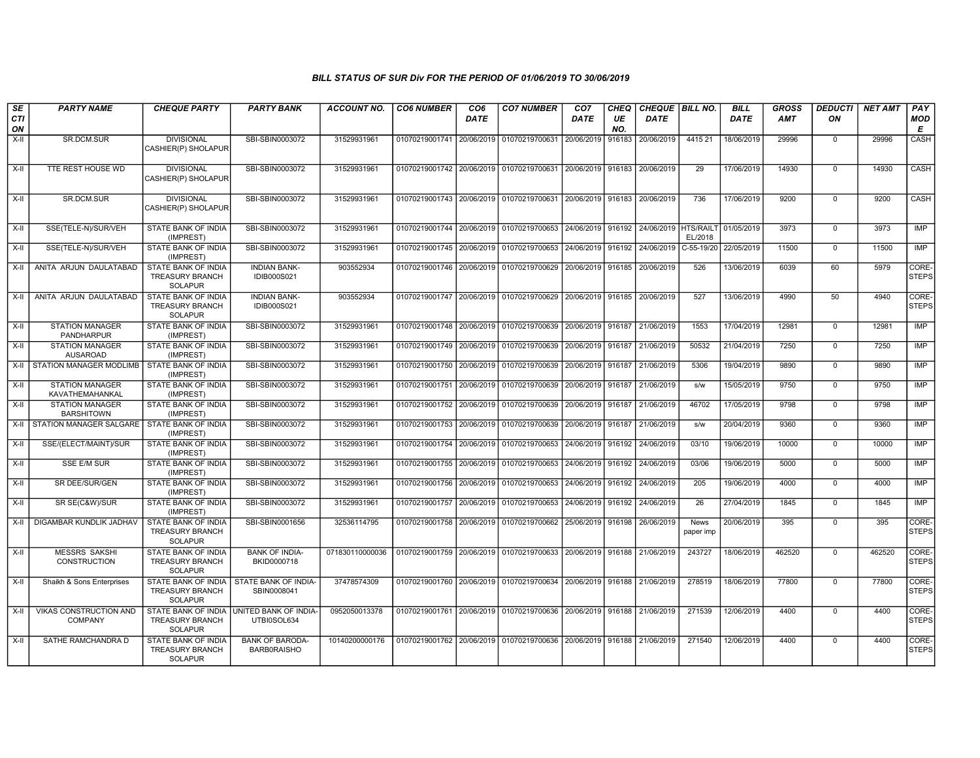| SE<br><b>CTI</b> | <b>PARTY NAME</b>                             | <b>CHEQUE PARTY</b>                                                    | <b>PARTY BANK</b>                            | <b>ACCOUNT NO.</b> | <b>CO6 NUMBER</b>         | CO <sub>6</sub><br><b>DATE</b> | <b>CO7 NUMBER</b>                                                               | CO <sub>7</sub><br><b>DATE</b> | CHEQ<br>UE | CHEQUE   BILL NO.<br><b>DATE</b> |                      | <b>BILL</b><br><b>DATE</b> | <b>GROSS</b><br><b>AMT</b> | <b>DEDUCTI</b><br>ON | <b>NET AMT</b> | PAY<br><b>MOD</b>     |
|------------------|-----------------------------------------------|------------------------------------------------------------------------|----------------------------------------------|--------------------|---------------------------|--------------------------------|---------------------------------------------------------------------------------|--------------------------------|------------|----------------------------------|----------------------|----------------------------|----------------------------|----------------------|----------------|-----------------------|
| ON               |                                               |                                                                        |                                              |                    |                           |                                |                                                                                 |                                | NO.        |                                  |                      |                            |                            |                      |                | E                     |
| X-II             | SR.DCM.SUR                                    | <b>DIVISIONAL</b><br>CASHIER(P) SHOLAPUR                               | SBI-SBIN0003072                              | 31529931961        | 01070219001741 20/06/2019 |                                | 01070219700631                                                                  | 20/06/2019                     | 916183     | 20/06/2019                       | 441521               | 18/06/2019                 | 29996                      | $\Omega$             | 29996          | CASH                  |
| X-II             | TTE REST HOUSE WD                             | <b>DIVISIONAL</b><br>CASHIER(P) SHOLAPUR                               | SBI-SBIN0003072                              | 31529931961        |                           |                                | 01070219001742 20/06/2019 01070219700631 20/06/2019 916183                      |                                |            | 20/06/2019                       | 29                   | 17/06/2019                 | 14930                      | $\mathbf 0$          | 14930          | <b>CASH</b>           |
| $X-II$           | SR.DCM.SUR                                    | <b>DIVISIONAL</b><br>CASHIER(P) SHOLAPUR                               | SBI-SBIN0003072                              | 31529931961        | 01070219001743            |                                | 20/06/2019 01070219700631                                                       | 20/06/2019 916183              |            | 20/06/2019                       | 736                  | 17/06/2019                 | 9200                       | $\overline{0}$       | 9200           | CASH                  |
| X-II             | SSE(TELE-N)/SUR/VEH                           | STATE BANK OF INDIA<br>(IMPREST)                                       | SBI-SBIN0003072                              | 31529931961        |                           |                                | 01070219001744 20/06/2019 01070219700653 24/06/2019 916192                      |                                |            | 24/06/2019                       | HTS/RAILT<br>EL/2018 | 01/05/2019                 | 3973                       | $\mathsf 0$          | 3973           | IMP                   |
| $X-II$           | SSE(TELE-N)/SUR/VEH                           | STATE BANK OF INDIA<br>(IMPREST)                                       | SBI-SBIN0003072                              | 31529931961        | 01070219001745            | 20/06/2019                     | 01070219700653 24/06/2019 916192                                                |                                |            | 24/06/2019                       | $C-55-19/20$         | 22/05/2019                 | 11500                      | $\overline{0}$       | 11500          | <b>IMP</b>            |
| X-II             | ANITA ARJUN DAULATABAD                        | STATE BANK OF INDIA<br><b>TREASURY BRANCH</b><br><b>SOLAPUR</b>        | <b>INDIAN BANK-</b><br><b>IDIB000S021</b>    | 903552934          | 01070219001746 20/06/2019 |                                | 01070219700629 20/06/2019 916185                                                |                                |            | 20/06/2019                       | 526                  | 13/06/2019                 | 6039                       | 60                   | 5979           | CORE-<br><b>STEPS</b> |
| $X-H$            | ANITA ARJUN DAULATABAD                        | STATE BANK OF INDIA<br><b>TREASURY BRANCH</b><br><b>SOLAPUR</b>        | <b>INDIAN BANK-</b><br><b>IDIB000S021</b>    | 903552934          |                           |                                | 01070219001747 20/06/2019 01070219700629 20/06/2019 916185 20/06/2019           |                                |            |                                  | 527                  | 13/06/2019                 | 4990                       | 50                   | 4940           | CORE-<br><b>STEPS</b> |
| X-II             | <b>STATION MANAGER</b><br>PANDHARPUR          | STATE BANK OF INDIA<br>(IMPREST)                                       | SBI-SBIN0003072                              | 31529931961        |                           |                                | 01070219001748 20/06/2019 01070219700639 20/06/2019 916187                      |                                |            | 21/06/2019                       | 1553                 | 17/04/2019                 | 12981                      | $\mathbf 0$          | 12981          | IMP                   |
| $X-H$            | <b>STATION MANAGER</b><br><b>AUSAROAD</b>     | <b>STATE BANK OF INDIA</b><br>(IMPREST)                                | SBI-SBIN0003072                              | 31529931961        | 01070219001749 20/06/2019 |                                | 01070219700639                                                                  | 20/06/2019 916187              |            | 21/06/2019                       | 50532                | 21/04/2019                 | 7250                       | $\mathbf 0$          | 7250           | IMP                   |
| X-II             | STATION MANAGER MODLIMB                       | STATE BANK OF INDIA<br>(IMPREST)                                       | SBI-SBIN0003072                              | 31529931961        |                           |                                | 01070219001750 20/06/2019 01070219700639 20/06/2019 916187                      |                                |            | 21/06/2019                       | 5306                 | 19/04/2019                 | 9890                       | $\mathbf 0$          | 9890           | <b>IMP</b>            |
| $X-H$            | <b>STATION MANAGER</b><br>KAVATHEMAHANKAL     | <b>STATE BANK OF INDIA</b><br>(IMPREST)                                | SBI-SBIN0003072                              | 31529931961        | 01070219001751 20/06/2019 |                                | 01070219700639 20/06/2019 916187                                                |                                |            | 21/06/2019                       | s/w                  | 15/05/2019                 | 9750                       | $\overline{0}$       | 9750           | <b>IMP</b>            |
| X-II             | <b>STATION MANAGER</b><br><b>BARSHITOWN</b>   | STATE BANK OF INDIA<br>(IMPREST)                                       | SBI-SBIN0003072                              | 31529931961        |                           |                                | 01070219001752 20/06/2019 01070219700639 20/06/2019 916187                      |                                |            | 21/06/2019                       | 46702                | 17/05/2019                 | 9798                       | $\mathbf 0$          | 9798           | IMP                   |
| X-II             | STATION MANAGER SALGARE   STATE BANK OF INDIA | (IMPREST)                                                              | SBI-SBIN0003072                              | 31529931961        | 01070219001753            | 20/06/2019                     | 01070219700639                                                                  | 20/06/2019 916187              |            | 21/06/2019                       | s/w                  | 20/04/2019                 | 9360                       | $\mathbf 0$          | 9360           | <b>IMP</b>            |
| $X-II$           | SSE/(ELECT/MAINT)/SUR                         | STATE BANK OF INDIA<br>(IMPREST)                                       | SBI-SBIN0003072                              | 31529931961        | 01070219001754            | 20/06/2019                     | 01070219700653 24/06/2019 916192                                                |                                |            | 24/06/2019                       | 03/10                | 19/06/2019                 | 10000                      | $\mathbf 0$          | 10000          | <b>IMP</b>            |
| X-II             | <b>SSE E/M SUR</b>                            | STATE BANK OF INDIA<br>(IMPREST)                                       | SBI-SBIN0003072                              | 31529931961        | 01070219001755 20/06/2019 |                                | 01070219700653 24/06/2019 916192                                                |                                |            | 24/06/2019                       | 03/06                | 19/06/2019                 | 5000                       | $\mathbf 0$          | 5000           | <b>IMP</b>            |
| X-II             | SR DEE/SUR/GEN                                | STATE BANK OF INDIA<br>(IMPREST)                                       | SBI-SBIN0003072                              | 31529931961        | 01070219001756 20/06/2019 |                                | 01070219700653                                                                  | 24/06/2019 916192              |            | 24/06/2019                       | 205                  | 19/06/2019                 | 4000                       | $\mathbf 0$          | 4000           | IMP                   |
| X-II             | SR SE(C&W)/SUR                                | STATE BANK OF INDIA<br>(IMPREST)                                       | SBI-SBIN0003072                              | 31529931961        | 01070219001757            | 20/06/2019                     | 01070219700653                                                                  | 24/06/2019 916192              |            | 24/06/2019                       | 26                   | 27/04/2019                 | 1845                       | $\Omega$             | 1845           | <b>IMP</b>            |
| X-II             | DIGAMBAR KUNDLIK JADHAV                       | STATE BANK OF INDIA<br><b>TREASURY BRANCH</b><br><b>SOLAPUR</b>        | SBI-SBIN0001656                              | 32536114795        | 01070219001758 20/06/2019 |                                | 01070219700662 25/06/2019 916198                                                |                                |            | 26/06/2019                       | News<br>paper imp    | 20/06/2019                 | 395                        | $\mathbf 0$          | 395            | CORE-<br><b>STEPS</b> |
| X-II             | <b>MESSRS SAKSHI</b><br><b>CONSTRUCTION</b>   | <b>STATE BANK OF INDIA</b><br><b>TREASURY BRANCH</b><br><b>SOLAPUR</b> | <b>BANK OF INDIA-</b><br>BKID0000718         | 071830110000036    |                           |                                | 01070219001759 20/06/2019 01070219700633 20/06/2019 916188 21/06/2019           |                                |            |                                  | 243727               | 18/06/2019                 | 462520                     | $\mathbf 0$          | 462520         | CORE-<br><b>STEPS</b> |
| X-II             | Shaikh & Sons Enterprises                     | STATE BANK OF INDIA<br><b>TREASURY BRANCH</b><br><b>SOLAPUR</b>        | STATE BANK OF INDIA-<br>SBIN0008041          | 37478574309        |                           |                                | 01070219001760   20/06/2019   01070219700634   20/06/2019   916188   21/06/2019 |                                |            |                                  | 278519               | 18/06/2019                 | 77800                      | $\mathbf 0$          | 77800          | CORE-<br><b>STEPS</b> |
| X-II             | VIKAS CONSTRUCTION AND<br><b>COMPANY</b>      | STATE BANK OF INDIA<br><b>TREASURY BRANCH</b><br><b>SOLAPUR</b>        | UNITED BANK OF INDIA-<br>UTBI0SOL634         | 0952050013378      |                           |                                | 01070219001761 20/06/2019 01070219700636 20/06/2019 916188 21/06/2019           |                                |            |                                  | 271539               | 12/06/2019                 | 4400                       | $\mathbf 0$          | 4400           | CORE-<br><b>STEPS</b> |
| X-II             | SATHE RAMCHANDRA D                            | STATE BANK OF INDIA<br><b>TREASURY BRANCH</b><br><b>SOLAPUR</b>        | <b>BANK OF BARODA-</b><br><b>BARBORAISHO</b> | 10140200000176     |                           |                                | 01070219001762 20/06/2019 01070219700636 20/06/2019 916188 21/06/2019           |                                |            |                                  | 271540               | 12/06/2019                 | 4400                       | $\mathbf 0$          | 4400           | CORE-<br><b>STEPS</b> |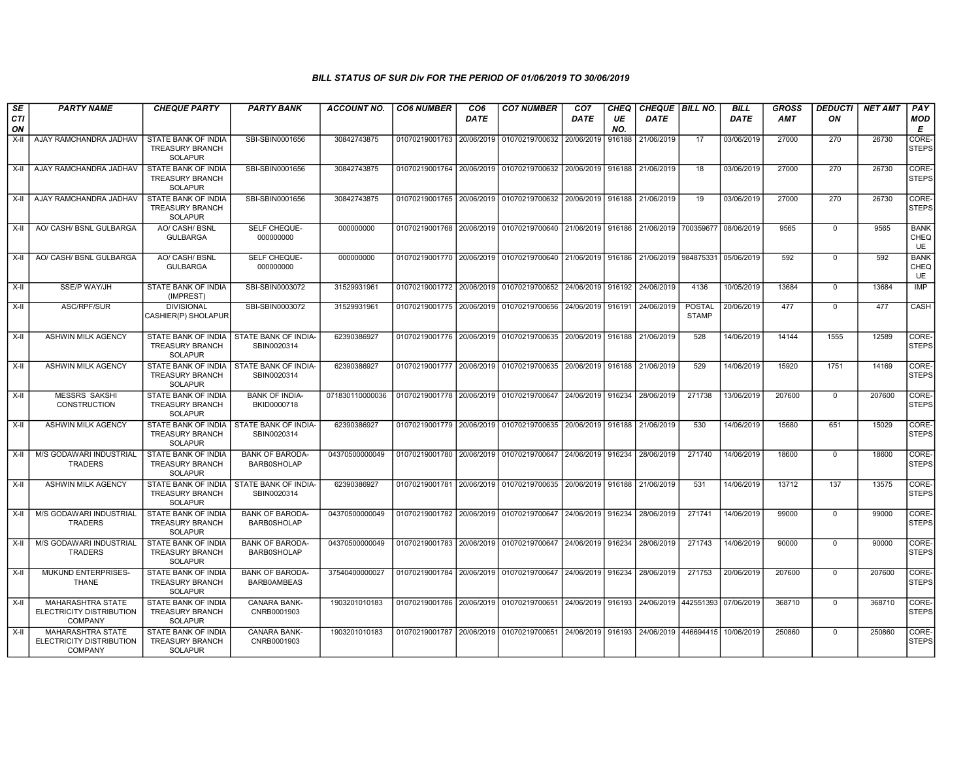| $\overline{\mathsf{SE}}$<br><b>CTI</b><br>ON | <b>PARTY NAME</b>                                                      | <b>CHEQUE PARTY</b>                                             | <b>PARTY BANK</b>                            | <b>ACCOUNT NO.</b> | <b>CO6 NUMBER</b>         | CO <sub>6</sub><br><b>DATE</b> | <b>CO7 NUMBER</b>                                                                          | CO <sub>7</sub><br>DATE | <b>CHEQ</b><br>UE<br>NO. | DATE                                                      | CHEQUE   BILL NO.             | BILL<br><b>DATE</b> | <b>GROSS</b><br><b>AMT</b> | <b>DEDUCTI</b><br>ON | <b>NET AMT</b> | PAY<br><b>MOD</b><br>E           |
|----------------------------------------------|------------------------------------------------------------------------|-----------------------------------------------------------------|----------------------------------------------|--------------------|---------------------------|--------------------------------|--------------------------------------------------------------------------------------------|-------------------------|--------------------------|-----------------------------------------------------------|-------------------------------|---------------------|----------------------------|----------------------|----------------|----------------------------------|
| X-II                                         | AJAY RAMCHANDRA JADHAV                                                 | STATE BANK OF INDIA<br><b>TREASURY BRANCH</b><br><b>SOLAPUR</b> | SBI-SBIN0001656                              | 30842743875        | 01070219001763 20/06/2019 |                                | 01070219700632                                                                             | 20/06/2019              | 916188                   | 21/06/2019                                                | 17                            | 03/06/2019          | 27000                      | 270                  | 26730          | CORE-<br>STEPS                   |
| X-II                                         | AJAY RAMCHANDRA JADHAV                                                 | STATE BANK OF INDIA<br><b>TREASURY BRANCH</b><br><b>SOLAPUR</b> | SBI-SBIN0001656                              | 30842743875        |                           |                                | 01070219001764 20/06/2019 01070219700632                                                   |                         |                          | 20/06/2019 916188 21/06/2019                              | 18                            | 03/06/2019          | 27000                      | 270                  | 26730          | CORE-<br><b>STEPS</b>            |
| X-II                                         | AJAY RAMCHANDRA JADHAV                                                 | STATE BANK OF INDIA<br><b>TREASURY BRANCH</b><br><b>SOLAPUR</b> | SBI-SBIN0001656                              | 30842743875        |                           |                                | 01070219001765 20/06/2019 01070219700632                                                   |                         |                          | 20/06/2019 916188 21/06/2019                              | 19                            | 03/06/2019          | 27000                      | 270                  | 26730          | CORE-<br><b>STEPS</b>            |
| X-II                                         | AO/ CASH/ BSNL GULBARGA                                                | AO/ CASH/ BSNL<br><b>GULBARGA</b>                               | SELF CHEQUE-<br>000000000                    | 000000000          |                           |                                | 01070219001768 20/06/2019 01070219700640                                                   |                         |                          | 21/06/2019 916186 21/06/2019 700359677 08/06/2019         |                               |                     | 9565                       | $\mathbf 0$          | 9565           | <b>BANK</b><br>CHEQ<br><b>UE</b> |
| X-II I                                       | AO/ CASH/ BSNL GULBARGA                                                | AO/ CASH/ BSNL<br><b>GULBARGA</b>                               | SELF CHEQUE-<br>000000000                    | 000000000          |                           |                                | 01070219001770 20/06/2019 01070219700640 21/06/2019 916186 21/06/2019 984875331 05/06/2019 |                         |                          |                                                           |                               |                     | 592                        | $\mathbf 0$          | 592            | <b>BANK</b><br>CHEQ<br><b>UE</b> |
| X-II                                         | <b>SSE/P WAY/JH</b>                                                    | STATE BANK OF INDIA<br>(IMPREST)                                | SBI-SBIN0003072                              | 31529931961        |                           |                                | 01070219001772 20/06/2019 01070219700652 24/06/2019 916192                                 |                         |                          | 24/06/2019                                                | 4136                          | 10/05/2019          | 13684                      | $\mathbf 0$          | 13684          | <b>IMP</b>                       |
| X-II                                         | ASC/RPF/SUR                                                            | <b>DIVISIONAL</b><br>CASHIER(P) SHOLAPUR                        | SBI-SBIN0003072                              | 31529931961        |                           |                                | 01070219001775 20/06/2019 01070219700656                                                   | 24/06/2019 916191       |                          | 24/06/2019                                                | <b>POSTAL</b><br><b>STAMP</b> | 20/06/2019          | 477                        | $\mathbf 0$          | 477            | CASH                             |
| X-II                                         | <b>ASHWIN MILK AGENCY</b>                                              | STATE BANK OF INDIA<br><b>TREASURY BRANCH</b><br><b>SOLAPUR</b> | STATE BANK OF INDIA-<br>SBIN0020314          | 62390386927        |                           |                                | 01070219001776 20/06/2019 01070219700635 20/06/2019 916188 21/06/2019                      |                         |                          |                                                           | 528                           | 14/06/2019          | 14144                      | 1555                 | 12589          | CORE-<br><b>STEPS</b>            |
| X-II                                         | <b>ASHWIN MILK AGENCY</b>                                              | STATE BANK OF INDIA<br><b>TREASURY BRANCH</b><br><b>SOLAPUR</b> | STATE BANK OF INDIA-<br>SBIN0020314          | 62390386927        |                           |                                | 01070219001777 20/06/2019 01070219700635 20/06/2019 916188 21/06/2019                      |                         |                          |                                                           | 529                           | 14/06/2019          | 15920                      | 1751                 | 14169          | CORE-<br><b>STEPS</b>            |
| X-II                                         | <b>MESSRS SAKSHI</b><br>CONSTRUCTION                                   | STATE BANK OF INDIA<br><b>TREASURY BRANCH</b><br><b>SOLAPUR</b> | <b>BANK OF INDIA-</b><br>BKID0000718         | 071830110000036    |                           |                                | 01070219001778 20/06/2019 01070219700647                                                   |                         |                          | 24/06/2019 916234 28/06/2019                              | 271738                        | 13/06/2019          | 207600                     | $\mathbf 0$          | 207600         | CORE-<br><b>STEPS</b>            |
| X-II                                         | ASHWIN MILK AGENCY                                                     | STATE BANK OF INDIA<br><b>TREASURY BRANCH</b><br><b>SOLAPUR</b> | STATE BANK OF INDIA-<br>SBIN0020314          | 62390386927        |                           |                                | 01070219001779 20/06/2019 01070219700635 20/06/2019 916188 21/06/2019                      |                         |                          |                                                           | 530                           | 14/06/2019          | 15680                      | 651                  | 15029          | CORE-<br><b>STEPS</b>            |
| X-II                                         | M/S GODAWARI INDUSTRIAL<br><b>TRADERS</b>                              | STATE BANK OF INDIA<br><b>TREASURY BRANCH</b><br><b>SOLAPUR</b> | <b>BANK OF BARODA-</b><br><b>BARB0SHOLAP</b> | 04370500000049     |                           |                                | 01070219001780 20/06/2019 01070219700647                                                   | 24/06/2019 916234       |                          | 28/06/2019                                                | 271740                        | 14/06/2019          | 18600                      | $\mathbf 0$          | 18600          | CORE-<br><b>STEPS</b>            |
| X-II                                         | ASHWIN MILK AGENCY                                                     | STATE BANK OF INDIA<br><b>TREASURY BRANCH</b><br><b>SOLAPUR</b> | STATE BANK OF INDIA-<br>SBIN0020314          | 62390386927        |                           |                                | 01070219001781 20/06/2019 01070219700635 20/06/2019 916188 21/06/2019                      |                         |                          |                                                           | 531                           | 14/06/2019          | 13712                      | 137                  | 13575          | CORE-<br><b>STEPS</b>            |
| X-II                                         | M/S GODAWARI INDUSTRIAL<br><b>TRADERS</b>                              | STATE BANK OF INDIA<br><b>TREASURY BRANCH</b><br><b>SOLAPUR</b> | <b>BANK OF BARODA-</b><br><b>BARB0SHOLAP</b> | 04370500000049     |                           |                                | 01070219001782 20/06/2019 01070219700647 24/06/2019 916234                                 |                         |                          | 28/06/2019                                                | 271741                        | 14/06/2019          | 99000                      | $\mathbf 0$          | 99000          | CORE-<br><b>STEPS</b>            |
| X-II                                         | M/S GODAWARI INDUSTRIAL<br><b>TRADERS</b>                              | STATE BANK OF INDIA<br><b>TREASURY BRANCH</b><br><b>SOLAPUR</b> | <b>BANK OF BARODA-</b><br><b>BARB0SHOLAP</b> | 04370500000049     |                           |                                | 01070219001783 20/06/2019 01070219700647                                                   | 24/06/2019 916234       |                          | 28/06/2019                                                | 271743                        | 14/06/2019          | 90000                      | $\mathbf 0$          | 90000          | CORE-<br><b>STEPS</b>            |
| X-II                                         | MUKUND ENTERPRISES-<br><b>THANE</b>                                    | STATE BANK OF INDIA<br><b>TREASURY BRANCH</b><br><b>SOLAPUR</b> | <b>BANK OF BARODA-</b><br>BARB0AMBEAS        | 37540400000027     |                           |                                | 01070219001784 20/06/2019 01070219700647 24/06/2019 916234                                 |                         |                          | 28/06/2019                                                | 271753                        | 20/06/2019          | 207600                     | $^{\circ}$           | 207600         | CORE-<br><b>STEPS</b>            |
| X-II                                         | <b>MAHARASHTRA STATE</b><br>ELECTRICITY DISTRIBUTION<br><b>COMPANY</b> | STATE BANK OF INDIA<br><b>TREASURY BRANCH</b><br><b>SOLAPUR</b> | CANARA BANK-<br>CNRB0001903                  | 1903201010183      |                           |                                | 01070219001786 20/06/2019 01070219700651                                                   |                         |                          | 24/06/2019   916193   24/06/2019   442551393   07/06/2019 |                               |                     | 368710                     | $\mathbf 0$          | 368710         | CORE-<br><b>STEPS</b>            |
| X-II                                         | <b>MAHARASHTRA STATE</b><br>ELECTRICITY DISTRIBUTION<br><b>COMPANY</b> | STATE BANK OF INDIA<br><b>TREASURY BRANCH</b><br><b>SOLAPUR</b> | <b>CANARA BANK-</b><br>CNRB0001903           | 1903201010183      |                           |                                | 01070219001787 20/06/2019 01070219700651 24/06/2019 916193 24/06/2019 446694415            |                         |                          |                                                           |                               | 10/06/2019          | 250860                     | $\mathbf 0$          | 250860         | CORE-<br><b>STEPS</b>            |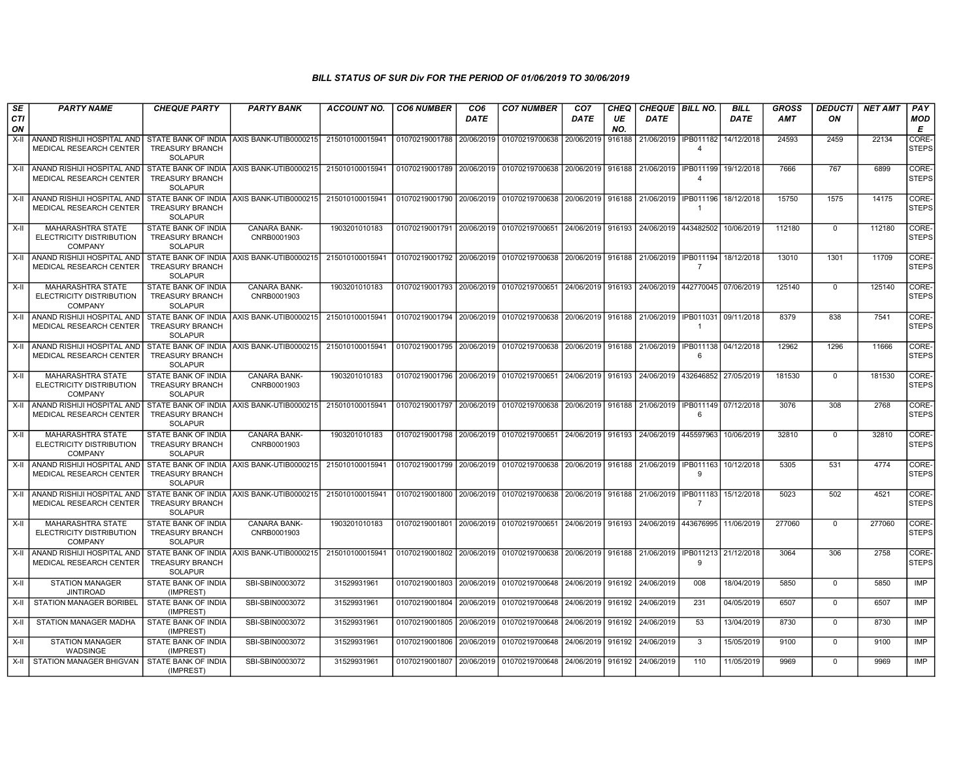| SE               | <b>PARTY NAME</b>                                                                               | <b>CHEQUE PARTY</b>                                                    | <b>PARTY BANK</b>                          | ACCOUNT NO.                                                                                                                | <b>CO6 NUMBER</b>                        | CO <sub>6</sub> | <b>CO7 NUMBER</b>                                                                                    | CO <sub>7</sub>   | <b>CHEQ</b> | CHEQUE   BILL NO.                                 |                                  | <b>BILL</b> | <b>GROSS</b> | <b>DEDUCTI</b> | <b>NET AMT</b> | <b>PAY</b>            |
|------------------|-------------------------------------------------------------------------------------------------|------------------------------------------------------------------------|--------------------------------------------|----------------------------------------------------------------------------------------------------------------------------|------------------------------------------|-----------------|------------------------------------------------------------------------------------------------------|-------------------|-------------|---------------------------------------------------|----------------------------------|-------------|--------------|----------------|----------------|-----------------------|
| <b>CTI</b><br>ON |                                                                                                 |                                                                        |                                            |                                                                                                                            |                                          | <b>DATE</b>     |                                                                                                      | DATE              | UE<br>NO.   | <b>DATE</b>                                       |                                  | <b>DATE</b> | <b>AMT</b>   | ΟN             |                | <b>MOD</b><br>Е       |
| $X-II$           | ANAND RISHIJI HOSPITAL AND<br>MEDICAL RESEARCH CENTER                                           | STATE BANK OF INDIA<br><b>TREASURY BRANCH</b><br><b>SOLAPUR</b>        | AXIS BANK-UTIB0000215                      | 215010100015941                                                                                                            | 01070219001788 20/06/2019                |                 | 01070219700638                                                                                       | 20/06/2019        | 916188      | 21/06/2019                                        | IPB011182<br>$\overline{\bf{4}}$ | 14/12/2018  | 24593        | 2459           | 22134          | CORE-<br><b>STEPS</b> |
| X-II             | ANAND RISHIJI HOSPITAL AND<br>MEDICAL RESEARCH CENTER                                           | <b>TREASURY BRANCH</b><br><b>SOLAPUR</b>                               | STATE BANK OF INDIA AXIS BANK-UTIB0000215  | 215010100015941                                                                                                            |                                          |                 | 01070219001789 20/06/2019 01070219700638 20/06/2019 916188                                           |                   |             | 21/06/2019   IPB011199                            | $\overline{4}$                   | 19/12/2018  | 7666         | 767            | 6899           | CORE-<br><b>STEPS</b> |
| $X-H$            | ANAND RISHIJI HOSPITAL AND<br><b>MEDICAL RESEARCH CENTER</b>                                    | TREASURY BRANCH<br><b>SOLAPUR</b>                                      | STATE BANK OF INDIA AXIS BANK-UTIB0000215  | 215010100015941                                                                                                            |                                          |                 | 01070219001790 20/06/2019 01070219700638                                                             |                   |             | 20/06/2019 916188 21/06/2019 IPB011196            |                                  | 18/12/2018  | 15750        | 1575           | 14175          | CORE-<br>STEPS        |
| $X-H$            | MAHARASHTRA STATE<br>ELECTRICITY DISTRIBUTION<br><b>COMPANY</b>                                 | STATE BANK OF INDIA<br><b>TREASURY BRANCH</b><br><b>SOLAPUR</b>        | CANARA BANK-<br>CNRB0001903                | 1903201010183                                                                                                              | 01070219001791 20/06/2019                |                 | 01070219700651                                                                                       | 24/06/2019 916193 |             | 24/06/2019                                        | 443482502                        | 10/06/2019  | 112180       | $\mathbf 0$    | 112180         | CORE-<br><b>STEPS</b> |
| X-II             | ANAND RISHIJI HOSPITAL AND<br><b>MEDICAL RESEARCH CENTER</b>                                    | STATE BANK OF INDIA<br><b>TREASURY BRANCH</b><br>SOLAPUR               | AXIS BANK-UTIB0000215                      | 215010100015941                                                                                                            |                                          |                 | 01070219001792 20/06/2019 01070219700638 20/06/2019 916188 21/06/2019 IPB011194 18/12/2018           |                   |             |                                                   | $\overline{7}$                   |             | 13010        | 1301           | 11709          | CORE-<br><b>STEPS</b> |
| $X-H$            | MAHARASHTRA STATE<br>ELECTRICITY DISTRIBUTION<br>COMPANY                                        | STATE BANK OF INDIA<br>TREASURY BRANCH<br><b>SOLAPUR</b>               | <b>CANARA BANK-</b><br>CNRB0001903         | 1903201010183                                                                                                              |                                          |                 | 01070219001793 20/06/2019 01070219700651                                                             |                   |             | 24/06/2019 916193 24/06/2019 442770045 07/06/2019 |                                  |             | 125140       | $\overline{0}$ | 125140         | CORE-<br><b>STEPS</b> |
| $X-II$           | ANAND RISHIJI HOSPITAL AND<br>MEDICAL RESEARCH CENTER                                           | <b>TREASURY BRANCH</b><br><b>SOLAPUR</b>                               | STATE BANK OF INDIA AXIS BANK-UTIB0000215  | 215010100015941                                                                                                            |                                          |                 | 09/11/2018 09/11/2018 02/06/2019 01070219700638 20/06/2019 016188 21/06/2019 02/11/2018 09/11/2018 0 |                   |             |                                                   | $\overline{1}$                   |             | 8379         | 838            | 7541           | CORE-<br>STEPS        |
| X-II             | ANAND RISHIJI HOSPITAL AND STATE BANK OF INDIA AXIS BANK-UTIB0000215<br>MEDICAL RESEARCH CENTER | <b>TREASURY BRANCH</b><br>SOLAPUR                                      |                                            | 215010100015941   01070219001795   20/06/2019   01070219700638   20/06/2019   916188   21/06/2019   IPB011138   04/12/2018 |                                          |                 |                                                                                                      |                   |             |                                                   | 6                                |             | 12962        | 1296           | 11666          | CORE-<br><b>STEPS</b> |
| $X-H$            | <b>MAHARASHTRA STATE</b><br>ELECTRICITY DISTRIBUTION<br><b>COMPANY</b>                          | STATE BANK OF INDIA<br><b>TREASURY BRANCH</b><br><b>SOLAPUR</b>        | <b>CANARA BANK-</b><br>CNRB0001903         | 1903201010183                                                                                                              |                                          |                 | 01070219001796 20/06/2019 01070219700651 24/06/2019 916193                                           |                   |             | 24/06/2019 432646852 27/05/2019                   |                                  |             | 181530       | $\mathbf 0$    | 181530         | CORE-<br><b>STEPS</b> |
| X-II             | ANAND RISHIJI HOSPITAL AND<br><b>MEDICAL RESEARCH CENTER</b>                                    | <b>TREASURY BRANCH</b><br><b>SOLAPUR</b>                               | STATE BANK OF INDIA LAXIS BANK-UTIB0000215 | 215010100015941                                                                                                            |                                          |                 | 01070219001797 20/06/2019 01070219700638 20/06/2019 916188 21/06/2019 01PB011149 07/12/2018          |                   |             |                                                   | -6                               |             | 3076         | 308            | 2768           | CORE-<br><b>STEPS</b> |
| X-II             | <b>MAHARASHTRA STATE</b><br>ELECTRICITY DISTRIBUTION<br><b>COMPANY</b>                          | <b>STATE BANK OF INDIA</b><br><b>TREASURY BRANCH</b><br><b>SOLAPUR</b> | CANARA BANK-<br>CNRB0001903                | 1903201010183                                                                                                              | 01070219001798 20/06/2019 01070219700651 |                 |                                                                                                      | 24/06/2019 916193 |             | 24/06/2019                                        | 445597963                        | 10/06/2019  | 32810        | $\Omega$       | 32810          | CORE-<br><b>STEPS</b> |
| X-II             | ANAND RISHIJI HOSPITAL AND<br>MEDICAL RESEARCH CENTER                                           | <b>TREASURY BRANCH</b><br><b>SOLAPUR</b>                               | STATE BANK OF INDIA AXIS BANK-UTIB0000215  | 215010100015941                                                                                                            | 01070219001799 20/06/2019 01070219700638 |                 |                                                                                                      | 20/06/2019 916188 |             | 21/06/2019                                        | IPB011163 10/12/2018<br>9        |             | 5305         | 531            | 4774           | CORE-<br><b>STEPS</b> |
| X-II             | ANAND RISHIJI HOSPITAL AND<br><b>MEDICAL RESEARCH CENTER</b>                                    | <b>TREASURY BRANCH</b><br><b>SOLAPUR</b>                               | STATE BANK OF INDIA AXIS BANK-UTIB0000215  | 215010100015941                                                                                                            | 01070219001800 20/06/2019 01070219700638 |                 |                                                                                                      | 20/06/2019 916188 |             | 21/06/2019                                        | IPB011183<br>$\overline{7}$      | 15/12/2018  | 5023         | 502            | 4521           | CORE-<br><b>STEPS</b> |
| $X-H$            | MAHARASHTRA STATE<br>ELECTRICITY DISTRIBUTION<br><b>COMPANY</b>                                 | <b>STATE BANK OF INDIA</b><br><b>TREASURY BRANCH</b><br><b>SOLAPUR</b> | CANARA BANK-<br>CNRB0001903                | 1903201010183                                                                                                              | 01070219001801 20/06/2019 01070219700651 |                 |                                                                                                      | 24/06/2019 916193 |             | 24/06/2019 443676995 11/06/2019                   |                                  |             | 277060       | $\mathbf 0$    | 277060         | CORE-<br><b>STEPS</b> |
| X-II             | ANAND RISHIJI HOSPITAL AND<br>MEDICAL RESEARCH CENTER                                           | STATE BANK OF INDIA<br><b>TREASURY BRANCH</b><br>SOLAPUR               | AXIS BANK-UTIB0000215                      | 215010100015941                                                                                                            |                                          |                 | 01070219001802 20/06/2019 01070219700638                                                             | 20/06/2019 916188 |             | 21/06/2019   IPB011213   21/12/2018               | 9                                |             | 3064         | 306            | 2758           | CORE-<br><b>STEPS</b> |
| $X-H$            | <b>STATION MANAGER</b><br><b>JINTIROAD</b>                                                      | STATE BANK OF INDIA<br>(IMPREST)                                       | SBI-SBIN0003072                            | 31529931961                                                                                                                | 01070219001803 20/06/2019 01070219700648 |                 |                                                                                                      | 24/06/2019        | 916192      | 24/06/2019                                        | 008                              | 18/04/2019  | 5850         | $\mathbf 0$    | 5850           | <b>IMP</b>            |
| X-II             | <b>STATION MANAGER BORIBEL</b>                                                                  | STATE BANK OF INDIA<br>(IMPREST)                                       | SBI-SBIN0003072                            | 31529931961                                                                                                                | 01070219001804 20/06/2019 01070219700648 |                 |                                                                                                      | 24/06/2019        | 916192      | 24/06/2019                                        | 231                              | 04/05/2019  | 6507         | $\Omega$       | 6507           | IMP                   |
| X-II             | STATION MANAGER MADHA                                                                           | STATE BANK OF INDIA<br>(IMPREST)                                       | SBI-SBIN0003072                            | 31529931961                                                                                                                | 01070219001805 20/06/2019                |                 | 01070219700648                                                                                       | 24/06/2019        | 916192      | 24/06/2019                                        | 53                               | 13/04/2019  | 8730         | $\mathbf 0$    | 8730           | IMP                   |
| X-II             | <b>STATION MANAGER</b><br>WADSINGE                                                              | <b>STATE BANK OF INDIA</b><br>(IMPREST)                                | SBI-SBIN0003072                            | 31529931961                                                                                                                |                                          |                 | 01070219001806   20/06/2019   01070219700648   24/06/2019   916192                                   |                   |             | 24/06/2019                                        | 3                                | 15/05/2019  | 9100         | $\mathbf 0$    | 9100           | IMP                   |
|                  | X-II STATION MANAGER BHIGVAN                                                                    | STATE BANK OF INDIA<br>(IMPREST)                                       | SBI-SBIN0003072                            | 31529931961                                                                                                                |                                          |                 | 01070219001807 20/06/2019 01070219700648                                                             | 24/06/2019 916192 |             | 24/06/2019                                        | 110                              | 11/05/2019  | 9969         | $\mathbf 0$    | 9969           | IMP                   |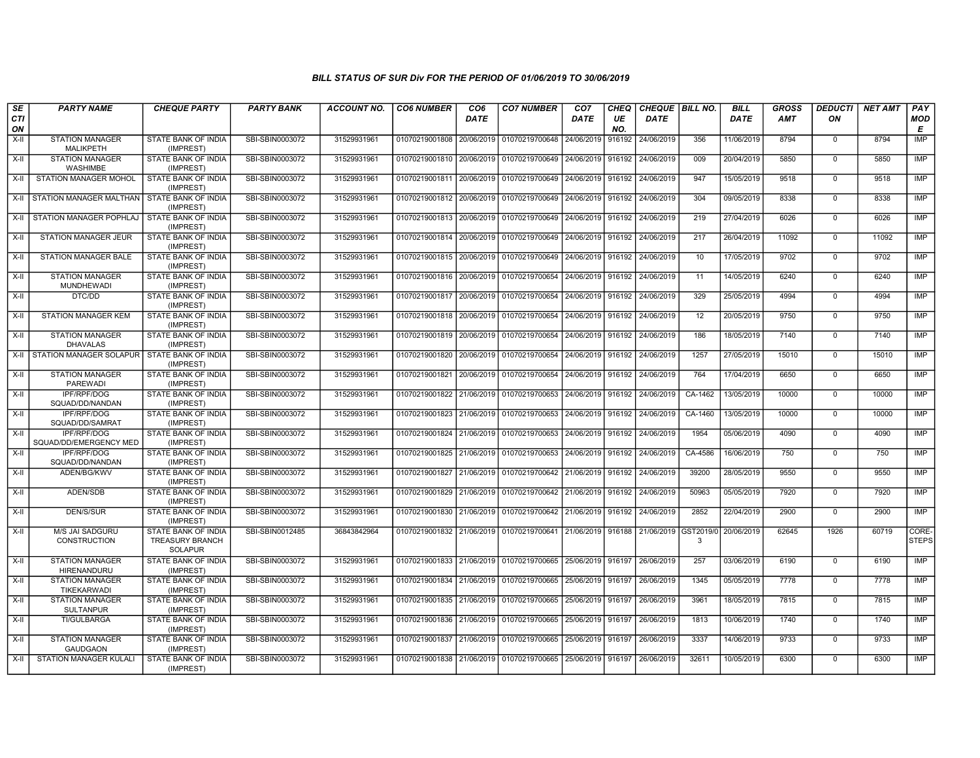| SE        | <b>PARTY NAME</b>                             | <b>CHEQUE PARTY</b>                                             | <b>PARTY BANK</b> | <b>ACCOUNT NO.</b> | <b>CO6 NUMBER</b>                        | CO <sub>6</sub> | <b>CO7 NUMBER</b>                                                     | CO <sub>7</sub>   | <b>CHEQ</b> | <b>CHEQUE   BILL NO.</b> |         | <b>BILL</b> | <b>GROSS</b> | <b>DEDUCTI</b> | <b>NET AMT</b> | PAY                   |
|-----------|-----------------------------------------------|-----------------------------------------------------------------|-------------------|--------------------|------------------------------------------|-----------------|-----------------------------------------------------------------------|-------------------|-------------|--------------------------|---------|-------------|--------------|----------------|----------------|-----------------------|
| CTI<br>ON |                                               |                                                                 |                   |                    |                                          | <b>DATE</b>     |                                                                       | DATE              | UE<br>NO.   | <b>DATE</b>              |         | DATE        | <b>AMT</b>   | ON             |                | <b>MOD</b><br>Е       |
| X-II      | <b>STATION MANAGER</b><br><b>MALIKPETH</b>    | STATE BANK OF INDIA<br>(IMPREST)                                | SBI-SBIN0003072   | 31529931961        | 01070219001808                           | 20/06/2019      | 01070219700648                                                        | 24/06/2019        | 916192      | 24/06/2019               | 356     | 11/06/2019  | 8794         | $\mathbf 0$    | 8794           | <b>IMP</b>            |
| $X-II$    | <b>STATION MANAGER</b><br>WASHIMBE            | STATE BANK OF INDIA<br>(IMPREST)                                | SBI-SBIN0003072   | 31529931961        | 01070219001810                           | 20/06/2019      | 01070219700649                                                        | 24/06/2019        | 916192      | 24/06/2019               | 009     | 20/04/2019  | 5850         | $\Omega$       | 5850           | <b>IMP</b>            |
| X-II      | STATION MANAGER MOHOL                         | STATE BANK OF INDIA<br>(IMPREST)                                | SBI-SBIN0003072   | 31529931961        | 01070219001811                           | 20/06/2019      | 01070219700649                                                        | 24/06/2019 916192 |             | 24/06/2019               | 947     | 15/05/2019  | 9518         | $\mathbf 0$    | 9518           | <b>IMP</b>            |
| X-II      | STATION MANAGER MALTHAN   STATE BANK OF INDIA | (IMPREST)                                                       | SBI-SBIN0003072   | 31529931961        | 01070219001812                           | 20/06/2019      | 01070219700649                                                        | 24/06/2019        | 916192      | 24/06/2019               | 304     | 09/05/2019  | 8338         | $\overline{0}$ | 8338           | <b>IMP</b>            |
| X-II      | STATION MANAGER POPHLAJ                       | STATE BANK OF INDIA<br>(IMPREST)                                | SBI-SBIN0003072   | 31529931961        | 01070219001813                           | 20/06/2019      | 01070219700649                                                        | 24/06/2019        | 916192      | 24/06/2019               | 219     | 27/04/2019  | 6026         | $\mathbf 0$    | 6026           | <b>IMP</b>            |
| X-II      | STATION MANAGER JEUR                          | STATE BANK OF INDIA<br>(IMPREST)                                | SBI-SBIN0003072   | 31529931961        | 01070219001814 20/06/2019                |                 | 01070219700649                                                        | 24/06/2019        | 916192      | 24/06/2019               | 217     | 26/04/2019  | 11092        | $\mathbf{0}$   | 11092          | <b>IMP</b>            |
| $X-II$    | STATION MANAGER BALE                          | STATE BANK OF INDIA<br>(IMPREST)                                | SBI-SBIN0003072   | 31529931961        | 01070219001815 20/06/2019                |                 | 01070219700649                                                        | 24/06/2019        | 916192      | 24/06/2019               | 10      | 17/05/2019  | 9702         | $\mathbf{0}$   | 9702           | <b>IMP</b>            |
| $X-H$     | <b>STATION MANAGER</b><br>MUNDHEWADI          | <b>STATE BANK OF INDIA</b><br>(IMPREST)                         | SBI-SBIN0003072   | 31529931961        | 01070219001816 20/06/2019 01070219700654 |                 |                                                                       | 24/06/2019        | 916192      | 24/06/2019               | 11      | 14/05/2019  | 6240         | $\mathbf{0}$   | 6240           | <b>IMP</b>            |
| X-II      | DTC/DD                                        | <b>STATE BANK OF INDIA</b><br>(IMPREST)                         | SBI-SBIN0003072   | 31529931961        | 01070219001817                           |                 | 20/06/2019 01070219700654                                             | 24/06/2019        |             | 916192 24/06/2019        | 329     | 25/05/2019  | 4994         | $\mathbf 0$    | 4994           | <b>IMP</b>            |
| X-II      | <b>STATION MANAGER KEM</b>                    | STATE BANK OF INDIA<br>(IMPREST)                                | SBI-SBIN0003072   | 31529931961        | 01070219001818 20/06/2019 01070219700654 |                 |                                                                       | 24/06/2019 916192 |             | 24/06/2019               | 12      | 20/05/2019  | 9750         | $\mathbf{0}$   | 9750           | IMP                   |
| $X-II$    | <b>STATION MANAGER</b><br><b>DHAVALAS</b>     | STATE BANK OF INDIA<br>(IMPREST)                                | SBI-SBIN0003072   | 31529931961        | 01070219001819 20/06/2019                |                 | 01070219700654                                                        | 24/06/2019        | 916192      | 24/06/2019               | 186     | 18/05/2019  | 7140         | $\overline{0}$ | 7140           | <b>IMP</b>            |
| $X-H$     | STATION MANAGER SOLAPUR STATE BANK OF INDIA   | (IMPREST)                                                       | SBI-SBIN0003072   | 31529931961        | 01070219001820                           | 20/06/2019      | 01070219700654                                                        | 24/06/2019        | 916192      | 24/06/2019               | 1257    | 27/05/2019  | 15010        | $\mathbf 0$    | 15010          | IMP                   |
| X-II      | <b>STATION MANAGER</b><br><b>PAREWADI</b>     | STATE BANK OF INDIA<br>(IMPREST)                                | SBI-SBIN0003072   | 31529931961        | 01070219001821                           | 20/06/2019      | 01070219700654                                                        | 24/06/2019        | 916192      | 24/06/2019               | 764     | 17/04/2019  | 6650         | $\mathbf{0}$   | 6650           | <b>IMP</b>            |
| X-II      | <b>IPF/RPF/DOG</b><br>SQUAD/DD/NANDAN         | STATE BANK OF INDIA<br>(IMPREST)                                | SBI-SBIN0003072   | 31529931961        | 01070219001822 21/06/2019                |                 | 01070219700653                                                        | 24/06/2019        | 916192      | 24/06/2019               | CA-1462 | 13/05/2019  | 10000        | $\mathbf 0$    | 10000          | <b>IMP</b>            |
| $X-II$    | IPF/RPF/DOG<br>SQUAD/DD/SAMRAT                | STATE BANK OF INDIA<br>(IMPREST)                                | SBI-SBIN0003072   | 31529931961        | 01070219001823 21/06/2019                |                 | 01070219700653                                                        | 24/06/2019        | 916192      | 24/06/2019               | CA-1460 | 13/05/2019  | 10000        | $\mathbf 0$    | 10000          | <b>IMP</b>            |
| $X-H$     | <b>IPF/RPF/DOG</b><br>SQUAD/DD/EMERGENCY MED  | <b>STATE BANK OF INDIA</b><br>(IMPREST)                         | SBI-SBIN0003072   | 31529931961        | 01070219001824 21/06/2019                |                 | 01070219700653                                                        | 24/06/2019        | 916192      | 24/06/2019               | 1954    | 05/06/2019  | 4090         | $\mathbf 0$    | 4090           | <b>IMP</b>            |
| $X-H$     | <b>IPF/RPF/DOG</b><br>SQUAD/DD/NANDAN         | <b>STATE BANK OF INDIA</b><br>(IMPREST)                         | SBI-SBIN0003072   | 31529931961        | 01070219001825 21/06/2019 01070219700653 |                 |                                                                       | 24/06/2019 916192 |             | 24/06/2019               | CA-4586 | 16/06/2019  | 750          | $\mathbf 0$    | 750            | <b>IMP</b>            |
| X-II      | ADEN/BG/KWV                                   | STATE BANK OF INDIA<br>(IMPREST)                                | SBI-SBIN0003072   | 31529931961        | 01070219001827                           | 21/06/2019      | 01070219700642                                                        | 21/06/2019        | 916192      | 24/06/2019               | 39200   | 28/05/2019  | 9550         | $\mathbf{0}$   | 9550           | <b>IMP</b>            |
| X-II      | ADEN/SDB                                      | <b>STATE BANK OF INDIA</b><br>(IMPREST)                         | SBI-SBIN0003072   | 31529931961        | 01070219001829 21/06/2019                |                 | 01070219700642                                                        | l 21/06/2019      | 916192      | 24/06/2019               | 50963   | 05/05/2019  | 7920         | $\mathbf 0$    | 7920           | <b>IMP</b>            |
| $X-H$     | <b>DEN/S/SUR</b>                              | STATE BANK OF INDIA<br>(IMPREST)                                | SBI-SBIN0003072   | 31529931961        | 01070219001830                           | 21/06/2019      | 01070219700642                                                        | 21/06/2019        | 916192      | 24/06/2019               | 2852    | 22/04/2019  | 2900         | $\Omega$       | 2900           | IMP                   |
| X-II      | <b>M/S JAI SADGURU</b><br><b>CONSTRUCTION</b> | STATE BANK OF INDIA<br><b>TREASURY BRANCH</b><br><b>SOLAPUR</b> | SBI-SBIN0012485   | 36843842964        | 01070219001832                           | 21/06/2019      | 01070219700641                                                        | 21/06/2019        | 916188      | 21/06/2019 GST2019/0     | 3       | 20/06/2019  | 62645        | 1926           | 60719          | CORE-<br><b>STEPS</b> |
| $X-II$    | <b>STATION MANAGER</b><br>HIRENANDURU         | <b>STATE BANK OF INDIA</b><br>(IMPREST)                         | SBI-SBIN0003072   | 31529931961        |                                          |                 | 01070219001833 21/06/2019 01070219700665                              | 25/06/2019 916197 |             | 26/06/2019               | 257     | 03/06/2019  | 6190         | $\mathbf 0$    | 6190           | <b>IMP</b>            |
| $X-H$     | <b>STATION MANAGER</b><br>TIKEKARWADI         | <b>STATE BANK OF INDIA</b><br>(IMPREST)                         | SBI-SBIN0003072   | 31529931961        | 01070219001834 21/06/2019                |                 | 01070219700665                                                        | 25/06/2019        | 916197      | 26/06/2019               | 1345    | 05/05/2019  | 7778         | $\overline{0}$ | 7778           | <b>IMP</b>            |
| X-II      | <b>STATION MANAGER</b><br><b>SULTANPUR</b>    | <b>STATE BANK OF INDIA</b><br>(IMPREST)                         | SBI-SBIN0003072   | 31529931961        | 01070219001835                           | 21/06/2019      | 01070219700665                                                        | 25/06/2019        | 916197      | 26/06/2019               | 3961    | 18/05/2019  | 7815         | $\mathbf 0$    | 7815           | <b>IMP</b>            |
| X-II      | <b>TI/GULBARGA</b>                            | STATE BANK OF INDIA<br>(IMPREST)                                | SBI-SBIN0003072   | 31529931961        | 01070219001836 21/06/2019                |                 | 01070219700665                                                        | 25/06/2019        | 916197      | 26/06/2019               | 1813    | 10/06/2019  | 1740         | $\Omega$       | 1740           | <b>IMP</b>            |
| $X-H$     | <b>STATION MANAGER</b><br><b>GAUDGAON</b>     | STATE BANK OF INDIA<br>(IMPREST)                                | SBI-SBIN0003072   | 31529931961        | 01070219001837 21/06/2019                |                 | 01070219700665                                                        | 25/06/2019        | 916197      | 26/06/2019               | 3337    | 14/06/2019  | 9733         | $\mathbf{0}$   | 9733           | <b>IMP</b>            |
| $X-H$     | <b>STATION MANAGER KULALI</b>                 | STATE BANK OF INDIA<br>(IMPREST)                                | SBI-SBIN0003072   | 31529931961        |                                          |                 | 01070219001838 27/06/2019 01070219700665 25/06/2019 916197 26/06/2019 |                   |             |                          | 32611   | 10/05/2019  | 6300         | $\mathbf{0}$   | 6300           | IMP                   |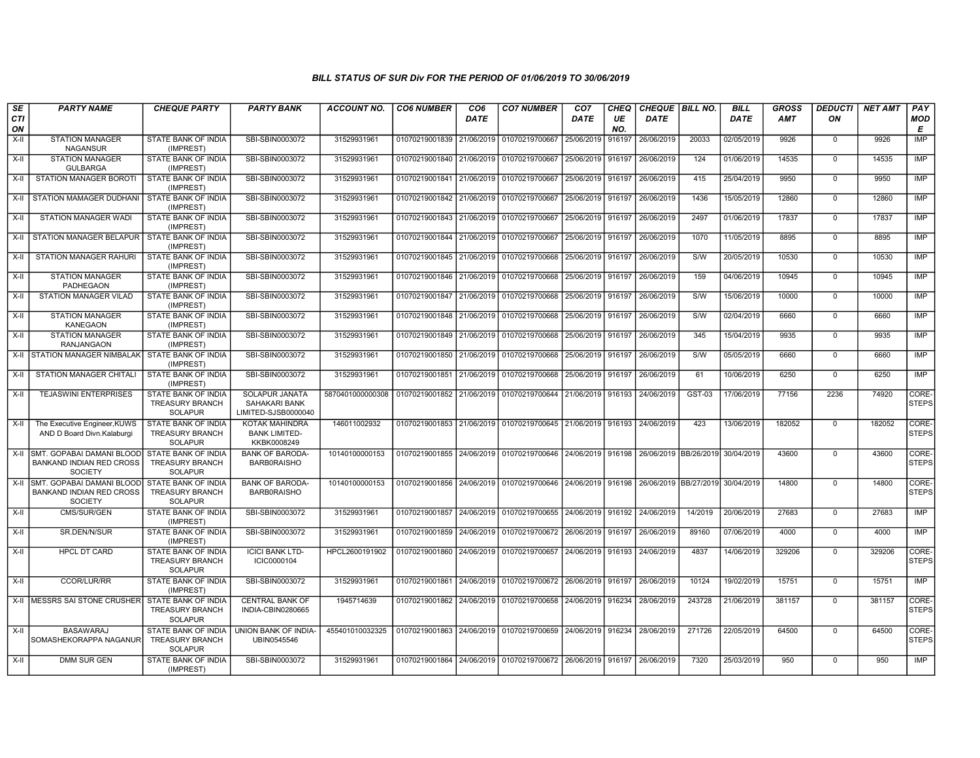| SE<br><b>CTI</b><br>ON | <b>PARTY NAME</b>                                                                   | <b>CHEQUE PARTY</b>                                                    | <b>PARTY BANK</b>                                      | <b>ACCOUNT NO.</b> | <b>CO6 NUMBER</b>                        | CO <sub>6</sub><br><b>DATE</b> | <b>CO7 NUMBER</b>                                          | CO <sub>7</sub><br><b>DATE</b> | CHEQ<br>UE<br>NO. | CHEQUE   BILL NO.<br><b>DATE</b> |         | <b>BILL</b><br><b>DATE</b> | <b>GROSS</b><br><b>AMT</b> | <b>DEDUCTI</b><br>ON | <b>NET AMT</b> | PAY<br><b>MOD</b><br>E |
|------------------------|-------------------------------------------------------------------------------------|------------------------------------------------------------------------|--------------------------------------------------------|--------------------|------------------------------------------|--------------------------------|------------------------------------------------------------|--------------------------------|-------------------|----------------------------------|---------|----------------------------|----------------------------|----------------------|----------------|------------------------|
| X-II                   | <b>STATION MANAGER</b><br><b>NAGANSUR</b>                                           | STATE BANK OF INDIA<br>(IMPREST)                                       | SBI-SBIN0003072                                        | 31529931961        | 01070219001839 21/06/2019 01070219700667 |                                |                                                            | 25/06/2019                     | 916197            | 26/06/2019                       | 20033   | 02/05/2019                 | 9926                       | $\mathbf 0$          | 9926           | <b>IMP</b>             |
| X-II                   | <b>STATION MANAGER</b><br><b>GULBARGA</b>                                           | STATE BANK OF INDIA<br>(IMPREST)                                       | SBI-SBIN0003072                                        | 31529931961        | 01070219001840 21/06/2019 01070219700667 |                                |                                                            | 25/06/2019                     | 916197            | 26/06/2019                       | 124     | 01/06/2019                 | 14535                      | $\Omega$             | 14535          | <b>IMP</b>             |
| X-II                   | STATION MANAGER BOROTI                                                              | STATE BANK OF INDIA<br>(IMPREST)                                       | SBI-SBIN0003072                                        | 31529931961        | 01070219001841 21/06/2019 01070219700667 |                                |                                                            | 25/06/2019 916197              |                   | 26/06/2019                       | 415     | 25/04/2019                 | 9950                       | $\Omega$             | 9950           | <b>IMP</b>             |
| X-II                   | STATION MAMAGER DUDHANI                                                             | <b>STATE BANK OF INDIA</b><br>(IMPREST)                                | SBI-SBIN0003072                                        | 31529931961        | 01070219001842 21/06/2019 01070219700667 |                                |                                                            | 25/06/2019                     | 916197            | 26/06/2019                       | 1436    | 15/05/2019                 | 12860                      | $\overline{0}$       | 12860          | <b>IMP</b>             |
| X-II                   | <b>STATION MANAGER WADI</b>                                                         | STATE BANK OF INDIA<br>(IMPREST)                                       | SBI-SBIN0003072                                        | 31529931961        | 01070219001843 21/06/2019 01070219700667 |                                |                                                            | 25/06/2019                     | 916197            | 26/06/2019                       | 2497    | 01/06/2019                 | 17837                      | $\mathbf 0$          | 17837          | IMP                    |
| X-II                   | STATION MANAGER BELAPUR I                                                           | STATE BANK OF INDIA<br>(IMPREST)                                       | SBI-SBIN0003072                                        | 31529931961        | 01070219001844 21/06/2019 01070219700667 |                                |                                                            | 25/06/2019                     | 916197            | 26/06/2019                       | 1070    | 11/05/2019                 | 8895                       | $\Omega$             | 8895           | IMP                    |
| X-II                   | <b>STATION MANAGER RAHURI</b>                                                       | <b>STATE BANK OF INDIA</b><br>(IMPREST)                                | SBI-SBIN0003072                                        | 31529931961        |                                          |                                | 01070219001845 21/06/2019 01070219700668                   | 25/06/2019 916197              |                   | 26/06/2019                       | S/W     | 20/05/2019                 | 10530                      | $\Omega$             | 10530          | <b>IMP</b>             |
| $X-H$                  | <b>STATION MANAGER</b><br><b>PADHEGAON</b>                                          | <b>STATE BANK OF INDIA</b><br>(IMPREST)                                | SBI-SBIN0003072                                        | 31529931961        | 01070219001846 21/06/2019 01070219700668 |                                |                                                            | 25/06/2019                     | 916197            | 26/06/2019                       | 159     | 04/06/2019                 | 10945                      | $\mathbf 0$          | 10945          | <b>IMP</b>             |
| X-II                   | <b>STATION MANAGER VILAD</b>                                                        | <b>STATE BANK OF INDIA</b><br>(IMPREST)                                | SBI-SBIN0003072                                        | 31529931961        |                                          |                                | 01070219001847 21/06/2019 01070219700668                   | 25/06/2019 916197              |                   | 26/06/2019                       | S/W     | 15/06/2019                 | 10000                      | $\mathbf 0$          | 10000          | IMP                    |
| X-II                   | <b>STATION MANAGER</b><br><b>KANEGAON</b>                                           | STATE BANK OF INDIA<br>(IMPREST)                                       | SBI-SBIN0003072                                        | 31529931961        |                                          |                                | 01070219001848 21/06/2019 01070219700668                   | 25/06/2019 916197              |                   | 26/06/2019                       | S/W     | 02/04/2019                 | 6660                       | $\Omega$             | 6660           | IMP                    |
| $X-II$                 | <b>STATION MANAGER</b><br><b>RANJANGAON</b>                                         | STATE BANK OF INDIA<br>(IMPREST)                                       | SBI-SBIN0003072                                        | 31529931961        |                                          |                                | 01070219001849 21/06/2019 01070219700668                   | 25/06/2019                     | 916197            | 26/06/2019                       | 345     | 15/04/2019                 | 9935                       | $\Omega$             | 9935           | <b>IMP</b>             |
|                        | X-II STATION MANAGER NIMBALAK                                                       | STATE BANK OF INDIA<br>(IMPREST)                                       | SBI-SBIN0003072                                        | 31529931961        |                                          |                                | 01070219001850 21/06/2019 01070219700668                   | 25/06/2019 916197              |                   | 26/06/2019                       | S/W     | 05/05/2019                 | 6660                       | $\mathbf 0$          | 6660           | <b>IMP</b>             |
| X-II                   | STATION MANAGER CHITALI                                                             | <b>STATE BANK OF INDIA</b><br>(IMPREST)                                | SBI-SBIN0003072                                        | 31529931961        |                                          |                                | 01070219001851 21/06/2019 01070219700668                   | 25/06/2019                     | 916197            | 26/06/2019                       | 61      | 10/06/2019                 | 6250                       | $\mathbf 0$          | 6250           | <b>IMP</b>             |
| X-II                   | <b>TEJASWINI ENTERPRISES</b>                                                        | STATE BANK OF INDIA<br><b>TREASURY BRANCH</b><br><b>SOLAPUR</b>        | SOLAPUR JANATA<br>SAHAKARI BANK<br>LIMITED-SJSB0000040 | 5870401000000308   | 01070219001852 21/06/2019 01070219700644 |                                |                                                            | 21/06/2019 916193              |                   | 24/06/2019                       | GST-03  | 17/06/2019                 | 77156                      | 2236                 | 74920          | CORE-<br><b>STEPS</b>  |
| X-II                   | The Executive Engineer, KUWS<br>AND D Board Divn.Kalaburgi                          | STATE BANK OF INDIA<br><b>TREASURY BRANCH</b><br><b>SOLAPUR</b>        | KOTAK MAHINDRA<br><b>BANK LIMITED-</b><br>KKBK0008249  | 146011002932       |                                          |                                | 01070219001853 21/06/2019 01070219700645 21/06/2019 916193 |                                |                   | 24/06/2019                       | 423     | 13/06/2019                 | 182052                     | $\mathbf 0$          | 182052         | CORE-<br><b>STEPS</b>  |
|                        | X-II SMT. GOPABAI DAMANI BLOOD<br><b>BANKAND INDIAN RED CROSS</b><br><b>SOCIETY</b> | <b>STATE BANK OF INDIA</b><br><b>TREASURY BRANCH</b><br><b>SOLAPUR</b> | <b>BANK OF BARODA-</b><br><b>BARB0RAISHO</b>           | 10140100000153     |                                          |                                | 01070219001855 24/06/2019 01070219700646 24/06/2019 916198 |                                |                   | 26/06/2019 BB/26/2019            |         | 30/04/2019                 | 43600                      | $\mathbf 0$          | 43600          | CORE-<br><b>STEPS</b>  |
| X-II                   | SMT. GOPABAI DAMANI BLOOD<br><b>BANKAND INDIAN RED CROSS</b><br><b>SOCIETY</b>      | STATE BANK OF INDIA<br><b>TREASURY BRANCH</b><br><b>SOLAPUR</b>        | <b>BANK OF BARODA-</b><br><b>BARBORAISHO</b>           | 10140100000153     | 01070219001856 24/06/2019 01070219700646 |                                |                                                            | 24/06/2019 916198              |                   | 26/06/2019   BB/27/2019          |         | 30/04/2019                 | 14800                      | $\Omega$             | 14800          | CORE-<br><b>STEPS</b>  |
| $X-H$                  | CMS/SUR/GEN                                                                         | <b>STATE BANK OF INDIA</b><br>(IMPREST)                                | SBI-SBIN0003072                                        | 31529931961        |                                          |                                | 01070219001857 24/06/2019 01070219700655 24/06/2019 916192 |                                |                   | 24/06/2019                       | 14/2019 | 20/06/2019                 | 27683                      | $\Omega$             | 27683          | IMP                    |
| X-II                   | SR.DEN/N/SUR                                                                        | STATE BANK OF INDIA<br>(IMPREST)                                       | SBI-SBIN0003072                                        | 31529931961        |                                          |                                | 01070219001859 24/06/2019 01070219700672                   | 26/06/2019 916197              |                   | 26/06/2019                       | 89160   | 07/06/2019                 | 4000                       | $\mathbf 0$          | 4000           | IMP                    |
| X-II                   | <b>HPCL DT CARD</b>                                                                 | STATE BANK OF INDIA<br><b>TREASURY BRANCH</b><br><b>SOLAPUR</b>        | <b>ICICI BANK LTD-</b><br>ICIC0000104                  | HPCL2600191902     | 01070219001860 24/06/2019 01070219700657 |                                |                                                            | 24/06/2019                     | 916193            | 24/06/2019                       | 4837    | 14/06/2019                 | 329206                     | $\Omega$             | 329206         | CORE-<br><b>STEPS</b>  |
| X-II                   | <b>CCOR/LUR/RR</b>                                                                  | <b>STATE BANK OF INDIA</b><br>(IMPREST)                                | SBI-SBIN0003072                                        | 31529931961        |                                          |                                | 01070219001861 24/06/2019 01070219700672 26/06/2019        |                                | 916197            | 26/06/2019                       | 10124   | 19/02/2019                 | 15751                      | $\mathbf 0$          | 15751          | IMP                    |
|                        | X-II IMESSRS SAI STONE CRUSHERI                                                     | STATE BANK OF INDIA<br><b>TREASURY BRANCH</b><br><b>SOLAPUR</b>        | <b>CENTRAL BANK OF</b><br>INDIA-CBIN0280665            | 1945714639         |                                          |                                | 01070219001862 24/06/2019 01070219700658                   | 24/06/2019                     | 916234            | 28/06/2019                       | 243728  | 21/06/2019                 | 381157                     | $\Omega$             | 381157         | CORE-<br><b>STEPS</b>  |
| $X-H$                  | <b>BASAWARAJ</b><br>SOMASHEKORAPPA NAGANUR                                          | STATE BANK OF INDIA<br><b>TREASURY BRANCH</b><br><b>SOLAPUR</b>        | UNION BANK OF INDIA-<br>UBIN0545546                    | 455401010032325    |                                          |                                | 01070219001863 24/06/2019 01070219700659                   | 24/06/2019 916234              |                   | 28/06/2019                       | 271726  | 22/05/2019                 | 64500                      | $\mathbf 0$          | 64500          | CORE-<br><b>STEPS</b>  |
| $X-H$                  | <b>DMM SUR GEN</b>                                                                  | STATE BANK OF INDIA<br>(IMPREST)                                       | SBI-SBIN0003072                                        | 31529931961        |                                          |                                | 01070219001864 24/06/2019 01070219700672 26/06/2019 916197 |                                |                   | 26/06/2019                       | 7320    | 25/03/2019                 | 950                        | $\Omega$             | 950            | IMP                    |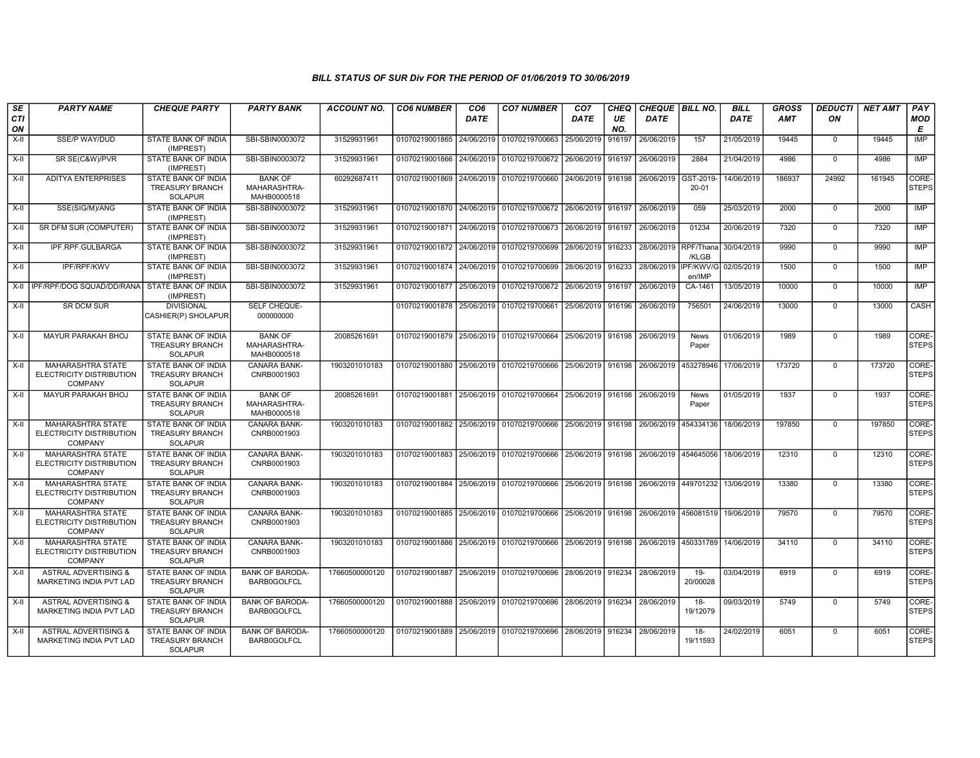| <b>SE</b><br>CTI<br>ON | <b>PARTY NAME</b>                                                             | <b>CHEQUE PARTY</b>                                                    | <b>PARTY BANK</b>                             | <b>ACCOUNT NO.</b> | <b>CO6 NUMBER</b>         | CO <sub>6</sub><br><b>DATE</b> | <b>CO7 NUMBER</b>                                   | CO <sub>7</sub><br><b>DATE</b> | CHEQ<br>UE<br>NO. | CHEQUE   BILL NO.<br><b>DATE</b> |                      | <b>BILL</b><br><b>DATE</b> | <b>GROSS</b><br>AMT | <b>DEDUCTI</b><br>ON | <b>NET AMT</b> | PAY<br><b>MOD</b><br>E |
|------------------------|-------------------------------------------------------------------------------|------------------------------------------------------------------------|-----------------------------------------------|--------------------|---------------------------|--------------------------------|-----------------------------------------------------|--------------------------------|-------------------|----------------------------------|----------------------|----------------------------|---------------------|----------------------|----------------|------------------------|
| X-II                   | SSE/P WAY/DUD                                                                 | STATE BANK OF INDIA<br>(IMPREST)                                       | SBI-SBIN0003072                               | 31529931961        | 01070219001865 24/06/2019 |                                | 01070219700663                                      | 25/06/2019                     | 916197            | 26/06/2019                       | 157                  | 21/05/2019                 | 19445               | $\mathbf 0$          | 19445          | IMP                    |
| $X-H$                  | SR SE(C&W)/PVR                                                                | STATE BANK OF INDIA<br>(IMPREST)                                       | SBI-SBIN0003072                               | 31529931961        | 01070219001866            | 24/06/2019                     | 01070219700672                                      | 26/06/2019                     | 916197            | 26/06/2019                       | 2884                 | 21/04/2019                 | 4986                | $\mathbf 0$          | 4986           | IMP                    |
| X-II                   | <b>ADITYA ENTERPRISES</b>                                                     | STATE BANK OF INDIA<br><b>TREASURY BRANCH</b><br><b>SOLAPUR</b>        | <b>BANK OF</b><br>MAHARASHTRA-<br>MAHB0000518 | 60292687411        |                           |                                | 01070219001869 24/06/2019 01070219700660            | 24/06/2019 916198              |                   | 26/06/2019                       | GST-2019<br>20-01    | 14/06/2019                 | 186937              | 24992                | 161945         | CORE-<br><b>STEPS</b>  |
| X-II                   | SSE(SIG/M)/ANG                                                                | STATE BANK OF INDIA<br>(IMPREST)                                       | SBI-SBIN0003072                               | 31529931961        |                           |                                | 01070219001870 24/06/2019 01070219700672            | 26/06/2019                     | 916197            | 26/06/2019                       | 059                  | 25/03/2019                 | 2000                | $\mathbf 0$          | 2000           | <b>IMP</b>             |
| X-II                   | SR DFM SUR (COMPUTER)                                                         | STATE BANK OF INDIA<br>(IMPREST)                                       | SBI-SBIN0003072                               | 31529931961        | 01070219001871 24/06/2019 |                                | 01070219700673                                      | 26/06/2019                     | 916197            | 26/06/2019                       | 01234                | 20/06/2019                 | 7320                | $\mathbf 0$          | 7320           | IMP                    |
| X-II                   | IPF.RPF.GULBARGA                                                              | STATE BANK OF INDIA<br>(IMPREST)                                       | SBI-SBIN0003072                               | 31529931961        | 01070219001872 24/06/2019 |                                | 01070219700699                                      | 28/06/2019                     | 916233            | 28/06/2019                       | RPF/Thana<br>/KLGB   | 30/04/2019                 | 9990                | $\mathbf 0$          | 9990           | <b>IMP</b>             |
| X-II                   | <b>IPF/RPF/KWV</b>                                                            | STATE BANK OF INDIA<br>(IMPREST)                                       | SBI-SBIN0003072                               | 31529931961        |                           |                                | 01070219001874 24/06/2019 01070219700699            | 28/06/2019                     | 916233            | 28/06/2019                       | IPF/KWV/G<br>en/IMP  | 02/05/2019                 | 1500                | $\mathbf 0$          | 1500           | <b>IMP</b>             |
|                        | X-II   IPF/RPF/DOG SQUAD/DD/RANA                                              | STATE BANK OF INDIA<br>(IMPREST)                                       | SBI-SBIN0003072                               | 31529931961        | 01070219001877 25/06/2019 |                                | 01070219700672                                      | 26/06/2019                     | 916197            | 26/06/2019                       | CA-1461              | 13/05/2019                 | 10000               | $\mathbf 0$          | 10000          | <b>IMP</b>             |
| X-II                   | <b>SR DCM SUR</b>                                                             | <b>DIVISIONAL</b><br>CASHIER(P) SHOLAPUR                               | SELF CHEQUE-<br>000000000                     |                    | 01070219001878 25/06/2019 |                                | 01070219700661                                      | 25/06/2019                     | 916196            | 26/06/2019                       | 756501               | 24/06/2019                 | 13000               | $\mathbf 0$          | 13000          | CASH                   |
| X-II                   | MAYUR PARAKAH BHOJ                                                            | STATE BANK OF INDIA<br><b>TREASURY BRANCH</b><br><b>SOLAPUR</b>        | <b>BANK OF</b><br>MAHARASHTRA-<br>MAHB0000518 | 20085261691        | 01070219001879 25/06/2019 |                                | 01070219700664                                      | 25/06/2019                     | 916198            | 26/06/2019                       | News<br>Paper        | 01/06/2019                 | 1989                | $\mathbf 0$          | 1989           | CORE-<br><b>STEPS</b>  |
| X-II                   | <b>MAHARASHTRA STATE</b><br>ELECTRICITY DISTRIBUTION<br><b>COMPANY</b>        | STATE BANK OF INDIA<br><b>TREASURY BRANCH</b><br><b>SOLAPUR</b>        | <b>CANARA BANK-</b><br>CNRB0001903            | 1903201010183      |                           |                                | 01070219001880 25/06/2019 01070219700666 25/06/2019 |                                | 916198            | 26/06/2019                       | 453278946            | 17/06/2019                 | 173720              | $\mathbf 0$          | 173720         | CORE-<br><b>STEPS</b>  |
| $X-H$                  | <b>MAYUR PARAKAH BHOJ</b>                                                     | STATE BANK OF INDIA<br><b>TREASURY BRANCH</b><br><b>SOLAPUR</b>        | <b>BANK OF</b><br>MAHARASHTRA-<br>MAHB0000518 | 20085261691        |                           |                                | 01070219001881 25/06/2019 01070219700664            | 25/06/2019                     | 916198            | 26/06/2019                       | <b>News</b><br>Paper | 01/05/2019                 | 1937                | $\Omega$             | 1937           | CORE-<br><b>STEPS</b>  |
| X-II                   | <b>MAHARASHTRA STATE</b><br><b>ELECTRICITY DISTRIBUTION</b><br><b>COMPANY</b> | STATE BANK OF INDIA<br><b>TREASURY BRANCH</b><br><b>SOLAPUR</b>        | <b>CANARA BANK-</b><br>CNRB0001903            | 1903201010183      | 01070219001882 25/06/2019 |                                | 01070219700666                                      | 25/06/2019                     | 916198            | 26/06/2019 454334136             |                      | 18/06/2019                 | 197850              | $\Omega$             | 197850         | CORE-<br><b>STEPS</b>  |
| $X-H$                  | <b>MAHARASHTRA STATE</b><br>ELECTRICITY DISTRIBUTION<br><b>COMPANY</b>        | <b>STATE BANK OF INDIA</b><br><b>TREASURY BRANCH</b><br><b>SOLAPUR</b> | <b>CANARA BANK-</b><br>CNRB0001903            | 1903201010183      |                           |                                | 01070219001883 25/06/2019 01070219700666            | 25/06/2019 916198              |                   | 26/06/2019 454645056 18/06/2019  |                      |                            | 12310               | $\mathbf 0$          | 12310          | CORE-<br><b>STEPS</b>  |
| $X-H$                  | <b>MAHARASHTRA STATE</b><br>ELECTRICITY DISTRIBUTION<br><b>COMPANY</b>        | STATE BANK OF INDIA<br><b>TREASURY BRANCH</b><br><b>SOLAPUR</b>        | <b>CANARA BANK-</b><br>CNRB0001903            | 1903201010183      |                           |                                | 01070219001884 25/06/2019 01070219700666            | 25/06/2019                     | 916198            | 26/06/2019 449701232 13/06/2019  |                      |                            | 13380               | $\mathbf 0$          | 13380          | CORE-<br>STEPS         |
| X-II                   | <b>MAHARASHTRA STATE</b><br>ELECTRICITY DISTRIBUTION<br><b>COMPANY</b>        | <b>STATE BANK OF INDIA</b><br><b>TREASURY BRANCH</b><br><b>SOLAPUR</b> | CANARA BANK-<br>CNRB0001903                   | 1903201010183      | 01070219001885 25/06/2019 |                                | 01070219700666                                      | 25/06/2019                     | 916198            | 26/06/2019                       | 456081519 19/06/2019 |                            | 79570               | $\mathbf 0$          | 79570          | CORE-<br><b>STEPS</b>  |
| X-II                   | MAHARASHTRA STATE<br>ELECTRICITY DISTRIBUTION<br><b>COMPANY</b>               | STATE BANK OF INDIA<br><b>TREASURY BRANCH</b><br><b>SOLAPUR</b>        | CANARA BANK-<br>CNRB0001903                   | 1903201010183      | 01070219001886            |                                | 25/06/2019 01070219700666                           | 25/06/2019                     | 916198            | 26/06/2019 450331789 14/06/2019  |                      |                            | 34110               | $\mathbf 0$          | 34110          | CORE-<br><b>STEPS</b>  |
| X-II                   | <b>ASTRAL ADVERTISING &amp;</b><br>MARKETING INDIA PVT LAD                    | STATE BANK OF INDIA<br><b>TREASURY BRANCH</b><br><b>SOLAPUR</b>        | <b>BANK OF BARODA-</b><br><b>BARB0GOLFCL</b>  | 17660500000120     |                           |                                | 01070219001887 25/06/2019 01070219700696            | 28/06/2019                     | 916234            | 28/06/2019                       | $19 -$<br>20/00028   | 03/04/2019                 | 6919                | $\mathbf 0$          | 6919           | CORE-<br><b>STEPS</b>  |
| X-II                   | <b>ASTRAL ADVERTISING &amp;</b><br>MARKETING INDIA PVT LAD                    | STATE BANK OF INDIA<br><b>TREASURY BRANCH</b><br><b>SOLAPUR</b>        | <b>BANK OF BARODA-</b><br><b>BARB0GOLFCL</b>  | 17660500000120     |                           |                                | 01070219001888 25/06/2019 01070219700696            | 28/06/2019                     | 916234            | 28/06/2019                       | $18 -$<br>19/12079   | 09/03/2019                 | 5749                | $\mathbf 0$          | 5749           | CORE-<br><b>STEPS</b>  |
| X-II                   | <b>ASTRAL ADVERTISING &amp;</b><br>MARKETING INDIA PVT LAD                    | STATE BANK OF INDIA<br><b>TREASURY BRANCH</b><br><b>SOLAPUR</b>        | <b>BANK OF BARODA-</b><br>BARB0GOLFCL         | 17660500000120     |                           |                                | 01070219001889 25/06/2019 01070219700696            | 28/06/2019                     | 916234            | 28/06/2019                       | 18-<br>19/11593      | 24/02/2019                 | 6051                | 0                    | 6051           | CORE-<br>STEPS         |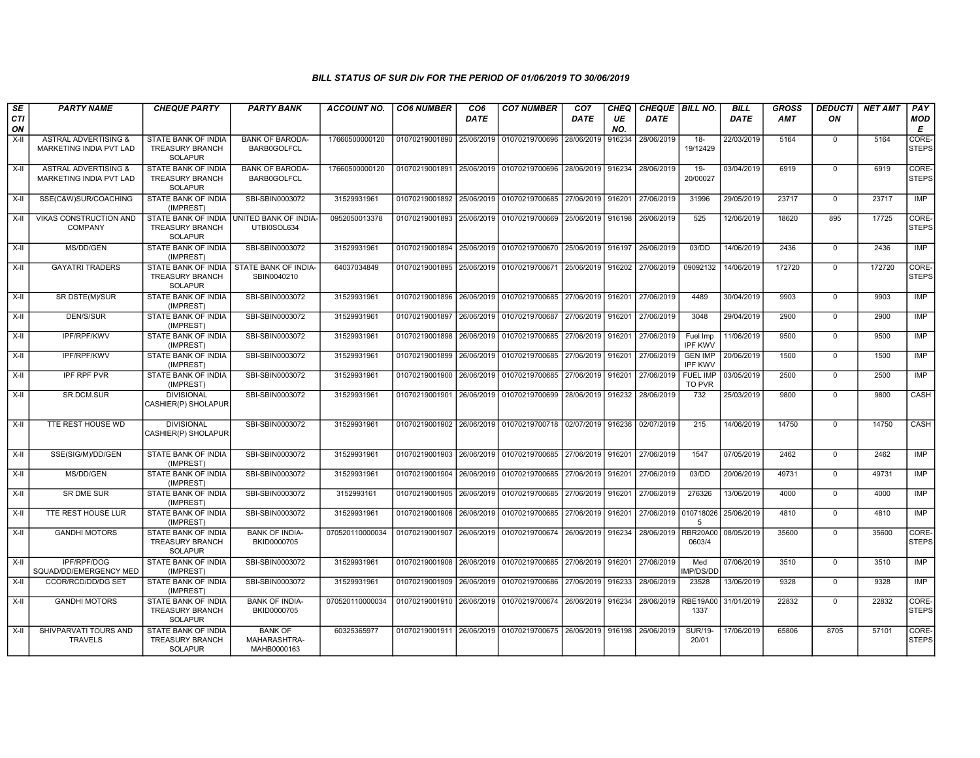| $\overline{\mathsf{S}\mathsf{E}}$<br><b>CTI</b> | <b>PARTY NAME</b>                                          | <b>CHEQUE PARTY</b>                                                                   | <b>PARTY BANK</b>                             | <b>ACCOUNT NO.</b> | <b>CO6 NUMBER</b>         | CO <sub>6</sub><br><b>DATE</b> | <b>CO7 NUMBER</b>                                                               | CO <sub>7</sub><br><b>DATE</b> | CHEQ<br>UE | CHEQUE BILL NO.<br>DATE |                                  | <b>BILL</b><br><b>DATE</b> | <b>GROSS</b><br><b>AMT</b> | DEDUCTI<br>ON  | <b>NET AMT</b> | PAY<br><b>MOD</b>     |
|-------------------------------------------------|------------------------------------------------------------|---------------------------------------------------------------------------------------|-----------------------------------------------|--------------------|---------------------------|--------------------------------|---------------------------------------------------------------------------------|--------------------------------|------------|-------------------------|----------------------------------|----------------------------|----------------------------|----------------|----------------|-----------------------|
| ON                                              |                                                            |                                                                                       |                                               |                    |                           |                                |                                                                                 |                                | NO.        |                         |                                  |                            |                            |                |                | E                     |
| X-II                                            | <b>ASTRAL ADVERTISING &amp;</b><br>MARKETING INDIA PVT LAD | STATE BANK OF INDIA<br><b>TREASURY BRANCH</b><br><b>SOLAPUR</b>                       | <b>BANK OF BARODA-</b><br><b>BARB0GOLFCL</b>  | 17660500000120     | 01070219001890 25/06/2019 |                                | 01070219700696                                                                  | 28/06/2019                     | 916234     | 28/06/2019              | $18 -$<br>19/12429               | 22/03/2019                 | 5164                       | $\Omega$       | 5164           | CORE-<br><b>STEPS</b> |
| $X-H$                                           | <b>ASTRAL ADVERTISING &amp;</b><br>MARKETING INDIA PVT LAD | <b>STATE BANK OF INDIA</b><br><b>TREASURY BRANCH</b><br><b>SOLAPUR</b>                | <b>BANK OF BARODA-</b><br><b>BARB0GOLFCL</b>  | 17660500000120     |                           |                                | 01070219001891 25/06/2019 01070219700696 28/06/2019                             |                                | 916234     | 28/06/2019              | $19-$<br>20/00027                | 03/04/2019                 | 6919                       | $\overline{0}$ | 6919           | CORE-<br><b>STEPS</b> |
| $X-I$                                           | SSE(C&W)SUR/COACHING                                       | <b>STATE BANK OF INDIA</b><br>(IMPREST)                                               | SBI-SBIN0003072                               | 31529931961        |                           |                                | 01070219001892 25/06/2019 01070219700685 27/06/2019                             |                                | 916201     | 27/06/2019              | 31996                            | 29/05/2019                 | 23717                      | $\overline{0}$ | 23717          | IMP                   |
| X-II                                            | <b>VIKAS CONSTRUCTION AND</b><br><b>COMPANY</b>            | STATE BANK OF INDIA UNITED BANK OF INDIA-<br><b>TREASURY BRANCH</b><br><b>SOLAPUR</b> | UTBI0SOL634                                   | 0952050013378      |                           |                                | 01070219001893 25/06/2019 01070219700669 25/06/2019 916198                      |                                |            | 26/06/2019              | 525                              | 12/06/2019                 | 18620                      | 895            | 17725          | CORE-<br><b>STEPS</b> |
| X-II                                            | MS/DD/GEN                                                  | STATE BANK OF INDIA<br>(IMPREST)                                                      | SBI-SBIN0003072                               | 31529931961        |                           |                                | 01070219001894 25/06/2019 01070219700670 25/06/2019 916197                      |                                |            | 26/06/2019              | 03/DD                            | 14/06/2019                 | 2436                       | $\mathbf 0$    | 2436           | IMP                   |
| X-II                                            | <b>GAYATRI TRADERS</b>                                     | STATE BANK OF INDIA<br><b>TREASURY BRANCH</b><br><b>SOLAPUR</b>                       | STATE BANK OF INDIA-<br>SBIN0040210           | 64037034849        |                           |                                | 01070219001895 25/06/2019 01070219700671 25/06/2019 916202                      |                                |            | 27/06/2019              | 09092132                         | 14/06/2019                 | 172720                     | $\mathbf 0$    | 172720         | CORE-<br><b>STEPS</b> |
| X-II                                            | SR DSTE(M)/SUR                                             | STATE BANK OF INDIA<br>(IMPREST)                                                      | SBI-SBIN0003072                               | 31529931961        | 01070219001896 26/06/2019 |                                | 01070219700685 27/06/2019 916201                                                |                                |            | 27/06/2019              | 4489                             | 30/04/2019                 | 9903                       | $\mathbf{0}$   | 9903           | <b>IMP</b>            |
| X-II                                            | DEN/S/SUR                                                  | <b>STATE BANK OF INDIA</b><br>(IMPREST)                                               | SBI-SBIN0003072                               | 31529931961        |                           |                                | 01070219001897 26/06/2019 01070219700687                                        | 27/06/2019 916201              |            | 27/06/2019              | 3048                             | 29/04/2019                 | 2900                       | $\mathbf 0$    | 2900           | <b>IMP</b>            |
| X-II                                            | IPF/RPF/KWV                                                | <b>STATE BANK OF INDIA</b><br>(IMPREST)                                               | SBI-SBIN0003072                               | 31529931961        | 01070219001898 26/06/2019 |                                | 01070219700685 27/06/2019 916201                                                |                                |            | 27/06/2019              | Fuel Imp<br><b>IPF KWV</b>       | 11/06/2019                 | 9500                       | $\overline{0}$ | 9500           | IMP                   |
| X-II                                            | <b>IPF/RPF/KWV</b>                                         | <b>STATE BANK OF INDIA</b><br>(IMPREST)                                               | SBI-SBIN0003072                               | 31529931961        |                           |                                | 01070219001899 26/06/2019 01070219700685 27/06/2019 916201                      |                                |            | 27/06/2019              | <b>GEN IMP</b><br><b>IPF KWV</b> | 20/06/2019                 | 1500                       | $\mathbf 0$    | 1500           | IMP                   |
| X-II                                            | <b>IPF RPF PVR</b>                                         | <b>STATE BANK OF INDIA</b><br>(IMPREST)                                               | SBI-SBIN0003072                               | 31529931961        |                           |                                | 01070219001900 26/06/2019 01070219700685 27/06/2019 916201                      |                                |            | 27/06/2019              | <b>FUEL IMP</b><br>TO PVR        | 03/05/2019                 | 2500                       | $\mathbf 0$    | 2500           | IMP                   |
| X-II                                            | SR.DCM.SUR                                                 | <b>DIVISIONAL</b><br>CASHIER(P) SHOLAPUR                                              | SBI-SBIN0003072                               | 31529931961        |                           |                                | 01070219001901 26/06/2019 01070219700699                                        | 28/06/2019 916232              |            | 28/06/2019              | 732                              | 25/03/2019                 | 9800                       | $\mathbf 0$    | 9800           | CASH                  |
| X-II                                            | TTE REST HOUSE WD                                          | <b>DIVISIONAL</b><br>CASHIER(P) SHOLAPUR                                              | SBI-SBIN0003072                               | 31529931961        |                           |                                | 01070219001902   26/06/2019   01070219700718   02/07/2019   916236   02/07/2019 |                                |            |                         | 215                              | 14/06/2019                 | 14750                      | $\mathbf 0$    | 14750          | CASH                  |
| X-II                                            | SSE(SIG/M)/DD/GEN                                          | STATE BANK OF INDIA<br>(IMPREST)                                                      | SBI-SBIN0003072                               | 31529931961        |                           |                                | 01070219001903 26/06/2019 01070219700685 27/06/2019 916201 27/06/2019           |                                |            |                         | 1547                             | 07/05/2019                 | 2462                       | $\mathbf 0$    | 2462           | <b>IMP</b>            |
| X-II                                            | MS/DD/GEN                                                  | STATE BANK OF INDIA<br>(IMPREST)                                                      | SBI-SBIN0003072                               | 31529931961        |                           |                                | 01070219001904 26/06/2019 01070219700685 27/06/2019 916201                      |                                |            | 27/06/2019              | 03/DD                            | 20/06/2019                 | 49731                      | $\Omega$       | 49731          | IMP                   |
| X-II                                            | SR DME SUR                                                 | STATE BANK OF INDIA<br>(IMPREST)                                                      | SBI-SBIN0003072                               | 3152993161         |                           |                                | 01070219001905 26/06/2019 01070219700685 27/06/2019 916201                      |                                |            | 27/06/2019              | 276326                           | 13/06/2019                 | 4000                       | $\mathbf 0$    | 4000           | <b>IMP</b>            |
| X-II                                            | TTE REST HOUSE LUR                                         | STATE BANK OF INDIA<br>(IMPREST)                                                      | SBI-SBIN0003072                               | 31529931961        | 01070219001906 26/06/2019 |                                | 01070219700685 27/06/2019 916201                                                |                                |            | 27/06/2019 010718026    | 5                                | 25/06/2019                 | 4810                       | $\overline{0}$ | 4810           | IMP                   |
| X-II                                            | <b>GANDHI MOTORS</b>                                       | <b>STATE BANK OF INDIA</b><br><b>TREASURY BRANCH</b><br><b>SOLAPUR</b>                | <b>BANK OF INDIA-</b><br>BKID0000705          | 070520110000034    |                           |                                | 01070219001907   26/06/2019   01070219700674   26/06/2019   916234              |                                |            | 28/06/2019              | <b>RBR20A00</b><br>0603/4        | 08/05/2019                 | 35600                      | $\Omega$       | 35600          | CORE-<br><b>STEPS</b> |
| X-II                                            | IPF/RPF/DOG<br>SQUAD/DD/EMERGENCY MED                      | STATE BANK OF INDIA<br>(IMPREST)                                                      | SBI-SBIN0003072                               | 31529931961        |                           |                                | 01070219001908 26/06/2019 01070219700685 27/06/2019 916201                      |                                |            | 27/06/2019              | Med<br>MP/DS/DD                  | 07/06/2019                 | 3510                       | $\mathbf 0$    | 3510           | IMP                   |
| X-II                                            | CCOR/RCD/DD/DG SET                                         | STATE BANK OF INDIA<br>(IMPREST)                                                      | SBI-SBIN0003072                               | 31529931961        | 01070219001909 26/06/2019 |                                | 01070219700686                                                                  | 27/06/2019 916233              |            | 28/06/2019              | 23528                            | 13/06/2019                 | 9328                       | $\mathbf 0$    | 9328           | <b>IMP</b>            |
| X-II                                            | <b>GANDHI MOTORS</b>                                       | STATE BANK OF INDIA<br><b>TREASURY BRANCH</b><br><b>SOLAPUR</b>                       | <b>BANK OF INDIA-</b><br>BKID0000705          | 070520110000034    |                           |                                | 01070219001910 26/06/2019 01070219700674 26/06/2019 916234                      |                                |            | 28/06/2019              | <b>RBE19A00</b><br>1337          | 31/01/2019                 | 22832                      | $\Omega$       | 22832          | CORE-<br>STEPS        |
| X-II                                            | SHIVPARVATI TOURS AND<br><b>TRAVELS</b>                    | STATE BANK OF INDIA<br><b>TREASURY BRANCH</b><br>SOLAPUR                              | <b>BANK OF</b><br>MAHARASHTRA-<br>MAHB0000163 | 60325365977        |                           |                                | 01070219001911 26/06/2019 01070219700675 26/06/2019 916198 26/06/2019           |                                |            |                         | <b>SUR/19-</b><br>20/01          | 17/06/2019                 | 65806                      | 8705           | 57101          | CORE-<br>STEPS        |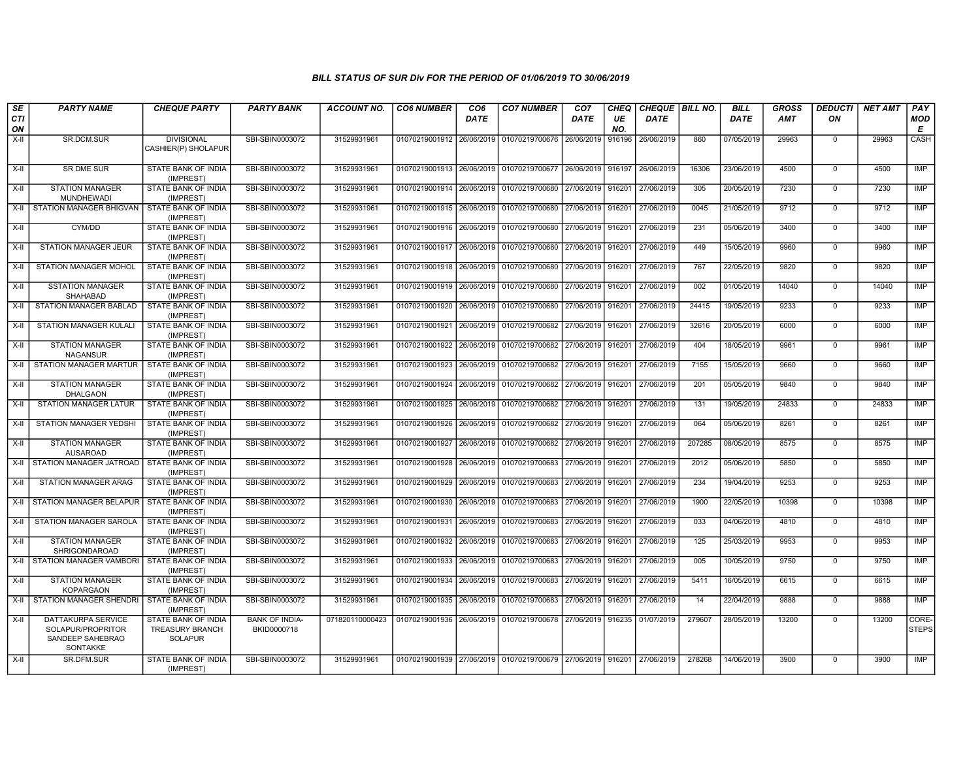| SE        | <b>PARTY NAME</b>                                                       | <b>CHEQUE PARTY</b>                                             | <b>PARTY BANK</b>                    | <b>ACCOUNT NO.</b> | <b>CO6 NUMBER</b>                        | CO <sub>6</sub> | <b>CO7 NUMBER</b>                                   | CO <sub>7</sub>   | <b>CHEQ</b> | CHEQUE BILL NO. |        | <b>BILL</b> | <b>GROSS</b> | <b>DEDUCTI</b> | <b>NET AMT</b> | PAY                   |
|-----------|-------------------------------------------------------------------------|-----------------------------------------------------------------|--------------------------------------|--------------------|------------------------------------------|-----------------|-----------------------------------------------------|-------------------|-------------|-----------------|--------|-------------|--------------|----------------|----------------|-----------------------|
| CTI<br>ON |                                                                         |                                                                 |                                      |                    |                                          | <b>DATE</b>     |                                                     | DATE              | UE<br>NO.   | DATE            |        | <b>DATE</b> | <b>AMT</b>   | ON             |                | <b>MOD</b><br>E       |
| X-II      | SR.DCM.SUR                                                              | <b>DIVISIONAL</b><br>CASHIER(P) SHOLAPUR                        | SBI-SBIN0003072                      | 31529931961        | 01070219001912 26/06/2019                |                 | 01070219700676                                      | 26/06/2019        | 916196      | 26/06/2019      | 860    | 07/05/2019  | 29963        | $\mathbf 0$    | 29963          | CASH                  |
| $X-H$     | <b>SR DME SUR</b>                                                       | <b>STATE BANK OF INDIA</b><br>(IMPREST)                         | SBI-SBIN0003072                      | 31529931961        | 01070219001913 26/06/2019 01070219700677 |                 |                                                     | 26/06/2019        | 916197      | 26/06/2019      | 16306  | 23/06/2019  | 4500         | $\mathbf 0$    | 4500           | <b>IMP</b>            |
| $X-H$     | <b>STATION MANAGER</b><br><b>MUNDHEWADI</b>                             | <b>STATE BANK OF INDIA</b><br>(IMPREST)                         | SBI-SBIN0003072                      | 31529931961        | 01070219001914 26/06/2019 01070219700680 |                 |                                                     | 27/06/2019        | 916201      | 27/06/2019      | 305    | 20/05/2019  | 7230         | $\mathbf 0$    | 7230           | IMP                   |
| $X-H$     | STATION MANAGER BHIGVAN                                                 | STATE BANK OF INDIA<br>(IMPREST)                                | SBI-SBIN0003072                      | 31529931961        | 01070219001915 26/06/2019 01070219700680 |                 |                                                     | 27/06/2019 916201 |             | 27/06/2019      | 0045   | 21/05/2019  | 9712         | $\mathbf 0$    | 9712           | <b>IMP</b>            |
| $X-II$    | CYM/DD                                                                  | STATE BANK OF INDIA<br>(IMPREST)                                | SBI-SBIN0003072                      | 31529931961        | 01070219001916 26/06/2019                |                 | 01070219700680                                      | 27/06/2019        | 916201      | 27/06/2019      | 231    | 05/06/2019  | 3400         | $\Omega$       | 3400           | <b>IMP</b>            |
| X-II      | <b>STATION MANAGER JEUR</b>                                             | STATE BANK OF INDIA<br>(IMPREST)                                | SBI-SBIN0003072                      | 31529931961        |                                          |                 | 01070219001917 26/06/2019 01070219700680            | 27/06/2019        | 916201      | 27/06/2019      | 449    | 15/05/2019  | 9960         | $\mathbf 0$    | 9960           | <b>IMP</b>            |
| X-II      | <b>STATION MANAGER MOHOL</b>                                            | <b>STATE BANK OF INDIA</b><br>(IMPREST)                         | SBI-SBIN0003072                      | 31529931961        | 01070219001918 26/06/2019                |                 | 01070219700680                                      | 27/06/2019        | 916201      | 27/06/2019      | 767    | 22/05/2019  | 9820         | $\mathbf 0$    | 9820           | <b>IMP</b>            |
| X-II      | <b>SSTATION MANAGER</b><br><b>SHAHABAD</b>                              | STATE BANK OF INDIA<br>(IMPREST)                                | SBI-SBIN0003072                      | 31529931961        | 01070219001919 26/06/2019 01070219700680 |                 |                                                     | 27/06/2019        | 916201      | 27/06/2019      | 002    | 01/05/2019  | 14040        | $\Omega$       | 14040          | IMP                   |
| $X-II$    | STATION MANAGER BABLAD                                                  | STATE BANK OF INDIA<br>(IMPREST)                                | SBI-SBIN0003072                      | 31529931961        | 01070219001920 26/06/2019 01070219700680 |                 |                                                     | 27/06/2019        | 916201      | 27/06/2019      | 24415  | 19/05/2019  | 9233         | $\overline{0}$ | 9233           | IMP                   |
| $X-H$     | <b>STATION MANAGER KULALI</b>                                           | <b>STATE BANK OF INDIA</b><br>(IMPREST)                         | SBI-SBIN0003072                      | 31529931961        | 01070219001921 26/06/2019                |                 | 01070219700682                                      | 27/06/2019        | 916201      | 27/06/2019      | 32616  | 20/05/2019  | 6000         | $\mathbf 0$    | 6000           | <b>IMP</b>            |
| X-II      | <b>STATION MANAGER</b><br><b>NAGANSUR</b>                               | <b>STATE BANK OF INDIA</b><br>(IMPREST)                         | SBI-SBIN0003072                      | 31529931961        | 01070219001922 26/06/2019 01070219700682 |                 |                                                     | 27/06/2019 916201 |             | 27/06/2019      | 404    | 18/05/2019  | 9961         | $\mathbf 0$    | 9961           | IMP                   |
| $X-H$     | <b>STATION MANAGER MARTUR</b>                                           | STATE BANK OF INDIA<br>(IMPREST)                                | SBI-SBIN0003072                      | 31529931961        | 01070219001923 26/06/2019                |                 | 01070219700682                                      | 27/06/2019        | 916201      | 27/06/2019      | 7155   | 15/05/2019  | 9660         | $\Omega$       | 9660           | <b>IMP</b>            |
| $X-H$     | <b>STATION MANAGER</b><br><b>DHALGAON</b>                               | STATE BANK OF INDIA<br>(IMPREST)                                | SBI-SBIN0003072                      | 31529931961        |                                          |                 | 01070219001924 26/06/2019 01070219700682            | 27/06/2019        | 916201      | 27/06/2019      | 201    | 05/05/2019  | 9840         | $\mathbf 0$    | 9840           | <b>IMP</b>            |
| $X-H$     | <b>STATION MANAGER LATUR</b>                                            | STATE BANK OF INDIA<br>(IMPREST)                                | SBI-SBIN0003072                      | 31529931961        | 01070219001925 26/06/2019                |                 | 01070219700682                                      | 27/06/2019        | 916201      | 27/06/2019      | 131    | 19/05/2019  | 24833        | $\mathbf 0$    | 24833          | IMP                   |
| $X-H$     | <b>STATION MANAGER YEDSHI</b>                                           | <b>STATE BANK OF INDIA</b><br>(IMPREST)                         | SBI-SBIN0003072                      | 31529931961        |                                          |                 | 01070219001926   26/06/2019   01070219700682        | 27/06/2019        | 916201      | 27/06/2019      | 064    | 05/06/2019  | 8261         | $\mathbf 0$    | 8261           | IMP                   |
| X-II      | <b>STATION MANAGER</b><br><b>AUSAROAD</b>                               | STATE BANK OF INDIA<br>(IMPREST)                                | SBI-SBIN0003072                      | 31529931961        | 01070219001927 26/06/2019 01070219700682 |                 |                                                     | 27/06/2019        | 916201      | 27/06/2019      | 207285 | 08/05/2019  | 8575         | $\mathbf 0$    | 8575           | <b>IMP</b>            |
| X-II      | STATION MANAGER JATROAD                                                 | STATE BANK OF INDIA<br>(IMPREST)                                | SBI-SBIN0003072                      | 31529931961        | 01070219001928 26/06/2019                |                 | 01070219700683                                      | 27/06/2019        | 916201      | 27/06/2019      | 2012   | 05/06/2019  | 5850         | $\mathbf 0$    | 5850           | <b>IMP</b>            |
| $X-H$     | <b>STATION MANAGER ARAG</b>                                             | <b>STATE BANK OF INDIA</b><br>(IMPREST)                         | SBI-SBIN0003072                      | 31529931961        | 01070219001929 26/06/2019 01070219700683 |                 |                                                     | 27/06/2019        | 916201      | 27/06/2019      | 234    | 19/04/2019  | 9253         | $\mathbf 0$    | 9253           | <b>IMP</b>            |
| $X-H$     | STATION MANAGER BELAPUR                                                 | <b>STATE BANK OF INDIA</b><br>(IMPREST)                         | SBI-SBIN0003072                      | 31529931961        |                                          |                 | 01070219001930 26/06/2019 01070219700683            | 27/06/2019        | 916201      | 27/06/2019      | 1900   | 22/05/2019  | 10398        | $\Omega$       | 10398          | IMP                   |
| X-II      | STATION MANAGER SAROLA                                                  | STATE BANK OF INDIA<br>(IMPREST)                                | SBI-SBIN0003072                      | 31529931961        | 01070219001931 26/06/2019                |                 | 01070219700683                                      | 27/06/2019        | 916201      | 27/06/2019      | 033    | 04/06/2019  | 4810         | $\mathbf 0$    | 4810           | IMP                   |
| X-II      | <b>STATION MANAGER</b><br>SHRIGONDAROAD                                 | STATE BANK OF INDIA<br>(IMPREST)                                | SBI-SBIN0003072                      | 31529931961        | 01070219001932 26/06/2019                |                 | 01070219700683                                      | 27/06/2019        | 916201      | 27/06/2019      | 125    | 25/03/2019  | 9953         | $\overline{0}$ | 9953           | IMP                   |
| $X-H$     | STATION MANAGER VAMBORI                                                 | STATE BANK OF INDIA<br>(IMPREST)                                | SBI-SBIN0003072                      | 31529931961        | 01070219001933 26/06/2019 01070219700683 |                 |                                                     | 27/06/2019        | 916201      | 27/06/2019      | 005    | 10/05/2019  | 9750         | $\mathbf 0$    | 9750           | <b>IMP</b>            |
| $X-H$     | <b>STATION MANAGER</b><br><b>KOPARGAON</b>                              | <b>STATE BANK OF INDIA</b><br>(IMPREST)                         | SBI-SBIN0003072                      | 31529931961        | 01070219001934 26/06/2019 01070219700683 |                 |                                                     | 27/06/2019        | 916201      | 27/06/2019      | 5411   | 16/05/2019  | 6615         | $\mathbf 0$    | 6615           | IMP                   |
| $X-II$    | <b>STATION MANAGER SHENDRI</b>                                          | <b>STATE BANK OF INDIA</b><br>(IMPREST)                         | SBI-SBIN0003072                      | 31529931961        | 01070219001935 26/06/2019                |                 | 01070219700683                                      | 27/06/2019        | 916201      | 27/06/2019      | 14     | 22/04/2019  | 9888         | $\Omega$       | 9888           | <b>IMP</b>            |
| $X-II$    | DATTAKURPA SERVICE<br>SOLAPUR/PROPRITOR<br>SANDEEP SAHEBRAO<br>SONTAKKE | STATE BANK OF INDIA<br><b>TREASURY BRANCH</b><br><b>SOLAPUR</b> | <b>BANK OF INDIA-</b><br>BKID0000718 | 071820110000423    | 01070219001936 26/06/2019 01070219700678 |                 |                                                     | 27/06/2019 916235 |             | 01/07/2019      | 279607 | 28/05/2019  | 13200        | $\Omega$       | 13200          | CORE-<br><b>STEPS</b> |
| $X-II$    | SR.DFM.SUR                                                              | STATE BANK OF INDIA<br>(IMPREST)                                | SBI-SBIN0003072                      | 31529931961        |                                          |                 | 01070219001939 27/06/2019 01070219700679 27/06/2019 |                   | 916201      | 27/06/2019      | 278268 | 14/06/2019  | 3900         | $\Omega$       | 3900           | IMP                   |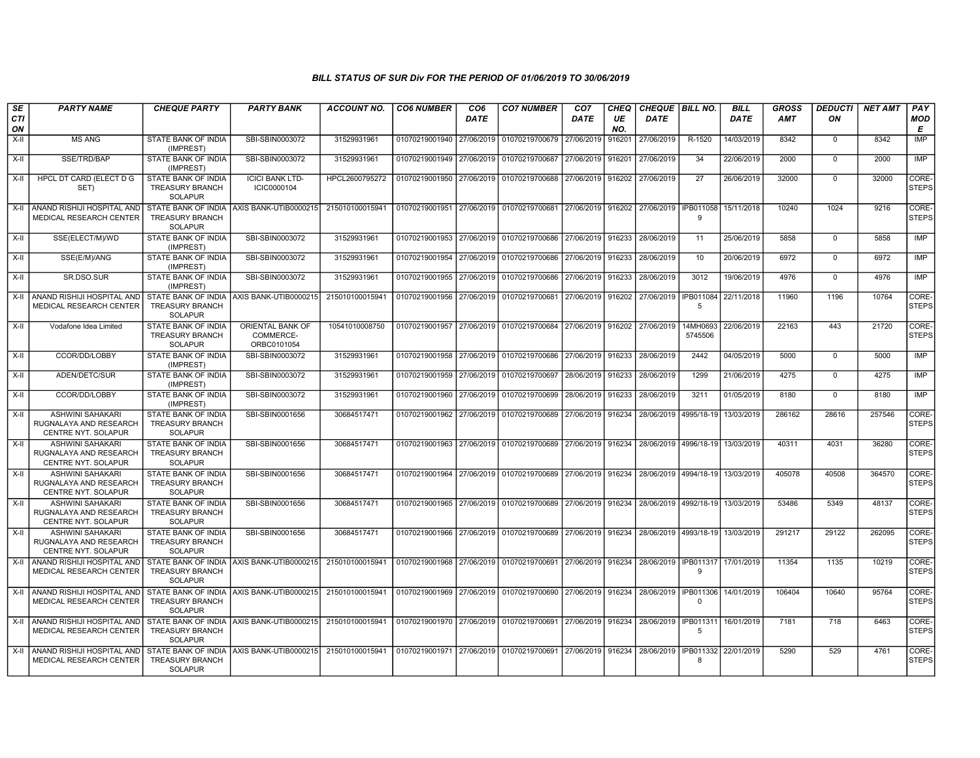| <b>SE</b><br>CTI | <b>PARTY NAME</b>                                                               | <b>CHEQUE PARTY</b>                                             | <b>PARTY BANK</b>                            | <b>ACCOUNT NO.</b> | <b>CO6 NUMBER</b>         | CO <sub>6</sub><br><b>DATE</b> | <b>CO7 NUMBER</b>                                                                 | CO <sub>7</sub><br><b>DATE</b> | CHEQ<br>UE | CHEQUE BILL NO.<br><b>DATE</b> |                        | <b>BILL</b><br><b>DATE</b> | <b>GROSS</b><br><b>AMT</b> | <b>DEDUCTI</b><br>ON | <b>NET AMT</b> | PAY<br><b>MOD</b>     |
|------------------|---------------------------------------------------------------------------------|-----------------------------------------------------------------|----------------------------------------------|--------------------|---------------------------|--------------------------------|-----------------------------------------------------------------------------------|--------------------------------|------------|--------------------------------|------------------------|----------------------------|----------------------------|----------------------|----------------|-----------------------|
| ON               |                                                                                 |                                                                 |                                              |                    |                           |                                |                                                                                   |                                | NO.        |                                |                        |                            |                            |                      |                | E                     |
| X-II             | <b>MS ANG</b>                                                                   | STATE BANK OF INDIA<br>(IMPREST)                                | SBI-SBIN0003072                              | 31529931961        | 01070219001940            | 27/06/2019                     | 01070219700679                                                                    | 27/06/2019                     | 916201     | 27/06/2019                     | R-1520                 | 14/03/2019                 | 8342                       | $\mathbf 0$          | 8342           | <b>IMP</b>            |
| X-II             | SSE/TRD/BAP                                                                     | STATE BANK OF INDIA<br>(IMPREST)                                | SBI-SBIN0003072                              | 31529931961        | 01070219001949 27/06/2019 |                                | 01070219700687 27/06/2019                                                         |                                | 916201     | 27/06/2019                     | 34                     | 22/06/2019                 | 2000                       | $\Omega$             | 2000           | <b>IMP</b>            |
| $X-H$            | HPCL DT CARD (ELECT D G<br>SET)                                                 | STATE BANK OF INDIA<br><b>TREASURY BRANCH</b><br><b>SOLAPUR</b> | <b>ICICI BANK LTD-</b><br>ICIC0000104        | HPCL2600795272     | 01070219001950 27/06/2019 |                                | 01070219700688 27/06/2019 916202                                                  |                                |            | 27/06/2019                     | 27                     | 26/06/2019                 | 32000                      | $\Omega$             | 32000          | CORE-<br>STEPS        |
| X-II             | ANAND RISHIJI HOSPITAL AND<br>MEDICAL RESEARCH CENTER                           | <b>TREASURY BRANCH</b><br><b>SOLAPUR</b>                        | STATE BANK OF INDIA LAXIS BANK-UTIB0000215   | 215010100015941    | 01070219001951 27/06/2019 |                                | 01070219700681 27/06/2019 916202 27/06/2019 IPB011058                             |                                |            |                                | -9                     | 15/11/2018                 | 10240                      | 1024                 | 9216           | CORE-<br><b>STEPS</b> |
| X-II             | SSE(ELECT/M)/WD                                                                 | STATE BANK OF INDIA<br>(IMPREST)                                | SBI-SBIN0003072                              | 31529931961        |                           |                                | 01070219001953 27/06/2019 01070219700686 27/06/2019 916233                        |                                |            | 28/06/2019                     | 11                     | 25/06/2019                 | 5858                       | $\mathbf 0$          | 5858           | IMP                   |
| X-II             | SSE(E/M)/ANG                                                                    | STATE BANK OF INDIA<br>(IMPREST)                                | SBI-SBIN0003072                              | 31529931961        | 01070219001954            | 27/06/2019                     | 01070219700686                                                                    | 27/06/2019 916233              |            | 28/06/2019                     | 10                     | 20/06/2019                 | 6972                       | $\Omega$             | 6972           | <b>IMP</b>            |
| $X-II$           | SR.DSO.SUR                                                                      | STATE BANK OF INDIA<br>(IMPREST)                                | SBI-SBIN0003072                              | 31529931961        | 01070219001955 27/06/2019 |                                | 01070219700686                                                                    | 27/06/2019 916233              |            | 28/06/2019                     | 3012                   | 19/06/2019                 | 4976                       | $\mathbf 0$          | 4976           | <b>IMP</b>            |
|                  | X-II ANAND RISHIJI HOSPITAL AND<br>MEDICAL RESEARCH CENTER                      | <b>TREASURY BRANCH</b><br><b>SOLAPUR</b>                        | STATE BANK OF INDIA AXIS BANK-UTIB0000215    | 215010100015941    | 01070219001956            | 27/06/2019                     | 01070219700681 27/06/2019 916202                                                  |                                |            | 27/06/2019                     | <b>IPB011084</b><br>-5 | 22/11/2018                 | 11960                      | 1196                 | 10764          | CORE-<br><b>STEPS</b> |
| X-II             | Vodafone Idea Limited                                                           | STATE BANK OF INDIA<br><b>TREASURY BRANCH</b><br><b>SOLAPUR</b> | ORIENTAL BANK OF<br>COMMERCE-<br>ORBC0101054 | 10541010008750     | 01070219001957            | 27/06/2019                     | 01070219700684 27/06/2019 916202                                                  |                                |            | 27/06/2019                     | 14MH0693<br>5745506    | 22/06/2019                 | 22163                      | 443                  | 21720          | CORE-<br><b>STEPS</b> |
| X-II             | CCOR/DD/LOBBY                                                                   | <b>STATE BANK OF INDIA</b><br>(IMPREST)                         | SBI-SBIN0003072                              | 31529931961        | 01070219001958            | 27/06/2019                     | 01070219700686 27/06/2019 916233                                                  |                                |            | 28/06/2019                     | 2442                   | 04/05/2019                 | 5000                       | $\mathbf 0$          | 5000           | IMP                   |
| X-II             | ADEN/DETC/SUR                                                                   | STATE BANK OF INDIA<br>(IMPREST)                                | SBI-SBIN0003072                              | 31529931961        | 01070219001959            | 27/06/2019                     | 01070219700697                                                                    | 28/06/2019 916233              |            | 28/06/2019                     | 1299                   | 21/06/2019                 | 4275                       | $\mathbf 0$          | 4275           | <b>IMP</b>            |
| X-II             | CCOR/DD/LOBBY                                                                   | STATE BANK OF INDIA<br>(IMPREST)                                | SBI-SBIN0003072                              | 31529931961        | 01070219001960            | 27/06/2019                     | 01070219700699                                                                    | 28/06/2019                     | 916233     | 28/06/2019                     | 3211                   | 01/05/2019                 | 8180                       | $\Omega$             | 8180           | IMP                   |
| X-II             | <b>ASHWINI SAHAKARI</b><br>RUGNALAYA AND RESEARCH<br>CENTRE NYT. SOLAPUR        | STATE BANK OF INDIA<br>TREASURY BRANCH<br><b>SOLAPUR</b>        | SBI-SBIN0001656                              | 30684517471        | 01070219001962            | 27/06/2019                     | 01070219700689 27/06/2019 916234                                                  |                                |            | 28/06/2019 4995/18-19          |                        | 13/03/2019                 | 286162                     | 28616                | 257546         | CORE-<br>STEPS        |
| X-II             | <b>ASHWINI SAHAKARI</b><br>RUGNALAYA AND RESEARCH<br><b>CENTRE NYT, SOLAPUR</b> | STATE BANK OF INDIA<br><b>TREASURY BRANCH</b><br><b>SOLAPUR</b> | SBI-SBIN0001656                              | 30684517471        | 01070219001963 27/06/2019 |                                | 01070219700689 27/06/2019 916234                                                  |                                |            | 28/06/2019 14996/18-19 l       |                        | 13/03/2019                 | 40311                      | 4031                 | 36280          | CORE-<br><b>STEPS</b> |
| X-II             | <b>ASHWINI SAHAKARI</b><br>RUGNALAYA AND RESEARCH<br><b>CENTRE NYT, SOLAPUR</b> | <b>STATE BANK OF INDIA</b><br>TREASURY BRANCH<br><b>SOLAPUR</b> | SBI-SBIN0001656                              | 30684517471        | 01070219001964 27/06/2019 |                                | 01070219700689 27/06/2019 916234                                                  |                                |            | 28/06/2019 4994/18-19          |                        | 13/03/2019                 | 405078                     | 40508                | 364570         | CORE-<br><b>STEPS</b> |
| X-II             | ASHWINI SAHAKARI<br>RUGNALAYA AND RESEARCH<br>CENTRE NYT. SOLAPUR               | STATE BANK OF INDIA<br><b>TREASURY BRANCH</b><br><b>SOLAPUR</b> | SBI-SBIN0001656                              | 30684517471        | 01070219001965 27/06/2019 |                                | 01070219700689 27/06/2019 916234                                                  |                                |            | 28/06/2019 4992/18-19          |                        | 13/03/2019                 | 53486                      | 5349                 | 48137          | CORE-<br><b>STEPS</b> |
| $X-II$           | <b>ASHWINI SAHAKARI</b><br>RUGNALAYA AND RESEARCH<br><b>CENTRE NYT, SOLAPUR</b> | STATE BANK OF INDIA<br><b>TREASURY BRANCH</b><br><b>SOLAPUR</b> | SBI-SBIN0001656                              | 30684517471        | 01070219001966            | 27/06/2019                     | 01070219700689 27/06/2019 916234                                                  |                                |            | 28/06/2019 4993/18-19          |                        | 13/03/2019                 | 291217                     | 29122                | 262095         | CORE-<br><b>STEPS</b> |
| X-II             | <b>ANAND RISHIJI HOSPITAL AND</b><br>MEDICAL RESEARCH CENTER                    | <b>TREASURY BRANCH</b><br><b>SOLAPUR</b>                        | STATE BANK OF INDIA AXIS BANK-UTIB0000215    | 215010100015941    | 01070219001968            |                                | 27/06/2019 01070219700691 27/06/2019 916234                                       |                                |            | 28/06/2019                     | IPB011317<br>-9        | 17/01/2019                 | 11354                      | 1135                 | 10219          | CORE-<br><b>STEPS</b> |
| X-II             | I ANAND RISHIJI HOSPITAL AND<br>MEDICAL RESEARCH CENTER                         | <b>TREASURY BRANCH</b><br><b>SOLAPUR</b>                        | STATE BANK OF INDIA AXIS BANK-UTIB0000215    | 215010100015941    |                           |                                | 01070219001969 27/06/2019 01070219700690 27/06/2019 916234 28/06/2019 IPB011306   |                                |            |                                | $\Omega$               | 14/01/2019                 | 106404                     | 10640                | 95764          | CORE-<br><b>STEPS</b> |
| X-II             | Í ANAND RISHIJI HOSPITAL AND<br>MEDICAL RESEARCH CENTER                         | <b>TREASURY BRANCH</b><br><b>SOLAPUR</b>                        | STATE BANK OF INDIA AXIS BANK-UTIB0000215    | 215010100015941    |                           |                                | 01070219001970 27/06/2019 01070219700691 27/06/2019 916234                        |                                |            | 28/06/2019 IPB011311           | -5                     | 16/01/2019                 | 7181                       | 718                  | 6463           | CORE-<br><b>STEPS</b> |
| X-II             | ANAND RISHIJI HOSPITAL AND<br>MEDICAL RESEARCH CENTER                           | <b>TREASURY BRANCH</b><br><b>SOLAPUR</b>                        | STATE BANK OF INDIA AXIS BANK-UTIB0000215    | 215010100015941    |                           |                                | 01070219001971 27/06/2019 01070219700691 27/06/2019 916234 28/06/2019 IPB011332 [ |                                |            |                                | 8                      | 22/01/2019                 | 5290                       | 529                  | 4761           | CORE-<br><b>STEPS</b> |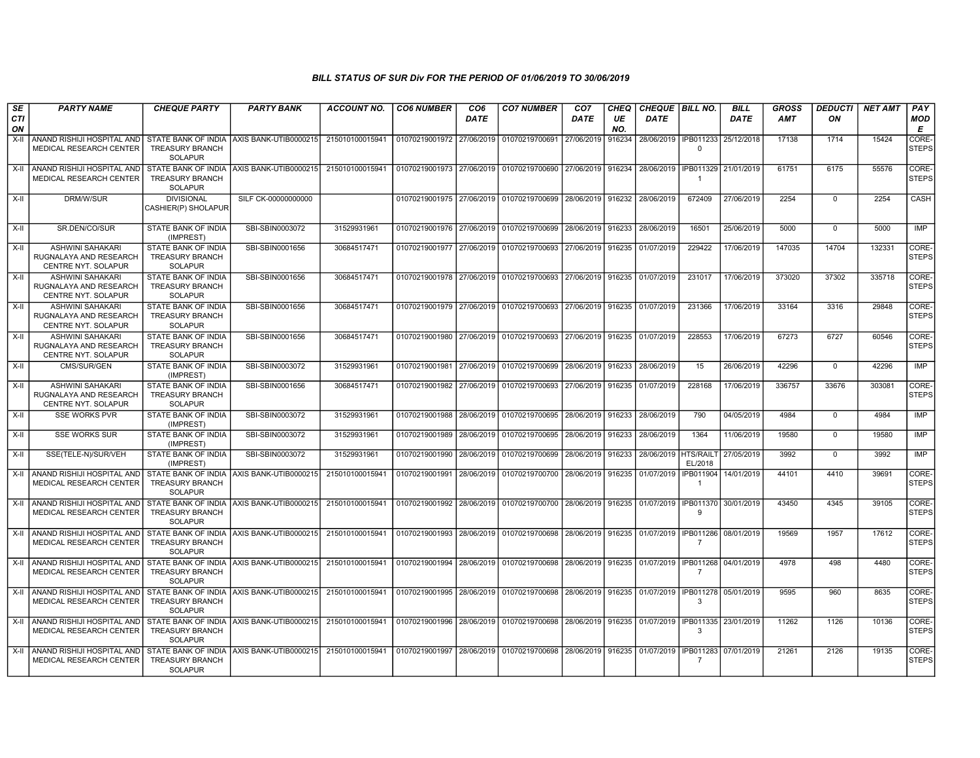| SE               | <b>PARTY NAME</b>                                                                                           | <b>CHEQUE PARTY</b>                                                    | <b>PARTY BANK</b>                          | ACCOUNT NO.     | <b>CO6 NUMBER</b>         | CO <sub>6</sub> | <b>CO7 NUMBER</b>                                                                                | CO <sub>7</sub> | CHEQ      | <b>CHEQUE BILL NO.</b>                   |                                    | <b>BILL</b>          | <b>GROSS</b> | <b>DEDUCTI</b> | <b>NET AMT</b> | PAY                   |
|------------------|-------------------------------------------------------------------------------------------------------------|------------------------------------------------------------------------|--------------------------------------------|-----------------|---------------------------|-----------------|--------------------------------------------------------------------------------------------------|-----------------|-----------|------------------------------------------|------------------------------------|----------------------|--------------|----------------|----------------|-----------------------|
| <b>CTI</b><br>ON |                                                                                                             |                                                                        |                                            |                 |                           | <b>DATE</b>     |                                                                                                  | DATE            | UE<br>NO. | DATE                                     |                                    | <b>DATE</b>          | <b>AMT</b>   | ON             |                | <b>MOD</b><br>E       |
| $X-II$           | ANAND RISHIJI HOSPITAL AND STATE BANK OF INDIA AXIS BANK-UTIB0000215<br><b>MEDICAL RESEARCH CENTER</b>      | TREASURY BRANCH<br><b>SOLAPUR</b>                                      |                                            | 215010100015941 | 01070219001972 27/06/2019 |                 | 01070219700691                                                                                   | 27/06/2019      | 916234    | 28/06/2019   IPB011233                   | $\Omega$                           | 25/12/2018           | 17138        | 1714           | 15424          | CORE-<br><b>STEPS</b> |
| X-II             | ANAND RISHIJI HOSPITAL AND STATE BANK OF INDIA<br><b>MEDICAL RESEARCH CENTER</b>                            | <b>TREASURY BRANCH</b><br>SOLAPUR                                      | AXIS BANK-UTIB0000215                      | 215010100015941 | 01070219001973 27/06/2019 |                 | 01070219700690                                                                                   | 27/06/2019      | 916234    | 28/06/2019                               | $\overline{1}$                     | IPB011329 21/01/2019 | 61751        | 6175           | 55576          | CORE-<br><b>STEPS</b> |
| $X-II$           | DRM/W/SUR                                                                                                   | <b>DIVISIONAL</b><br>CASHIER(P) SHOLAPUR                               | SILF CK-00000000000                        |                 | 01070219001975 27/06/2019 |                 | 01070219700699                                                                                   | 28/06/2019      | 916232    | 28/06/2019                               | 672409                             | 27/06/2019           | 2254         | $\Omega$       | 2254           | CASH                  |
| $X-H$            | SR.DEN/CO/SUR                                                                                               | STATE BANK OF INDIA<br>(IMPREST)                                       | SBI-SBIN0003072                            | 31529931961     | 01070219001976 27/06/2019 |                 | 01070219700699                                                                                   | 28/06/2019      | 916233    | 28/06/2019                               | 16501                              | 25/06/2019           | 5000         | $\mathbf 0$    | 5000           | IMP                   |
| X-II             | ASHWINI SAHAKARI<br>RUGNALAYA AND RESEARCH<br>CENTRE NYT. SOLAPUR                                           | STATE BANK OF INDIA<br><b>TREASURY BRANCH</b><br><b>SOLAPUR</b>        | SBI-SBIN0001656                            | 30684517471     | 01070219001977 27/06/2019 |                 | 01070219700693                                                                                   | 27/06/2019      | 916235    | 01/07/2019                               | 229422                             | 17/06/2019           | 147035       | 14704          | 132331         | CORE-<br><b>STEPS</b> |
| X-II             | ASHWINI SAHAKARI<br>RUGNALAYA AND RESEARCH<br><b>CENTRE NYT, SOLAPUR</b>                                    | <b>STATE BANK OF INDIA</b><br><b>TREASURY BRANCH</b><br><b>SOLAPUR</b> | SBI-SBIN0001656                            | 30684517471     | 01070219001978 27/06/2019 |                 | 01070219700693                                                                                   | 27/06/2019      | 916235    | 01/07/2019                               | 231017                             | 17/06/2019           | 373020       | 37302          | 335718         | CORE-<br><b>STEPS</b> |
| X-II             | <b>ASHWINI SAHAKARI</b><br>RUGNALAYA AND RESEARCH<br>CENTRE NYT. SOLAPUR                                    | STATE BANK OF INDIA<br><b>TREASURY BRANCH</b><br><b>SOLAPUR</b>        | SBI-SBIN0001656                            | 30684517471     |                           |                 | 01070219001979 27/06/2019 01070219700693                                                         | 27/06/2019      | 916235    | 01/07/2019                               | 231366                             | 17/06/2019           | 33164        | 3316           | 29848          | CORE-<br><b>STEPS</b> |
| X-II             | <b>ASHWINI SAHAKARI</b><br>RUGNALAYA AND RESEARCH<br>CENTRE NYT. SOLAPUR                                    | <b>STATE BANK OF INDIA</b><br><b>TREASURY BRANCH</b><br><b>SOLAPUR</b> | SBI-SBIN0001656                            | 30684517471     | 01070219001980            | 27/06/2019      | 01070219700693                                                                                   | 27/06/2019      | 916235    | 01/07/2019                               | 228553                             | 17/06/2019           | 67273        | 6727           | 60546          | CORE-<br><b>STEPS</b> |
| X-II             | CMS/SUR/GEN                                                                                                 | STATE BANK OF INDIA<br>(IMPREST)                                       | SBI-SBIN0003072                            | 31529931961     | 01070219001981            | 27/06/2019      | 01070219700699                                                                                   | 28/06/2019      | 916233    | 28/06/2019                               | 15                                 | 26/06/2019           | 42296        | $\mathbf 0$    | 42296          | <b>IMP</b>            |
| X-II             | <b>ASHWINI SAHAKARI</b><br>RUGNALAYA AND RESEARCH<br>CENTRE NYT. SOLAPUR                                    | STATE BANK OF INDIA<br><b>TREASURY BRANCH</b><br><b>SOLAPUR</b>        | SBI-SBIN0001656                            | 30684517471     | 01070219001982            | 27/06/2019      | 01070219700693                                                                                   | 27/06/2019      | 916235    | 01/07/2019                               | 228168                             | 17/06/2019           | 336757       | 33676          | 303081         | CORE-<br><b>STEPS</b> |
| X-II             | <b>SSE WORKS PVR</b>                                                                                        | STATE BANK OF INDIA<br>(IMPREST)                                       | SBI-SBIN0003072                            | 31529931961     | 01070219001988            | 28/06/2019      | 01070219700695                                                                                   | 28/06/2019      | 916233    | 28/06/2019                               | 790                                | 04/05/2019           | 4984         | $\mathbf{0}$   | 4984           | <b>IMP</b>            |
| X-II             | <b>SSE WORKS SUR</b>                                                                                        | STATE BANK OF INDIA<br>(IMPREST)                                       | SBI-SBIN0003072                            | 31529931961     | 01070219001989            | 28/06/2019      | 01070219700695                                                                                   | 28/06/2019      | 916233    | 28/06/2019                               | 1364                               | 11/06/2019           | 19580        | $\Omega$       | 19580          | <b>IMP</b>            |
| X-II             | SSE(TELE-N)/SUR/VEH                                                                                         | STATE BANK OF INDIA<br>(IMPREST)                                       | SBI-SBIN0003072                            | 31529931961     | 01070219001990 28/06/2019 |                 | 01070219700699                                                                                   | 28/06/2019      | 916233    | 28/06/2019 HTS/RAILT                     | EL/2018                            | 27/05/2019           | 3992         | $\Omega$       | 3992           | <b>IMP</b>            |
|                  | X-II ANAND RISHIJI HOSPITAL AND STATE BANK OF INDIA AXIS BANK-UTIB0000215<br><b>MEDICAL RESEARCH CENTER</b> | <b>TREASURY BRANCH</b><br><b>SOLAPUR</b>                               |                                            | 215010100015941 | 01070219001991            | 28/06/2019      | 01070219700700                                                                                   | 28/06/2019      | 916235    | 01/07/2019                               | <b>IPB011904</b><br>$\overline{1}$ | 14/01/2019           | 44101        | 4410           | 39691          | CORE-<br><b>STEPS</b> |
|                  | X-II ANAND RISHIJI HOSPITAL AND<br><b>MEDICAL RESEARCH CENTER</b>                                           | <b>TREASURY BRANCH</b><br><b>SOLAPUR</b>                               | STATE BANK OF INDIA AXIS BANK-UTIB0000215  | 215010100015941 | 01070219001992 28/06/2019 |                 | 01070219700700 28/06/2019                                                                        |                 |           | 916235 01/07/2019   IPB011370 30/01/2019 | <b>q</b>                           |                      | 43450        | 4345           | 39105          | CORE-<br><b>STEPS</b> |
| X-II             | ANAND RISHIJI HOSPITAL AND<br><b>MEDICAL RESEARCH CENTER</b>                                                | <b>TREASURY BRANCH</b><br><b>SOLAPUR</b>                               | STATE BANK OF INDIA AXIS BANK-UTIB0000215  | 215010100015941 | 01070219001993            | 28/06/2019      | 01070219700698                                                                                   | 28/06/2019      | 916235    | 01/07/2019   IPB011286   08/01/2019      | $\overline{7}$                     |                      | 19569        | 1957           | 17612          | CORE-<br><b>STEPS</b> |
|                  | X-II ANAND RISHIJI HOSPITAL AND I<br><b>MEDICAL RESEARCH CENTER</b>                                         | <b>TREASURY BRANCH</b><br><b>SOLAPUR</b>                               | STATE BANK OF INDIA LAXIS BANK-UTIB0000215 | 215010100015941 |                           |                 | 01070219001994 28/06/2019 01070219700698 28/06/2019 916235 01/07/2019 0PB011268 04/01/2019 01:01 |                 |           |                                          | 7                                  |                      | 4978         | 498            | 4480           | CORE-<br><b>STEPS</b> |
| X-II             | I ANAND RISHIJI HOSPITAL AND I<br>MEDICAL RESEARCH CENTER                                                   | STATE BANK OF INDIA<br><b>TREASURY BRANCH</b><br><b>SOLAPUR</b>        | AXIS BANK-UTIB0000215                      | 215010100015941 | 01070219001995 28/06/2019 |                 | 01070219700698 28/06/2019                                                                        |                 | 916235    | 01/07/2019 1                             | IPB011278 05/01/2019<br>3          |                      | 9595         | 960            | 8635           | CORE-<br><b>STEPS</b> |
| X-II             | ANAND RISHIJI HOSPITAL AND STATE BANK OF INDIA AXIS BANK-UTIB0000215<br>MEDICAL RESEARCH CENTER             | <b>TREASURY BRANCH</b><br><b>SOLAPUR</b>                               |                                            | 215010100015941 | 01070219001996 28/06/2019 |                 | │01070219700698│28/06/2019│916235│01/07/2019│IPB011335│23/01/2019                                |                 |           |                                          | 3                                  |                      | 11262        | 1126           | 10136          | CORE-<br><b>STEPS</b> |
| X-II             | ANAND RISHIJI HOSPITAL AND<br>MEDICAL RESEARCH CENTER                                                       | <b>TREASURY BRANCH</b><br><b>SOLAPUR</b>                               | STATE BANK OF INDIA AXIS BANK-UTIB0000215  | 215010100015941 | 01070219001997 28/06/2019 |                 | 01070219700698                                                                                   | 28/06/2019      | 916235    | 01/07/2019 I IPB011283 07/01/2019        | $\overline{7}$                     |                      | 21261        | 2126           | 19135          | CORE-<br><b>STEPS</b> |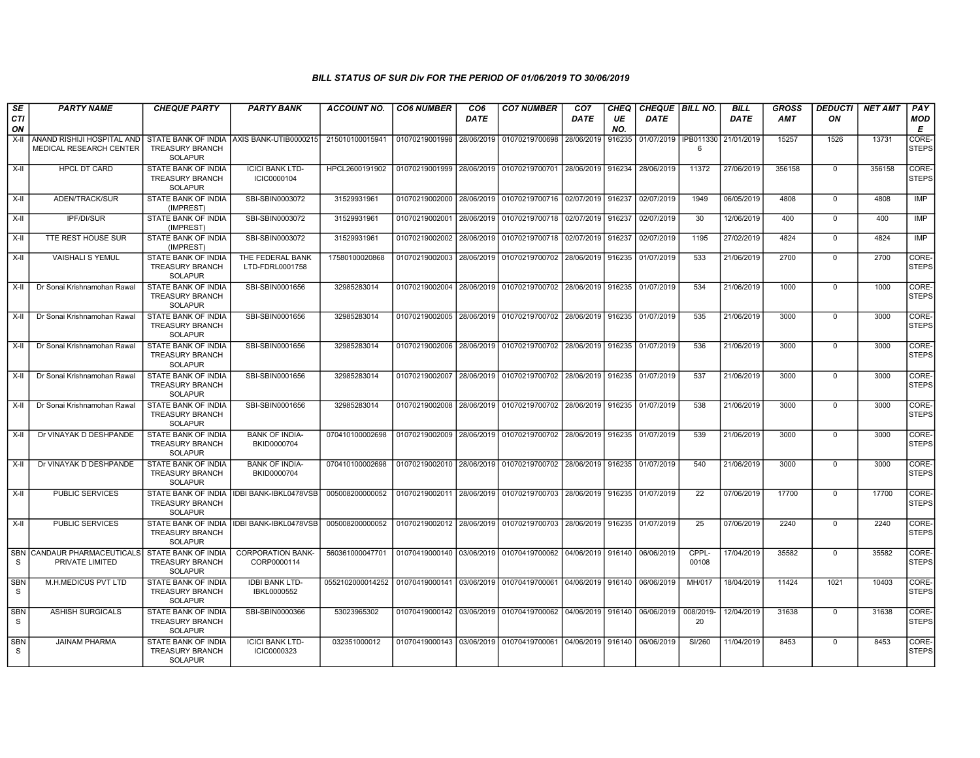| SE               | <b>PARTY NAME</b>                                     | <b>CHEQUE PARTY</b>                                                    | <b>PARTY BANK</b>                           | <b>ACCOUNT NO.</b>                                                                     | <b>CO6 NUMBER</b>         | CO <sub>6</sub> | <b>CO7 NUMBER</b>                                                               | CO <sub>7</sub>     | <b>CHEQ</b> | CHEQUE   BILL NO. |                 | <b>BILL</b> | <b>GROSS</b> | <b>DEDUCTI</b> | <b>NET AMT</b> | PAY                   |
|------------------|-------------------------------------------------------|------------------------------------------------------------------------|---------------------------------------------|----------------------------------------------------------------------------------------|---------------------------|-----------------|---------------------------------------------------------------------------------|---------------------|-------------|-------------------|-----------------|-------------|--------------|----------------|----------------|-----------------------|
| <b>CTI</b><br>ON |                                                       |                                                                        |                                             |                                                                                        |                           | <b>DATE</b>     |                                                                                 | <b>DATE</b>         | UE<br>NO.   | <b>DATE</b>       |                 | <b>DATE</b> | <b>AMT</b>   | ON             |                | MOD<br>E              |
| X-II             | ANAND RISHIJI HOSPITAL AND<br>MEDICAL RESEARCH CENTER | <b>STATE BANK OF INDIA</b><br><b>TREASURY BRANCH</b><br><b>SOLAPUR</b> | AXIS BANK-UTIB0000215                       | 215010100015941                                                                        | 01070219001998            | 28/06/2019      | 01070219700698                                                                  | 28/06/2019          | 916235      | 01/07/2019        | IPB011330<br>6  | 21/01/2019  | 15257        | 1526           | 13731          | CORE-<br><b>STEPS</b> |
| X-II             | <b>HPCL DT CARD</b>                                   | <b>STATE BANK OF INDIA</b><br><b>TREASURY BRANCH</b><br><b>SOLAPUR</b> | <b>ICICI BANK LTD-</b><br>ICIC0000104       | HPCL2600191902                                                                         |                           |                 | 01070219001999 28/06/2019 01070219700701 28/06/2019                             |                     | 916234      | 28/06/2019        | 11372           | 27/06/2019  | 356158       | $\Omega$       | 356158         | CORE-<br><b>STEPS</b> |
| X-II             | ADEN/TRACK/SUR                                        | <b>STATE BANK OF INDIA</b><br>(IMPREST)                                | SBI-SBIN0003072                             | 31529931961                                                                            | 01070219002000            |                 | 28/06/2019 01070219700716 02/07/2019                                            |                     | 916237      | 02/07/2019        | 1949            | 06/05/2019  | 4808         | $\mathbf 0$    | 4808           | <b>IMP</b>            |
| $X-H$            | <b>IPF/DI/SUR</b>                                     | STATE BANK OF INDIA<br>(IMPREST)                                       | SBI-SBIN0003072                             | 31529931961                                                                            | 01070219002001            | 28/06/2019      | 01070219700718                                                                  | 02/07/2019          | 916237      | 02/07/2019        | 30              | 12/06/2019  | 400          | $\mathbf{0}$   | 400            | <b>IMP</b>            |
| X-II             | TTE REST HOUSE SUR                                    | STATE BANK OF INDIA<br>(IMPREST)                                       | SBI-SBIN0003072                             | 31529931961                                                                            | 01070219002002            | 28/06/2019      | 01070219700718                                                                  | 02/07/2019          | 916237      | 02/07/2019        | 1195            | 27/02/2019  | 4824         | $\mathbf{0}$   | 4824           | IMP                   |
| X-II             | <b>VAISHALI S YEMUL</b>                               | STATE BANK OF INDIA<br><b>TREASURY BRANCH</b><br><b>SOLAPUR</b>        | THE FEDERAL BANK<br>LTD-FDRL0001758         | 17580100020868                                                                         | 01070219002003            | 28/06/2019      | 01070219700702                                                                  | 28/06/2019          | 916235      | 01/07/2019        | 533             | 21/06/2019  | 2700         | $\mathbf 0$    | 2700           | CORE-<br><b>STEPS</b> |
| X-II             | Dr Sonai Krishnamohan Rawal                           | STATE BANK OF INDIA<br><b>TREASURY BRANCH</b><br><b>SOLAPUR</b>        | SBI-SBIN0001656                             | 32985283014                                                                            | 01070219002004 28/06/2019 |                 | 01070219700702 28/06/2019                                                       |                     | 916235      | 01/07/2019        | 534             | 21/06/2019  | 1000         | $\mathbf{0}$   | 1000           | CORE-<br><b>STEPS</b> |
| $X-H$            | Dr Sonai Krishnamohan Rawal                           | <b>STATE BANK OF INDIA</b><br><b>TREASURY BRANCH</b><br><b>SOLAPUR</b> | SBI-SBIN0001656                             | 32985283014                                                                            |                           |                 | 01070219002005   28/06/2019   01070219700702   28/06/2019   916235              |                     |             | 01/07/2019        | 535             | 21/06/2019  | 3000         | $\Omega$       | 3000           | CORE-<br><b>STEPS</b> |
| X-II             | Dr Sonai Krishnamohan Rawal                           | STATE BANK OF INDIA<br><b>TREASURY BRANCH</b><br><b>SOLAPUR</b>        | SBI-SBIN0001656                             | 32985283014                                                                            | 01070219002006            |                 | 28/06/2019 01070219700702                                                       | 28/06/2019 916235   |             | 01/07/2019        | 536             | 21/06/2019  | 3000         | $\Omega$       | 3000           | CORE-<br><b>STEPS</b> |
| X-II             | Dr Sonai Krishnamohan Rawal                           | STATE BANK OF INDIA<br><b>TREASURY BRANCH</b><br><b>SOLAPUR</b>        | SBI-SBIN0001656                             | 32985283014                                                                            |                           |                 | 01070219002007 28/06/2019 01070219700702 28/06/2019 916235 01/07/2019           |                     |             |                   | 537             | 21/06/2019  | 3000         | $\Omega$       | 3000           | CORE-<br><b>STEPS</b> |
| X-II             | Dr Sonai Krishnamohan Rawal                           | <b>STATE BANK OF INDIA</b><br><b>TREASURY BRANCH</b><br><b>SOLAPUR</b> | SBI-SBIN0001656                             | 32985283014                                                                            | 01070219002008            |                 | 28/06/2019 01070219700702 28/06/2019 916235                                     |                     |             | 01/07/2019        | 538             | 21/06/2019  | 3000         | $\mathbf{0}$   | 3000           | CORE-<br><b>STEPS</b> |
| $X-II$           | Dr VINAYAK D DESHPANDE                                | STATE BANK OF INDIA<br><b>TREASURY BRANCH</b><br><b>SOLAPUR</b>        | <b>BANK OF INDIA-</b><br>BKID0000704        | 070410100002698                                                                        | 01070219002009            |                 | 28/06/2019 01070219700702                                                       | 28/06/2019          | 916235      | 01/07/2019        | 539             | 21/06/2019  | 3000         | 0              | 3000           | CORE-<br><b>STEPS</b> |
| X-II             | Dr VINAYAK D DESHPANDE                                | STATE BANK OF INDIA<br><b>TREASURY BRANCH</b><br><b>SOLAPUR</b>        | <b>BANK OF INDIA-</b><br>BKID0000704        | 070410100002698                                                                        |                           |                 | 01070219002010   28/06/2019   01070219700702   28/06/2019   916235   01/07/2019 |                     |             |                   | 540             | 21/06/2019  | 3000         | $\Omega$       | 3000           | CORE-<br><b>STEPS</b> |
| X-II             | PUBLIC SERVICES                                       | <b>TREASURY BRANCH</b><br><b>SOLAPUR</b>                               | STATE BANK OF INDIA   IDBI BANK-IBKL0478VSB | 005008200000052                                                                        |                           |                 | 01070219002011 28/06/2019 01070219700703                                        | 28/06/2019   916235 |             | 01/07/2019        | 22              | 07/06/2019  | 17700        | $\mathbf{0}$   | 17700          | CORE-<br><b>STEPS</b> |
| X-II             | <b>PUBLIC SERVICES</b>                                | <b>TREASURY BRANCH</b><br><b>SOLAPUR</b>                               | STATE BANK OF INDIA   IDBI BANK-IBKL0478VSB | 005008200000052                                                                        |                           |                 | 01070219002012 28/06/2019 01070219700703 28/06/2019 916235                      |                     |             | 01/07/2019        | 25              | 07/06/2019  | 2240         | $\mathbf 0$    | 2240           | CORE-<br><b>STEPS</b> |
| S                | <b>SBN CANDAUR PHARMACEUTICALS</b><br>PRIVATE LIMITED | <b>STATE BANK OF INDIA</b><br><b>TREASURY BRANCH</b><br><b>SOLAPUR</b> | <b>CORPORATION BANK-</b><br>CORP0000114     | 560361000047701                                                                        |                           |                 | 01070419000140 03/06/2019 01070419700062 04/06/2019 916140                      |                     |             | 06/06/2019        | CPPL-<br>00108  | 17/04/2019  | 35582        | $\mathbf{0}$   | 35582          | CORE-<br><b>STEPS</b> |
| <b>SBN</b><br>S  | M.H.MEDICUS PVT LTD                                   | <b>STATE BANK OF INDIA</b><br><b>TREASURY BRANCH</b><br><b>SOLAPUR</b> | <b>IDBI BANK LTD-</b><br><b>IBKL0000552</b> | 0552102000014252 01070419000141 03/06/2019 01070419700061 04/06/2019 916140 06/06/2019 |                           |                 |                                                                                 |                     |             |                   | MH/017          | 18/04/2019  | 11424        | 1021           | 10403          | CORE-<br><b>STEPS</b> |
| <b>SBN</b><br>S. | <b>ASHISH SURGICALS</b>                               | STATE BANK OF INDIA<br><b>TREASURY BRANCH</b><br><b>SOLAPUR</b>        | SBI-SBIN0000366                             | 53023965302                                                                            |                           |                 | 01070419000142 03/06/2019 01070419700062                                        | 04/06/2019 916140   |             | 06/06/2019        | 008/2019-<br>20 | 12/04/2019  | 31638        | $\Omega$       | 31638          | CORE-<br><b>STEPS</b> |
| <b>SBN</b><br>S. | <b>JAINAM PHARMA</b>                                  | <b>STATE BANK OF INDIA</b><br><b>TREASURY BRANCH</b><br><b>SOLAPUR</b> | <b>ICICI BANK LTD-</b><br>ICIC0000323       | 032351000012                                                                           |                           |                 | 01070419000143 03/06/2019 01070419700061 04/06/2019 916140 06/06/2019           |                     |             |                   | SI/260          | 11/04/2019  | 8453         | $\Omega$       | 8453           | CORE-<br><b>STEPS</b> |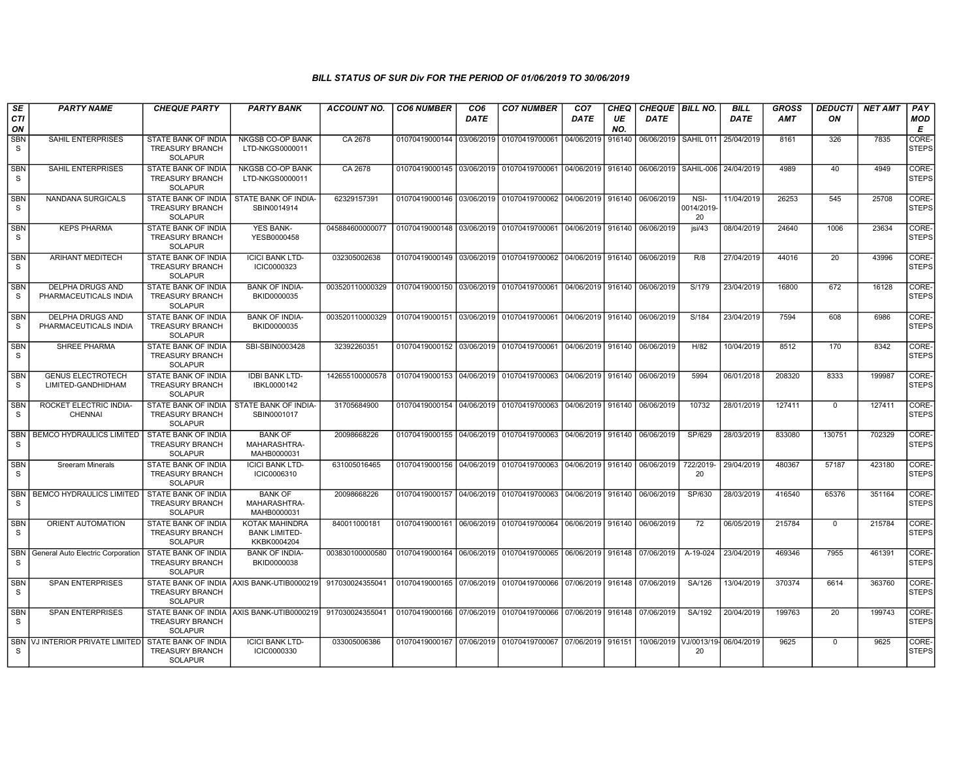| SE<br><b>CTI</b><br>ON | <b>PARTY NAME</b>                              | <b>CHEQUE PARTY</b>                                                    | <b>PARTY BANK</b>                                     | ACCOUNT NO.     | <b>CO6 NUMBER</b>                        | CO <sub>6</sub><br><b>DATE</b> | <b>CO7 NUMBER</b>                                                     | CO <sub>7</sub><br><b>DATE</b> | CHEQ<br>UE<br>NO. | <b>CHEQUE   BILL NO.</b><br><b>DATE</b> |                          | <b>BILL</b><br><b>DATE</b> | GROSS<br><b>AMT</b> | <b>DEDUCTI</b><br>ON | <b>NET AMT</b> | PAY<br>MOD<br>E       |
|------------------------|------------------------------------------------|------------------------------------------------------------------------|-------------------------------------------------------|-----------------|------------------------------------------|--------------------------------|-----------------------------------------------------------------------|--------------------------------|-------------------|-----------------------------------------|--------------------------|----------------------------|---------------------|----------------------|----------------|-----------------------|
| SBN<br>S.              | SAHIL ENTERPRISES                              | STATE BANK OF INDIA<br><b>TREASURY BRANCH</b><br><b>SOLAPUR</b>        | NKGSB CO-OP BANK<br>LTD-NKGS0000011                   | CA 2678         | 01070419000144                           | 03/06/2019                     | 01070419700061                                                        | 04/06/2019                     | 916140            | 06/06/2019                              | SAHIL 011                | 25/04/2019                 | 8161                | 326                  | 7835           | CORE-<br><b>STEPS</b> |
| <b>SBN</b><br>S        | <b>SAHIL ENTERPRISES</b>                       | STATE BANK OF INDIA<br><b>TREASURY BRANCH</b><br><b>SOLAPUR</b>        | <b>NKGSB CO-OP BANK</b><br>LTD-NKGS0000011            | CA 2678         |                                          |                                | 01070419000145 03/06/2019 01070419700061                              | 04/06/2019                     | 916140            | 06/06/2019                              | SAHIL-006 24/04/2019     |                            | 4989                | 40                   | 4949           | CORE-<br><b>STEPS</b> |
| <b>SBN</b><br>S        | NANDANA SURGICALS                              | STATE BANK OF INDIA<br>TREASURY BRANCH<br><b>SOLAPUR</b>               | STATE BANK OF INDIA-<br>SBIN0014914                   | 62329157391     |                                          |                                | 01070419000146 03/06/2019 01070419700062                              | 04/06/2019                     | 916140            | 06/06/2019                              | NSI-<br>0014/2019-<br>20 | 11/04/2019                 | 26253               | 545                  | 25708          | CORE-<br>STEPS        |
| <b>SBN</b><br>S.       | <b>KEPS PHARMA</b>                             | <b>STATE BANK OF INDIA</b><br><b>TREASURY BRANCH</b><br><b>SOLAPUR</b> | <b>YES BANK-</b><br>YESB0000458                       | 045884600000077 |                                          |                                | 01070419000148 03/06/2019 01070419700061 04/06/2019 916140            |                                |                   | 06/06/2019                              | isi/43                   | 08/04/2019                 | 24640               | 1006                 | 23634          | CORE-<br><b>STEPS</b> |
| <b>SBN</b><br>S        | <b>ARIHANT MEDITECH</b>                        | <b>STATE BANK OF INDIA</b><br><b>TREASURY BRANCH</b><br><b>SOLAPUR</b> | <b>ICICI BANK LTD-</b><br>ICIC0000323                 | 032305002638    |                                          |                                | 01070419000149 03/06/2019 01070419700062                              | 04/06/2019                     | 916140            | 06/06/2019                              | R/8                      | 27/04/2019                 | 44016               | 20                   | 43996          | CORE-<br><b>STEPS</b> |
| <b>SBN</b><br>S        | DELPHA DRUGS AND<br>PHARMACEUTICALS INDIA      | STATE BANK OF INDIA<br><b>TREASURY BRANCH</b><br><b>SOLAPUR</b>        | <b>BANK OF INDIA-</b><br>BKID0000035                  | 003520110000329 | 01070419000150 03/06/2019 01070419700061 |                                |                                                                       | 04/06/2019                     | 916140            | 06/06/2019                              | S/179                    | 23/04/2019                 | 16800               | 672                  | 16128          | CORE-<br><b>STEPS</b> |
| <b>SBN</b><br>S        | DELPHA DRUGS AND<br>PHARMACEUTICALS INDIA      | STATE BANK OF INDIA<br><b>TREASURY BRANCH</b><br><b>SOLAPUR</b>        | <b>BANK OF INDIA-</b><br>BKID0000035                  | 003520110000329 | 01070419000151 03/06/2019                |                                | 01070419700061 04/06/2019                                             |                                | 916140            | 06/06/2019                              | S/184                    | 23/04/2019                 | 7594                | 608                  | 6986           | CORE-<br><b>STEPS</b> |
| <b>SBN</b><br>S.       | <b>SHREE PHARMA</b>                            | <b>STATE BANK OF INDIA</b><br><b>TREASURY BRANCH</b><br><b>SOLAPUR</b> | SBI-SBIN0003428                                       | 32392260351     |                                          |                                | 01070419000152 03/06/2019 01070419700061 04/06/2019 916140 06/06/2019 |                                |                   |                                         | H/82                     | 10/04/2019                 | 8512                | 170                  | 8342           | CORE-<br><b>STEPS</b> |
| SBN<br>S               | <b>GENUS ELECTROTECH</b><br>LIMITED-GANDHIDHAM | STATE BANK OF INDIA<br><b>TREASURY BRANCH</b><br><b>SOLAPUR</b>        | <b>IDBI BANK LTD-</b><br>IBKL0000142                  | 142655100000578 |                                          |                                | 01070419000153 04/06/2019 01070419700063                              | 04/06/2019 916140              |                   | 06/06/2019                              | 5994                     | 06/01/2018                 | 208320              | 8333                 | 199987         | CORE-<br><b>STEPS</b> |
| <b>SBN</b><br>S        | ROCKET ELECTRIC INDIA-<br><b>CHENNAI</b>       | <b>STATE BANK OF INDIA</b><br><b>TREASURY BRANCH</b><br><b>SOLAPUR</b> | STATE BANK OF INDIA-<br>SBIN0001017                   | 31705684900     |                                          |                                | 01070419000154 04/06/2019 01070419700063                              | 04/06/2019   916140            |                   | 06/06/2019                              | 10732                    | 28/01/2019                 | 127411              | $\mathbf 0$          | 127411         | CORE-<br><b>STEPS</b> |
| <b>SBN</b><br>S.       | BEMCO HYDRAULICS LIMITED                       | STATE BANK OF INDIA<br><b>TREASURY BRANCH</b><br><b>SOLAPUR</b>        | <b>BANK OF</b><br>MAHARASHTRA-<br>MAHB0000031         | 20098668226     |                                          |                                | 01070419000155 04/06/2019 01070419700063                              | 04/06/2019                     | 916140            | 06/06/2019                              | SP/629                   | 28/03/2019                 | 833080              | 130751               | 702329         | CORE-<br><b>STEPS</b> |
| <b>SBN</b><br>S.       | <b>Sreeram Minerals</b>                        | STATE BANK OF INDIA<br><b>TREASURY BRANCH</b><br><b>SOLAPUR</b>        | <b>ICICI BANK LTD-</b><br>ICIC0006310                 | 631005016465    |                                          |                                | 01070419000156 04/06/2019 01070419700063                              | 04/06/2019 916140              |                   | 06/06/2019                              | 722/2019-<br>20          | 29/04/2019                 | 480367              | 57187                | 423180         | CORE-<br><b>STEPS</b> |
| <b>SBN</b><br>S        | <b>BEMCO HYDRAULICS LIMITED</b>                | STATE BANK OF INDIA<br><b>TREASURY BRANCH</b><br><b>SOLAPUR</b>        | <b>BANK OF</b><br>MAHARASHTRA-<br>MAHB0000031         | 20098668226     |                                          |                                | 01070419000157 04/06/2019 01070419700063 04/06/2019 916140            |                                |                   | 06/06/2019                              | SP/630                   | 28/03/2019                 | 416540              | 65376                | 351164         | CORE-<br><b>STEPS</b> |
| <b>SBN</b><br>S        | ORIENT AUTOMATION                              | STATE BANK OF INDIA<br><b>TREASURY BRANCH</b><br><b>SOLAPUR</b>        | KOTAK MAHINDRA<br><b>BANK LIMITED-</b><br>KKBK0004204 | 840011000181    |                                          |                                | 01070419000161 06/06/2019 01070419700064 06/06/2019 916140            |                                |                   | 06/06/2019                              | 72                       | 06/05/2019                 | 215784              | $^{\circ}$           | 215784         | CORE-<br>STEPS        |
| <sub>S</sub>           | SBN   General Auto Electric Corporation        | STATE BANK OF INDIA<br><b>TREASURY BRANCH</b><br><b>SOLAPUR</b>        | <b>BANK OF INDIA-</b><br>BKID0000038                  | 003830100000580 |                                          |                                | 01070419000164 06/06/2019 01070419700065 06/06/2019 916148 07/06/2019 |                                |                   |                                         | A-19-024                 | 23/04/2019                 | 469346              | 7955                 | 461391         | CORE-<br>STEPS        |
| <b>SBN</b><br>S        | <b>SPAN ENTERPRISES</b>                        | <b>TREASURY BRANCH</b><br><b>SOLAPUR</b>                               | STATE BANK OF INDIA AXIS BANK-UTIB0000219             | 917030024355041 |                                          |                                | 01070419000165 07/06/2019 01070419700066 07/06/2019 916148            |                                |                   | 07/06/2019                              | SA/126                   | 13/04/2019                 | 370374              | 6614                 | 363760         | CORE-<br><b>STEPS</b> |
| SBN<br>S               | <b>SPAN ENTERPRISES</b>                        | <b>TREASURY BRANCH</b><br><b>SOLAPUR</b>                               | STATE BANK OF INDIA AXIS BANK-UTIB0000219             | 917030024355041 |                                          |                                | 01070419000166 07/06/2019 01070419700066 07/06/2019 916148            |                                |                   | 07/06/2019                              | SA/192                   | 20/04/2019                 | 199763              | $\overline{20}$      | 199743         | CORE-<br><b>STEPS</b> |
| -S                     | SBN VJ INTERIOR PRIVATE LIMITED                | STATE BANK OF INDIA<br><b>TREASURY BRANCH</b><br><b>SOLAPUR</b>        | <b>ICICI BANK LTD-</b><br>ICIC0000330                 | 033005006386    |                                          |                                | 01070419000167 07/06/2019 01070419700067 07/06/2019 916151            |                                |                   | 10/06/2019 VJ/0013/19 06/04/2019        | 20                       |                            | 9625                | $\mathbf 0$          | 9625           | CORE-<br><b>STEPS</b> |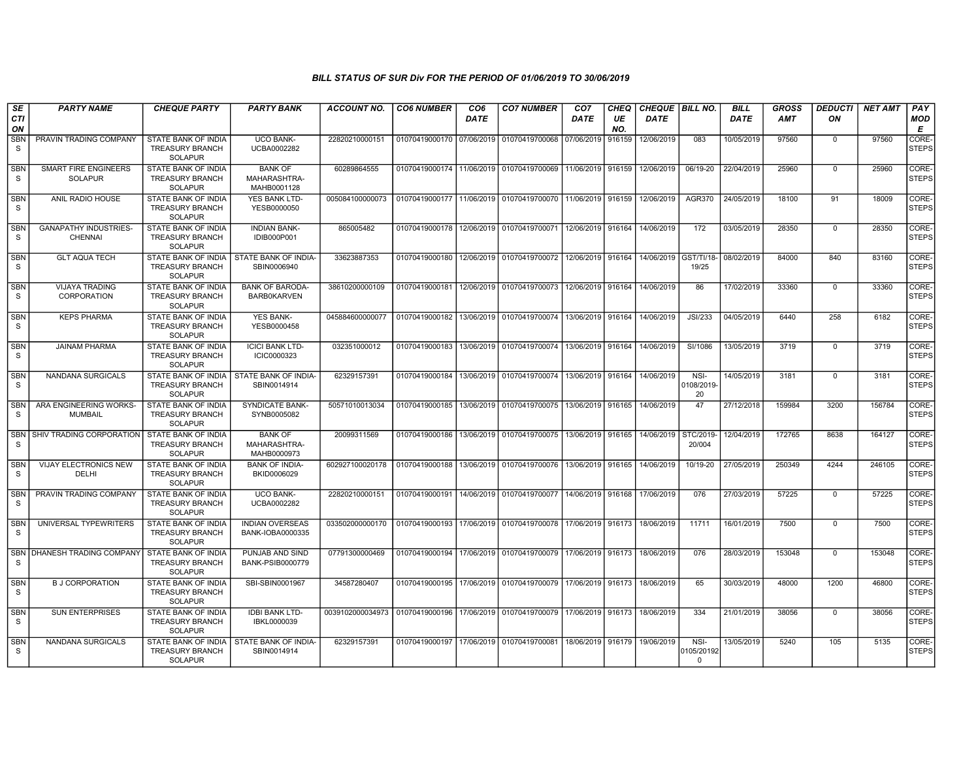| SE<br><b>CTI</b><br>ON | <b>PARTY NAME</b>                              | <b>CHEQUE PARTY</b>                                                    | <b>PARTY BANK</b>                             | ACCOUNT NO.                                                                           | <b>CO6 NUMBER</b> | CO <sub>6</sub><br><b>DATE</b> | <b>CO7 NUMBER</b>                                          | CO <sub>7</sub><br><b>DATE</b> | CHEQ<br>UE<br>NO. | <b>CHEQUE   BILL NO.</b><br><b>DATE</b> |                                | <b>BILL</b><br><b>DATE</b> | <b>GROSS</b><br><b>AMT</b> | <b>DEDUCTI</b><br>ON | NET AMT | PAY<br><b>MOD</b><br>Е      |
|------------------------|------------------------------------------------|------------------------------------------------------------------------|-----------------------------------------------|---------------------------------------------------------------------------------------|-------------------|--------------------------------|------------------------------------------------------------|--------------------------------|-------------------|-----------------------------------------|--------------------------------|----------------------------|----------------------------|----------------------|---------|-----------------------------|
| <b>SBN</b><br>S        | PRAVIN TRADING COMPANY                         | STATE BANK OF INDIA<br><b>TREASURY BRANCH</b><br><b>SOLAPUR</b>        | <b>UCO BANK-</b><br>UCBA0002282               | 22820210000151                                                                        | 01070419000170    | 07/06/2019                     | 01070419700068                                             | 07/06/2019                     | 916159            | 12/06/2019                              | 083                            | 10/05/2019                 | 97560                      | $\mathbf 0$          | 97560   | <b>CORE</b><br>STEPS        |
| SBN<br>S.              | SMART FIRE ENGINEERS<br><b>SOLAPUR</b>         | STATE BANK OF INDIA<br><b>TREASURY BRANCH</b><br><b>SOLAPUR</b>        | <b>BANK OF</b><br>MAHARASHTRA-<br>MAHB0001128 | 60289864555                                                                           |                   |                                | 01070419000174 11/06/2019 01070419700069                   | 11/06/2019                     | 916159            | 12/06/2019                              | 06/19-20                       | 22/04/2019                 | 25960                      | $\mathbf 0$          | 25960   | CORE-<br><b>STEPS</b>       |
| SBN<br>S.              | ANIL RADIO HOUSE                               | STATE BANK OF INDIA<br><b>TREASURY BRANCH</b><br><b>SOLAPUR</b>        | YES BANK LTD-<br>YESB0000050                  | 005084100000073                                                                       | 01070419000177    |                                | 11/06/2019 01070419700070                                  | 11/06/2019                     | 916159            | 12/06/2019                              | AGR370                         | 24/05/2019                 | 18100                      | 91                   | 18009   | <b>CORE</b><br><b>STEPS</b> |
| SBN<br>S.              | <b>GANAPATHY INDUSTRIES-</b><br><b>CHENNAI</b> | <b>STATE BANK OF INDIA</b><br><b>TREASURY BRANCH</b><br><b>SOLAPUR</b> | <b>INDIAN BANK-</b><br><b>IDIB000P001</b>     | 865005482                                                                             | 01070419000178    |                                | 12/06/2019 01070419700071                                  | 12/06/2019                     | 916164            | 14/06/2019                              | 172                            | 03/05/2019                 | 28350                      | $\mathbf 0$          | 28350   | CORE-<br><b>STEPS</b>       |
| <b>SBN</b><br>S        | <b>GLT AQUA TECH</b>                           | STATE BANK OF INDIA<br><b>TREASURY BRANCH</b><br><b>SOLAPUR</b>        | STATE BANK OF INDIA-<br>SBIN0006940           | 33623887353                                                                           | 01070419000180    |                                | 12/06/2019 01070419700072                                  | 12/06/2019                     | 916164            | 14/06/2019                              | GST/TI/18<br>19/25             | 08/02/2019                 | 84000                      | 840                  | 83160   | <b>CORE</b><br><b>STEPS</b> |
| SBN<br>S               | <b>VIJAYA TRADING</b><br>CORPORATION           | STATE BANK OF INDIA<br><b>TREASURY BRANCH</b><br><b>SOLAPUR</b>        | <b>BANK OF BARODA-</b><br><b>BARB0KARVEN</b>  | 38610200000109                                                                        | 01070419000181    | 12/06/2019                     | 01070419700073                                             | 12/06/2019                     | 916164            | 14/06/2019                              | 86                             | 17/02/2019                 | 33360                      | $\overline{0}$       | 33360   | CORE-<br><b>STEPS</b>       |
| SBN<br>S               | <b>KEPS PHARMA</b>                             | STATE BANK OF INDIA<br><b>TREASURY BRANCH</b><br><b>SOLAPUR</b>        | <b>YES BANK-</b><br>YESB0000458               | 045884600000077                                                                       | 01070419000182    | 13/06/2019                     | 01070419700074                                             | 13/06/2019                     | 916164            | 14/06/2019                              | <b>JSI/233</b>                 | 04/05/2019                 | 6440                       | 258                  | 6182    | CORE-<br><b>STEPS</b>       |
| <b>SBN</b><br>S.       | <b>JAINAM PHARMA</b>                           | STATE BANK OF INDIA<br><b>TREASURY BRANCH</b><br><b>SOLAPUR</b>        | <b>ICICI BANK LTD-</b><br>ICIC0000323         | 032351000012                                                                          | 01070419000183    |                                | 13/06/2019 01070419700074 13/06/2019 916164                |                                |                   | 14/06/2019                              | SI/1086                        | 13/05/2019                 | 3719                       | $\mathbf 0$          | 3719    | CORE-<br><b>STEPS</b>       |
| <b>SBN</b><br>S        | NANDANA SURGICALS                              | STATE BANK OF INDIA<br><b>TREASURY BRANCH</b><br><b>SOLAPUR</b>        | STATE BANK OF INDIA-<br>SBIN0014914           | 62329157391                                                                           | 01070419000184    |                                | 13/06/2019 01070419700074                                  | 13/06/2019 916164              |                   | 14/06/2019                              | NSI-<br>0108/2019-<br>20       | 14/05/2019                 | 3181                       | $\mathbf 0$          | 3181    | CORE-<br><b>STEPS</b>       |
| <b>SBN</b><br>S.       | ARA ENGINEERING WORKS<br><b>MUMBAIL</b>        | STATE BANK OF INDIA<br><b>TREASURY BRANCH</b><br><b>SOLAPUR</b>        | <b>SYNDICATE BANK-</b><br>SYNB0005082         | 50571010013034                                                                        | 01070419000185    |                                | 13/06/2019 01070419700075                                  | 13/06/2019 916165              |                   | 14/06/2019                              | 47                             | 27/12/2018                 | 159984                     | 3200                 | 156784  | CORE-<br><b>STEPS</b>       |
| <b>SBN</b><br>S.       | SHIV TRADING CORPORATION                       | <b>STATE BANK OF INDIA</b><br><b>TREASURY BRANCH</b><br><b>SOLAPUR</b> | <b>BANK OF</b><br>MAHARASHTRA-<br>MAHB0000973 | 20099311569                                                                           | 01070419000186    |                                | 13/06/2019 01070419700075 13/06/2019 916165                |                                |                   | 14/06/2019                              | STC/2019-<br>20/004            | 12/04/2019                 | 172765                     | 8638                 | 164127  | CORE-<br><b>STEPS</b>       |
| SBN<br>S.              | VIJAY ELECTRONICS NEW<br>DELHI                 | STATE BANK OF INDIA<br><b>TREASURY BRANCH</b><br><b>SOLAPUR</b>        | <b>BANK OF INDIA-</b><br>BKID0006029          | 602927100020178                                                                       | 01070419000188    |                                | 13/06/2019 01070419700076                                  | 13/06/2019   916165            |                   | 14/06/2019                              | 10/19-20                       | 27/05/2019                 | 250349                     | 4244                 | 246105  | CORE-<br><b>STEPS</b>       |
| <b>SBN</b><br>S.       | PRAVIN TRADING COMPANY                         | STATE BANK OF INDIA<br><b>TREASURY BRANCH</b><br><b>SOLAPUR</b>        | <b>UCO BANK-</b><br>UCBA0002282               | 22820210000151                                                                        | 01070419000191    |                                | 14/06/2019 01070419700077                                  | 14/06/2019                     | 916168            | 17/06/2019                              | 076                            | 27/03/2019                 | 57225                      | $\mathbf 0$          | 57225   | CORE-<br>STEPS              |
| SBN<br>S.              | UNIVERSAL TYPEWRITERS                          | <b>STATE BANK OF INDIA</b><br><b>TREASURY BRANCH</b><br><b>SOLAPUR</b> | <b>INDIAN OVERSEAS</b><br>BANK-IOBA0000335    | 033502000000170                                                                       |                   |                                | 01070419000193 17/06/2019 01070419700078 17/06/2019 916173 |                                |                   | 18/06/2019                              | 11711                          | 16/01/2019                 | 7500                       | 0                    | 7500    | CORE-<br>STEPS              |
| S.                     | SBN   DHANESH TRADING COMPANY                  | STATE BANK OF INDIA<br><b>TREASURY BRANCH</b><br><b>SOLAPUR</b>        | PUNJAB AND SIND<br><b>BANK-PSIB0000779</b>    | 07791300000469                                                                        |                   |                                | 01070419000194 17/06/2019 01070419700079 17/06/2019 916173 |                                |                   | 18/06/2019                              | 076                            | 28/03/2019                 | 153048                     | $\mathbf 0$          | 153048  | CORE-<br><b>STEPS</b>       |
| <b>SBN</b><br>S.       | <b>B J CORPORATION</b>                         | STATE BANK OF INDIA<br><b>TREASURY BRANCH</b><br><b>SOLAPUR</b>        | SBI-SBIN0001967                               | 34587280407                                                                           |                   |                                | 01070419000195 17/06/2019 01070419700079                   | 17/06/2019 916173              |                   | 18/06/2019                              | 65                             | 30/03/2019                 | 48000                      | 1200                 | 46800   | CORE-<br><b>STEPS</b>       |
| <b>SBN</b><br>S.       | <b>SUN ENTERPRISES</b>                         | STATE BANK OF INDIA<br><b>TREASURY BRANCH</b><br><b>SOLAPUR</b>        | <b>IDBI BANK LTD-</b><br>IBKL0000039          | 0039102000034973   01070419000196   17/06/2019   01070419700079   17/06/2019   916173 |                   |                                |                                                            |                                |                   | 18/06/2019                              | 334                            | 21/01/2019                 | 38056                      | $\mathbf 0$          | 38056   | CORE-<br><b>STEPS</b>       |
| <b>SBN</b><br>S.       | <b>NANDANA SURGICALS</b>                       | STATE BANK OF INDIA<br><b>TREASURY BRANCH</b><br><b>SOLAPUR</b>        | STATE BANK OF INDIA-<br>SBIN0014914           | 62329157391                                                                           | 01070419000197    |                                | 17/06/2019 01070419700081                                  | 18/06/2019                     | 916179            | 19/06/2019                              | NSI-<br>0105/20192<br>$\Omega$ | 13/05/2019                 | 5240                       | 105                  | 5135    | CORE-<br><b>STEPS</b>       |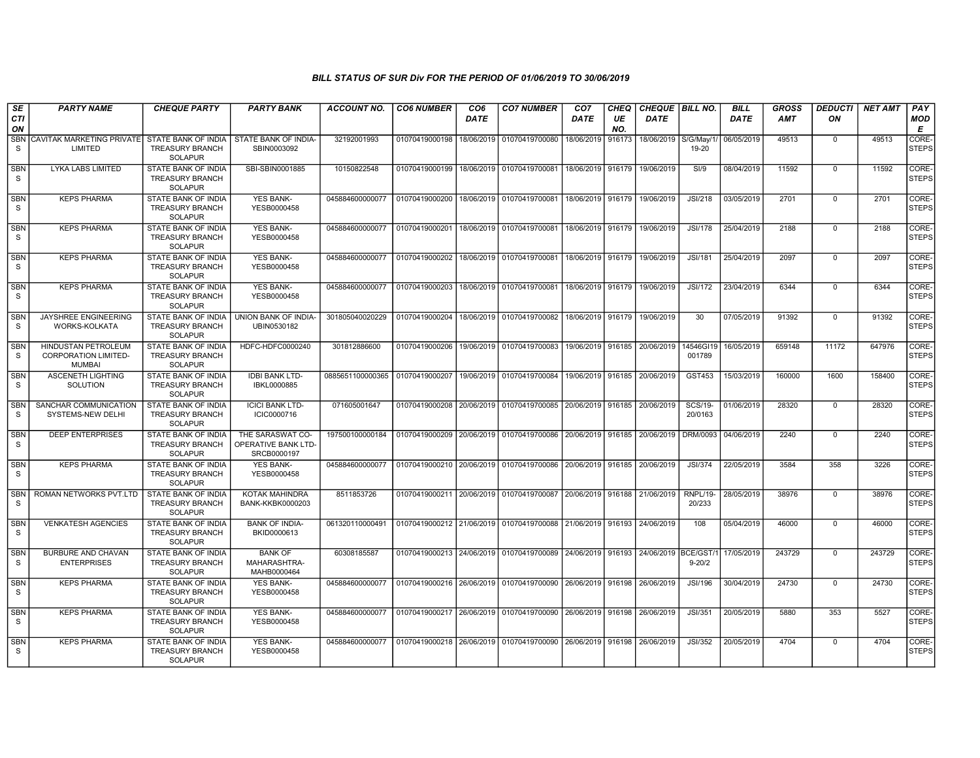| SE<br><b>CTI</b>           | <b>PARTY NAME</b>                                                   | <b>CHEQUE PARTY</b>                                                    | <b>PARTY BANK</b>                                      | <b>ACCOUNT NO.</b> | <b>CO6 NUMBER</b>                        | CO <sub>6</sub><br><b>DATE</b> | <b>CO7 NUMBER</b>                                                               | CO <sub>7</sub><br><b>DATE</b> | CHEQ<br>UE | CHEQUE   BILL NO.<br><b>DATE</b> |                           | <b>BILL</b><br><b>DATE</b> | GROSS<br>AMT | <b>DEDUCTI</b><br>ON | <b>NET AMT</b> | PAY<br><b>MOD</b>     |
|----------------------------|---------------------------------------------------------------------|------------------------------------------------------------------------|--------------------------------------------------------|--------------------|------------------------------------------|--------------------------------|---------------------------------------------------------------------------------|--------------------------------|------------|----------------------------------|---------------------------|----------------------------|--------------|----------------------|----------------|-----------------------|
| ON                         |                                                                     |                                                                        |                                                        |                    |                                          |                                |                                                                                 |                                | NO.        |                                  |                           |                            |              |                      |                | E                     |
| <b>SBN</b><br>S            | CAVITAK MARKETING PRIVATE<br>LIMITED                                | STATE BANK OF INDIA<br><b>TREASURY BRANCH</b><br><b>SOLAPUR</b>        | STATE BANK OF INDIA-<br>SBIN0003092                    | 32192001993        | 01070419000198                           | 18/06/2019                     | 01070419700080                                                                  | 18/06/2019                     | 916173     | 18/06/2019                       | S/G/May/1/<br>19-20       | 06/05/2019                 | 49513        | $\mathbf 0$          | 49513          | CORE-<br><b>STEPS</b> |
| <b>SBN</b><br>S            | LYKA LABS LIMITED                                                   | <b>STATE BANK OF INDIA</b><br><b>TREASURY BRANCH</b><br><b>SOLAPUR</b> | SBI-SBIN0001885                                        | 10150822548        | 01070419000199 18/06/2019 01070419700081 |                                |                                                                                 | 18/06/2019                     | 916179     | 19/06/2019                       | S1/9                      | 08/04/2019                 | 11592        | $\Omega$             | 11592          | CORE-<br><b>STEPS</b> |
| <b>SBN</b><br>S            | <b>KEPS PHARMA</b>                                                  | STATE BANK OF INDIA<br><b>TREASURY BRANCH</b><br><b>SOLAPUR</b>        | <b>YES BANK-</b><br>YESB0000458                        | 045884600000077    | 01070419000200                           |                                | 18/06/2019 01070419700081                                                       | 18/06/2019                     | 916179     | 19/06/2019                       | <b>JSI/218</b>            | 03/05/2019                 | 2701         | 0                    | 2701           | CORE-<br><b>STEPS</b> |
| <b>SBN</b><br>S.           | <b>KEPS PHARMA</b>                                                  | <b>STATE BANK OF INDIA</b><br><b>TREASURY BRANCH</b><br><b>SOLAPUR</b> | <b>YES BANK-</b><br>YESB0000458                        | 045884600000077    | 01070419000201                           |                                | 18/06/2019 01070419700081                                                       | 18/06/2019                     | 916179     | 19/06/2019                       | <b>JSI/178</b>            | 25/04/2019                 | 2188         | $\mathbf 0$          | 2188           | CORE-<br><b>STEPS</b> |
| <b>SBN</b><br><sub>S</sub> | <b>KEPS PHARMA</b>                                                  | <b>STATE BANK OF INDIA</b><br><b>TREASURY BRANCH</b><br>SOLAPUR        | YES BANK-<br>YESB0000458                               | 045884600000077    | 01070419000202                           |                                | 18/06/2019 01070419700081                                                       | 18/06/2019                     | 916179     | 19/06/2019                       | <b>JSI/181</b>            | 25/04/2019                 | 2097         | $\mathbf 0$          | 2097           | CORE-<br><b>STEPS</b> |
| <b>SBN</b><br>S            | <b>KEPS PHARMA</b>                                                  | STATE BANK OF INDIA<br><b>TREASURY BRANCH</b><br><b>SOLAPUR</b>        | YES BANK-<br>YESB0000458                               | 045884600000077    | 01070419000203                           | 18/06/2019                     | 01070419700081                                                                  | 18/06/2019                     | 916179     | 19/06/2019                       | <b>JSI/172</b>            | 23/04/2019                 | 6344         | $\mathbf 0$          | 6344           | CORE-<br>STEPS        |
| <b>SBN</b><br>S            | JAYSHREE ENGINEERING<br>WORKS-KOLKATA                               | <b>STATE BANK OF INDIA</b><br><b>TREASURY BRANCH</b><br><b>SOLAPUR</b> | UNION BANK OF INDIA-<br>UBIN0530182                    | 301805040020229    | 01070419000204                           | 18/06/2019                     | 01070419700082                                                                  | 18/06/2019                     | 916179     | 19/06/2019                       | 30                        | 07/05/2019                 | 91392        | $\Omega$             | 91392          | CORE-<br><b>STEPS</b> |
| <b>SBN</b><br>S            | HINDUSTAN PETROLEUM<br><b>CORPORATION LIMITED-</b><br><b>MUMBAI</b> | STATE BANK OF INDIA<br><b>TREASURY BRANCH</b><br><b>SOLAPUR</b>        | HDFC-HDFC0000240                                       | 301812886600       | 01070419000206                           |                                | 19/06/2019 01070419700083                                                       | 19/06/2019 916185              |            | 20/06/2019                       | 14546GI19<br>001789       | 16/05/2019                 | 659148       | 11172                | 647976         | CORE-<br><b>STEPS</b> |
| <b>SBN</b><br>S            | ASCENETH LIGHTING<br>SOLUTION                                       | STATE BANK OF INDIA<br><b>TREASURY BRANCH</b><br><b>SOLAPUR</b>        | <b>IDBI BANK LTD-</b><br>IBKL0000885                   | 0885651100000365   | 01070419000207                           |                                | 19/06/2019 01070419700084                                                       |                                |            | 19/06/2019 916185 20/06/2019     | GST453                    | 15/03/2019                 | 160000       | 1600                 | 158400         | CORE-<br><b>STEPS</b> |
| <b>SBN</b><br><sub>S</sub> | SANCHAR COMMUNICATION<br>SYSTEMS-NEW DELHI                          | <b>STATE BANK OF INDIA</b><br><b>TREASURY BRANCH</b><br><b>SOLAPUR</b> | <b>ICICI BANK LTD-</b><br>ICIC0000716                  | 071605001647       |                                          |                                | 01070419000208 20/06/2019 01070419700085                                        | 20/06/2019                     | 916185     | 20/06/2019                       | <b>SCS/19-</b><br>20/0163 | 01/06/2019                 | 28320        | $\mathbf 0$          | 28320          | CORE-<br><b>STEPS</b> |
| <b>SBN</b><br>S            | <b>DEEP ENTERPRISES</b>                                             | <b>STATE BANK OF INDIA</b><br><b>TREASURY BRANCH</b><br><b>SOLAPUR</b> | THE SARASWAT CO-<br>OPERATIVE BANK LTD-<br>SRCB0000197 | 197500100000184    |                                          |                                | 01070419000209 20/06/2019 01070419700086 20/06/2019                             |                                |            | 916185 20/06/2019                | DRM/0093                  | 04/06/2019                 | 2240         | $\mathbf 0$          | 2240           | CORE-<br>STEPS        |
| <b>SBN</b><br><sub>S</sub> | <b>KEPS PHARMA</b>                                                  | <b>STATE BANK OF INDIA</b><br><b>TREASURY BRANCH</b><br><b>SOLAPUR</b> | <b>YES BANK-</b><br>YESB0000458                        | 045884600000077    |                                          |                                | 01070419000210   20/06/2019   01070419700086   20/06/2019   916185   20/06/2019 |                                |            |                                  | <b>JSI/374</b>            | 22/05/2019                 | 3584         | 358                  | 3226           | CORE-<br><b>STEPS</b> |
| <b>SBN</b><br>S            | ROMAN NETWORKS PVT.LTD                                              | STATE BANK OF INDIA<br><b>TREASURY BRANCH</b><br><b>SOLAPUR</b>        | KOTAK MAHINDRA<br><b>BANK-KKBK0000203</b>              | 8511853726         | 01070419000211 20/06/2019 01070419700087 |                                |                                                                                 | 20/06/2019                     | 916188     | 21/06/2019                       | RNPL/19-<br>20/233        | 28/05/2019                 | 38976        | $^{\circ}$           | 38976          | CORE-<br><b>STEPS</b> |
| <b>SBN</b><br><sub>S</sub> | <b>VENKATESH AGENCIES</b>                                           | <b>STATE BANK OF INDIA</b><br><b>TREASURY BRANCH</b><br><b>SOLAPUR</b> | <b>BANK OF INDIA-</b><br>BKID0000613                   | 061320110000491    |                                          |                                | 01070419000212 21/06/2019 01070419700088 21/06/2019 916193 24/06/2019           |                                |            |                                  | 108                       | 05/04/2019                 | 46000        | $\mathbf 0$          | 46000          | CORE-<br><b>STEPS</b> |
| <b>SBN</b><br>S.           | <b>BURBURE AND CHAVAN</b><br><b>ENTERPRISES</b>                     | STATE BANK OF INDIA<br><b>TREASURY BRANCH</b><br><b>SOLAPUR</b>        | <b>BANK OF</b><br>MAHARASHTRA-<br>MAHB0000464          | 60308185587        |                                          |                                | 01070419000213 24/06/2019 01070419700089                                        | 24/06/2019                     | 916193     | 24/06/2019 BCE/GST/1             | $9 - 20/2$                | 17/05/2019                 | 243729       | $^{\circ}$           | 243729         | CORE-<br><b>STEPS</b> |
| <b>SBN</b><br>S            | <b>KEPS PHARMA</b>                                                  | <b>STATE BANK OF INDIA</b><br><b>TREASURY BRANCH</b><br><b>SOLAPUR</b> | <b>YES BANK-</b><br>YESB0000458                        | 045884600000077    | 01070419000216 26/06/2019                |                                | 01070419700090                                                                  | 26/06/2019                     | 916198     | 26/06/2019                       | <b>JSI/196</b>            | 30/04/2019                 | 24730        | $\mathbf 0$          | 24730          | CORE-<br>STEPS        |
| <b>SBN</b><br><sub>S</sub> | <b>KEPS PHARMA</b>                                                  | <b>STATE BANK OF INDIA</b><br><b>TREASURY BRANCH</b><br><b>SOLAPUR</b> | <b>YES BANK-</b><br>YESB0000458                        | 045884600000077    |                                          |                                | 01070419000217 26/06/2019 01070419700090 26/06/2019 916198                      |                                |            | 26/06/2019                       | JSI/351                   | 20/05/2019                 | 5880         | 353                  | 5527           | CORE-<br><b>STEPS</b> |
| <b>SBN</b><br>S            | <b>KEPS PHARMA</b>                                                  | STATE BANK OF INDIA<br><b>TREASURY BRANCH</b><br><b>SOLAPUR</b>        | <b>YES BANK-</b><br>YESB0000458                        | 045884600000077    |                                          |                                | 01070419000218 26/06/2019 01070419700090                                        | 26/06/2019                     | 916198     | 26/06/2019                       | <b>JSI/352</b>            | 20/05/2019                 | 4704         | $\mathbf 0$          | 4704           | CORE-<br><b>STEPS</b> |